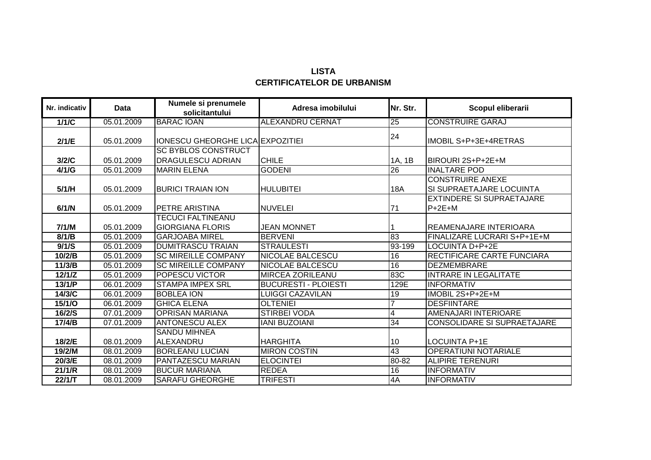## **LISTA CERTIFICATELOR DE URBANISM**

| Nr. indicativ | <b>Data</b> | Numele si prenumele<br>solicitantului               | Adresa imobilului           | Nr. Str.        | Scopul eliberarii                                   |
|---------------|-------------|-----------------------------------------------------|-----------------------------|-----------------|-----------------------------------------------------|
| 1/1/C         | 05.01.2009  | <b>BARAC IOAN</b>                                   | <b>ALEXANDRU CERNAT</b>     | 25              | <b>CONSTRUIRE GARAJ</b>                             |
| 2/1/E         | 05.01.2009  | <b>IONESCU GHEORGHE LICA EXPOZITIEI</b>             |                             | 24              | IMOBIL S+P+3E+4RETRAS                               |
| 3/2/C         | 05.01.2009  | <b>SC BYBLOS CONSTRUCT</b><br>DRAGULESCU ADRIAN     | <b>CHILE</b>                | 1A, 1B          | BIROURI 2S+P+2E+M                                   |
| 4/1/G         | 05.01.2009  | <b>MARIN ELENA</b>                                  | <b>GODENI</b>               | $\overline{26}$ | <b>INALTARE POD</b>                                 |
| 5/1/H         | 05.01.2009  | <b>BURICI TRAIAN ION</b>                            | <b>HULUBITEI</b>            | <b>18A</b>      | <b>CONSTRUIRE ANEXE</b><br>SI SUPRAETAJARE LOCUINTA |
| 6/1/N         | 05.01.2009  | <b>PETRE ARISTINA</b>                               | <b>NUVELEI</b>              | 71              | <b>EXTINDERE SI SUPRAETAJARE</b><br>$P+2E+M$        |
| 7/1/M         | 05.01.2009  | <b>TECUCI FALTINEANU</b><br><b>GIORGIANA FLORIS</b> | <b>JEAN MONNET</b>          |                 | <b>REAMENAJARE INTERIOARA</b>                       |
| 8/1/B         | 05.01.2009  | <b>GARJOABA MIREL</b>                               | <b>BERVENI</b>              | 83              | <b>FINALIZARE LUCRARI S+P+1E+M</b>                  |
| 9/1/S         | 05.01.2009  | <b>DUMITRASCU TRAIAN</b>                            | <b>STRAULESTI</b>           | 93-199          | <b>LOCUINTA D+P+2E</b>                              |
| 10/2/B        | 05.01.2009  | <b>SC MIREILLE COMPANY</b>                          | <b>NICOLAE BALCESCU</b>     | 16              | RECTIFICARE CARTE FUNCIARA                          |
| 11/3/B        | 05.01.2009  | <b>SC MIREILLE COMPANY</b>                          | <b>NICOLAE BALCESCU</b>     | 16              | <b>DEZMEMBRARE</b>                                  |
| 12/1/Z        | 05.01.2009  | <b>POPESCU VICTOR</b>                               | <b>MIRCEA ZORILEANU</b>     | 83C             | <b>INTRARE IN LEGALITATE</b>                        |
| 13/1/P        | 06.01.2009  | <b>STAMPA IMPEX SRL</b>                             | <b>BUCURESTI - PLOIESTI</b> | 129E            | <b>INFORMATIV</b>                                   |
| 14/3/C        | 06.01.2009  | <b>BOBLEA ION</b>                                   | <b>LUIGGI CAZAVILAN</b>     | 19              | IMOBIL 2S+P+2E+M                                    |
| 15/1/O        | 06.01.2009  | <b>GHICA ELENA</b>                                  | <b>OLTENIEI</b>             |                 | <b>DESFIINTARE</b>                                  |
| 16/2/S        | 07.01.2009  | <b>OPRISAN MARIANA</b>                              | <b>STIRBEI VODA</b>         | 4               | <b>AMENAJARI INTERIOARE</b>                         |
| 17/4/B        | 07.01.2009  | <b>ANTONESCU ALEX</b>                               | <b>IANI BUZOIANI</b>        | 34              | <b>CONSOLIDARE SI SUPRAETAJARE</b>                  |
|               |             | <b>SANDU MIHNEA</b>                                 |                             |                 |                                                     |
| 18/2/E        | 08.01.2009  | ALEXANDRU                                           | <b>HARGHITA</b>             | 10              | <b>LOCUINTA P+1E</b>                                |
| 19/2/M        | 08.01.2009  | <b>BORLEANU LUCIAN</b>                              | <b>MIRON COSTIN</b>         | 43              | <b>OPERATIUNI NOTARIALE</b>                         |
| 20/3/E        | 08.01.2009  | PANTAZESCU MARIAN                                   | <b>ELOCINTEI</b>            | 80-82           | <b>ALIPIRE TERENURI</b>                             |
| 21/1/R        | 08.01.2009  | <b>BUCUR MARIANA</b>                                | <b>REDEA</b>                | 16              | <b>INFORMATIV</b>                                   |
| 22/1/T        | 08.01.2009  | <b>SARAFU GHEORGHE</b>                              | <b>TRIFESTI</b>             | 4A              | <b>INFORMATIV</b>                                   |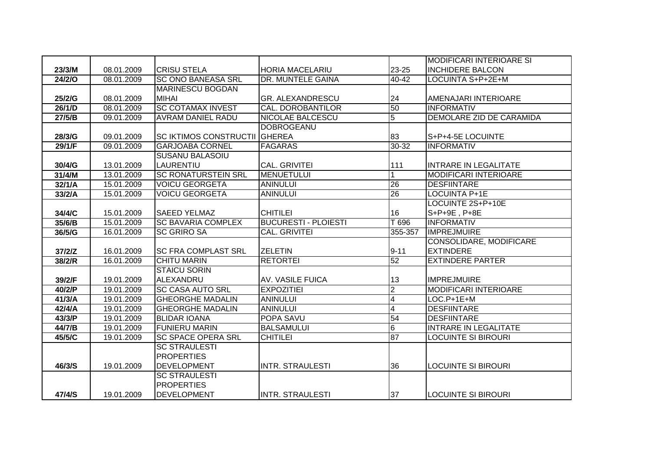|        |            |                                      |                             |                         | <b>MODIFICARI INTERIOARE SI</b> |
|--------|------------|--------------------------------------|-----------------------------|-------------------------|---------------------------------|
| 23/3/M | 08.01.2009 | <b>CRISU STELA</b>                   | <b>HORIA MACELARIU</b>      | 23-25                   | <b>INCHIDERE BALCON</b>         |
| 24/2/0 | 08.01.2009 | <b>SC ONO BANEASA SRL</b>            | DR. MUNTELE GAINA           | 40-42                   | LOCUINTA S+P+2E+M               |
|        |            | <b>MARINESCU BOGDAN</b>              |                             |                         |                                 |
| 25/2/G | 08.01.2009 | <b>MIHAI</b>                         | <b>GR. ALEXANDRESCU</b>     | 24                      | AMENAJARI INTERIOARE            |
| 26/1/D | 08.01.2009 | <b>SC COTAMAX INVEST</b>             | CAL. DOROBANTILOR           | 50                      | <b>INFORMATIV</b>               |
| 27/5/B | 09.01.2009 | <b>AVRAM DANIEL RADU</b>             | <b>NICOLAE BALCESCU</b>     | $\overline{5}$          | <b>DEMOLARE ZID DE CARAMIDA</b> |
|        |            |                                      | <b>DOBROGEANU</b>           |                         |                                 |
| 28/3/G | 09.01.2009 | <b>SC IKTIMOS CONSTRUCTII GHEREA</b> |                             | 83                      | S+P+4-5E LOCUINTE               |
| 29/1/F | 09.01.2009 | <b>GARJOABA CORNEL</b>               | <b>FAGARAS</b>              | $30 - 32$               | <b>INFORMATIV</b>               |
|        |            | <b>SUSANU BALASOIU</b>               |                             |                         |                                 |
| 30/4/G | 13.01.2009 | LAURENTIU                            | <b>CAL. GRIVITEI</b>        | 111                     | <b>INTRARE IN LEGALITATE</b>    |
| 31/4/M | 13.01.2009 | <b>SC RONATURSTEIN SRL</b>           | <b>MENUETULUI</b>           | $\mathbf{1}$            | <b>MODIFICARI INTERIOARE</b>    |
| 32/1/A | 15.01.2009 | <b>VOICU GEORGETA</b>                | <b>ANINULUI</b>             | 26                      | <b>DESFIINTARE</b>              |
| 33/2/A | 15.01.2009 | <b>VOICU GEORGETA</b>                | <b>ANINULUI</b>             | 26                      | LOCUINTA P+1E                   |
|        |            |                                      |                             |                         | LOCUINTE 2S+P+10E               |
| 34/4/C | 15.01.2009 | <b>SAEED YELMAZ</b>                  | <b>CHITILEI</b>             | 16                      | S+P+9E, P+8E                    |
| 35/6/B | 15.01.2009 | <b>SC BAVARIA COMPLEX</b>            | <b>BUCURESTI - PLOIESTI</b> | T 696                   | <b>INFORMATIV</b>               |
| 36/5/G | 16.01.2009 | <b>SC GRIRO SA</b>                   | <b>CAL. GRIVITEI</b>        | 355-357                 | <b>IMPREJMUIRE</b>              |
|        |            |                                      |                             |                         | CONSOLIDARE, MODIFICARE         |
| 37/2/Z | 16.01.2009 | <b>SC FRA COMPLAST SRL</b>           | <b>ZELETIN</b>              | $9 - 11$                | <b>EXTINDERE</b>                |
| 38/2/R | 16.01.2009 | <b>CHITU MARIN</b>                   | <b>RETORTEI</b>             | 52                      | <b>EXTINDERE PARTER</b>         |
|        |            | <b>STAICU SORIN</b>                  |                             |                         |                                 |
| 39/2/F | 19.01.2009 | ALEXANDRU                            | AV. VASILE FUICA            | 13                      | <b>IMPREJMUIRE</b>              |
| 40/2/P | 19.01.2009 | <b>SC CASA AUTO SRL</b>              | <b>EXPOZITIEI</b>           | $\overline{2}$          | <b>MODIFICARI INTERIOARE</b>    |
| 41/3/A | 19.01.2009 | <b>GHEORGHE MADALIN</b>              | <b>ANINULUI</b>             | $\overline{\mathbf{4}}$ | $LOC.P+1E+M$                    |
| 42/4/A | 19.01.2009 | <b>GHEORGHE MADALIN</b>              | <b>ANINULUI</b>             | $\overline{\mathbf{4}}$ | <b>DESFIINTARE</b>              |
| 43/3/P | 19.01.2009 | <b>BLIDAR IOANA</b>                  | <b>POPA SAVU</b>            | 54                      | <b>DESFIINTARE</b>              |
| 44/7/B | 19.01.2009 | <b>FUNIERU MARIN</b>                 | <b>BALSAMULUI</b>           | œ                       | <b>INTRARE IN LEGALITATE</b>    |
| 45/5/C | 19.01.2009 | <b>SC SPACE OPERA SRL</b>            | <b>CHITILEI</b>             | 87                      | <b>LOCUINTE SI BIROURI</b>      |
|        |            | <b>SC STRAULESTI</b>                 |                             |                         |                                 |
|        |            | <b>PROPERTIES</b>                    |                             |                         |                                 |
| 46/3/S | 19.01.2009 | <b>DEVELOPMENT</b>                   | <b>INTR. STRAULESTI</b>     | 36                      | <b>LOCUINTE SI BIROURI</b>      |
|        |            | <b>SC STRAULESTI</b>                 |                             |                         |                                 |
|        |            | <b>PROPERTIES</b>                    |                             |                         |                                 |
| 47/4/S | 19.01.2009 | <b>DEVELOPMENT</b>                   | <b>INTR. STRAULESTI</b>     | 37                      | <b>LOCUINTE SI BIROURI</b>      |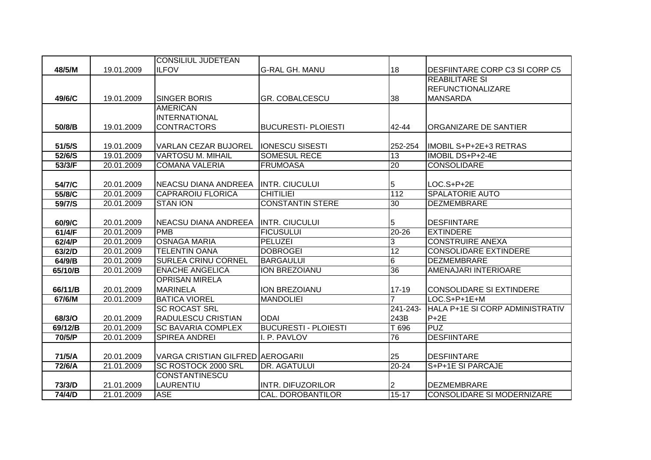|         |            | <b>CONSILIUL JUDETEAN</b>        |                             |           |                                   |
|---------|------------|----------------------------------|-----------------------------|-----------|-----------------------------------|
| 48/5/M  | 19.01.2009 | <b>ILFOV</b>                     | <b>G-RAL GH. MANU</b>       | 18        | DESFIINTARE CORP C3 SI CORP C5    |
|         |            |                                  |                             |           | <b>REABILITARE SI</b>             |
|         |            |                                  |                             |           | <b>REFUNCTIONALIZARE</b>          |
| 49/6/C  | 19.01.2009 | <b>SINGER BORIS</b>              | <b>GR. COBALCESCU</b>       | 38        | <b>MANSARDA</b>                   |
|         |            | <b>AMERICAN</b>                  |                             |           |                                   |
|         |            | <b>INTERNATIONAL</b>             |                             |           |                                   |
| 50/8/B  | 19.01.2009 | <b>CONTRACTORS</b>               | <b>BUCURESTI- PLOIESTI</b>  | 42-44     | <b>ORGANIZARE DE SANTIER</b>      |
|         |            |                                  |                             |           |                                   |
| 51/5/S  | 19.01.2009 | <b>VARLAN CEZAR BUJOREL</b>      | <b>IONESCU SISESTI</b>      | 252-254   | IMOBIL S+P+2E+3 RETRAS            |
| 52/6/S  | 19.01.2009 | <b>VARTOSU M. MIHAIL</b>         | <b>SOMESUL RECE</b>         | 13        | IMOBIL DS+P+2-4E                  |
| 53/3/F  | 20.01.2009 | <b>COMANA VALERIA</b>            | <b>FRUMOASA</b>             | 20        | <b>CONSOLIDARE</b>                |
|         |            |                                  |                             |           |                                   |
| 54/7/C  | 20.01.2009 | NEACSU DIANA ANDREEA             | <b>INTR. CIUCULUI</b>       | 5         | $LOC.S+P+2E$                      |
| 55/8/C  | 20.01.2009 | <b>CAPRAROIU FLORICA</b>         | <b>CHITILIEI</b>            | 112       | <b>SPALATORIE AUTO</b>            |
| 59/7/S  | 20.01.2009 | <b>STAN ION</b>                  | <b>CONSTANTIN STERE</b>     | 30        | <b>DEZMEMBRARE</b>                |
|         |            |                                  |                             |           |                                   |
| 60/9/C  | 20.01.2009 | INEACSU DIANA ANDREEA            | <b>INTR. CIUCULUI</b>       | 5         | <b>DESFIINTARE</b>                |
| 61/4/F  | 20.01.2009 | <b>PMB</b>                       | <b>FICUSULUI</b>            | $20 - 26$ | <b>EXTINDERE</b>                  |
| 62/4/P  | 20.01.2009 | <b>OSNAGA MARIA</b>              | <b>PELUZEI</b>              | 3         | <b>CONSTRUIRE ANEXA</b>           |
| 63/2/D  | 20.01.2009 | <b>TELENTIN OANA</b>             | <b>DOBROGEI</b>             | 12        | <b>CONSOLIDARE EXTINDERE</b>      |
| 64/9/B  | 20.01.2009 | <b>SURLEA CRINU CORNEL</b>       | <b>BARGAULUI</b>            | 6         | <b>DEZMEMBRARE</b>                |
| 65/10/B | 20.01.2009 | <b>ENACHE ANGELICA</b>           | ION BREZOIANU               | 36        | <b>AMENAJARI INTERIOARE</b>       |
|         |            | <b>OPRISAN MIRELA</b>            |                             |           |                                   |
| 66/11/B | 20.01.2009 | <b>MARINELA</b>                  | ION BREZOIANU               | $17 - 19$ | <b>CONSOLIDARE SI EXTINDERE</b>   |
| 67/6/M  | 20.01.2009 | <b>BATICA VIOREL</b>             | <b>MANDOLIEI</b>            |           | LOC.S+P+1E+M                      |
|         |            | <b>SC ROCAST SRL</b>             |                             | 241-243-  | HALA P+1E SI CORP ADMINISTRATIV   |
| 68/3/O  | 20.01.2009 | RADULESCU CRISTIAN               | <b>ODAI</b>                 | 243B      | $P + 2E$                          |
| 69/12/B | 20.01.2009 | <b>SC BAVARIA COMPLEX</b>        | <b>BUCURESTI - PLOIESTI</b> | T 696     | <b>PUZ</b>                        |
| 70/5/P  | 20.01.2009 | <b>SPIREA ANDREI</b>             | I. P. PAVLOV                | 76        | <b>DESFIINTARE</b>                |
|         |            |                                  |                             |           |                                   |
| 71/5/A  | 20.01.2009 | VARGA CRISTIAN GILFRED AEROGARII |                             | 25        | <b>DESFIINTARE</b>                |
| 72/6/A  | 21.01.2009 | SC ROSTOCK 2000 SRL              | DR. AGATULUI                | $20 - 24$ | S+P+1E SI PARCAJE                 |
|         |            | <b>CONSTANTINESCU</b>            |                             |           |                                   |
| 73/3/D  | 21.01.2009 | LAURENTIU                        | <b>INTR. DIFUZORILOR</b>    |           | <b>DEZMEMBRARE</b>                |
| 74/4/D  | 21.01.2009 | <b>ASE</b>                       | <b>CAL. DOROBANTILOR</b>    | $15 - 17$ | <b>CONSOLIDARE SI MODERNIZARE</b> |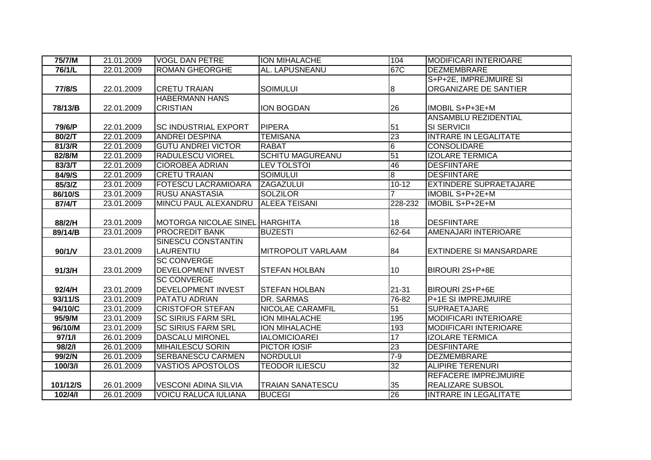| 75/7/M                          | 21.01.2009 | <b>VOGL DAN PETRE</b>                                      | <b>ION MIHALACHE</b>      | 104             | <b>MODIFICARI INTERIOARE</b>   |
|---------------------------------|------------|------------------------------------------------------------|---------------------------|-----------------|--------------------------------|
| 76/1/L                          | 22.01.2009 | <b>ROMAN GHEORGHE</b>                                      | AL. LAPUSNEANU            | 67C             | <b>DEZMEMBRARE</b>             |
|                                 |            |                                                            |                           |                 | S+P+2E, IMPREJMUIRE SI         |
| 77/8/S                          | 22.01.2009 | <b>CRETU TRAIAN</b>                                        | <b>SOIMULUI</b>           | 8               | ORGANIZARE DE SANTIER          |
|                                 |            | <b>HABERMANN HANS</b>                                      |                           |                 |                                |
| 78/13/B                         | 22.01.2009 | <b>CRISTIAN</b>                                            | <b>ION BOGDAN</b>         | 26              | IMOBIL S+P+3E+M                |
|                                 |            |                                                            |                           |                 | <b>ANSAMBLU REZIDENTIAL</b>    |
| 79/6/P                          | 22.01.2009 | <b>SC INDUSTRIAL EXPORT</b>                                | <b>PIPERA</b>             | 51              | SI SERVICII                    |
| 80/2/T                          | 22.01.2009 | <b>ANDREI DESPINA</b>                                      | <b>TEMISANA</b>           | 23              | <b>INTRARE IN LEGALITATE</b>   |
| 81/3/R                          | 22.01.2009 | <b>GUTU ANDREI VICTOR</b>                                  | <b>RABAT</b>              | $\overline{6}$  | <b>CONSOLIDARE</b>             |
| 82/8/M                          | 22.01.2009 | <b>RADULESCU VIOREL</b>                                    | <b>SCHITU MAGUREANU</b>   | 51              | <b>IZOLARE TERMICA</b>         |
| 83/3/T                          | 22.01.2009 | <b>CIOROBEA ADRIAN</b>                                     | <b>LEV TOLSTOI</b>        | 46              | <b>DESFIINTARE</b>             |
| 84/9/S                          | 22.01.2009 | <b>CRETU TRAIAN</b>                                        | <b>SOIMULUI</b>           | œ               | <b>DESFIINTARE</b>             |
| 85/3/Z                          | 23.01.2009 | <b>FOTESCU LACRAMIOARA</b>                                 | <b>ZAGAZULUI</b>          | $10 - 12$       | <b>EXTINDERE SUPRAETAJARE</b>  |
| 86/10/S                         | 23.01.2009 | <b>RUSU ANASTASIA</b>                                      | <b>SOLZILOR</b>           |                 | IMOBIL S+P+2E+M                |
| 87/4/T                          | 23.01.2009 | MINCU PAUL ALEXANDRU                                       | IALEEA TEISANI            | 228-232         | <b>IMOBIL S+P+2E+M</b>         |
|                                 |            |                                                            |                           |                 |                                |
| 88/2/H                          | 23.01.2009 | MOTORGA NICOLAE SINEL HARGHITA                             |                           | 18              | <b>DESFIINTARE</b>             |
| 89/14/B                         | 23.01.2009 | <b>PROCREDIT BANK</b>                                      | <b>BUZESTI</b>            | 62-64           | AMENAJARI INTERIOARE           |
|                                 |            | <b>SINESCU CONSTANTIN</b>                                  |                           |                 |                                |
| 90/1/V                          | 23.01.2009 | LAURENTIU                                                  | <b>MITROPOLIT VARLAAM</b> | 84              | <b>EXTINDERE SI MANSARDARE</b> |
|                                 |            | <b>SC CONVERGE</b>                                         |                           |                 |                                |
| 91/3/H                          | 23.01.2009 | <b>DEVELOPMENT INVEST</b>                                  | <b>STEFAN HOLBAN</b>      | 10              | BIROURI 2S+P+8E                |
|                                 |            | <b>SC CONVERGE</b>                                         |                           |                 |                                |
| 92/4/H                          | 23.01.2009 | <b>DEVELOPMENT INVEST</b>                                  | <b>STEFAN HOLBAN</b>      |                 |                                |
| 93/11/S                         |            |                                                            |                           | 21-31           | BIROURI 2S+P+6E                |
|                                 | 23.01.2009 | <b>PATATU ADRIAN</b>                                       | DR. SARMAS                | $76 - 82$       | <b>P+1E SI IMPREJMUIRE</b>     |
| 94/10/C                         | 23.01.2009 | <b>CRISTOFOR STEFAN</b>                                    | <b>NICOLAE CARAMFIL</b>   | 51              | <b>SUPRAETAJARE</b>            |
| 95/9/M                          | 23.01.2009 | <b>SC SIRIUS FARM SRL</b>                                  | <b>ION MIHALACHE</b>      | 195             | <b>MODIFICARI INTERIOARE</b>   |
| 96/10/M                         | 23.01.2009 | <b>SC SIRIUS FARM SRL</b>                                  | ION MIHALACHE             | 193             | <b>MODIFICARI INTERIOARE</b>   |
| 97/1/1                          | 26.01.2009 | <b>DASCALU MIRONEL</b>                                     | <b>IALOMICIOAREI</b>      | 17              | <b>IZOLARE TERMICA</b>         |
| 98/2/1                          | 26.01.2009 | <b>MIHAILESCU SORIN</b>                                    | PICTOR IOSIF              | 23              | <b>DESFIINTARE</b>             |
| 99/2/N                          | 26.01.2009 | <b>SERBANESCU CARMEN</b>                                   | <b>NORDULUI</b>           | $7 - 9$         | <b>DEZMEMBRARE</b>             |
| 100/3/1                         | 26.01.2009 | <b>VASTIOS APOSTOLOS</b>                                   | <b>TEODOR ILIESCU</b>     | $\overline{32}$ | <b>ALIPIRE TERENURI</b>        |
|                                 |            |                                                            |                           |                 | <b>REFACERE IMPREJMUIRE</b>    |
| 101/12/S<br>$102\overline{141}$ | 26.01.2009 | <b>VESCONI ADINA SILVIA</b><br><b>VOICU RALUCA IULIANA</b> | <b>TRAIAN SANATESCU</b>   | 35<br>26        | REALIZARE SUBSOL               |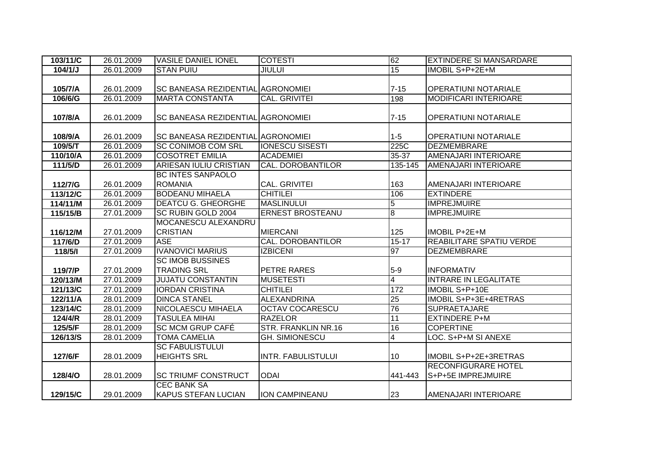| 103/11/C | 26.01.2009 | <b>VASILE DANIEL IONEL</b>               | <b>COTESTI</b>            | 62              | <b>EXTINDERE SI MANSARDARE</b>  |
|----------|------------|------------------------------------------|---------------------------|-----------------|---------------------------------|
| 104/1/J  | 26.01.2009 | <b>STAN PUIU</b>                         | <b>JIULUI</b>             | 15              | IMOBIL S+P+2E+M                 |
|          |            |                                          |                           |                 |                                 |
| 105/7/A  | 26.01.2009 | <b>SC BANEASA REZIDENTIAL AGRONOMIEI</b> |                           | $7 - 15$        | OPERATIUNI NOTARIALE            |
| 106/6/G  | 26.01.2009 | <b>MARTA CONSTANTA</b>                   | <b>CAL. GRIVITEI</b>      | 198             | MODIFICARI INTERIOARE           |
|          |            |                                          |                           |                 |                                 |
| 107/8/A  | 26.01.2009 | <b>SC BANEASA REZIDENTIAL AGRONOMIEI</b> |                           | $7 - 15$        | <b>OPERATIUNI NOTARIALE</b>     |
|          |            |                                          |                           |                 |                                 |
| 108/9/A  | 26.01.2009 | <b>SC BANEASA REZIDENTIAL AGRONOMIEI</b> |                           | $1 - 5$         | <b>OPERATIUNI NOTARIALE</b>     |
| 109/5/T  | 26.01.2009 | <b>SC CONIMOB COM SRL</b>                | <b>IONESCU SISESTI</b>    | 225C            | <b>DEZMEMBRARE</b>              |
| 110/10/A | 26.01.2009 | <b>COSOTRET EMILIA</b>                   | <b>ACADEMIEI</b>          | 35-37           | AMENAJARI INTERIOARE            |
| 111/5/D  | 26.01.2009 | <b>ARIESAN IULIU CRISTIAN</b>            | <b>CAL. DOROBANTILOR</b>  | 135-145         | AMENAJARI INTERIOARE            |
|          |            | <b>BC INTES SANPAOLO</b>                 |                           |                 |                                 |
| 112/7/G  | 26.01.2009 | <b>ROMANIA</b>                           | <b>CAL. GRIVITEI</b>      | 163             | AMENAJARI INTERIOARE            |
| 113/12/C | 26.01.2009 | <b>BODEANU MIHAELA</b>                   | <b>CHITILEI</b>           | 106             | <b>EXTINDERE</b>                |
| 114/11/M | 26.01.2009 | <b>DEATCU G. GHEORGHE</b>                | <b>MASLINULUI</b>         | $\overline{5}$  | <b>IMPREJMUIRE</b>              |
| 115/15/B | 27.01.2009 | <b>SC RUBIN GOLD 2004</b>                | <b>ERNEST BROSTEANU</b>   | $\overline{8}$  | <b>IMPREJMUIRE</b>              |
|          |            | <b>MOCANESCU ALEXANDRU</b>               |                           |                 |                                 |
| 116/12/M | 27.01.2009 | <b>CRISTIAN</b>                          | <b>MIERCANI</b>           | 125             | IMOBIL P+2E+M                   |
| 117/6/D  | 27.01.2009 | <b>ASE</b>                               | CAL. DOROBANTILOR         | $15 - 17$       | <b>REABILITARE SPATIU VERDE</b> |
| 118/5/1  | 27.01.2009 | <b>IVANOVICI MARIUS</b>                  | <b>IZBICENI</b>           | 97              | <b>DEZMEMBRARE</b>              |
|          |            | <b>SC IMOB BUSSINES</b>                  |                           |                 |                                 |
| 119/7/P  | 27.01.2009 | <b>TRADING SRL</b>                       | PETRE RARES               | $5-9$           | <b>INFORMATIV</b>               |
| 120/13/M | 27.01.2009 | <b>JUJATU CONSTANTIN</b>                 | <b>MUSETESTI</b>          | $\overline{4}$  | <b>INTRARE IN LEGALITATE</b>    |
| 121/13/C | 27.01.2009 | <b>IORDAN CRISTINA</b>                   | <b>CHITILEI</b>           | 172             | IMOBIL S+P+10E                  |
| 122/11/A | 28.01.2009 | <b>DINCA STANEL</b>                      | <b>ALEXANDRINA</b>        | $\overline{25}$ | <b>IMOBIL S+P+3E+4RETRAS</b>    |
| 123/14/C | 28.01.2009 | <b>NICOLAESCU MIHAELA</b>                | <b>OCTAV COCARESCU</b>    | 76              | <b>SUPRAETAJARE</b>             |
| 124/4/R  | 28.01.2009 | <b>TASULEA MIHAI</b>                     | <b>RAZELOR</b>            | 11              | <b>EXTINDERE P+M</b>            |
| 125/5/F  | 28.01.2009 | <b>SC MCM GRUP CAFÉ</b>                  | STR. FRANKLIN NR.16       | 16              | <b>COPERTINE</b>                |
| 126/13/S | 28.01.2009 | <b>TOMA CAMELIA</b>                      | <b>GH. SIMIONESCU</b>     | $\overline{4}$  | LOC. S+P+M SI ANEXE             |
|          |            | <b>SC FABULISTULUI</b>                   |                           |                 |                                 |
| 127/6/F  | 28.01.2009 | <b>HEIGHTS SRL</b>                       | <b>INTR. FABULISTULUI</b> | 10              | IMOBIL S+P+2E+3RETRAS           |
|          |            |                                          |                           |                 | <b>RECONFIGURARE HOTEL</b>      |
| 128/4/O  | 28.01.2009 | <b>SC TRIUMF CONSTRUCT</b>               | <b>ODAI</b>               | 441-443         | S+P+5E IMPREJMUIRE              |
|          |            | <b>CEC BANK SA</b>                       |                           |                 |                                 |
| 129/15/C | 29.01.2009 | <b>KAPUS STEFAN LUCIAN</b>               | <b>ION CAMPINEANU</b>     | 23              | AMENAJARI INTERIOARE            |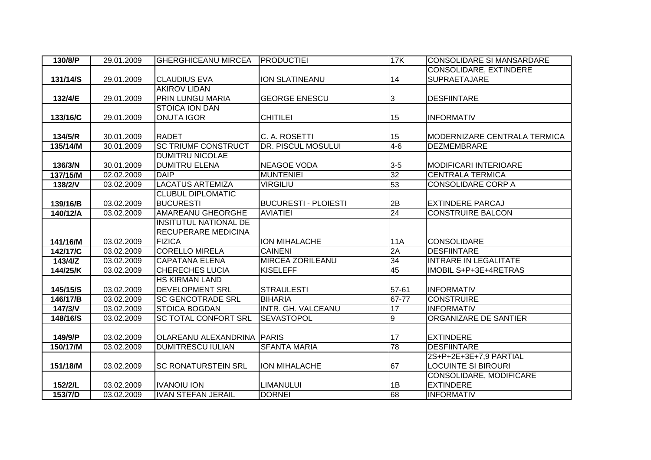| 130/8/P  | 29.01.2009 | <b>GHERGHICEANU MIRCEA</b>   | <b>PRODUCTIEI</b>           | 17K             | <b>CONSOLIDARE SI MANSARDARE</b> |
|----------|------------|------------------------------|-----------------------------|-----------------|----------------------------------|
|          |            |                              |                             |                 | CONSOLIDARE, EXTINDERE           |
| 131/14/S | 29.01.2009 | <b>CLAUDIUS EVA</b>          | ION SLATINEANU              | 14              | SUPRAETAJARE                     |
|          |            | <b>AKIROV LIDAN</b>          |                             |                 |                                  |
| 132/4/E  | 29.01.2009 | <b>PRIN LUNGU MARIA</b>      | <b>GEORGE ENESCU</b>        | 3               | <b>DESFIINTARE</b>               |
|          |            | <b>STOICA ION DAN</b>        |                             |                 |                                  |
| 133/16/C | 29.01.2009 | <b>ONUTA IGOR</b>            | <b>CHITILEI</b>             | 15              | <b>INFORMATIV</b>                |
|          |            |                              |                             |                 |                                  |
| 134/5/R  | 30.01.2009 | <b>RADET</b>                 | C. A. ROSETTI               | 15              | MODERNIZARE CENTRALA TERMICA     |
| 135/14/M | 30.01.2009 | <b>SC TRIUMF CONSTRUCT</b>   | <b>DR. PISCUL MOSULUI</b>   | $4-6$           | <b>DEZMEMBRARE</b>               |
|          |            | <b>DUMITRU NICOLAE</b>       |                             |                 |                                  |
| 136/3/N  | 30.01.2009 | <b>DUMITRU ELENA</b>         | <b>NEAGOE VODA</b>          | $3-5$           | <b>MODIFICARI INTERIOARE</b>     |
| 137/15/M | 02.02.2009 | <b>DAIP</b>                  | <b>MUNTENIEI</b>            | 32              | <b>CENTRALA TERMICA</b>          |
| 138/2/V  | 03.02.2009 | <b>LACATUS ARTEMIZA</b>      | <b>VIRGILIU</b>             | 53              | <b>CONSOLIDARE CORP A</b>        |
|          |            | <b>CLUBUL DIPLOMATIC</b>     |                             |                 |                                  |
| 139/16/B | 03.02.2009 | <b>BUCURESTI</b>             | <b>BUCURESTI - PLOIESTI</b> | 2B              | <b>EXTINDERE PARCAJ</b>          |
| 140/12/A | 03.02.2009 | <b>AMAREANU GHEORGHE</b>     | <b>AVIATIEI</b>             | $\overline{24}$ | <b>CONSTRUIRE BALCON</b>         |
|          |            | <b>INSITUTUL NATIONAL DE</b> |                             |                 |                                  |
|          |            | <b>RECUPERARE MEDICINA</b>   |                             |                 |                                  |
| 141/16/M | 03.02.2009 | <b>FIZICA</b>                | <b>ION MIHALACHE</b>        | 11A             | <b>CONSOLIDARE</b>               |
| 142/17/C | 03.02.2009 | <b>CORELLO MIRELA</b>        | <b>CAINENI</b>              | 2A              | <b>DESFIINTARE</b>               |
| 143/4/Z  | 03.02.2009 | <b>CAPATANA ELENA</b>        | <b>MIRCEA ZORILEANU</b>     | 34              | <b>INTRARE IN LEGALITATE</b>     |
| 144/25/K | 03.02.2009 | <b>CHERECHES LUCIA</b>       | <b>KISELEFF</b>             | 45              | IMOBIL S+P+3E+4RETRAS            |
|          |            | <b>HS KIRMAN LAND</b>        |                             |                 |                                  |
| 145/15/S | 03.02.2009 | <b>DEVELOPMENT SRL</b>       | <b>STRAULESTI</b>           | 57-61           | <b>INFORMATIV</b>                |
| 146/17/B | 03.02.2009 | <b>SC GENCOTRADE SRL</b>     | <b>BIHARIA</b>              | $67 - 77$       | <b>CONSTRUIRE</b>                |
| 147/3/V  | 03.02.2009 | <b>STOICA BOGDAN</b>         | INTR. GH. VALCEANU          | 17              | <b>INFORMATIV</b>                |
| 148/16/S | 03.02.2009 | <b>SC TOTAL CONFORT SRL</b>  | <b>SEVASTOPOL</b>           | 9               | ORGANIZARE DE SANTIER            |
|          |            |                              |                             |                 |                                  |
| 149/9/P  | 03.02.2009 | OLAREANU ALEXANDRINA PARIS   |                             | 17              | <b>EXTINDERE</b>                 |
| 150/17/M | 03.02.2009 | <b>DUMITRESCU IULIAN</b>     | <b>SFANTA MARIA</b>         | 78              | <b>DESFIINTARE</b>               |
|          |            |                              |                             |                 | 2S+P+2E+3E+7,9 PARTIAL           |
| 151/18/M | 03.02.2009 | <b>SC RONATURSTEIN SRL</b>   | <b>ION MIHALACHE</b>        | 67              | <b>LOCUINTE SI BIROURI</b>       |
|          |            |                              |                             |                 | CONSOLIDARE, MODIFICARE          |
| 152/2/L  | 03.02.2009 | <b>IVANOIU ION</b>           | <b>LIMANULUI</b>            | 1B              | <b>EXTINDERE</b>                 |
| 153/7/D  | 03.02.2009 | <b>IVAN STEFAN JERAIL</b>    | <b>DORNEI</b>               | 68              | <b>INFORMATIV</b>                |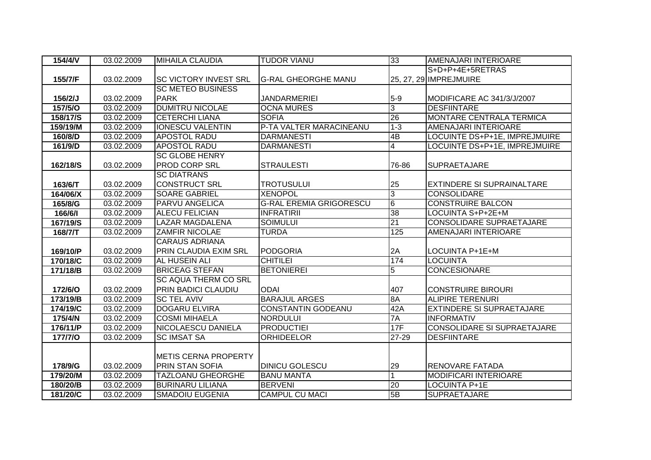| $154/4N$       | 03.02.2009              | <b>MIHAILA CLAUDIA</b>       | <b>TUDOR VIANU</b>             | 33                      | AMENAJARI INTERIOARE               |
|----------------|-------------------------|------------------------------|--------------------------------|-------------------------|------------------------------------|
|                |                         |                              |                                |                         | S+D+P+4E+5RETRAS                   |
| 155/7/F        | 03.02.2009              | <b>SC VICTORY INVEST SRL</b> | <b>G-RAL GHEORGHE MANU</b>     |                         | 25, 27, 29 IMPREJMUIRE             |
|                |                         | <b>SC METEO BUSINESS</b>     |                                |                         |                                    |
| 156/2/J        | 03.02.2009              | <b>PARK</b>                  | <b>JANDARMERIEI</b>            | $5-9$                   | MODIFICARE AC 341/3/J/2007         |
| <b>157/5/0</b> | 03.02.2009              | <b>DUMITRU NICOLAE</b>       | <b>OCNA MURES</b>              | 3                       | <b>DESFIINTARE</b>                 |
| 158/17/S       | 03.02.2009              | <b>CETERCHI LIANA</b>        | <b>SOFIA</b>                   | 26                      | <b>MONTARE CENTRALA TERMICA</b>    |
| 159/19/M       | 03.02.2009              | <b>IONESCU VALENTIN</b>      | P-TA VALTER MARACINEANU        | $1 - 3$                 | AMENAJARI INTERIOARE               |
| 160/8/D        | 03.02.2009              | <b>APOSTOL RADU</b>          | <b>DARMANESTI</b>              | 4B                      | LOCUINTE DS+P+1E, IMPREJMUIRE      |
| 161/9/D        | 03.02.2009              | <b>APOSTOL RADU</b>          | <b>DARMANESTI</b>              | $\overline{\mathbf{4}}$ | LOCUINTE DS+P+1E, IMPREJMUIRE      |
|                |                         | <b>SC GLOBE HENRY</b>        |                                |                         |                                    |
| 162/18/S       | 03.02.2009              | <b>PROD CORP SRL</b>         | <b>STRAULESTI</b>              | 76-86                   | <b>SUPRAETAJARE</b>                |
|                |                         | <b>SC DIATRANS</b>           |                                |                         |                                    |
| 163/6/T        | 03.02.2009              | <b>CONSTRUCT SRL</b>         | <b>TROTUSULUI</b>              | 25                      | EXTINDERE SI SUPRAINALTARE         |
| 164/06/X       | 03.02.2009              | <b>SOARE GABRIEL</b>         | <b>XENOPOL</b>                 | $\overline{3}$          | <b>CONSOLIDARE</b>                 |
| 165/8/G        | 03.02.2009              | <b>PARVU ANGELICA</b>        | <b>G-RAL EREMIA GRIGORESCU</b> | $\overline{6}$          | <b>CONSTRUIRE BALCON</b>           |
| 166/6/1        | 03.02.2009              | <b>ALECU FELICIAN</b>        | <b>INFRATIRII</b>              | 38                      | LOCUINTA S+P+2E+M                  |
| 167/19/S       | 03.02.2009              | <b>LAZAR MAGDALENA</b>       | <b>SOIMULUI</b>                | $\overline{21}$         | CONSOLIDARE SUPRAETAJARE           |
| 168/7/T        | 03.02.2009              | <b>ZAMFIR NICOLAE</b>        | <b>TURDA</b>                   | 125                     | AMENAJARI INTERIOARE               |
|                |                         | <b>CARAUS ADRIANA</b>        |                                |                         |                                    |
| 169/10/P       | 03.02.2009              | <b>PRIN CLAUDIA EXIM SRL</b> | <b>PODGORIA</b>                | 2A                      | LOCUINTA P+1E+M                    |
| 170/18/C       | 03.02.2009              | <b>AL HUSEIN ALI</b>         | <b>CHITILEI</b>                | 174                     | <b>LOCUINTA</b>                    |
| 171/18/B       | 03.02.2009              | <b>BRICEAG STEFAN</b>        | <b>BETONIEREI</b>              | 5                       | <b>CONCESIONARE</b>                |
|                |                         | <b>SC AQUA THERM CO SRL</b>  |                                |                         |                                    |
| <b>172/6/O</b> | 03.02.2009              | <b>PRIN BADICI CLAUDIU</b>   | <b>ODAI</b>                    | 407                     | <b>CONSTRUIRE BIROURI</b>          |
| 173/19/B       | 03.02.2009              | <b>SC TEL AVIV</b>           | <b>BARAJUL ARGES</b>           | 8A                      | <b>ALIPIRE TERENURI</b>            |
| 174/19/C       | 03.02.2009              | <b>DOGARU ELVIRA</b>         | CONSTANTIN GODEANU             | 42A                     | <b>EXTINDERE SI SUPRAETAJARE</b>   |
| 175/4/N        | 03.02.2009              | <b>COSMI MIHAELA</b>         | <b>NORDULUI</b>                | 7A                      | <b>INFORMATIV</b>                  |
| 176/11/P       | $\overline{03.02.2009}$ | <b>NICOLAESCU DANIELA</b>    | <b>PRODUCTIEI</b>              | 17F                     | <b>CONSOLIDARE SI SUPRAETAJARE</b> |
| <b>177/7/0</b> | 03.02.2009              | <b>SC IMSAT SA</b>           | <b>ORHIDEELOR</b>              | 27-29                   | <b>DESFIINTARE</b>                 |
|                |                         |                              |                                |                         |                                    |
|                |                         | <b>METIS CERNA PROPERTY</b>  |                                |                         |                                    |
| 178/9/G        | 03.02.2009              | <b>PRIN STAN SOFIA</b>       | <b>DINICU GOLESCU</b>          | 29                      | <b>RENOVARE FATADA</b>             |
| 179/20/M       | 03.02.2009              | <b>TAZLOANU GHEORGHE</b>     | <b>BANU MANTA</b>              | 1                       | <b>MODIFICARI INTERIOARE</b>       |
| 180/20/B       | 03.02.2009              | <b>BURINARU LILIANA</b>      | <b>BERVENI</b>                 | 20                      | LOCUINTA P+1E                      |
| 181/20/C       | 03.02.2009              | <b>SMADOIU EUGENIA</b>       | <b>CAMPUL CU MACI</b>          | 5B                      | <b>SUPRAETAJARE</b>                |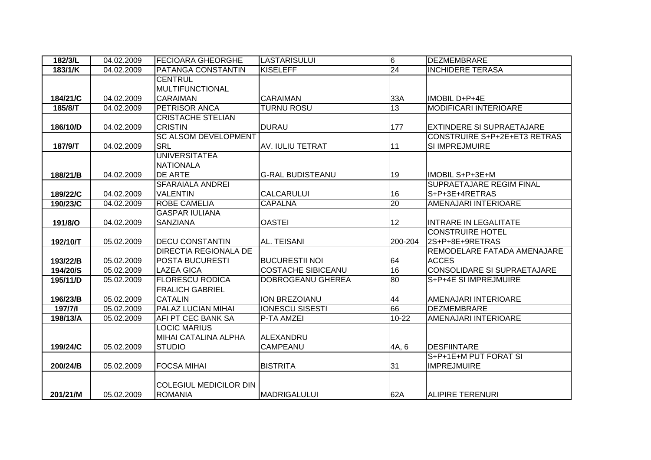| 182/3/L   | 04.02.2009 | <b>FECIOARA GHEORGHE</b>      | <b>LASTARISULUI</b>       | 6         | <b>DEZMEMBRARE</b>                 |
|-----------|------------|-------------------------------|---------------------------|-----------|------------------------------------|
| $183/1/K$ | 04.02.2009 | PATANGA CONSTANTIN            | <b>KISELEFF</b>           | 24        | <b>INCHIDERE TERASA</b>            |
|           |            | <b>CENTRUL</b>                |                           |           |                                    |
|           |            | <b>MULTIFUNCTIONAL</b>        |                           |           |                                    |
| 184/21/C  | 04.02.2009 | <b>CARAIMAN</b>               | <b>CARAIMAN</b>           | 33A       | IMOBIL D+P+4E                      |
| 185/8/T   | 04.02.2009 | <b>PETRISOR ANCA</b>          | <b>TURNU ROSU</b>         | 13        | <b>MODIFICARI INTERIOARE</b>       |
|           |            | <b>CRISTACHE STELIAN</b>      |                           |           |                                    |
| 186/10/D  | 04.02.2009 | <b>CRISTIN</b>                | <b>DURAU</b>              | 177       | <b>EXTINDERE SI SUPRAETAJARE</b>   |
|           |            | <b>SC ALSOM DEVELOPMENT</b>   |                           |           | CONSTRUIRE S+P+2E+ET3 RETRAS       |
| 187/9/T   | 04.02.2009 | <b>SRL</b>                    | AV. IULIU TETRAT          | 11        | SI IMPREJMUIRE                     |
|           |            | <b>UNIVERSITATEA</b>          |                           |           |                                    |
|           |            | <b>NATIONALA</b>              |                           |           |                                    |
| 188/21/B  | 04.02.2009 | DE ARTE                       | <b>G-RAL BUDISTEANU</b>   | 19        | IMOBIL S+P+3E+M                    |
|           |            | SFARAIALA ANDREI              |                           |           | <b>SUPRAETAJARE REGIM FINAL</b>    |
| 189/22/C  | 04.02.2009 | <b>VALENTIN</b>               | <b>CALCARULUI</b>         | 16        | S+P+3E+4RETRAS                     |
| 190/23/C  | 04.02.2009 | <b>ROBE CAMELIA</b>           | <b>CAPALNA</b>            | 20        | AMENAJARI INTERIOARE               |
|           |            | <b>GASPAR IULIANA</b>         |                           |           |                                    |
| 191/8/O   | 04.02.2009 | <b>SANZIANA</b>               | <b>OASTEI</b>             | 12        | <b>INTRARE IN LEGALITATE</b>       |
|           |            |                               |                           |           | <b>CONSTRUIRE HOTEL</b>            |
| 192/10/T  | 05.02.2009 | <b>DECU CONSTANTIN</b>        | AL. TEISANI               | 200-204   | 2S+P+8E+9RETRAS                    |
|           |            | <b>DIRECTIA REGIONALA DE</b>  |                           |           | REMODELARE FATADA AMENAJARE        |
| 193/22/B  | 05.02.2009 | <b>POSTA BUCURESTI</b>        | <b>BUCURESTII NOI</b>     | 64        | <b>ACCES</b>                       |
| 194/20/S  | 05.02.2009 | <b>LAZEA GICA</b>             | <b>COSTACHE SIBICEANU</b> | 16        | <b>CONSOLIDARE SI SUPRAETAJARE</b> |
| 195/11/D  | 05.02.2009 | <b>FLORESCU RODICA</b>        | <b>DOBROGEANU GHEREA</b>  | 80        | S+P+4E SI IMPREJMUIRE              |
|           |            | <b>FRALICH GABRIEL</b>        |                           |           |                                    |
| 196/23/B  | 05.02.2009 | <b>CATALIN</b>                | ION BREZOIANU             | 44        | AMENAJARI INTERIOARE               |
| 197/7/1   | 05.02.2009 | <b>PALAZ LUCIAN MIHAI</b>     | <b>IONESCU SISESTI</b>    | 66        | <b>DEZMEMBRARE</b>                 |
| 198/13/A  | 05.02.2009 | AFI PT CEC BANK SA            | P-TA AMZEI                | $10 - 22$ | AMENAJARI INTERIOARE               |
|           |            | <b>LOCIC MARIUS</b>           |                           |           |                                    |
|           |            | MIHAI CATALINA ALPHA          | ALEXANDRU                 |           |                                    |
| 199/24/C  | 05.02.2009 | <b>STUDIO</b>                 | <b>CAMPEANU</b>           | 4A, 6     | <b>DESFIINTARE</b>                 |
|           |            |                               |                           |           | S+P+1E+M PUT FORAT SI              |
| 200/24/B  | 05.02.2009 | <b>FOCSA MIHAI</b>            | <b>BISTRITA</b>           | 31        | <b>IMPREJMUIRE</b>                 |
|           |            |                               |                           |           |                                    |
|           |            | <b>COLEGIUL MEDICILOR DIN</b> |                           |           |                                    |
| 201/21/M  | 05.02.2009 | <b>ROMANIA</b>                | <b>IMADRIGALULUI</b>      | 62A       | ALIPIRE TERENURI                   |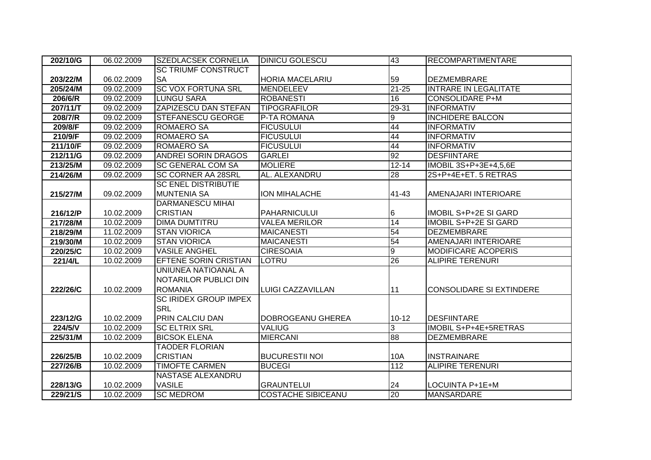| 202/10/G | 06.02.2009 | <b>SZEDLACSEK CORNELIA</b>   | <b>DINICU GOLESCU</b>     | 43                 | <b>RECOMPARTIMENTARE</b>        |
|----------|------------|------------------------------|---------------------------|--------------------|---------------------------------|
|          |            | <b>SC TRIUMF CONSTRUCT</b>   |                           |                    |                                 |
| 203/22/M | 06.02.2009 | <b>SA</b>                    | HORIA MACELARIU           | 59                 | <b>DEZMEMBRARE</b>              |
| 205/24/M | 09.02.2009 | <b>SC VOX FORTUNA SRL</b>    | <b>MENDELEEV</b>          | $\overline{21-25}$ | <b>INTRARE IN LEGALITATE</b>    |
| 206/6/R  | 09.02.2009 | <b>LUNGU SARA</b>            | <b>ROBANESTI</b>          | $\overline{16}$    | <b>CONSOLIDARE P+M</b>          |
| 207/11/T | 09.02.2009 | <b>ZAPIZESCU DAN STEFAN</b>  | <b>TIPOGRAFILOR</b>       | 29-31              | <b>INFORMATIV</b>               |
| 208/7/R  | 09.02.2009 | <b>STEFANESCU GEORGE</b>     | P-TA ROMANA               | 9                  | <b>INCHIDERE BALCON</b>         |
| 209/8/F  | 09.02.2009 | <b>ROMAERO SA</b>            | <b>FICUSULUI</b>          | 44                 | <b>INFORMATIV</b>               |
| 210/9/F  | 09.02.2009 | <b>ROMAERO SA</b>            | <b>FICUSULUI</b>          | 44                 | <b>INFORMATIV</b>               |
| 211/10/F | 09.02.2009 | <b>ROMAERO SA</b>            | <b>FICUSULUI</b>          | 44                 | <b>INFORMATIV</b>               |
| 212/11/G | 09.02.2009 | <b>ANDREI SORIN DRAGOS</b>   | <b>GARLEI</b>             | 92                 | <b>DESFIINTARE</b>              |
| 213/25/M | 09.02.2009 | <b>SC GENERAL COM SA</b>     | <b>MOLIERE</b>            | $12 - 14$          | IMOBIL 3S+P+3E+4,5,6E           |
| 214/26/M | 09.02.2009 | <b>SC CORNER AA 28SRL</b>    | AL. ALEXANDRU             | 28                 | 2S+P+4E+ET. 5 RETRAS            |
|          |            | <b>SC ENEL DISTRIBUTIE</b>   |                           |                    |                                 |
| 215/27/M | 09.02.2009 | <b>MUNTENIA SA</b>           | <b>ION MIHALACHE</b>      | 41-43              | AMENAJARI INTERIOARE            |
|          |            | <b>DARMANESCU MIHAI</b>      |                           |                    |                                 |
| 216/12/P | 10.02.2009 | <b>CRISTIAN</b>              | <b>PAHARNICULUI</b>       | 16                 | IMOBIL S+P+2E SI GARD           |
| 217/28/M | 10.02.2009 | <b>DIMA DUMTITRU</b>         | <b>VALEA MERILOR</b>      | $\overline{14}$    | IMOBIL S+P+2E SI GARD           |
| 218/29/M | 11.02.2009 | <b>STAN VIORICA</b>          | <b>MAICANESTI</b>         | 54                 | <b>DEZMEMBRARE</b>              |
| 219/30/M | 10.02.2009 | <b>STAN VIORICA</b>          | <b>MAICANESTI</b>         | 54                 | AMENAJARI INTERIOARE            |
| 220/25/C | 10.02.2009 | <b>VASILE ANGHEL</b>         | <b>CIRESOAIA</b>          | 9                  | <b>MODIFICARE ACOPERIS</b>      |
| 221/4/L  | 10.02.2009 | EFTENE SORIN CRISTIAN        | LOTRU                     | 26                 | <b>ALIPIRE TERENURI</b>         |
|          |            | UNIUNEA NATIOANAL A          |                           |                    |                                 |
|          |            | NOTARILOR PUBLICI DIN        |                           |                    |                                 |
| 222/26/C | 10.02.2009 | <b>ROMANIA</b>               | <b>LUIGI CAZZAVILLAN</b>  | 11                 | <b>CONSOLIDARE SI EXTINDERE</b> |
|          |            | <b>SC IRIDEX GROUP IMPEX</b> |                           |                    |                                 |
|          |            | <b>SRL</b>                   |                           |                    |                                 |
| 223/12/G | 10.02.2009 | PRIN CALCIU DAN              | DOBROGEANU GHEREA         | $10 - 12$          | <b>DESFIINTARE</b>              |
| 224/5/V  | 10.02.2009 | <b>SC ELTRIX SRL</b>         | <b>VALIUG</b>             | 3                  | IMOBIL S+P+4E+5RETRAS           |
| 225/31/M | 10.02.2009 | <b>BICSOK ELENA</b>          | <b>MIERCANI</b>           | 88                 | <b>DEZMEMBRARE</b>              |
|          |            | <b>TAODER FLORIAN</b>        |                           |                    |                                 |
| 226/25/B | 10.02.2009 | <b>CRISTIAN</b>              | <b>BUCURESTII NOI</b>     | 10A                | <b>INSTRAINARE</b>              |
| 227/26/B | 10.02.2009 | <b>TIMOFTE CARMEN</b>        | <b>BUCEGI</b>             | 112                | <b>ALIPIRE TERENURI</b>         |
|          |            | <b>NASTASE ALEXANDRU</b>     |                           |                    |                                 |
| 228/13/G | 10.02.2009 | <b>VASILE</b>                | <b>GRAUNTELUI</b>         | 24                 | LOCUINTA P+1E+M                 |
| 229/21/S | 10.02.2009 | <b>SC MEDROM</b>             | <b>COSTACHE SIBICEANU</b> | 20                 | MANSARDARE                      |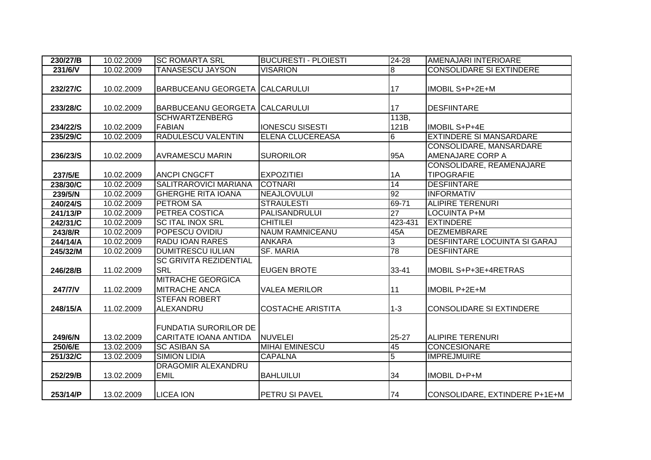| 230/27/B | 10.02.2009 | <b>SC ROMARTA SRL</b>                 | <b>BUCURESTI - PLOIESTI</b> | $24 - 28$       | <b>AMENAJARI INTERIOARE</b>          |
|----------|------------|---------------------------------------|-----------------------------|-----------------|--------------------------------------|
| 231/6/V  | 10.02.2009 | <b>TANASESCU JAYSON</b>               | <b>VISARION</b>             | 8               | <b>CONSOLIDARE SI EXTINDERE</b>      |
|          |            |                                       |                             |                 |                                      |
| 232/27/C | 10.02.2009 | <b>BARBUCEANU GEORGETA CALCARULUI</b> |                             | 17              | IMOBIL S+P+2E+M                      |
|          |            |                                       |                             |                 |                                      |
| 233/28/C | 10.02.2009 | <b>BARBUCEANU GEORGETA CALCARULUI</b> |                             | 17              | <b>DESFIINTARE</b>                   |
|          |            | <b>SCHWARTZENBERG</b>                 |                             | 113B,           |                                      |
| 234/22/S | 10.02.2009 | <b>FABIAN</b>                         | <b>IONESCU SISESTI</b>      | 121B            | IMOBIL S+P+4E                        |
| 235/29/C | 10.02.2009 | <b>RADULESCU VALENTIN</b>             | <b>ELENA CLUCEREASA</b>     | 6               | <b>EXTINDERE SI MANSARDARE</b>       |
|          |            |                                       |                             |                 | CONSOLIDARE, MANSARDARE              |
| 236/23/S | 10.02.2009 | <b>AVRAMESCU MARIN</b>                | <b>SURORILOR</b>            | 95A             | <b>AMENAJARE CORP A</b>              |
|          |            |                                       |                             |                 | CONSOLIDARE, REAMENAJARE             |
| 237/5/E  | 10.02.2009 | <b>ANCPI CNGCFT</b>                   | <b>EXPOZITIEI</b>           | 1A              | <b>TIPOGRAFIE</b>                    |
| 238/30/C | 10.02.2009 | SALITRAROVICI MARIANA                 | <b>COTNARI</b>              | 14              | <b>DESFIINTARE</b>                   |
| 239/5/N  | 10.02.2009 | <b>GHERGHE RITA IOANA</b>             | <b>NEAJLOVULUI</b>          | 92              | <b>INFORMATIV</b>                    |
| 240/24/S | 10.02.2009 | <b>PETROM SA</b>                      | <b>STRAULESTI</b>           | 69-71           | <b>ALIPIRE TERENURI</b>              |
| 241/13/P | 10.02.2009 | <b>PETREA COSTICA</b>                 | <b>PALISANDRULUI</b>        | $\overline{27}$ | <b>LOCUINTA P+M</b>                  |
| 242/31/C | 10.02.2009 | <b>SCITAL INOX SRL</b>                | <b>CHITILEI</b>             | 423-431         | <b>EXTINDERE</b>                     |
| 243/8/R  | 10.02.2009 | POPESCU OVIDIU                        | <b>NAUM RAMNICEANU</b>      | 45A             | <b>DEZMEMBRARE</b>                   |
| 244/14/A | 10.02.2009 | <b>RADU IOAN RARES</b>                | <b>ANKARA</b>               | 3               | <b>DESFIINTARE LOCUINTA SI GARAJ</b> |
| 245/32/M | 10.02.2009 | <b>DUMITRESCU IULIAN</b>              | <b>SF. MARIA</b>            | 78              | <b>DESFIINTARE</b>                   |
|          |            | <b>SC GRIVITA REZIDENTIAL</b>         |                             |                 |                                      |
| 246/28/B | 11.02.2009 | <b>SRL</b>                            | <b>EUGEN BROTE</b>          | 33-41           | IMOBIL S+P+3E+4RETRAS                |
|          |            | <b>MITRACHE GEORGICA</b>              |                             |                 |                                      |
| 247/7/V  | 11.02.2009 | <b>MITRACHE ANCA</b>                  | <b>VALEA MERILOR</b>        | 11              | IMOBIL P+2E+M                        |
|          |            | <b>STEFAN ROBERT</b>                  |                             |                 |                                      |
| 248/15/A | 11.02.2009 | ALEXANDRU                             | <b>COSTACHE ARISTITA</b>    | $1-3$           | <b>CONSOLIDARE SI EXTINDERE</b>      |
|          |            |                                       |                             |                 |                                      |
|          |            | <b>FUNDATIA SURORILOR DE</b>          |                             |                 |                                      |
| 249/6/N  | 13.02.2009 | <b>CARITATE IOANA ANTIDA</b>          | <b>NUVELEI</b>              | 25-27           | <b>ALIPIRE TERENURI</b>              |
| 250/6/E  | 13.02.2009 | <b>SC ASIBAN SA</b>                   | <b>MIHAI EMINESCU</b>       | 45              | <b>CONCESIONARE</b>                  |
| 251/32/C | 13.02.2009 | <b>SIMION LIDIA</b>                   | <b>CAPALNA</b>              | $\overline{5}$  | <b>IMPREJMUIRE</b>                   |
|          |            | <b>DRAGOMIR ALEXANDRU</b>             |                             |                 |                                      |
| 252/29/B | 13.02.2009 | <b>EMIL</b>                           | <b>BAHLUILUI</b>            | 34              | <b>IMOBIL D+P+M</b>                  |
|          |            |                                       |                             |                 |                                      |
| 253/14/P | 13.02.2009 | <b>LICEA ION</b>                      | PETRU SI PAVEL              | 74              | CONSOLIDARE, EXTINDERE P+1E+M        |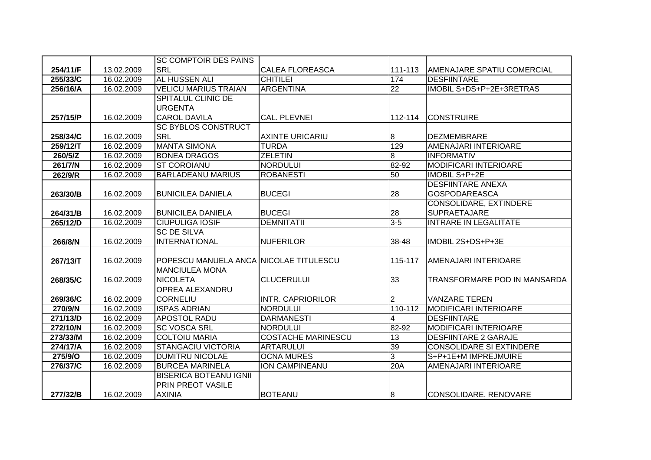|          |            | <b>SC COMPTOIR DES PAINS</b>           |                           |                |                                   |
|----------|------------|----------------------------------------|---------------------------|----------------|-----------------------------------|
| 254/11/F | 13.02.2009 | <b>SRL</b>                             | <b>CALEA FLOREASCA</b>    | 111-113        | <b>AMENAJARE SPATIU COMERCIAL</b> |
| 255/33/C | 16.02.2009 | <b>AL HUSSEN ALI</b>                   | <b>CHITILEI</b>           | 174            | <b>DESFIINTARE</b>                |
| 256/16/A | 16.02.2009 | <b>VELICU MARIUS TRAIAN</b>            | <b>ARGENTINA</b>          | 22             | IMOBIL S+DS+P+2E+3RETRAS          |
|          |            | <b>SPITALUL CLINIC DE</b>              |                           |                |                                   |
|          |            | <b>URGENTA</b>                         |                           |                |                                   |
| 257/15/P | 16.02.2009 | <b>CAROL DAVILA</b>                    | CAL. PLEVNEI              | 112-114        | <b>CONSTRUIRE</b>                 |
|          |            | <b>SC BYBLOS CONSTRUCT</b>             |                           |                |                                   |
| 258/34/C | 16.02.2009 | <b>SRL</b>                             | <b>AXINTE URICARIU</b>    | 8              | <b>DEZMEMBRARE</b>                |
| 259/12/T | 16.02.2009 | <b>MANTA SIMONA</b>                    | <b>TURDA</b>              | 129            | AMENAJARI INTERIOARE              |
| 260/5/Z  | 16.02.2009 | <b>BONEA DRAGOS</b>                    | <b>ZELETIN</b>            | ø              | <b>INFORMATIV</b>                 |
| 261/7/N  | 16.02.2009 | <b>ST COROIANU</b>                     | <b>NORDULUI</b>           | 82-92          | <b>MODIFICARI INTERIOARE</b>      |
| 262/9/R  | 16.02.2009 | <b>BARLADEANU MARIUS</b>               | <b>ROBANESTI</b>          | 50             | <b>IMOBIL S+P+2E</b>              |
|          |            |                                        |                           |                | <b>DESFIINTARE ANEXA</b>          |
| 263/30/B | 16.02.2009 | <b>BUNICILEA DANIELA</b>               | <b>BUCEGI</b>             | 28             | <b>GOSPODAREASCA</b>              |
|          |            |                                        |                           |                | CONSOLIDARE, EXTINDERE            |
| 264/31/B | 16.02.2009 | <b>BUNICILEA DANIELA</b>               | <b>BUCEGI</b>             | 28             | <b>SUPRAETAJARE</b>               |
| 265/12/D | 16.02.2009 | <b>CIUPULIGA IOSIF</b>                 | <b>DEMNITATII</b>         | $3 - 5$        | <b>INTRARE IN LEGALITATE</b>      |
|          |            | <b>SC DE SILVA</b>                     |                           |                |                                   |
| 266/8/N  | 16.02.2009 | <b>INTERNATIONAL</b>                   | <b>NUFERILOR</b>          | 38-48          | IMOBIL 2S+DS+P+3E                 |
|          |            |                                        |                           |                |                                   |
| 267/13/T | 16.02.2009 | POPESCU MANUELA ANCA NICOLAE TITULESCU |                           | 115-117        | <b>AMENAJARI INTERIOARE</b>       |
|          |            | <b>MANCIULEA MONA</b>                  |                           |                |                                   |
| 268/35/C | 16.02.2009 | <b>NICOLETA</b>                        | <b>CLUCERULUI</b>         | 33             | TRANSFORMARE POD IN MANSARDA      |
|          |            | <b>OPREA ALEXANDRU</b>                 |                           |                |                                   |
| 269/36/C | 16.02.2009 | <b>CORNELIU</b>                        | <b>INTR. CAPRIORILOR</b>  | 2              | <b>VANZARE TEREN</b>              |
| 270/9/N  | 16.02.2009 | <b>ISPAS ADRIAN</b>                    | <b>NORDULUI</b>           | $110 - 112$    | <b>MODIFICARI INTERIOARE</b>      |
| 271/13/D | 16.02.2009 | <b>APOSTOL RADU</b>                    | <b>DARMANESTI</b>         | 4              | <b>DESFIINTARE</b>                |
| 272/10/N | 16.02.2009 | <b>SC VOSCA SRL</b>                    | <b>NORDULUI</b>           | 82-92          | <b>MODIFICARI INTERIOARE</b>      |
| 273/33/M | 16.02.2009 | <b>COLTOIU MARIA</b>                   | <b>COSTACHE MARINESCU</b> | 13             | <b>DESFIINTARE 2 GARAJE</b>       |
| 274/17/A | 16.02.2009 | <b>STANGACIU VICTORIA</b>              | <b>ARTARULUI</b>          | 39             | <b>CONSOLIDARE SI EXTINDERE</b>   |
| 275/9/O  | 16.02.2009 | <b>DUMITRU NICOLAE</b>                 | <b>OCNA MURES</b>         | $\overline{3}$ | S+P+1E+M IMPREJMUIRE              |
| 276/37/C | 16.02.2009 | <b>BURCEA MARINELA</b>                 | <b>ION CAMPINEANU</b>     | 20A            | AMENAJARI INTERIOARE              |
|          |            | <b>BISERICA BOTEANU IGNII</b>          |                           |                |                                   |
|          |            | <b>PRIN PREOT VASILE</b>               |                           |                |                                   |
| 277/32/B | 16.02.2009 | <b>AXINIA</b>                          | <b>BOTEANU</b>            | 8              | CONSOLIDARE, RENOVARE             |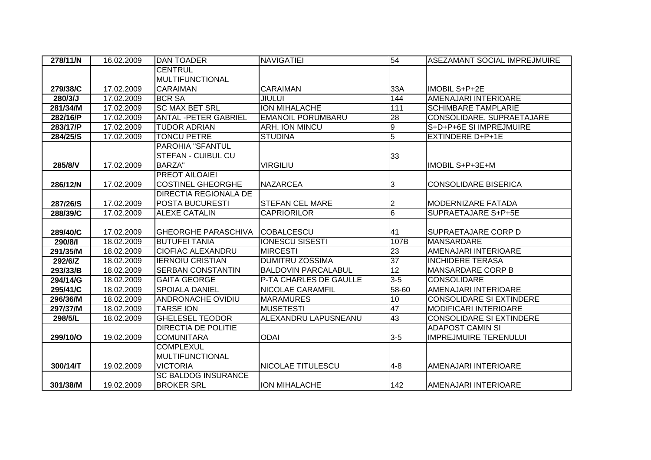| 278/11/N | 16.02.2009 | <b>DAN TOADER</b>            | <b>NAVIGATIEI</b>          | 54              | ASEZAMANT SOCIAL IMPREJMUIRE    |
|----------|------------|------------------------------|----------------------------|-----------------|---------------------------------|
|          |            | <b>CENTRUL</b>               |                            |                 |                                 |
|          |            | <b>MULTIFUNCTIONAL</b>       |                            |                 |                                 |
| 279/38/C | 17.02.2009 | <b>CARAIMAN</b>              | <b>CARAIMAN</b>            | 33A             | <b>IMOBIL S+P+2E</b>            |
| 280/3/J  | 17.02.2009 | <b>BCR SA</b>                | <b>JIULUI</b>              | 144             | AMENAJARI INTERIOARE            |
| 281/34/M | 17.02.2009 | <b>SC MAX BET SRL</b>        | ION MIHALACHE              | 111             | <b>SCHIMBARE TAMPLARIE</b>      |
| 282/16/P | 17.02.2009 | <b>ANTAL -PETER GABRIEL</b>  | <b>EMANOIL PORUMBARU</b>   | 28              | CONSOLIDARE, SUPRAETAJARE       |
| 283/17/P | 17.02.2009 | <b>TUDOR ADRIAN</b>          | ARH. ION MINCU             | 9               | S+D+P+6E SI IMPREJMUIRE         |
| 284/25/S | 17.02.2009 | <b>TONCU PETRE</b>           | <b>STUDINA</b>             | $\overline{5}$  | <b>EXTINDERE D+P+1E</b>         |
|          |            | PAROHIA "SFANTUL             |                            |                 |                                 |
|          |            | <b>STEFAN - CUIBUL CU</b>    |                            | 33              |                                 |
| 285/8/V  | 17.02.2009 | <b>BARZA"</b>                | <b>VIRGILIU</b>            |                 | IMOBIL S+P+3E+M                 |
|          |            | <b>PREOT AILOAIEI</b>        |                            |                 |                                 |
| 286/12/N | 17.02.2009 | <b>COSTINEL GHEORGHE</b>     | <b>NAZARCEA</b>            | 3               | <b>CONSOLIDARE BISERICA</b>     |
|          |            | <b>DIRECTIA REGIONALA DE</b> |                            |                 |                                 |
| 287/26/S | 17.02.2009 | POSTA BUCURESTI              | <b>STEFAN CEL MARE</b>     | 2               | <b>MODERNIZARE FATADA</b>       |
| 288/39/C | 17.02.2009 | <b>ALEXE CATALIN</b>         | <b>CAPRIORILOR</b>         | $6\overline{6}$ | SUPRAETAJARE S+P+5E             |
|          |            |                              |                            |                 |                                 |
| 289/40/C | 17.02.2009 | <b>GHEORGHE PARASCHIVA</b>   | <b>COBALCESCU</b>          | 41              | <b>SUPRAETAJARE CORP D</b>      |
| 290/8/1  | 18.02.2009 | <b>BUTUFEI TANIA</b>         | <b>IONESCU SISESTI</b>     | 107B            | MANSARDARE                      |
| 291/35/M | 18.02.2009 | <b>CIOFIAC ALEXANDRU</b>     | <b>MIRCESTI</b>            | 23              | AMENAJARI INTERIOARE            |
| 292/6/Z  | 18.02.2009 | <b>IERNOIU CRISTIAN</b>      | <b>DUMITRU ZOSSIMA</b>     | 37              | <b>INCHIDERE TERASA</b>         |
| 293/33/B | 18.02.2009 | <b>SERBAN CONSTANTIN</b>     | <b>BALDOVIN PARCALABUL</b> | 12              | <b>MANSARDARE CORP B</b>        |
| 294/14/G | 18.02.2009 | <b>GAITA GEORGE</b>          | P-TA CHARLES DE GAULLE     | $3 - 5$         | <b>CONSOLIDARE</b>              |
| 295/41/C | 18.02.2009 | <b>SPOIALA DANIEL</b>        | NICOLAE CARAMFIL           | 58-60           | <b>AMENAJARI INTERIOARE</b>     |
| 296/36/M | 18.02.2009 | <b>ANDRONACHE OVIDIU</b>     | <b>MARAMURES</b>           | 10              | <b>CONSOLIDARE SI EXTINDERE</b> |
| 297/37/M | 18.02.2009 | <b>TARSE ION</b>             | <b>MUSETESTI</b>           | 47              | <b>MODIFICARI INTERIOARE</b>    |
| 298/5/L  | 18.02.2009 | <b>GHELESEL TEODOR</b>       | ALEXANDRU LAPUSNEANU       | 43              | <b>CONSOLIDARE SI EXTINDERE</b> |
|          |            | <b>DIRECTIA DE POLITIE</b>   |                            |                 | <b>ADAPOST CAMIN SI</b>         |
| 299/10/O | 19.02.2009 | <b>COMUNITARA</b>            | <b>ODAI</b>                | $3-5$           | <b>IMPREJMUIRE TERENULUI</b>    |
|          |            | <b>COMPLEXUL</b>             |                            |                 |                                 |
|          |            | <b>MULTIFUNCTIONAL</b>       |                            |                 |                                 |
| 300/14/T | 19.02.2009 | <b>VICTORIA</b>              | NICOLAE TITULESCU          | $4 - 8$         | AMENAJARI INTERIOARE            |
|          |            | <b>SC BALDOG INSURANCE</b>   |                            |                 |                                 |
| 301/38/M | 19.02.2009 | <b>BROKER SRL</b>            | <b>ION MIHALACHE</b>       | 142             | AMENAJARI INTERIOARE            |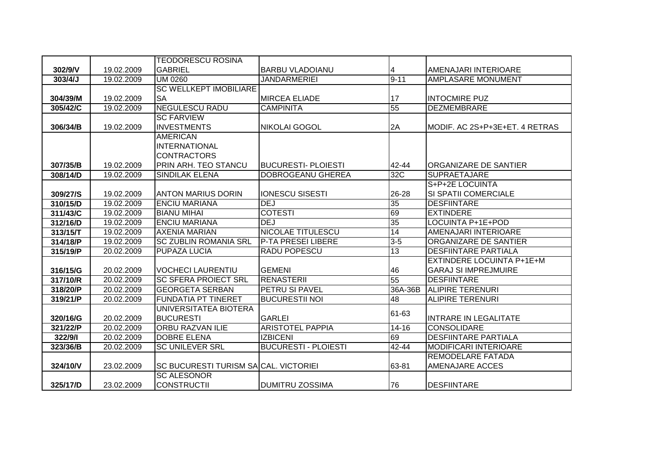|          |            | <b>TEODORESCU ROSINA</b>                     |                             |                 |                                  |
|----------|------------|----------------------------------------------|-----------------------------|-----------------|----------------------------------|
| 302/9/V  | 19.02.2009 | <b>GABRIEL</b>                               | <b>BARBU VLADOIANU</b>      | 4               | AMENAJARI INTERIOARE             |
| 303/4/J  | 19.02.2009 | <b>UM 0260</b>                               | <b>JANDARMERIEI</b>         | $9 - 11$        | <b>AMPLASARE MONUMENT</b>        |
|          |            | <b>SC WELLKEPT IMOBILIARE</b>                |                             |                 |                                  |
| 304/39/M | 19.02.2009 | <b>SA</b>                                    | <b>MIRCEA ELIADE</b>        | 17              | <b>INTOCMIRE PUZ</b>             |
| 305/42/C | 19.02.2009 | <b>NEGULESCU RADU</b>                        | <b>CAMPINITA</b>            | 55              | <b>DEZMEMBRARE</b>               |
|          |            | <b>SC FARVIEW</b>                            |                             |                 |                                  |
| 306/34/B | 19.02.2009 | <b>INVESTMENTS</b>                           | <b>NIKOLAI GOGOL</b>        | 2A              | MODIF. AC 2S+P+3E+ET. 4 RETRAS   |
|          |            | <b>AMERICAN</b>                              |                             |                 |                                  |
|          |            | <b>INTERNATIONAL</b>                         |                             |                 |                                  |
|          |            | <b>CONTRACTORS</b>                           |                             |                 |                                  |
| 307/35/B | 19.02.2009 | PRIN ARH. TEO STANCU                         | <b>BUCURESTI- PLOIESTI</b>  | 42-44           | ORGANIZARE DE SANTIER            |
| 308/14/D | 19.02.2009 | <b>SINDILAK ELENA</b>                        | DOBROGEANU GHEREA           | 32C             | <b>SUPRAETAJARE</b>              |
|          |            |                                              |                             |                 | S+P+2E LOCUINTA                  |
| 309/27/S | 19.02.2009 | ANTON MARIUS DORIN                           | <b>IONESCU SISESTI</b>      | 26-28           | SI SPATII COMERCIALE             |
| 310/15/D | 19.02.2009 | <b>ENCIU MARIANA</b>                         | <b>DEJ</b>                  | 35              | <b>DESFIINTARE</b>               |
| 311/43/C | 19.02.2009 | <b>BIANU MIHAI</b>                           | <b>COTESTI</b>              | 69              | <b>EXTINDERE</b>                 |
| 312/16/D | 19.02.2009 | <b>ENCIU MARIANA</b>                         | <b>DEJ</b>                  | $\overline{35}$ | LOCUINTA P+1E+POD                |
| 313/15/T | 19.02.2009 | <b>AXENIA MARIAN</b>                         | NICOLAE TITULESCU           | 14              | AMENAJARI INTERIOARE             |
| 314/18/P | 19.02.2009 | <b>SC ZUBLIN ROMANIA SRL</b>                 | P-TA PRESEI LIBERE          | $3 - 5$         | ORGANIZARE DE SANTIER            |
| 315/19/P | 20.02.2009 | PUPAZA LUCIA                                 | <b>RADU POPESCU</b>         | 13              | <b>DESFIINTARE PARTIALA</b>      |
|          |            |                                              |                             |                 | <b>EXTINDERE LOCUINTA P+1E+M</b> |
| 316/15/G | 20.02.2009 | <b>VOCHECI LAURENTIU</b>                     | <b>GEMENI</b>               | 46              | <b>GARAJ SI IMPREJMUIRE</b>      |
| 317/10/R | 20.02.2009 | <b>SC SFERA PROIECT SRL</b>                  | <b>RENASTERII</b>           | 55              | <b>DESFIINTARE</b>               |
| 318/20/P | 20.02.2009 | <b>GEORGETA SERBAN</b>                       | <b>PETRU SI PAVEL</b>       | 36A-36B         | <b>ALIPIRE TERENURI</b>          |
| 319/21/P | 20.02.2009 | <b>FUNDATIA PT TINERET</b>                   | <b>BUCURESTII NOI</b>       | 48              | <b>ALIPIRE TERENURI</b>          |
|          |            | UNIVERSITATEA BIOTERA                        |                             | 61-63           |                                  |
| 320/16/G | 20.02.2009 | <b>BUCURESTI</b>                             | <b>GARLEI</b>               |                 | <b>INTRARE IN LEGALITATE</b>     |
| 321/22/P | 20.02.2009 | <b>ORBU RAZVAN ILIE</b>                      | <b>ARISTOTEL PAPPIA</b>     | $14 - 16$       | <b>CONSOLIDARE</b>               |
| 322/9/1  | 20.02.2009 | <b>DOBRE ELENA</b>                           | <b>IZBICENI</b>             | 69              | <b>DESFIINTARE PARTIALA</b>      |
| 323/36/B | 20.02.2009 | <b>SC UNILEVER SRL</b>                       | <b>BUCURESTI - PLOIESTI</b> | 42-44           | <b>MODIFICARI INTERIOARE</b>     |
|          |            |                                              |                             |                 | <b>REMODELARE FATADA</b>         |
| 324/10/V | 23.02.2009 | <b>SC BUCURESTI TURISM SACCAL. VICTORIEI</b> |                             | 63-81           | <b>AMENAJARE ACCES</b>           |
|          |            | <b>SC ALESONOR</b>                           |                             |                 |                                  |
| 325/17/D | 23.02.2009 | <b>CONSTRUCTII</b>                           | <b>DUMITRU ZOSSIMA</b>      | 76              | <b>DESFIINTARE</b>               |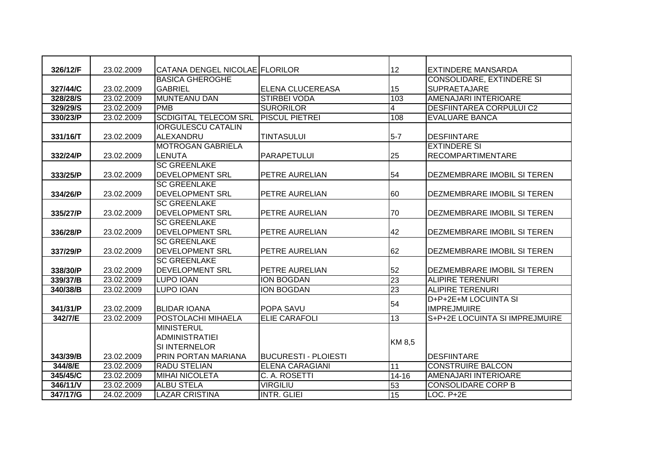| 326/12/F | 23.02.2009 | CATANA DENGEL NICOLAE FLORILOR |                        | 12              | <b>EXTINDERE MANSARDA</b>        |
|----------|------------|--------------------------------|------------------------|-----------------|----------------------------------|
|          |            | <b>BASICA GHEROGHE</b>         |                        |                 | <b>CONSOLIDARE, EXTINDERE SI</b> |
| 327/44/C | 23.02.2009 | <b>GABRIEL</b>                 | ELENA CLUCEREASA       | 15              | <b>SUPRAETAJARE</b>              |
| 328/28/S | 23.02.2009 | <b>MUNTEANU DAN</b>            | <b>STIRBEI VODA</b>    | 103             | AMENAJARI INTERIOARE             |
| 329/29/S | 23.02.2009 | <b>PMB</b>                     | <b>SURORILOR</b>       | $\overline{4}$  | <b>DESFIINTAREA CORPULUI C2</b>  |
| 330/23/P | 23.02.2009 | <b>SCDIGITAL TELECOM SRL</b>   | <b>PISCUL PIETREI</b>  | 108             | <b>EVALUARE BANCA</b>            |
|          |            | <b>IORGULESCU CATALIN</b>      |                        |                 |                                  |
| 331/16/T | 23.02.2009 | ALEXANDRU                      | <b>TINTASULUI</b>      | $5-7$           | <b>DESFIINTARE</b>               |
|          |            | <b>MOTROGAN GABRIELA</b>       |                        |                 | <b>EXTINDERE SI</b>              |
| 332/24/P | 23.02.2009 | <b>LENUTA</b>                  | <b>PARAPETULUI</b>     | 25              | <b>RECOMPARTIMENTARE</b>         |
|          |            | <b>SC GREENLAKE</b>            |                        |                 |                                  |
| 333/25/P | 23.02.2009 | <b>DEVELOPMENT SRL</b>         | PETRE AURELIAN         | 54              | DEZMEMBRARE IMOBIL SI TEREN      |
|          |            | <b>SC GREENLAKE</b>            |                        |                 |                                  |
| 334/26/P | 23.02.2009 | <b>DEVELOPMENT SRL</b>         | PETRE AURELIAN         | 60              | DEZMEMBRARE IMOBIL SI TEREN      |
|          |            | <b>SC GREENLAKE</b>            |                        |                 |                                  |
| 335/27/P | 23.02.2009 | <b>DEVELOPMENT SRL</b>         | PETRE AURELIAN         | 70              | DEZMEMBRARE IMOBIL SI TEREN      |
|          |            | <b>SC GREENLAKE</b>            |                        |                 |                                  |
| 336/28/P | 23.02.2009 | <b>DEVELOPMENT SRL</b>         | PETRE AURELIAN         | 42              | DEZMEMBRARE IMOBIL SI TEREN      |
|          |            | <b>SC GREENLAKE</b>            |                        |                 |                                  |
| 337/29/P | 23.02.2009 | <b>DEVELOPMENT SRL</b>         | PETRE AURELIAN         | 62              | DEZMEMBRARE IMOBIL SI TEREN      |
|          |            | <b>SC GREENLAKE</b>            |                        |                 |                                  |
| 338/30/P | 23.02.2009 | <b>DEVELOPMENT SRL</b>         | PETRE AURELIAN         | 52              | DEZMEMBRARE IMOBIL SI TEREN      |
| 339/37/B | 23.02.2009 | <b>LUPO IOAN</b>               | ION BOGDAN             | 23              | <b>ALIPIRE TERENURI</b>          |
| 340/38/B | 23.02.2009 | <b>LUPO IOAN</b>               | <b>ION BOGDAN</b>      | 23              | <b>ALIPIRE TERENURI</b>          |
|          |            |                                |                        | 54              | D+P+2E+M LOCUINTA SI             |
| 341/31/P | 23.02.2009 | <b>BLIDAR IOANA</b>            | POPA SAVU              |                 | <b>IMPREJMUIRE</b>               |
| 342/7/E  | 23.02.2009 | POSTOLACHI MIHAELA             | <b>ELIE CARAFOLI</b>   | 13              | S+P+2E LOCUINTA SI IMPREJMUIRE   |
|          |            | <b>MINISTERUL</b>              |                        |                 |                                  |
|          |            | <b>ADMINISTRATIEI</b>          |                        | KM 8,5          |                                  |
|          |            | <b>SI INTERNELOR</b>           |                        |                 |                                  |
| 343/39/B | 23.02.2009 | PRIN PORTAN MARIANA            | BUCURESTI - PLOIESTI   |                 | <b>DESFIINTARE</b>               |
| 344/8/E  | 23.02.2009 | <b>RADU STELIAN</b>            | <b>ELENA CARAGIANI</b> | 11              | <b>CONSTRUIRE BALCON</b>         |
| 345/45/C | 23.02.2009 | <b>MIHAI NICOLETA</b>          | C. A. ROSETTI          | $14 - 16$       | AMENAJARI INTERIOARE             |
| 346/11/V | 23.02.2009 | <b>ALBU STELA</b>              | <b>VIRGILIU</b>        | 53              | <b>CONSOLIDARE CORP B</b>        |
| 347/17/G | 24.02.2009 | <b>LAZAR CRISTINA</b>          | <b>INTR. GLIEI</b>     | $\overline{15}$ | $LOC. P+2E$                      |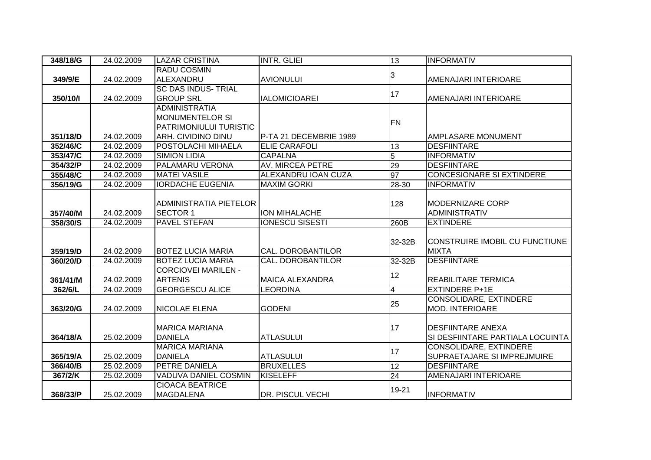| 348/18/G | 24.02.2009 | <b>LAZAR CRISTINA</b>                      | <b>INTR. GLIEI</b>      | 13             | <b>INFORMATIV</b>                  |
|----------|------------|--------------------------------------------|-------------------------|----------------|------------------------------------|
|          |            | <b>RADU COSMIN</b>                         |                         |                |                                    |
| 349/9/E  | 24.02.2009 | ALEXANDRU                                  | <b>AVIONULUI</b>        | 3              | AMENAJARI INTERIOARE               |
|          |            | <b>SC DAS INDUS- TRIAL</b>                 |                         | 17             |                                    |
| 350/10/l | 24.02.2009 | <b>GROUP SRL</b>                           | <b>IALOMICIOAREI</b>    |                | <b>AMENAJARI INTERIOARE</b>        |
|          |            | <b>ADMINISTRATIA</b>                       |                         |                |                                    |
|          |            | <b>MONUMENTELOR SI</b>                     |                         | <b>FN</b>      |                                    |
|          |            | <b>PATRIMONIULUI TURISTIC</b>              |                         |                |                                    |
| 351/18/D | 24.02.2009 | <b>ARH. CIVIDINO DINU</b>                  | P-TA 21 DECEMBRIE 1989  |                | <b>AMPLASARE MONUMENT</b>          |
| 352/46/C | 24.02.2009 | POSTOLACHI MIHAELA                         | <b>ELIE CARAFOLI</b>    | 13             | <b>DESFIINTARE</b>                 |
| 353/47/C | 24.02.2009 | <b>SIMION LIDIA</b>                        | <b>CAPALNA</b>          | $\overline{5}$ | <b>INFORMATIV</b>                  |
| 354/32/P | 24.02.2009 | <b>PALAMARU VERONA</b>                     | <b>AV. MIRCEA PETRE</b> | 29             | <b>DESFIINTARE</b>                 |
| 355/48/C | 24.02.2009 | <b>MATEI VASILE</b>                        | ALEXANDRU IOAN CUZA     | 97             | <b>CONCESIONARE SI EXTINDERE</b>   |
| 356/19/G | 24.02.2009 | <b>IORDACHE EUGENIA</b>                    | <b>MAXIM GORKI</b>      | 28-30          | <b>INFORMATIV</b>                  |
|          |            |                                            |                         |                |                                    |
|          |            | ADMINISTRATIA PIETELOR                     |                         | 128            | <b>MODERNIZARE CORP</b>            |
| 357/40/M | 24.02.2009 | <b>SECTOR 1</b>                            | ION MIHALACHE           |                | <b>ADMINISTRATIV</b>               |
| 358/30/S | 24.02.2009 | <b>PAVEL STEFAN</b>                        | <b>IONESCU SISESTI</b>  | 260B           | <b>EXTINDERE</b>                   |
|          |            |                                            |                         |                |                                    |
|          |            |                                            |                         |                |                                    |
|          |            |                                            |                         | 32-32B         | CONSTRUIRE IMOBIL CU FUNCTIUNE     |
| 359/19/D | 24.02.2009 | <b>BOTEZ LUCIA MARIA</b>                   | CAL. DOROBANTILOR       |                | <b>MIXTA</b>                       |
| 360/20/D | 24.02.2009 | <b>BOTEZ LUCIA MARIA</b>                   | CAL. DOROBANTILOR       | 32-32B         | <b>DESFIINTARE</b>                 |
|          |            | <b>CORCIOVEI MARILEN -</b>                 |                         |                |                                    |
| 361/41/M | 24.02.2009 | <b>ARTENIS</b>                             | <b>MAICA ALEXANDRA</b>  | 12             | <b>REABILITARE TERMICA</b>         |
| 362/6/L  | 24.02.2009 | <b>GEORGESCU ALICE</b>                     | <b>LEORDINA</b>         | $\overline{4}$ | <b>EXTINDERE P+1E</b>              |
|          |            |                                            |                         |                | <b>CONSOLIDARE, EXTINDERE</b>      |
| 363/20/G | 24.02.2009 | <b>INICOLAE ELENA</b>                      | <b>GODENI</b>           | 25             | <b>MOD. INTERIOARE</b>             |
|          |            |                                            |                         |                |                                    |
|          |            | <b>MARICA MARIANA</b>                      |                         | 17             | <b>DESFIINTARE ANEXA</b>           |
| 364/18/A | 25.02.2009 | <b>DANIELA</b>                             | <b>ATLASULUI</b>        |                | SI DESFIINTARE PARTIALA LOCUINTA   |
|          |            | <b>MARICA MARIANA</b>                      |                         |                | CONSOLIDARE, EXTINDERE             |
| 365/19/A | 25.02.2009 | <b>DANIELA</b>                             | <b>ATLASULUI</b>        | 17             | <b>SUPRAETAJARE SI IMPREJMUIRE</b> |
| 366/40/B | 25.02.2009 | <b>PETRE DANIELA</b>                       | <b>BRUXELLES</b>        | 12             | <b>DESFIINTARE</b>                 |
| 367/2/K  | 25.02.2009 | <b>VADUVA DANIEL COSMIN</b>                | <b>KISELEFF</b>         | 24             | AMENAJARI INTERIOARE               |
| 368/33/P |            | <b>CIOACA BEATRICE</b><br><b>MAGDALENA</b> | DR. PISCUL VECHI        | 19-21          |                                    |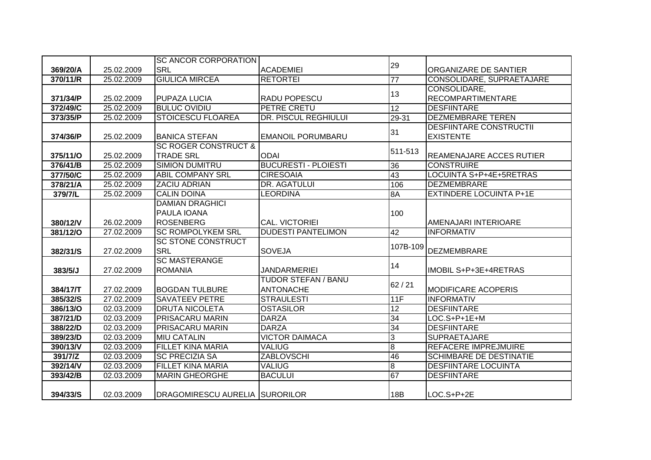|          |            | <b>SC ANCOR CORPORATION</b>     |                             |                 |                                 |
|----------|------------|---------------------------------|-----------------------------|-----------------|---------------------------------|
| 369/20/A | 25.02.2009 | <b>SRL</b>                      | <b>ACADEMIEI</b>            | 29              | ORGANIZARE DE SANTIER           |
| 370/11/R | 25.02.2009 | <b>GIULICA MIRCEA</b>           | <b>RETORTEI</b>             | 77              | CONSOLIDARE, SUPRAETAJARE       |
|          |            |                                 |                             |                 | CONSOLIDARE,                    |
| 371/34/P | 25.02.2009 | <b>PUPAZA LUCIA</b>             | RADU POPESCU                | 13              | <b>RECOMPARTIMENTARE</b>        |
| 372/49/C | 25.02.2009 | <b>BULUC OVIDIU</b>             | PETRE CRETU                 | $\overline{12}$ | <b>DESFIINTARE</b>              |
| 373/35/P | 25.02.2009 | <b>STOICESCU FLOAREA</b>        | <b>DR. PISCUL REGHIULUI</b> | 29-31           | <b>DEZMEMBRARE TEREN</b>        |
|          |            |                                 |                             | 31              | <b>DESFIINTARE CONSTRUCTII</b>  |
| 374/36/P | 25.02.2009 | <b>BANICA STEFAN</b>            | <b>EMANOIL PORUMBARU</b>    |                 | <b>EXISTENTE</b>                |
|          |            | <b>SC ROGER CONSTRUCT &amp;</b> |                             | 511-513         |                                 |
| 375/11/O | 25.02.2009 | <b>TRADE SRL</b>                | <b>ODAI</b>                 |                 | <b>REAMENAJARE ACCES RUTIER</b> |
| 376/41/B | 25.02.2009 | <b>SIMION DUMITRU</b>           | <b>BUCURESTI - PLOIESTI</b> | 36              | <b>CONSTRUIRE</b>               |
| 377/50/C | 25.02.2009 | <b>ABIL COMPANY SRL</b>         | <b>CIRESOAIA</b>            | 43              | LOCUINTA S+P+4E+5RETRAS         |
| 378/21/A | 25.02.2009 | <b>ZACIU ADRIAN</b>             | DR. AGATULUI                | 106             | DEZMEMBRARE                     |
| 379/7/L  | 25.02.2009 | <b>CALIN DOINA</b>              | LEORDINA                    | 8A              | <b>EXTINDERE LOCUINTA P+1E</b>  |
|          |            | <b>DAMIAN DRAGHICI</b>          |                             |                 |                                 |
|          |            | PAULA IOANA                     |                             | 100             |                                 |
| 380/12/V | 26.02.2009 | <b>ROSENBERG</b>                | <b>CAL. VICTORIEI</b>       |                 | AMENAJARI INTERIOARE            |
| 381/12/0 | 27.02.2009 | <b>SC ROMPOLYKEM SRL</b>        | <b>DUDESTI PANTELIMON</b>   | 42              | <b>INFORMATIV</b>               |
|          |            | <b>SC STONE CONSTRUCT</b>       |                             | 107B-109        |                                 |
| 382/31/S | 27.02.2009 | <b>SRL</b>                      | <b>SOVEJA</b>               |                 | <b>DEZMEMBRARE</b>              |
|          |            | <b>SC MASTERANGE</b>            |                             | 14              |                                 |
| 383/5/J  | 27.02.2009 | <b>ROMANIA</b>                  | <b>JANDARMERIEI</b>         |                 | IMOBIL S+P+3E+4RETRAS           |
|          |            |                                 | <b>TUDOR STEFAN / BANU</b>  | 62/21           |                                 |
| 384/17/T | 27.02.2009 | <b>BOGDAN TULBURE</b>           | <b>ANTONACHE</b>            |                 | <b>MODIFICARE ACOPERIS</b>      |
| 385/32/S | 27.02.2009 | <b>SAVATEEV PETRE</b>           | <b>STRAULESTI</b>           | 11F             | <b>INFORMATIV</b>               |
| 386/13/O | 02.03.2009 | <b>DRUTA NICOLETA</b>           | <b>OSTASILOR</b>            | $\overline{12}$ | <b>DESFIINTARE</b>              |
| 387/21/D | 02.03.2009 | <b>PRISACARU MARIN</b>          | <b>DARZA</b>                | 34              | LOC.S+P+1E+M                    |
| 388/22/D | 02.03.2009 | <b>PRISACARU MARIN</b>          | <b>DARZA</b>                | 34              | <b>DESFIINTARE</b>              |
| 389/23/D | 02.03.2009 | <b>MIU CATALIN</b>              | <b>VICTOR DAIMACA</b>       | $\overline{3}$  | <b>SUPRAETAJARE</b>             |
| 390/13/V | 02.03.2009 | <b>FILLET KINA MARIA</b>        | <b>VALIUG</b>               | $\overline{8}$  | <b>REFACERE IMPREJMUIRE</b>     |
| 391/7/Z  | 02.03.2009 | <b>SC PRECIZIA SA</b>           | <b>ZABLOVSCHI</b>           | 46              | <b>SCHIMBARE DE DESTINATIE</b>  |
| 392/14/V | 02.03.2009 | <b>FILLET KINA MARIA</b>        | <b>VALIUG</b>               | $\overline{8}$  | <b>DESFIINTARE LOCUINTA</b>     |
| 393/42/B | 02.03.2009 | <b>MARIN GHEORGHE</b>           | <b>BACULUI</b>              | 67              | <b>DESFIINTARE</b>              |
| 394/33/S | 02.03.2009 | DRAGOMIRESCU AURELIA SURORILOR  |                             | 18B             | LOC.S+P+2E                      |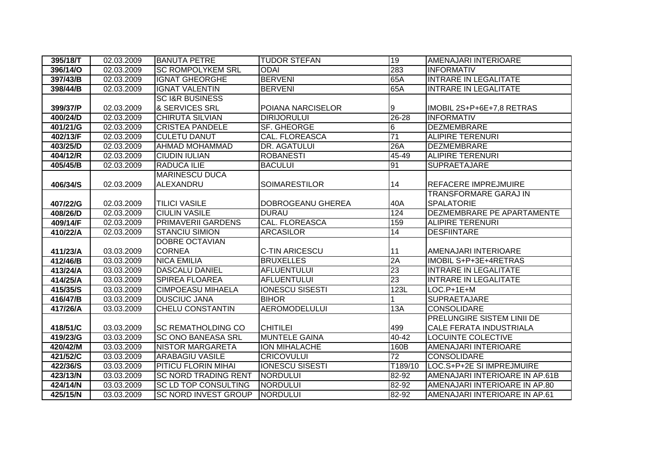| 395/18/T | 02.03.2009               | <b>BANUTA PETRE</b>                                        | <b>TUDOR STEFAN</b>                | 19              | AMENAJARI INTERIOARE                                           |
|----------|--------------------------|------------------------------------------------------------|------------------------------------|-----------------|----------------------------------------------------------------|
| 396/14/O | 02.03.2009               | <b>SC ROMPOLYKEM SRL</b>                                   | <b>ODAI</b>                        | 283             | <b>INFORMATIV</b>                                              |
| 397/43/B | $\overline{02.03.2009}$  | <b>IGNAT GHEORGHE</b>                                      | <b>BERVENI</b>                     | 65A             | <b>INTRARE IN LEGALITATE</b>                                   |
| 398/44/B | 02.03.2009               | <b>IGNAT VALENTIN</b>                                      | <b>BERVENI</b>                     | 65A             | <b>INTRARE IN LEGALITATE</b>                                   |
|          |                          | <b>SC I&amp;R BUSINESS</b>                                 |                                    |                 |                                                                |
| 399/37/P | 02.03.2009               | & SERVICES SRL                                             | POIANA NARCISELOR                  | 9               | IMOBIL 2S+P+6E+7,8 RETRAS                                      |
| 400/24/D | 02.03.2009               | <b>CHIRUTA SILVIAN</b>                                     | <b>DIRIJORULUI</b>                 | $26 - 28$       | <b>INFORMATIV</b>                                              |
| 401/21/G | 02.03.2009               | <b>CRISTEA PANDELE</b>                                     | SF. GHEORGE                        | 6               | <b>DEZMEMBRARE</b>                                             |
| 402/13/F | 02.03.2009               | <b>CULETU DANUT</b>                                        | <b>CAL. FLOREASCA</b>              | 71              | <b>ALIPIRE TERENURI</b>                                        |
| 403/25/D | 02.03.2009               | <b>AHMAD MOHAMMAD</b>                                      | DR. AGATULUI                       | 26A             | <b>DEZMEMBRARE</b>                                             |
| 404/12/R | 02.03.2009               | <b>CIUDIN IULIAN</b>                                       | <b>ROBANESTI</b>                   | 45-49           | ALIPIRE TERENURI                                               |
| 405/45/B | 02.03.2009               | <b>RADUCA ILIE</b>                                         | <b>BACULUI</b>                     | 91              | <b>SUPRAETAJARE</b>                                            |
|          |                          | <b>MARINESCU DUCA</b>                                      |                                    |                 |                                                                |
| 406/34/S | 02.03.2009               | ALEXANDRU                                                  | <b>SOIMARESTILOR</b>               | 14              | REFACERE IMPREJMUIRE                                           |
|          |                          |                                                            |                                    |                 | <b>TRANSFORMARE GARAJ IN</b>                                   |
| 407/22/G | 02.03.2009               | <b>TILICI VASILE</b>                                       | DOBROGEANU GHEREA                  | 40A             | <b>SPALATORIE</b>                                              |
| 408/26/D | $\overline{02.03.2009}$  | <b>CIULIN VASILE</b>                                       | <b>DURAU</b>                       | 124             | <b>DEZMEMBRARE PE APARTAMENTE</b>                              |
| 409/14/F | 02.03.2009               | <b>PRIMAVERII GARDENS</b>                                  | <b>CAL. FLOREASCA</b>              | 159             | <b>ALIPIRE TERENURI</b>                                        |
| 410/22/A | 02.03.2009               | <b>STANCIU SIMION</b>                                      | <b>ARCASILOR</b>                   | 14              | <b>DESFIINTARE</b>                                             |
|          |                          | <b>DOBRE OCTAVIAN</b>                                      |                                    |                 |                                                                |
| 411/23/A | 03.03.2009               | <b>CORNEA</b>                                              | <b>C-TIN ARICESCU</b>              | 11              | AMENAJARI INTERIOARE                                           |
| 412/46/B | 03.03.2009               | <b>NICA EMILIA</b>                                         | <b>BRUXELLES</b>                   | 2A              | <b>IMOBIL S+P+3E+4RETRAS</b>                                   |
| 413/24/A | 03.03.2009               | <b>DASCALU DANIEL</b>                                      | <b>AFLUENTULUI</b>                 | $\overline{23}$ | <b>INTRARE IN LEGALITATE</b>                                   |
| 414/25/A | 03.03.2009               | <b>SPIREA FLOAREA</b>                                      | <b>AFLUENTULUI</b>                 | 23              | <b>INTRARE IN LEGALITATE</b>                                   |
| 415/35/S | 03.03.2009               | <b>CIMPOEASU MIHAELA</b>                                   | <b>IONESCU SISESTI</b>             | 123L            | $LOC.P+1E+M$                                                   |
| 416/47/B | 03.03.2009               | <b>DUSCIUC JANA</b>                                        | <b>BIHOR</b>                       |                 | <b>SUPRAETAJARE</b>                                            |
| 417/26/A | 03.03.2009               | <b>CHELU CONSTANTIN</b>                                    | <b>AEROMODELULUI</b>               | 13A             | <b>CONSOLIDARE</b>                                             |
|          |                          |                                                            |                                    |                 |                                                                |
| 418/51/C |                          |                                                            |                                    |                 | PRELUNGIRE SISTEM LINII DE                                     |
|          | 03.03.2009               | <b>SC REMATHOLDING CO</b>                                  | <b>CHITILEI</b>                    | 499             | CALE FERATA INDUSTRIALA                                        |
| 419/23/G | 03.03.2009               | <b>SC ONO BANEASA SRL</b>                                  | <b>MUNTELE GAINA</b>               | $40 - 42$       | <b>LOCUINTE COLECTIVE</b>                                      |
| 420/42/M | 03.03.2009               | <b>NISTOR MARGARETA</b>                                    | ION MIHALACHE                      | 160B            | AMENAJARI INTERIOARE                                           |
| 421/52/C | 03.03.2009               | <b>ARABAGIU VASILE</b>                                     | <b>CRICOVULUI</b>                  | $\overline{72}$ | <b>CONSOLIDARE</b>                                             |
| 422/36/S | 03.03.2009               | PITICU FLORIN MIHAI                                        | <b>IONESCU SISESTI</b>             | T189/10         | LOC.S+P+2E SI IMPREJMUIRE                                      |
| 423/13/N | 03.03.2009               | <b>SC NORD TRADING RENT</b>                                | <b>NORDULUI</b>                    | 82-92           | AMENAJARI INTERIOARE IN AP.61B                                 |
| 424/14/N | 03.03.2009<br>03.03.2009 | <b>SC LD TOP CONSULTING</b><br><b>SC NORD INVEST GROUP</b> | <b>NORDULUI</b><br><b>NORDULUI</b> | 82-92<br>82-92  | AMENAJARI INTERIOARE IN AP.80<br>AMENAJARI INTERIOARE IN AP.61 |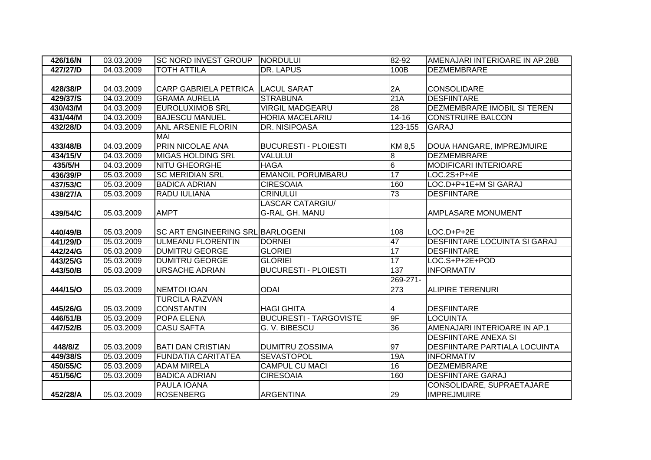| 426/16/N | 03.03.2009 | <b>SC NORD INVEST GROUP</b>      | NORDULUI                      | 82-92           | AMENAJARI INTERIOARE IN AP.28B       |
|----------|------------|----------------------------------|-------------------------------|-----------------|--------------------------------------|
| 427/27/D | 04.03.2009 | <b>TOTH ATTILA</b>               | <b>DR. LAPUS</b>              | 100B            | <b>DEZMEMBRARE</b>                   |
|          |            |                                  |                               |                 |                                      |
| 428/38/P | 04.03.2009 | <b>CARP GABRIELA PETRICA</b>     | <b>LACUL SARAT</b>            | 2A              | <b>CONSOLIDARE</b>                   |
| 429/37/S | 04.03.2009 | <b>GRAMA AURELIA</b>             | <b>STRABUNA</b>               | 21A             | <b>DESFIINTARE</b>                   |
| 430/43/M | 04.03.2009 | <b>EUROLUXIMOB SRL</b>           | <b>VIRGIL MADGEARU</b>        | $\overline{28}$ | <b>DEZMEMBRARE IMOBIL SI TEREN</b>   |
| 431/44/M | 04.03.2009 | <b>BAJESCU MANUEL</b>            | <b>HORIA MACELARIU</b>        | $14 - 16$       | <b>CONSTRUIRE BALCON</b>             |
| 432/28/D | 04.03.2009 | <b>ANL ARSENIE FLORIN</b>        | <b>DR. NISIPOASA</b>          | $123 - 155$     | <b>GARAJ</b>                         |
|          |            | <b>MAI</b>                       |                               |                 |                                      |
| 433/48/B | 04.03.2009 | PRIN NICOLAE ANA                 | <b>BUCURESTI - PLOIESTI</b>   | KM 8,5          | DOUA HANGARE, IMPREJMUIRE            |
| 434/15/V | 04.03.2009 | <b>MIGAS HOLDING SRL</b>         | <b>VALULUI</b>                | $\overline{8}$  | <b>DEZMEMBRARE</b>                   |
| 435/5/H  | 04.03.2009 | <b>NITU GHEORGHE</b>             | <b>HAGA</b>                   | $\overline{6}$  | <b>MODIFICARI INTERIOARE</b>         |
| 436/39/P | 05.03.2009 | <b>SC MERIDIAN SRL</b>           | <b>EMANOIL PORUMBARU</b>      | 17              | LOC.2S+P+4E                          |
| 437/53/C | 05.03.2009 | <b>BADICA ADRIAN</b>             | <b>CIRESOAIA</b>              | 160             | LOC.D+P+1E+M SI GARAJ                |
| 438/27/A | 05.03.2009 | RADU IULIANA                     | <b>CRINULUI</b>               | 73              | <b>DESFIINTARE</b>                   |
|          |            |                                  | <b>LASCAR CATARGIU/</b>       |                 |                                      |
| 439/54/C | 05.03.2009 | <b>AMPT</b>                      | <b>G-RAL GH. MANU</b>         |                 | AMPLASARE MONUMENT                   |
|          |            |                                  |                               |                 |                                      |
| 440/49/B | 05.03.2009 | SC ART ENGINEERING SRL BARLOGENI |                               | 108             | $LOC.D+P+2E$                         |
| 441/29/D | 05.03.2009 | <b>ULMEANU FLORENTIN</b>         | <b>DORNEI</b>                 | 47              | <b>DESFIINTARE LOCUINTA SI GARAJ</b> |
| 442/24/G | 05.03.2009 | <b>DUMITRU GEORGE</b>            | <b>GLORIEI</b>                | 17              | <b>DESFIINTARE</b>                   |
| 443/25/G | 05.03.2009 | <b>DUMITRU GEORGE</b>            | <b>GLORIEI</b>                | 17              | LOC.S+P+2E+POD                       |
| 443/50/B | 05.03.2009 | <b>URSACHE ADRIAN</b>            | <b>BUCURESTI - PLOIESTI</b>   | 137             | <b>INFORMATIV</b>                    |
|          |            |                                  |                               | 269-271-        |                                      |
| 444/15/O | 05.03.2009 | <b>NEMTOI IOAN</b>               | <b>ODAI</b>                   | 273             | <b>ALIPIRE TERENURI</b>              |
|          |            | <b>TURCILA RAZVAN</b>            |                               |                 |                                      |
| 445/26/G | 05.03.2009 | <b>CONSTANTIN</b>                | <b>HAGI GHITA</b>             | 4               | <b>DESFIINTARE</b>                   |
| 446/51/B | 05.03.2009 | POPA ELENA                       | <b>BUCURESTI - TARGOVISTE</b> | 9F              | <b>LOCUINTA</b>                      |
| 447/52/B | 05.03.2009 | <b>CASU SAFTA</b>                | G. V. BIBESCU                 | 36              | AMENAJARI INTERIOARE IN AP.1         |
|          |            |                                  |                               |                 | <b>DESFIINTARE ANEXA SI</b>          |
| 448/8/Z  | 05.03.2009 | <b>BATI DAN CRISTIAN</b>         | <b>DUMITRU ZOSSIMA</b>        | 97              | DESFIINTARE PARTIALA LOCUINTA        |
| 449/38/S | 05.03.2009 | <b>FUNDATIA CARITATEA</b>        | <b>SEVASTOPOL</b>             | 19A             | <b>INFORMATIV</b>                    |
| 450/55/C | 05.03.2009 | <b>ADAM MIRELA</b>               | <b>CAMPUL CU MACI</b>         | 16              | <b>DEZMEMBRARE</b>                   |
| 451/56/C | 05.03.2009 | <b>BADICA ADRIAN</b>             | <b>CIRESOAIA</b>              | 160             | <b>DESFIINTARE GARAJ</b>             |
|          |            | PAULA IOANA                      |                               |                 | CONSOLIDARE, SUPRAETAJARE            |
| 452/28/A | 05.03.2009 | <b>ROSENBERG</b>                 | <b>ARGENTINA</b>              | 29              | <b>IMPREJMUIRE</b>                   |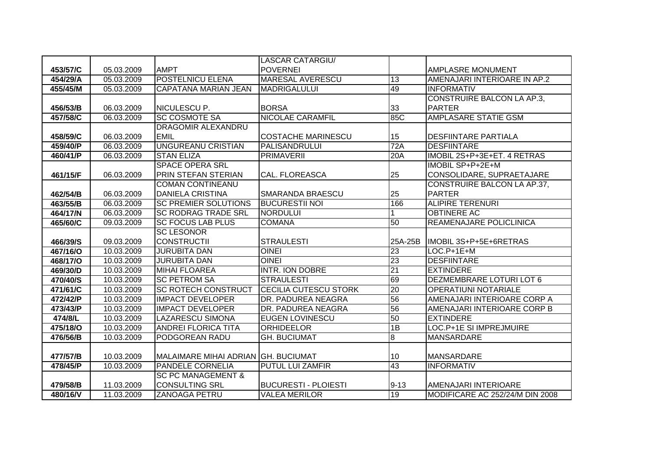|          |            |                                     | <b>LASCAR CATARGIU/</b>               |                 |                                   |
|----------|------------|-------------------------------------|---------------------------------------|-----------------|-----------------------------------|
| 453/57/C | 05.03.2009 | <b>AMPT</b>                         | <b>POVERNEI</b>                       |                 | <b>AMPLASRE MONUMENT</b>          |
| 454/29/A | 05.03.2009 | <b>POSTELNICU ELENA</b>             | <b>MARESAL AVERESCU</b>               | 13              | AMENAJARI INTERIOARE IN AP.2      |
| 455/45/M | 05.03.2009 | <b>CAPATANA MARIAN JEAN</b>         | MADRIGALULUI                          | 49              | <b>INFORMATIV</b>                 |
|          |            |                                     |                                       |                 | <b>CONSTRUIRE BALCON LA AP.3,</b> |
| 456/53/B | 06.03.2009 | NICULESCU P.                        | <b>BORSA</b>                          | 33              | <b>PARTER</b>                     |
| 457/58/C | 06.03.2009 | <b>SC COSMOTE SA</b>                | <b>NICOLAE CARAMFIL</b>               | 85C             | <b>AMPLASARE STATIE GSM</b>       |
|          |            | <b>DRAGOMIR ALEXANDRU</b>           |                                       |                 |                                   |
| 458/59/C | 06.03.2009 | <b>EMIL</b>                         | <b>COSTACHE MARINESCU</b>             | 15              | <b>DESFIINTARE PARTIALA</b>       |
| 459/40/P | 06.03.2009 | <b>UNGUREANU CRISTIAN</b>           | PALISANDRULUI                         | 72A             | <b>DESFIINTARE</b>                |
| 460/41/P | 06.03.2009 | <b>STAN ELIZA</b>                   | <b>PRIMAVERII</b>                     | 20A             | IMOBIL 2S+P+3E+ET. 4 RETRAS       |
|          |            | <b>SPACE OPERA SRL</b>              |                                       |                 | IMOBIL SP+P+2E+M                  |
| 461/15/F | 06.03.2009 | PRIN STEFAN STERIAN                 | CAL. FLOREASCA                        | 25              | CONSOLIDARE, SUPRAETAJARE         |
|          |            | <b>COMAN CONTINEANU</b>             |                                       |                 | CONSTRUIRE BALCON LA AP.37,       |
| 462/54/B | 06.03.2009 | <b>DANIELA CRISTINA</b>             | SMARANDA BRAESCU                      | 25              | <b>PARTER</b>                     |
| 463/55/B | 06.03.2009 | <b>SC PREMIER SOLUTIONS</b>         | <b>BUCURESTII NOI</b>                 | 166             | <b>ALIPIRE TERENURI</b>           |
| 464/17/N | 06.03.2009 | <b>SC RODRAG TRADE SRL</b>          | <b>NORDULUI</b>                       |                 | <b>OBTINERE AC</b>                |
| 465/60/C | 09.03.2009 | <b>SC FOCUS LAB PLUS</b>            | <b>COMANA</b>                         | 50              | <b>REAMENAJARE POLICLINICA</b>    |
|          |            | <b>SC LESONOR</b>                   |                                       |                 |                                   |
| 466/39/S | 09.03.2009 | <b>CONSTRUCTII</b>                  | <b>STRAULESTI</b>                     | 25A-25B         | IMOBIL 3S+P+5E+6RETRAS            |
| 467/16/O | 10.03.2009 | <b>JURUBITA DAN</b>                 | <b>OINEI</b>                          | $\overline{23}$ | $LOC.P+1E+M$                      |
| 468/17/O | 10.03.2009 | <b>JURUBITA DAN</b>                 | <b>OINEI</b>                          | 23              | <b>DESFIINTARE</b>                |
| 469/30/D | 10.03.2009 | <b>MIHAI FLOAREA</b>                | <b>INTR. ION DOBRE</b>                | $\overline{21}$ | <b>EXTINDERE</b>                  |
| 470/40/S | 10.03.2009 | <b>SC PETROM SA</b>                 | <b>STRAULESTI</b>                     | 69              | <b>DEZMEMBRARE LOTURI LOT 6</b>   |
| 471/61/C | 10.03.2009 | <b>SC ROTECH CONSTRUCT</b>          | <b>CECILIA CUTESCU STORK</b>          | 20              | <b>OPERATIUNI NOTARIALE</b>       |
| 472/42/P | 10.03.2009 | <b>IMPACT DEVELOPER</b>             | DR. PADUREA NEAGRA                    | 56              | AMENAJARI INTERIOARE CORP A       |
| 473/43/P | 10.03.2009 | <b>IMPACT DEVELOPER</b>             | DR. PADUREA NEAGRA                    | 56              | AMENAJARI INTERIOARE CORP B       |
| 474/8/L  | 10.03.2009 | <b>LAZARESCU SIMONA</b>             | <b>EUGEN LOVINESCU</b>                | 50              | <b>EXTINDERE</b>                  |
| 475/18/O | 10.03.2009 | <b>ANDREI FLORICA TITA</b>          | <b>ORHIDEELOR</b>                     | 1B              | LOC.P+1E SI IMPREJMUIRE           |
| 476/56/B | 10.03.2009 | PODGOREAN RADU                      | $\overline{8}$<br><b>GH. BUCIUMAT</b> |                 | <b>MANSARDARE</b>                 |
|          |            |                                     |                                       |                 |                                   |
| 477/57/B | 10.03.2009 | MALAIMARE MIHAI ADRIAN GH. BUCIUMAT |                                       | 10              | MANSARDARE                        |
| 478/45/P | 10.03.2009 | <b>PANDELE CORNELIA</b>             | <b>PUTUL LUI ZAMFIR</b>               | 43              | <b>INFORMATIV</b>                 |
|          |            | <b>SC PC MANAGEMENT &amp;</b>       |                                       |                 |                                   |
| 479/58/B | 11.03.2009 | <b>CONSULTING SRL</b>               | <b>BUCURESTI - PLOIESTI</b>           | $9 - 13$        | AMENAJARI INTERIOARE              |
| 480/16/V | 11.03.2009 | <b>ZANOAGA PETRU</b>                | <b>VALEA MERILOR</b>                  | 19              | MODIFICARE AC 252/24/M DIN 2008   |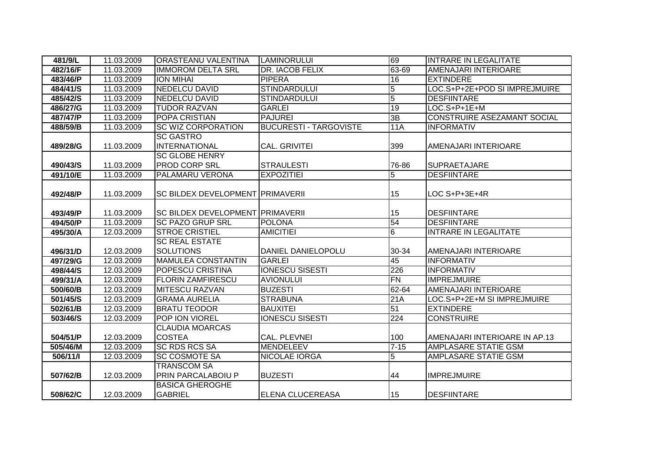| 481/9/L  | 11.03.2009 | <b>ORASTEANU VALENTINA</b>              | <b>LAMINORULUI</b>            | 69             | <b>INTRARE IN LEGALITATE</b>       |
|----------|------------|-----------------------------------------|-------------------------------|----------------|------------------------------------|
| 482/16/F | 11.03.2009 | <b>IMMOROM DELTA SRL</b>                | <b>DR. IACOB FELIX</b>        | 63-69          | AMENAJARI INTERIOARE               |
| 483/46/P | 11.03.2009 | <b>ION MIHAI</b>                        | <b>PIPERA</b>                 | 16             | <b>EXTINDERE</b>                   |
| 484/41/S | 11.03.2009 | <b>NEDELCU DAVID</b>                    | <b>STINDARDULUI</b>           | $\overline{5}$ | LOC.S+P+2E+POD SI IMPREJMUIRE      |
| 485/42/S | 11.03.2009 | <b>NEDELCU DAVID</b>                    | <b>STINDARDULUI</b>           | $\overline{5}$ | <b>DESFIINTARE</b>                 |
| 486/27/G | 11.03.2009 | <b>TUDOR RAZVAN</b>                     | <b>GARLEI</b>                 | 19             | LOC.S+P+1E+M                       |
| 487/47/P | 11.03.2009 | <b>POPA CRISTIAN</b>                    | <b>PAJUREI</b>                | 3B             | <b>CONSTRUIRE ASEZAMANT SOCIAL</b> |
| 488/59/B | 11.03.2009 | <b>SC WIZ CORPORATION</b>               | <b>BUCURESTI - TARGOVISTE</b> | 11A            | <b>INFORMATIV</b>                  |
|          |            | <b>SC GASTRO</b>                        |                               |                |                                    |
| 489/28/G | 11.03.2009 | INTERNATIONAL                           | CAL. GRIVITEI                 | 399            | AMENAJARI INTERIOARE               |
|          |            | <b>SC GLOBE HENRY</b>                   |                               |                |                                    |
| 490/43/S | 11.03.2009 | <b>PROD CORP SRL</b>                    | <b>STRAULESTI</b>             | 76-86          | <b>SUPRAETAJARE</b>                |
| 491/10/E | 11.03.2009 | <b>PALAMARU VERONA</b>                  | <b>EXPOZITIEI</b>             | $\overline{5}$ | <b>DESFIINTARE</b>                 |
|          |            |                                         |                               |                |                                    |
| 492/48/P | 11.03.2009 | <b>SC BILDEX DEVELOPMENT PRIMAVERII</b> |                               | 15             | LOC S+P+3E+4R                      |
|          |            |                                         |                               |                |                                    |
| 493/49/P | 11.03.2009 | <b>SC BILDEX DEVELOPMENT PRIMAVERII</b> |                               | 15             | <b>DESFIINTARE</b>                 |
| 494/50/P | 11.03.2009 | <b>SC PAZO GRUP SRL</b>                 | POLONA                        | 54             | <b>DESFIINTARE</b>                 |
| 495/30/A | 12.03.2009 | <b>STROE CRISTIEL</b>                   | <b>AMICITIEI</b>              | $\overline{6}$ | <b>INTRARE IN LEGALITATE</b>       |
|          |            | <b>SC REAL ESTATE</b>                   |                               |                |                                    |
| 496/31/D | 12.03.2009 | <b>SOLUTIONS</b>                        | DANIEL DANIELOPOLU            | 30-34          | AMENAJARI INTERIOARE               |
| 497/29/G | 12.03.2009 | <b>MAMULEA CONSTANTIN</b>               | <b>GARLEI</b>                 | 45             | <b>INFORMATIV</b>                  |
| 498/44/S | 12.03.2009 | <b>POPESCU CRISTINA</b>                 | <b>IONESCU SISESTI</b>        | 226            | <b>INFORMATIV</b>                  |
| 499/31/A | 12.03.2009 | <b>FLORIN ZAMFIRESCU</b>                | <b>AVIONULUI</b>              | <b>FN</b>      | <b>IMPREJMUIRE</b>                 |
| 500/60/B | 12.03.2009 | <b>MITESCU RAZVAN</b>                   | <b>BUZESTI</b>                | 62-64          | AMENAJARI INTERIOARE               |
| 501/45/S | 12.03.2009 | <b>GRAMA AURELIA</b>                    | <b>STRABUNA</b>               | 21A            | LOC.S+P+2E+M SI IMPREJMUIRE        |
| 502/61/B | 12.03.2009 | <b>BRATU TEODOR</b>                     | <b>BAUXITEI</b>               | 51             | <b>EXTINDERE</b>                   |
| 503/46/S | 12.03.2009 | <b>POP ION VIOREL</b>                   | <b>IONESCU SISESTI</b>        | 224            | <b>CONSTRUIRE</b>                  |
|          |            | <b>CLAUDIA MOARCAS</b>                  |                               |                |                                    |
| 504/51/P | 12.03.2009 | <b>COSTEA</b>                           | CAL. PLEVNEI                  | 100            | AMENAJARI INTERIOARE IN AP.13      |
| 505/46/M | 12.03.2009 | <b>SC RDS RCS SA</b>                    | MENDELEEV                     | $7 - 15$       | AMPLASARE STATIE GSM               |
| 506/11/1 | 12.03.2009 | <b>SC COSMOTE SA</b>                    | <b>NICOLAE IORGA</b>          | $\overline{5}$ | <b>AMPLASARE STATIE GSM</b>        |
|          |            | <b>TRANSCOM SA</b>                      |                               |                |                                    |
| 507/62/B | 12.03.2009 | <b>PRIN PARCALABOIU P</b>               | <b>BUZESTI</b>                | 44             | <b>IMPREJMUIRE</b>                 |
|          |            | <b>BASICA GHEROGHE</b>                  |                               |                |                                    |
| 508/62/C | 12.03.2009 | <b>GABRIEL</b>                          | ELENA CLUCEREASA              | 15             | <b>DESFIINTARE</b>                 |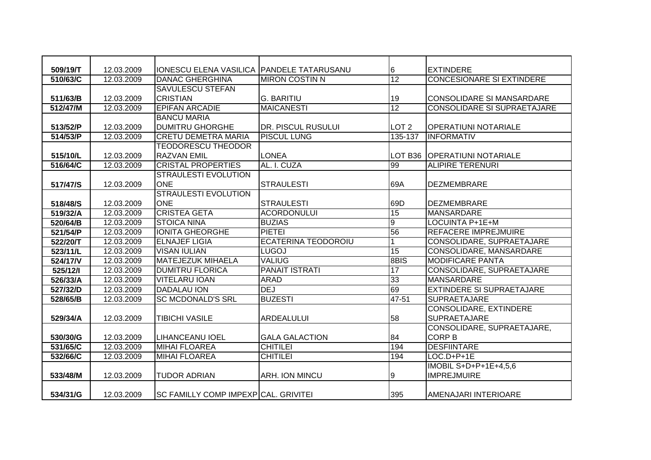| 509/19/T | 12.03.2009 | IONESCU ELENA VASILICA PANDELE TATARUSANU |                            | 6                | <b>EXTINDERE</b>                   |
|----------|------------|-------------------------------------------|----------------------------|------------------|------------------------------------|
| 510/63/C | 12.03.2009 | <b>DANAC GHERGHINA</b>                    | <b>MIRON COSTIN N</b>      | 12               | <b>CONCESIONARE SI EXTINDERE</b>   |
|          |            | <b>SAVULESCU STEFAN</b>                   |                            |                  |                                    |
| 511/63/B | 12.03.2009 | <b>CRISTIAN</b>                           | <b>G. BARITIU</b>          | 19               | <b>CONSOLIDARE SI MANSARDARE</b>   |
| 512/47/M | 12.03.2009 | <b>EPIFAN ARCADIE</b>                     | <b>MAICANESTI</b>          | 12               | <b>CONSOLIDARE SI SUPRAETAJARE</b> |
|          |            | <b>BANCU MARIA</b>                        |                            |                  |                                    |
| 513/52/P | 12.03.2009 | <b>DUMITRU GHORGHE</b>                    | <b>DR. PISCUL RUSULUI</b>  | LOT <sub>2</sub> | <b>OPERATIUNI NOTARIALE</b>        |
| 514/53/P | 12.03.2009 | <b>CRETU DEMETRA MARIA</b>                | <b>PISCUL LUNG</b>         | 135-137          | <b>INFORMATIV</b>                  |
|          |            | <b>TEODORESCU THEODOR</b>                 |                            |                  |                                    |
| 515/10/L | 12.03.2009 | <b>RAZVAN EMIL</b>                        | <b>LONEA</b>               | LOT B36          | <b>OPERATIUNI NOTARIALE</b>        |
| 516/64/C | 12.03.2009 | <b>CRISTAL PROPERTIES</b>                 | AL. I. CUZA                | 99               | <b>ALIPIRE TERENURI</b>            |
|          |            | <b>STRAULESTI EVOLUTION</b>               |                            |                  |                                    |
| 517/47/S | 12.03.2009 | <b>ONE</b>                                | <b>STRAULESTI</b>          | 69A              | <b>DEZMEMBRARE</b>                 |
|          |            | <b>STRAULESTI EVOLUTION</b>               |                            |                  |                                    |
| 518/48/S | 12.03.2009 | <b>ONE</b>                                | <b>STRAULESTI</b>          | 69D              | <b>DEZMEMBRARE</b>                 |
| 519/32/A | 12.03.2009 | <b>CRISTEA GETA</b>                       | <b>ACORDONULUI</b>         | 15               | MANSARDARE                         |
| 520/64/B | 12.03.2009 | <b>STOICA NINA</b>                        | <b>BUZIAS</b>              | $\boldsymbol{9}$ | LOCUINTA P+1E+M                    |
| 521/54/P | 12.03.2009 | <b>IONITA GHEORGHE</b>                    | <b>PIETEI</b>              | 56               | <b>REFACERE IMPREJMUIRE</b>        |
| 522/20/T | 12.03.2009 | <b>ELNAJEF LIGIA</b>                      | <b>ECATERINA TEODOROIU</b> | 1                | CONSOLIDARE, SUPRAETAJARE          |
| 523/11/L | 12.03.2009 | <b>VISAN IULIAN</b>                       | <b>LUGOJ</b>               | 15               | CONSOLIDARE, MANSARDARE            |
| 524/17/V | 12.03.2009 | <b>MATEJEZUK MIHAELA</b>                  | <b>VALIUG</b>              | 8BIS             | <b>MODIFICARE PANTA</b>            |
| 525/12/1 | 12.03.2009 | <b>DUMITRU FLORICA</b>                    | <b>PANAIT ISTRATI</b>      | $\overline{17}$  | CONSOLIDARE, SUPRAETAJARE          |
| 526/33/A | 12.03.2009 | <b>VITELARU IOAN</b>                      | <b>ARAD</b>                | 33               | MANSARDARE                         |
| 527/32/D | 12.03.2009 | <b>DADALAU ION</b>                        | <b>DEJ</b>                 | 69               | <b>EXTINDERE SI SUPRAETAJARE</b>   |
| 528/65/B | 12.03.2009 | <b>SC MCDONALD'S SRL</b>                  | <b>BUZESTI</b>             | 47-51            | <b>SUPRAETAJARE</b>                |
|          |            |                                           |                            |                  | CONSOLIDARE, EXTINDERE             |
| 529/34/A | 12.03.2009 | <b>TIBICHI VASILE</b>                     | ARDEALULUI                 | 58               | <b>SUPRAETAJARE</b>                |
|          |            |                                           |                            |                  | CONSOLIDARE, SUPRAETAJARE,         |
| 530/30/G | 12.03.2009 | <b>LIHANCEANU IOEL</b>                    | <b>GALA GALACTION</b>      | 84               | <b>CORP B</b>                      |
| 531/65/C | 12.03.2009 | <b>MIHAI FLOAREA</b>                      | <b>CHITILEI</b>            | 194              | <b>DESFIINTARE</b>                 |
| 532/66/C | 12.03.2009 | <b>MIHAI FLOAREA</b>                      | <b>CHITILEI</b>            | 194              | $LOC.D+P+1E$                       |
|          |            |                                           |                            |                  | IMOBIL S+D+P+1E+4,5,6              |
| 533/48/M | 12.03.2009 | <b>TUDOR ADRIAN</b>                       | ARH. ION MINCU             | 9                | <b>IMPREJMUIRE</b>                 |
|          |            |                                           |                            |                  |                                    |
| 534/31/G | 12.03.2009 | SC FAMILLY COMP IMPEXP CAL. GRIVITEI      |                            | 395              | AMENAJARI INTERIOARE               |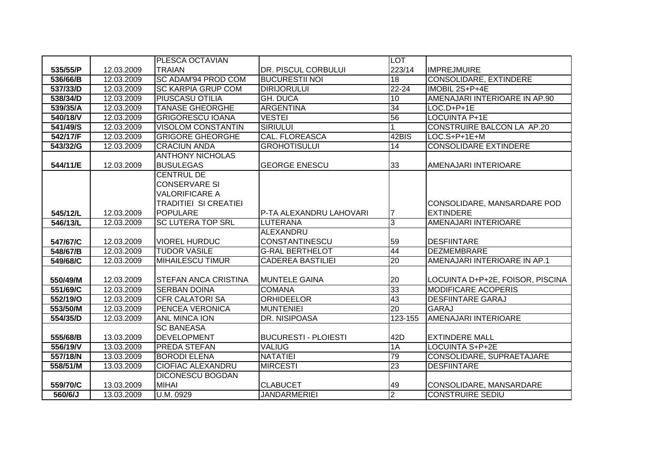|          |            | PLESCA OCTAVIAN              |                             | <b>LOT</b>      |                                   |
|----------|------------|------------------------------|-----------------------------|-----------------|-----------------------------------|
| 535/55/P | 12.03.2009 | <b>TRAIAN</b>                | <b>DR. PISCUL CORBULUI</b>  | 223/14          | <b>IMPREJMUIRE</b>                |
| 536/66/B | 12.03.2009 | SC ADAM'94 PROD COM          | <b>BUCURESTII NOI</b>       | 18              | <b>CONSOLIDARE, EXTINDERE</b>     |
| 537/33/D | 12.03.2009 | <b>SC KARPIA GRUP COM</b>    | <b>DIRIJORULUI</b>          | $22 - 24$       | IMOBIL 2S+P+4E                    |
| 538/34/D | 12.03.2009 | <b>PIUSCASU OTILIA</b>       | <b>GH. DUCA</b>             | 10              | AMENAJARI INTERIOARE IN AP.90     |
| 539/35/A | 12.03.2009 | <b>TANASE GHEORGHE</b>       | <b>ARGENTINA</b>            | 34              | LOC.D+P+1E                        |
| 540/18/V | 12.03.2009 | <b>GRIGORESCU IOANA</b>      | <b>VESTEI</b>               | 56              | <b>LOCUINTA P+1E</b>              |
| 541/49/S | 12.03.2009 | <b>VISOLOM CONSTANTIN</b>    | <b>SIRIULUI</b>             |                 | <b>CONSTRUIRE BALCON LA AP.20</b> |
| 542/17/F | 12.03.2009 | <b>GRIGORE GHEORGHE</b>      | <b>CAL. FLOREASCA</b>       | 42BIS           | LOC.S+P+1E+M                      |
| 543/32/G | 12.03.2009 | <b>CRACIUN ANDA</b>          | <b>GROHOTISULUI</b>         | 14              | <b>CONSOLIDARE EXTINDERE</b>      |
|          |            | <b>ANTHONY NICHOLAS</b>      |                             |                 |                                   |
| 544/11/E | 12.03.2009 | <b>BUSULEGAS</b>             | <b>GEORGE ENESCU</b>        | 33              | AMENAJARI INTERIOARE              |
|          |            | <b>CENTRUL DE</b>            |                             |                 |                                   |
|          |            | <b>CONSERVARE SI</b>         |                             |                 |                                   |
|          |            | <b>VALORIFICARE A</b>        |                             |                 |                                   |
|          |            | <b>TRADITIEI SI CREATIEI</b> |                             |                 | CONSOLIDARE, MANSARDARE POD       |
| 545/12/L | 12.03.2009 | <b>POPULARE</b>              | P-TA ALEXANDRU LAHOVARI     | 17              | <b>EXTINDERE</b>                  |
| 546/13/L | 12.03.2009 | <b>SC LUTERA TOP SRL</b>     | LUTERANA                    | $\overline{3}$  | AMENAJARI INTERIOARE              |
|          |            |                              | ALEXANDRU                   |                 |                                   |
| 547/67/C | 12.03.2009 | <b>VIOREL HURDUC</b>         | <b>CONSTANTINESCU</b>       | 59              | <b>DESFIINTARE</b>                |
| 548/67/B | 12.03.2009 | <b>TUDOR VASILE</b>          | <b>G-RAL BERTHELOT</b>      | 44              | <b>DEZMEMBRARE</b>                |
| 549/68/C | 12.03.2009 | <b>MIHAILESCU TIMUR</b>      | <b>CADEREA BASTILIEI</b>    | $\overline{20}$ | AMENAJARI INTERIOARE IN AP.1      |
|          |            |                              |                             |                 |                                   |
| 550/49/M | 12.03.2009 | <b>STEFAN ANCA CRISTINA</b>  | <b>MUNTELE GAINA</b>        | 20              | LOCUINTA D+P+2E, FOISOR, PISCINA  |
| 551/69/C | 12.03.2009 | <b>SERBAN DOINA</b>          | <b>COMANA</b>               | 33              | <b>MODIFICARE ACOPERIS</b>        |
| 552/19/O | 12.03.2009 | <b>CFR CALATORI SA</b>       | <b>ORHIDEELOR</b>           | 43              | <b>DESFIINTARE GARAJ</b>          |
| 553/50/M | 12.03.2009 | PENCEA VERONICA              | <b>MUNTENIEI</b>            | $\overline{20}$ | <b>GARAJ</b>                      |
| 554/35/D | 12.03.2009 | ANL MINCA ION                | <b>DR. NISIPOASA</b>        | 123-155         | <b>AMENAJARI INTERIOARE</b>       |
|          |            | <b>SC BANEASA</b>            |                             |                 |                                   |
| 555/68/B | 13.03.2009 | <b>DEVELOPMENT</b>           | <b>BUCURESTI - PLOIESTI</b> | 42D             | <b>EXTINDERE MALL</b>             |
| 556/19/V | 13.03.2009 | <b>PREDA STEFAN</b>          | <b>VALIUG</b>               | 1A              | <b>LOCUINTA S+P+2E</b>            |
| 557/18/N | 13.03.2009 | <b>BORODI ELENA</b>          | <b>NATATIEI</b>             | 79              | CONSOLIDARE, SUPRAETAJARE         |
| 558/51/M | 13.03.2009 | <b>CIOFIAC ALEXANDRU</b>     | <b>MIRCESTI</b>             | 23              | <b>DESFIINTARE</b>                |
|          |            | <b>DICONESCU BOGDAN</b>      |                             |                 |                                   |
| 559/70/C | 13.03.2009 | <b>MIHAI</b>                 | <b>CLABUCET</b>             | 49              | CONSOLIDARE, MANSARDARE           |
| 560/6/J  | 13.03.2009 | U.M. 0929                    | <b>JANDARMERIEI</b>         | $\overline{2}$  | <b>CONSTRUIRE SEDIU</b>           |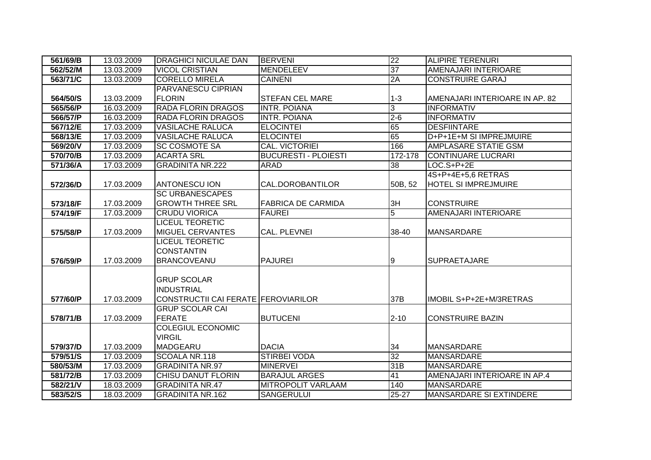| 561/69/B | 13.03.2009 | <b>DRAGHICI NICULAE DAN</b>         | <b>BERVENI</b>              | 22             | <b>ALIPIRE TERENURI</b>        |
|----------|------------|-------------------------------------|-----------------------------|----------------|--------------------------------|
| 562/52/M | 13.03.2009 | <b>VICOL CRISTIAN</b>               | <b>MENDELEEV</b>            | 37             | AMENAJARI INTERIOARE           |
| 563/71/C | 13.03.2009 | <b>CORELLO MIRELA</b>               | <b>CAINENI</b>              | 2A             | <b>CONSTRUIRE GARAJ</b>        |
|          |            | PARVANESCU CIPRIAN                  |                             |                |                                |
| 564/50/S | 13.03.2009 | <b>FLORIN</b>                       | <b>STEFAN CEL MARE</b>      | $1 - 3$        | AMENAJARI INTERIOARE IN AP. 82 |
| 565/56/P | 16.03.2009 | <b>RADA FLORIN DRAGOS</b>           | <b>INTR. POIANA</b>         | $\overline{3}$ | <b>INFORMATIV</b>              |
| 566/57/P | 16.03.2009 | <b>RADA FLORIN DRAGOS</b>           | <b>INTR. POIANA</b>         | $2 - 6$        | <b>INFORMATIV</b>              |
| 567/12/E | 17.03.2009 | <b>VASILACHE RALUCA</b>             | <b>ELOCINTEI</b>            | 65             | <b>DESFIINTARE</b>             |
| 568/13/E | 17.03.2009 | <b>VASILACHE RALUCA</b>             | <b>ELOCINTEI</b>            | 65             | D+P+1E+M SI IMPREJMUIRE        |
| 569/20/V | 17.03.2009 | <b>SC COSMOTE SA</b>                | <b>CAL. VICTORIEI</b>       | 166            | <b>AMPLASARE STATIE GSM</b>    |
| 570/70/B | 17.03.2009 | <b>ACARTA SRL</b>                   | <b>BUCURESTI - PLOIESTI</b> | 172-178        | <b>CONTINUARE LUCRARI</b>      |
| 571/36/A | 17.03.2009 | <b>GRADINITA NR.222</b>             | <b>ARAD</b>                 | 38             | $LOC.S+P+2E$                   |
|          |            |                                     |                             |                | 4S+P+4E+5,6 RETRAS             |
| 572/36/D | 17.03.2009 | ANTONESCU ION                       | CAL.DOROBANTILOR            | 50B, 52        | HOTEL SI IMPREJMUIRE           |
|          |            | <b>SC URBANESCAPES</b>              |                             |                |                                |
| 573/18/F | 17.03.2009 | <b>GROWTH THREE SRL</b>             | <b>FABRICA DE CARMIDA</b>   | 3H             | <b>CONSTRUIRE</b>              |
| 574/19/F | 17.03.2009 | <b>CRUDU VIORICA</b>                | <b>FAUREI</b>               | $\overline{5}$ | AMENAJARI INTERIOARE           |
|          |            | <b>LICEUL TEORETIC</b>              |                             |                |                                |
| 575/58/P | 17.03.2009 | <b>MIGUEL CERVANTES</b>             | <b>CAL. PLEVNEI</b>         | 38-40          | <b>MANSARDARE</b>              |
|          |            | <b>LICEUL TEORETIC</b>              |                             |                |                                |
|          |            | CONSTANTIN                          |                             |                |                                |
| 576/59/P | 17.03.2009 | <b>BRANCOVEANU</b>                  | <b>PAJUREI</b>              | 9              | <b>SUPRAETAJARE</b>            |
|          |            |                                     |                             |                |                                |
|          |            | <b>GRUP SCOLAR</b>                  |                             |                |                                |
|          |            | <b>INDUSTRIAL</b>                   |                             |                |                                |
| 577/60/P | 17.03.2009 | CONSTRUCTII CAI FERATE FEROVIARILOR |                             | 37B            | IMOBIL S+P+2E+M/3RETRAS        |
|          |            | <b>GRUP SCOLAR CAI</b>              |                             |                |                                |
| 578/71/B | 17.03.2009 | <b>FERATE</b>                       | <b>BUTUCENI</b>             | $2 - 10$       | <b>CONSTRUIRE BAZIN</b>        |
|          |            | <b>COLEGIUL ECONOMIC</b>            |                             |                |                                |
|          |            | <b>VIRGIL</b>                       |                             |                |                                |
| 579/37/D | 17.03.2009 | <b>MADGEARU</b>                     | <b>DACIA</b>                | 34             | <b>MANSARDARE</b>              |
| 579/51/S | 17.03.2009 | SCOALA NR.118                       | <b>STIRBEI VODA</b>         | 32             | <b>MANSARDARE</b>              |
| 580/53/M | 17.03.2009 | <b>GRADINITA NR.97</b>              | <b>MINERVEI</b>             | 31B            | <b>MANSARDARE</b>              |
| 581/72/B | 17.03.2009 | <b>CHISU DANUT FLORIN</b>           | <b>BARAJUL ARGES</b>        | 41             | AMENAJARI INTERIOARE IN AP.4   |
| 582/21/V | 18.03.2009 | <b>GRADINITA NR.47</b>              | <b>MITROPOLIT VARLAAM</b>   | 140            | <b>MANSARDARE</b>              |
| 583/52/S | 18.03.2009 | <b>GRADINITA NR.162</b>             | <b>SANGERULUI</b>           | $25 - 27$      | <b>MANSARDARE SI EXTINDERE</b> |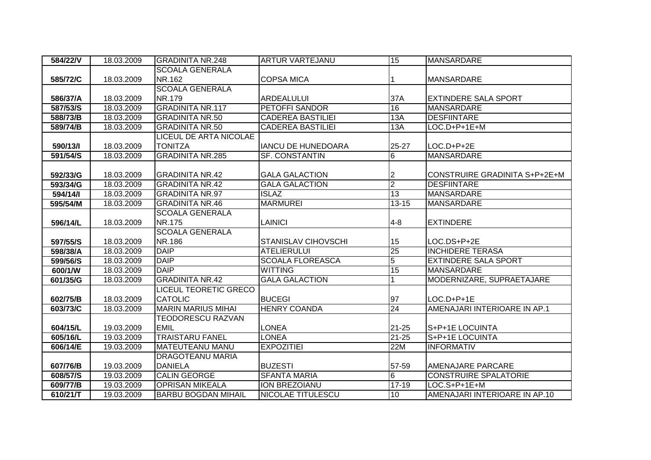| 584/22/V | 18.03.2009 | <b>GRADINITA NR.248</b>       | <b>ARTUR VARTEJANU</b>     | 15             | <b>MANSARDARE</b>             |
|----------|------------|-------------------------------|----------------------------|----------------|-------------------------------|
|          |            | <b>SCOALA GENERALA</b>        |                            |                |                               |
| 585/72/C | 18.03.2009 | NR.162                        | <b>COPSA MICA</b>          |                | <b>MANSARDARE</b>             |
|          |            | <b>SCOALA GENERALA</b>        |                            |                |                               |
| 586/37/A | 18.03.2009 | NR.179                        | <b>ARDEALULUI</b>          | 37A            | <b>EXTINDERE SALA SPORT</b>   |
| 587/53/S | 18.03.2009 | <b>GRADINITA NR.117</b>       | <b>PETOFFI SANDOR</b>      | 16             | <b>MANSARDARE</b>             |
| 588/73/B | 18.03.2009 | <b>GRADINITA NR.50</b>        | <b>CADEREA BASTILIEI</b>   | 13A            | <b>DESFIINTARE</b>            |
| 589/74/B | 18.03.2009 | <b>GRADINITA NR.50</b>        | <b>CADEREA BASTILIEI</b>   | 13A            | $LOC.D+P+1E+M$                |
|          |            | <b>LICEUL DE ARTA NICOLAE</b> |                            |                |                               |
| 590/13/1 | 18.03.2009 | <b>TONITZA</b>                | <b>IANCU DE HUNEDOARA</b>  | 25-27          | LOC.D+P+2E                    |
| 591/54/S | 18.03.2009 | <b>GRADINITA NR.285</b>       | <b>SF. CONSTANTIN</b>      | 6              | <b>MANSARDARE</b>             |
|          |            |                               |                            |                |                               |
| 592/33/G | 18.03.2009 | <b>GRADINITA NR.42</b>        | <b>GALA GALACTION</b>      | 2              | CONSTRUIRE GRADINITA S+P+2E+M |
| 593/34/G | 18.03.2009 | <b>GRADINITA NR.42</b>        | <b>GALA GALACTION</b>      | $\overline{2}$ | <b>DESFIINTARE</b>            |
| 594/14/  | 18.03.2009 | <b>GRADINITA NR.97</b>        | <b>ISLAZ</b>               | 13             | <b>MANSARDARE</b>             |
| 595/54/M | 18.03.2009 | <b>GRADINITA NR.46</b>        | <b>MARMUREI</b>            | $13 - 15$      | <b>MANSARDARE</b>             |
|          |            | <b>SCOALA GENERALA</b>        |                            |                |                               |
| 596/14/L | 18.03.2009 | <b>NR.175</b>                 | <b>LAINICI</b>             | $4 - 8$        | <b>EXTINDERE</b>              |
|          |            | <b>SCOALA GENERALA</b>        |                            |                |                               |
| 597/55/S | 18.03.2009 | NR.186                        | <b>STANISLAV CIHOVSCHI</b> | 15             | LOC.DS+P+2E                   |
| 598/38/A | 18.03.2009 | <b>DAIP</b>                   | <b>ATELIERULUI</b>         | 25             | <b>INCHIDERE TERASA</b>       |
| 599/56/S | 18.03.2009 | <b>DAIP</b>                   | <b>SCOALA FLOREASCA</b>    | $\overline{5}$ | <b>EXTINDERE SALA SPORT</b>   |
| 600/1/W  | 18.03.2009 | <b>DAIP</b>                   | <b>WITTING</b>             | 15             | <b>MANSARDARE</b>             |
| 601/35/G | 18.03.2009 | <b>GRADINITA NR.42</b>        | <b>GALA GALACTION</b>      |                | MODERNIZARE, SUPRAETAJARE     |
|          |            | <b>LICEUL TEORETIC GRECO</b>  |                            |                |                               |
| 602/75/B | 18.03.2009 | <b>CATOLIC</b>                | <b>BUCEGI</b>              | 97             | $LOC.D+P+1E$                  |
| 603/73/C | 18.03.2009 | <b>MARIN MARIUS MIHAI</b>     | <b>HENRY COANDA</b>        | 24             | AMENAJARI INTERIOARE IN AP.1  |
|          |            | <b>TEODORESCU RAZVAN</b>      |                            |                |                               |
| 604/15/L | 19.03.2009 | <b>EMIL</b>                   | <b>LONEA</b>               | $21 - 25$      | S+P+1E LOCUINTA               |
| 605/16/L | 19.03.2009 | <b>TRAISTARU FANEL</b>        | <b>LONEA</b>               | $21 - 25$      | S+P+1E LOCUINTA               |
| 606/14/E | 19.03.2009 | <b>MATEUTEANU MANU</b>        | <b>EXPOZITIEI</b>          | 22M            | <b>INFORMATIV</b>             |
|          |            | <b>DRAGOTEANU MARIA</b>       |                            |                |                               |
| 607/76/B | 19.03.2009 | <b>DANIELA</b>                | <b>BUZESTI</b>             | 57-59          | <b>AMENAJARE PARCARE</b>      |
| 608/57/S | 19.03.2009 | <b>CALIN GEORGE</b>           | <b>SFANTA MARIA</b>        | 6              | <b>CONSTRUIRE SPALATORIE</b>  |
| 609/77/B | 19.03.2009 | <b>OPRISAN MIKEALA</b>        | <b>ION BREZOIANU</b>       | $17 - 19$      | LOC.S+P+1E+M                  |
| 610/21/T | 19.03.2009 | <b>BARBU BOGDAN MIHAIL</b>    | NICOLAE TITULESCU          | 10             | AMENAJARI INTERIOARE IN AP.10 |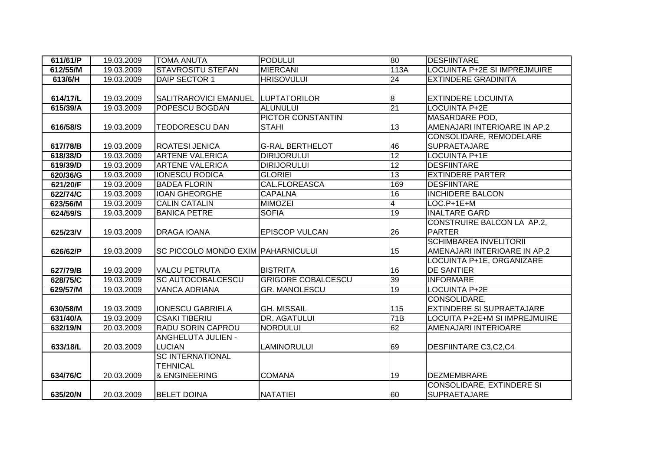| 611/61/P | 19.03.2009 | <b>TOMA ANUTA</b>                         | <b>PODULUI</b>            | 80               | <b>DESFIINTARE</b>                  |
|----------|------------|-------------------------------------------|---------------------------|------------------|-------------------------------------|
| 612/55/M | 19.03.2009 | <b>STAVROSITU STEFAN</b>                  | <b>MIERCANI</b>           | 113A             | <b>LOCUINTA P+2E SI IMPREJMUIRE</b> |
| 613/6/H  | 19.03.2009 | DAIP SECTOR 1                             | <b>HRISOVULUI</b>         | 24               | <b>EXTINDERE GRADINITA</b>          |
|          |            |                                           |                           |                  |                                     |
| 614/17/L | 19.03.2009 | <b>SALITRAROVICI EMANUEL</b>              | <b>LUPTATORILOR</b>       | $\boldsymbol{8}$ | <b>EXTINDERE LOCUINTA</b>           |
| 615/39/A | 19.03.2009 | POPESCU BOGDAN                            | <b>ALUNULUI</b>           | $\overline{21}$  | <b>LOCUINTA P+2E</b>                |
|          |            |                                           | <b>PICTOR CONSTANTIN</b>  |                  | <b>MASARDARE POD,</b>               |
| 616/58/S | 19.03.2009 | <b>TEODORESCU DAN</b>                     | <b>STAHI</b>              | 13               | AMENAJARI INTERIOARE IN AP.2        |
|          |            |                                           |                           |                  | CONSOLIDARE, REMODELARE             |
| 617/78/B | 19.03.2009 | <b>ROATESI JENICA</b>                     | <b>G-RAL BERTHELOT</b>    | 46               | <b>SUPRAETAJARE</b>                 |
| 618/38/D | 19.03.2009 | <b>ARTENE VALERICA</b>                    | <b>DIRIJORULUI</b>        | 12               | <b>LOCUINTA P+1E</b>                |
| 619/39/D | 19.03.2009 | <b>ARTENE VALERICA</b>                    | <b>DIRIJORULUI</b>        | 12               | <b>DESFIINTARE</b>                  |
| 620/36/G | 19.03.2009 | <b>IONESCU RODICA</b>                     | <b>GLORIEI</b>            | 13               | <b>EXTINDERE PARTER</b>             |
| 621/20/F | 19.03.2009 | <b>BADEA FLORIN</b>                       | <b>CAL.FLOREASCA</b>      | 169              | <b>DESFIINTARE</b>                  |
| 622/74/C | 19.03.2009 | <b>IOAN GHEORGHE</b>                      | <b>CAPALNA</b>            | 16               | <b>INCHIDERE BALCON</b>             |
| 623/56/M | 19.03.2009 | <b>CALIN CATALIN</b>                      | <b>MIMOZEI</b>            | 4                | $LOC.P+1E+M$                        |
| 624/59/S | 19.03.2009 | <b>BANICA PETRE</b>                       | <b>SOFIA</b>              | 19               | <b>INALTARE GARD</b>                |
|          |            |                                           |                           |                  | CONSTRUIRE BALCON LA AP.2,          |
| 625/23/V | 19.03.2009 | <b>DRAGA IOANA</b>                        | <b>EPISCOP VULCAN</b>     | 26               | <b>PARTER</b>                       |
|          |            |                                           |                           |                  | <b>SCHIMBAREA INVELITORII</b>       |
| 626/62/P | 19.03.2009 | <b>SC PICCOLO MONDO EXIM PAHARNICULUI</b> |                           | 15               | AMENAJARI INTERIOARE IN AP.2        |
|          |            |                                           |                           |                  | LOCUINTA P+1E, ORGANIZARE           |
| 627/79/B | 19.03.2009 | <b>VALCU PETRUTA</b>                      | <b>BISTRITA</b>           | 16               | <b>DE SANTIER</b>                   |
| 628/75/C | 19.03.2009 | <b>SC AUTOCOBALCESCU</b>                  | <b>GRIGORE COBALCESCU</b> | 39               | <b>INFORMARE</b>                    |
| 629/57/M | 19.03.2009 | <b>VANCA ADRIANA</b>                      | <b>GR. MANOLESCU</b>      | 19               | <b>LOCUINTA P+2E</b>                |
|          |            |                                           |                           |                  | CONSOLIDARE,                        |
| 630/58/M | 19.03.2009 | <b>IONESCU GABRIELA</b>                   | <b>GH. MISSAIL</b>        | 115              | <b>EXTINDERE SI SUPRAETAJARE</b>    |
| 631/40/A | 19.03.2009 | <b>CSAKI TIBERIU</b>                      | DR. AGATULUI              | 71B              | LOCUITA P+2E+M SI IMPREJMUIRE       |
| 632/19/N | 20.03.2009 | <b>RADU SORIN CAPROU</b>                  | <b>NORDULUI</b>           | 62               | AMENAJARI INTERIOARE                |
|          |            | <b>ANGHELUTA JULIEN -</b>                 |                           |                  |                                     |
| 633/18/L | 20.03.2009 | <b>LUCIAN</b>                             | <b>LAMINORULUI</b>        | 69               | <b>DESFIINTARE C3,C2,C4</b>         |
|          |            | <b>SC INTERNATIONAL</b>                   |                           |                  |                                     |
|          |            | <b>TEHNICAL</b>                           |                           |                  |                                     |
| 634/76/C | 20.03.2009 | & ENGINEERING                             | <b>COMANA</b>             | 19               | <b>DEZMEMBRARE</b>                  |
|          |            |                                           |                           |                  | CONSOLIDARE, EXTINDERE SI           |
| 635/20/N | 20.03.2009 | <b>BELET DOINA</b>                        | NATATIEI                  | 60               | <b>SUPRAETAJARE</b>                 |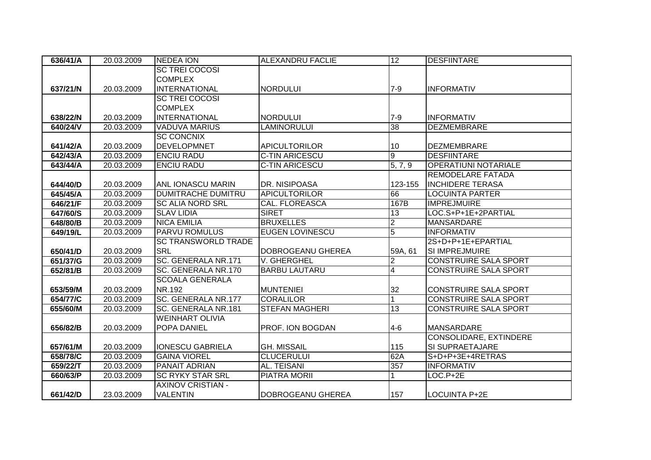| 636/41/A | 20.03.2009 | <b>NEDEA ION</b>           | <b>ALEXANDRU FACLIE</b> | 12                      | <b>DESFIINTARE</b>           |
|----------|------------|----------------------------|-------------------------|-------------------------|------------------------------|
|          |            | <b>SC TREI COCOSI</b>      |                         |                         |                              |
|          |            | <b>COMPLEX</b>             |                         |                         |                              |
| 637/21/N | 20.03.2009 | <b>INTERNATIONAL</b>       | <b>NORDULUI</b>         | $7 - 9$                 | <b>INFORMATIV</b>            |
|          |            | <b>SC TREI COCOSI</b>      |                         |                         |                              |
|          |            | <b>COMPLEX</b>             |                         |                         |                              |
| 638/22/N | 20.03.2009 | INTERNATIONAL              | <b>NORDULUI</b>         | $7-9$                   | <b>INFORMATIV</b>            |
| 640/24/V | 20.03.2009 | <b>VADUVA MARIUS</b>       | <b>LAMINORULUI</b>      | 38                      | <b>DEZMEMBRARE</b>           |
|          |            | <b>SC CONCNIX</b>          |                         |                         |                              |
| 641/42/A | 20.03.2009 | <b>DEVELOPMNET</b>         | <b>APICULTORILOR</b>    | 10                      | <b>DEZMEMBRARE</b>           |
| 642/43/A | 20.03.2009 | <b>ENCIU RADU</b>          | <b>C-TIN ARICESCU</b>   | $\overline{9}$          | <b>DESFIINTARE</b>           |
| 643/44/A | 20.03.2009 | <b>ENCIU RADU</b>          | <b>C-TIN ARICESCU</b>   | $\overline{5, 7, 9}$    | <b>OPERATIUNI NOTARIALE</b>  |
|          |            |                            |                         |                         | REMODELARE FATADA            |
| 644/40/D | 20.03.2009 | ANL IONASCU MARIN          | DR. NISIPOASA           | 123-155                 | <b>INCHIDERE TERASA</b>      |
| 645/45/A | 20.03.2009 | <b>DUMITRACHE DUMITRU</b>  | <b>APICULTORILOR</b>    | 66                      | <b>LOCUINTA PARTER</b>       |
| 646/21/F | 20.03.2009 | <b>SC ALIA NORD SRL</b>    | <b>CAL. FLOREASCA</b>   | 167B                    | <b>IMPREJMUIRE</b>           |
| 647/60/S | 20.03.2009 | <b>SLAV LIDIA</b>          | <b>SIRET</b>            | $\overline{13}$         | LOC.S+P+1E+2PARTIAL          |
| 648/80/B | 20.03.2009 | <b>NICA EMILIA</b>         | <b>BRUXELLES</b>        | $\overline{2}$          | <b>MANSARDARE</b>            |
| 649/19/L | 20.03.2009 | <b>PARVU ROMULUS</b>       | <b>EUGEN LOVINESCU</b>  | $\overline{5}$          | <b>INFORMATIV</b>            |
|          |            | <b>SC TRANSWORLD TRADE</b> |                         |                         | 2S+D+P+1E+EPARTIAL           |
| 650/41/D | 20.03.2009 | <b>SRL</b>                 | DOBROGEANU GHEREA       | 59A, 61                 | <b>SI IMPREJMUIRE</b>        |
| 651/37/G | 20.03.2009 | SC. GENERALA NR.171        | V. GHERGHEL             | $\overline{2}$          | <b>CONSTRUIRE SALA SPORT</b> |
| 652/81/B | 20.03.2009 | SC. GENERALA NR.170        | <b>BARBU LAUTARU</b>    | $\overline{\mathbf{4}}$ | <b>CONSTRUIRE SALA SPORT</b> |
|          |            | <b>SCOALA GENERALA</b>     |                         |                         |                              |
| 653/59/M | 20.03.2009 | NR.192                     | <b>MUNTENIEI</b>        | 32                      | <b>CONSTRUIRE SALA SPORT</b> |
| 654/77/C | 20.03.2009 | SC. GENERALA NR.177        | <b>CORALILOR</b>        |                         | <b>CONSTRUIRE SALA SPORT</b> |
| 655/60/M | 20.03.2009 | SC. GENERALA NR.181        | <b>STEFAN MAGHERI</b>   | 13                      | <b>CONSTRUIRE SALA SPORT</b> |
|          |            | <b>WEINHART OLIVIA</b>     |                         |                         |                              |
| 656/82/B | 20.03.2009 | POPA DANIEL                | PROF. ION BOGDAN        | $4 - 6$                 | <b>MANSARDARE</b>            |
|          |            |                            |                         |                         | CONSOLIDARE, EXTINDERE       |
| 657/61/M | 20.03.2009 | <b>IONESCU GABRIELA</b>    | <b>GH. MISSAIL</b>      | 115                     | SI SUPRAETAJARE              |
| 658/78/C | 20.03.2009 | <b>GAINA VIOREL</b>        | <b>CLUCERULUI</b>       | 62A                     | S+D+P+3E+4RETRAS             |
| 659/22/T | 20.03.2009 | <b>PANAIT ADRIAN</b>       | AL. TEISANI             | 357                     | <b>INFORMATIV</b>            |
| 660/63/P | 20.03.2009 | <b>SC RYKY STAR SRL</b>    | <b>PIATRA MORIL</b>     |                         | $LOC.P+2E$                   |
|          |            | <b>AXINOV CRISTIAN -</b>   |                         |                         |                              |
| 661/42/D | 23.03.2009 | <b>VALENTIN</b>            | DOBROGEANU GHEREA       | 157                     | LOCUINTA P+2E                |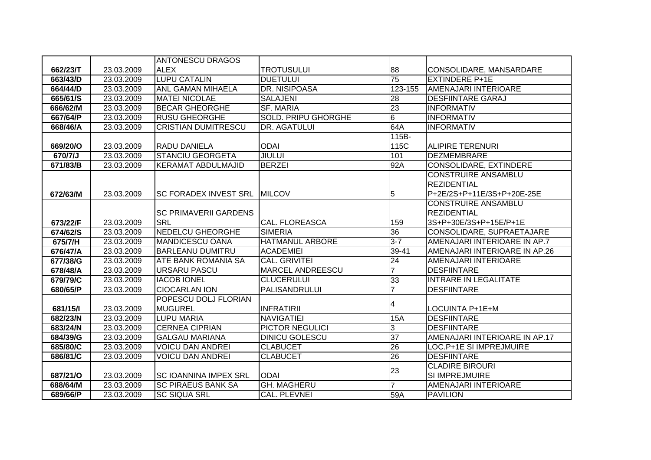|          |            | <b>ANTONESCU DRAGOS</b>        |                            |                 |                               |
|----------|------------|--------------------------------|----------------------------|-----------------|-------------------------------|
| 662/23/T | 23.03.2009 | <b>ALEX</b>                    | <b>TROTUSULUI</b>          | 88              | CONSOLIDARE, MANSARDARE       |
| 663/43/D | 23.03.2009 | <b>LUPU CATALIN</b>            | <b>DUETULUI</b>            | 75              | <b>EXTINDERE P+1E</b>         |
| 664/44/D | 23.03.2009 | <b>ANL GAMAN MIHAELA</b>       | <b>DR. NISIPOASA</b>       | 123-155         | <b>AMENAJARI INTERIOARE</b>   |
| 665/61/S | 23.03.2009 | <b>MATEI NICOLAE</b>           | <b>SALAJENI</b>            | 28              | <b>DESFIINTARE GARAJ</b>      |
| 666/62/M | 23.03.2009 | <b>BECAR GHEORGHE</b>          | <b>SF. MARIA</b>           | 23              | <b>INFORMATIV</b>             |
| 667/64/P | 23.03.2009 | <b>RUSU GHEORGHE</b>           | <b>SOLD. PRIPU GHORGHE</b> | $\overline{6}$  | <b>INFORMATIV</b>             |
| 668/46/A | 23.03.2009 | <b>CRISTIAN DUMITRESCU</b>     | <b>DR. AGATULUI</b>        | 64A             | <b>INFORMATIV</b>             |
|          |            |                                |                            | 115B-           |                               |
| 669/20/O | 23.03.2009 | <b>RADU DANIELA</b>            | <b>ODAI</b>                | 115C            | <b>ALIPIRE TERENURI</b>       |
| 670/7/J  | 23.03.2009 | <b>STANCIU GEORGETA</b>        | <b>JIULUI</b>              | 101             | <b>DEZMEMBRARE</b>            |
| 671/83/B | 23.03.2009 | <b>KERAMAT ABDULMAJID</b>      | <b>BERZEI</b>              | 92A             | CONSOLIDARE, EXTINDERE        |
|          |            |                                |                            |                 | <b>CONSTRUIRE ANSAMBLU</b>    |
|          |            |                                |                            |                 | <b>REZIDENTIAL</b>            |
| 672/63/M | 23.03.2009 | ISC FORADEX INVEST SRL_IMILCOV |                            | 5               | P+2E/2S+P+11E/3S+P+20E-25E    |
|          |            |                                |                            |                 | <b>CONSTRUIRE ANSAMBLU</b>    |
|          |            | <b>SC PRIMAVERII GARDENS</b>   |                            |                 | <b>REZIDENTIAL</b>            |
| 673/22/F | 23.03.2009 | <b>SRL</b>                     | <b>CAL. FLOREASCA</b>      | 159             | 3S+P+30E/3S+P+15E/P+1E        |
| 674/62/S | 23.03.2009 | <b>NEDELCU GHEORGHE</b>        | <b>SIMERIA</b>             | $\overline{36}$ | CONSOLIDARE, SUPRAETAJARE     |
| 675/7/H  | 23.03.2009 | <b>MANDICESCU OANA</b>         | <b>HATMANUL ARBORE</b>     | $3 - 7$         | AMENAJARI INTERIOARE IN AP.7  |
| 676/47/A | 23.03.2009 | <b>BARLEANU DUMITRU</b>        | <b>ACADEMIEI</b>           | 39-41           | AMENAJARI INTERIOARE IN AP.26 |
| 677/38/G | 23.03.2009 | <b>ATE BANK ROMANIA SA</b>     | CAL. GRIVITEI              | 24              | AMENAJARI INTERIOARE          |
| 678/48/A | 23.03.2009 | <b>URSARU PASCU</b>            | <b>MARCEL ANDREESCU</b>    | $\overline{7}$  | <b>DESFIINTARE</b>            |
| 679/79/C | 23.03.2009 | <b>IACOB IONEL</b>             | <b>CLUCERULUI</b>          | 33              | <b>INTRARE IN LEGALITATE</b>  |
| 680/65/P | 23.03.2009 | <b>CIOCARLAN ION</b>           | <b>PALISANDRULUI</b>       | $\overline{7}$  | <b>DESFIINTARE</b>            |
|          |            | POPESCU DOLJ FLORIAN           |                            | 4               |                               |
| 681/15/1 | 23.03.2009 | <b>MUGUREL</b>                 | <b>INFRATIRII</b>          |                 | LOCUINTA P+1E+M               |
| 682/23/N | 23.03.2009 | <b>LUPU MARIA</b>              | <b>NAVIGATIEI</b>          | <b>15A</b>      | <b>DESFIINTARE</b>            |
| 683/24/N | 23.03.2009 | <b>CERNEA CIPRIAN</b>          | PICTOR NEGULICI            | 3               | <b>DESFIINTARE</b>            |
| 684/39/G | 23.03.2009 | <b>GALGAU MARIANA</b>          | <b>DINICU GOLESCU</b>      | $\overline{37}$ | AMENAJARI INTERIOARE IN AP.17 |
| 685/80/C | 23.03.2009 | <b>VOICU DAN ANDREI</b>        | <b>CLABUCET</b>            | $\overline{26}$ | LOC.P+1E SI IMPREJMUIRE       |
| 686/81/C | 23.03.2009 | <b>VOICU DAN ANDREI</b>        | <b>CLABUCET</b>            | $\overline{26}$ | <b>DESFIINTARE</b>            |
|          |            |                                |                            | 23              | <b>CLADIRE BIROURI</b>        |
| 687/21/0 | 23.03.2009 | <b>SC IOANNINA IMPEX SRL</b>   | <b>ODAI</b>                |                 | SI IMPREJMUIRE                |
| 688/64/M | 23.03.2009 | <b>SC PIRAEUS BANK SA</b>      | <b>GH. MAGHERU</b>         |                 | AMENAJARI INTERIOARE          |
| 689/66/P | 23.03.2009 | <b>SC SIQUA SRL</b>            | CAL. PLEVNEI               | 59A             | <b>PAVILION</b>               |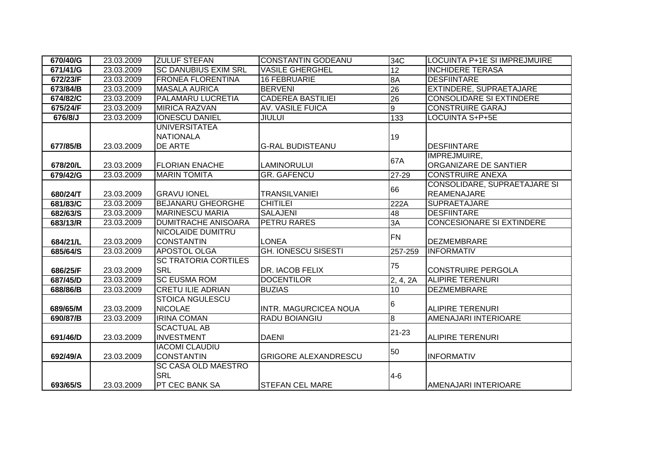| 670/40/G | 23.03.2009 | <b>ZULUF STEFAN</b>                      | <b>CONSTANTIN GODEANU</b>    | 34C             | LOCUINTA P+1E SI IMPREJMUIRE              |
|----------|------------|------------------------------------------|------------------------------|-----------------|-------------------------------------------|
| 671/41/G | 23.03.2009 | <b>SC DANUBIUS EXIM SRL</b>              | <b>VASILE GHERGHEL</b>       | 12              | <b>INCHIDERE TERASA</b>                   |
| 672/23/F | 23.03.2009 | <b>FRONEA FLORENTINA</b>                 | <b>16 FEBRUARIE</b>          | 8A              | <b>DESFIINTARE</b>                        |
| 673/84/B | 23.03.2009 | <b>MASALA AURICA</b>                     | <b>BERVENI</b>               | $\overline{26}$ | EXTINDERE, SUPRAETAJARE                   |
| 674/82/C | 23.03.2009 | <b>PALAMARU LUCRETIA</b>                 | <b>CADEREA BASTILIEI</b>     | $\overline{26}$ | <b>CONSOLIDARE SI EXTINDERE</b>           |
| 675/24/F | 23.03.2009 | <b>MIRICA RAZVAN</b>                     | <b>AV. VASILE FUICA</b>      | $\overline{9}$  | <b>CONSTRUIRE GARAJ</b>                   |
| 676/8/J  | 23.03.2009 | <b>IONESCU DANIEL</b>                    | <b>JIULUI</b>                | 133             | <b>LOCUINTA S+P+5E</b>                    |
|          |            | <b>UNIVERSITATEA</b><br><b>NATIONALA</b> |                              |                 |                                           |
|          |            |                                          |                              | 19              |                                           |
| 677/85/B | 23.03.2009 | DE ARTE                                  | <b>G-RAL BUDISTEANU</b>      |                 | <b>DESFIINTARE</b><br><b>IMPREJMUIRE,</b> |
| 678/20/L | 23.03.2009 | <b>FLORIAN ENACHE</b>                    | <b>LAMINORULUI</b>           | 67A             | ORGANIZARE DE SANTIER                     |
| 679/42/G | 23.03.2009 | <b>MARIN TOMITA</b>                      | <b>GR. GAFENCU</b>           | 27-29           | <b>CONSTRUIRE ANEXA</b>                   |
|          |            |                                          |                              |                 | <b>CONSOLIDARE, SUPRAETAJARE SI</b>       |
| 680/24/T | 23.03.2009 | <b>GRAVU IONEL</b>                       | <b>TRANSILVANIEI</b>         | 66              | <b>REAMENAJARE</b>                        |
| 681/83/C | 23.03.2009 | <b>BEJANARU GHEORGHE</b>                 | <b>CHITILEI</b>              | 222A            | <b>SUPRAETAJARE</b>                       |
| 682/63/S | 23.03.2009 | <b>MARINESCU MARIA</b>                   | <b>SALAJENI</b>              | 48              | <b>DESFIINTARE</b>                        |
| 683/13/R | 23.03.2009 | <b>DUMITRACHE ANISOARA</b>               | PETRU RARES                  | 3A              | <b>CONCESIONARE SI EXTINDERE</b>          |
|          |            | NICOLAIDE DUMITRU                        |                              | <b>FN</b>       |                                           |
| 684/21/L | 23.03.2009 | <b>CONSTANTIN</b>                        | <b>LONEA</b>                 |                 | <b>DEZMEMBRARE</b>                        |
| 685/64/S | 23.03.2009 | <b>APOSTOL OLGA</b>                      | <b>GH. IONESCU SISESTI</b>   | 257-259         | <b>INFORMATIV</b>                         |
|          |            | <b>SC TRATORIA CORTILES</b>              |                              | 75              |                                           |
| 686/25/F | 23.03.2009 | <b>SRL</b>                               | <b>DR. IACOB FELIX</b>       |                 | <b>CONSTRUIRE PERGOLA</b>                 |
| 687/45/D | 23.03.2009 | <b>SC EUSMA ROM</b>                      | <b>DOCENTILOR</b>            | 2, 4, 2A        | <b>ALIPIRE TERENURI</b>                   |
| 688/86/B | 23.03.2009 | <b>CRETU ILIE ADRIAN</b>                 | <b>BUZIAS</b>                | 10              | <b>DEZMEMBRARE</b>                        |
|          |            | <b>STOICA NGULESCU</b>                   |                              | 16              |                                           |
| 689/65/M | 23.03.2009 | <b>NICOLAE</b>                           | <b>INTR. MAGURCICEA NOUA</b> |                 | <b>ALIPIRE TERENURI</b>                   |
| 690/87/B | 23.03.2009 | <b>IRINA COMAN</b>                       | <b>RADU BOIANGIU</b>         | 8               | AMENAJARI INTERIOARE                      |
|          |            | <b>SCACTUAL AB</b>                       |                              | $21 - 23$       |                                           |
| 691/46/D | 23.03.2009 | <b>INVESTMENT</b>                        | <b>DAENI</b>                 |                 | <b>ALIPIRE TERENURI</b>                   |
|          |            | <b>IACOMI CLAUDIU</b>                    |                              | 50              |                                           |
| 692/49/A | 23.03.2009 | <b>CONSTANTIN</b>                        | <b>GRIGORE ALEXANDRESCU</b>  |                 | <b>INFORMATIV</b>                         |
|          |            | SC CASA OLD MAESTRO                      |                              |                 |                                           |
|          |            | <b>SRL</b>                               |                              | $4 - 6$         |                                           |
| 693/65/S | 23.03.2009 | PT CEC BANK SA                           | <b>STEFAN CEL MARE</b>       |                 | AMENAJARI INTERIOARE                      |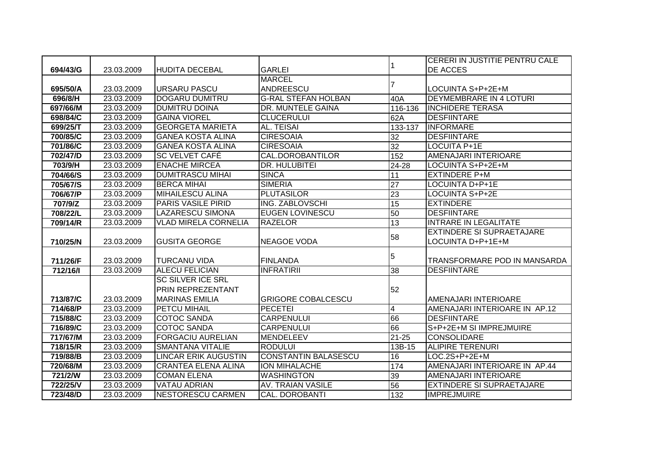|          |            |                             |                             |                         | <b>CERERI IN JUSTITIE PENTRU CALE</b> |
|----------|------------|-----------------------------|-----------------------------|-------------------------|---------------------------------------|
| 694/43/G | 23.03.2009 | <b>HUDITA DECEBAL</b>       | <b>GARLEI</b>               |                         | <b>DE ACCES</b>                       |
|          |            |                             | <b>MARCEL</b>               |                         |                                       |
| 695/50/A | 23.03.2009 | <b>URSARU PASCU</b>         | ANDREESCU                   | 7                       | LOCUINTA S+P+2E+M                     |
| 696/8/H  | 23.03.2009 | <b>DOGARU DUMITRU</b>       | <b>G-RAL STEFAN HOLBAN</b>  | 40A                     | <b>DEYMEMBRARE IN 4 LOTURI</b>        |
| 697/66/M | 23.03.2009 | <b>DUMITRU DOINA</b>        | DR. MUNTELE GAINA           | 116-136                 | <b>INCHIDERE TERASA</b>               |
| 698/84/C | 23.03.2009 | <b>GAINA VIOREL</b>         | <b>CLUCERULUI</b>           | 62A                     | <b>DESFIINTARE</b>                    |
| 699/25/T | 23.03.2009 | <b>GEORGETA MARIETA</b>     | <b>AL. TEISAI</b>           | 133-137                 | <b>INFORMARE</b>                      |
| 700/85/C | 23.03.2009 | <b>GANEA KOSTA ALINA</b>    | <b>CIRESOAIA</b>            | 32                      | <b>DESFIINTARE</b>                    |
| 701/86/C | 23.03.2009 | <b>GANEA KOSTA ALINA</b>    | <b>CIRESOAIA</b>            | 32                      | LOCUITA P+1E                          |
| 702/47/D | 23.03.2009 | <b>SC VELVET CAFÉ</b>       | <b>CAL.DOROBANTILOR</b>     | 152                     | AMENAJARI INTERIOARE                  |
| 703/9/H  | 23.03.2009 | <b>ENACHE MIRCEA</b>        | <b>DR. HULUBITEI</b>        | 24-28                   | LOCUINTA S+P+2E+M                     |
| 704/66/S | 23.03.2009 | <b>DUMITRASCU MIHAI</b>     | <b>SINCA</b>                | 11                      | <b>EXTINDERE P+M</b>                  |
| 705/67/S | 23.03.2009 | <b>BERCA MIHAI</b>          | <b>SIMERIA</b>              | $\overline{27}$         | LOCUINTA D+P+1E                       |
| 706/67/P | 23.03.2009 | <b>MIHAILESCU ALINA</b>     | <b>PLUTASILOR</b>           | 23                      | LOCUINTA S+P+2E                       |
| 707/9/Z  | 23.03.2009 | <b>PARIS VASILE PIRID</b>   | ING. ZABLOVSCHI             | $\overline{15}$         | <b>EXTINDERE</b>                      |
| 708/22/L | 23.03.2009 | <b>LAZARESCU SIMONA</b>     | <b>EUGEN LOVINESCU</b>      | 50                      | <b>DESFIINTARE</b>                    |
| 709/14/R | 23.03.2009 | <b>VLAD MIRELA CORNELIA</b> | <b>RAZELOR</b>              | 13                      | <b>INTRARE IN LEGALITATE</b>          |
|          |            |                             |                             | 58                      | <b>EXTINDERE SI SUPRAETAJARE</b>      |
| 710/25/N | 23.03.2009 | <b>GUSITA GEORGE</b>        | <b>NEAGOE VODA</b>          |                         | LOCUINTA D+P+1E+M                     |
|          |            |                             |                             | 5                       |                                       |
| 711/26/F | 23.03.2009 | <b>TURCANU VIDA</b>         | <b>FINLANDA</b>             |                         | TRANSFORMARE POD IN MANSARDA          |
| 712/16/1 | 23.03.2009 | <b>ALECU FELICIAN</b>       | <b>INFRATIRII</b>           | 38                      | <b>DESFIINTARE</b>                    |
|          |            | <b>SC SILVER ICE SRL</b>    |                             |                         |                                       |
|          |            | <b>PRIN REPREZENTANT</b>    |                             | 52                      |                                       |
| 713/87/C | 23.03.2009 | <b>IMARINAS EMILIA</b>      | <b>GRIGORE COBALCESCU</b>   |                         | AMENAJARI INTERIOARE                  |
| 714/68/P | 23.03.2009 | <b>PETCU MIHAIL</b>         | <b>PECETEI</b>              | $\overline{\mathbf{4}}$ | AMENAJARI INTERIOARE IN AP.12         |
| 715/88/C | 23.03.2009 | <b>COTOC SANDA</b>          | <b>CARPENULUI</b>           | 66                      | <b>DESFIINTARE</b>                    |
| 716/89/C | 23.03.2009 | <b>COTOC SANDA</b>          | <b>CARPENULUI</b>           | 66                      | S+P+2E+M SI IMPREJMUIRE               |
| 717/67/M | 23.03.2009 | <b>FORGACIU AURELIAN</b>    | MENDELEEV                   | $21 - 25$               | <b>CONSOLIDARE</b>                    |
| 718/15/R | 23.03.2009 | <b>SMANTANA VITALIE</b>     | <b>RODULUI</b>              | 13B-15                  | <b>ALIPIRE TERENURI</b>               |
| 719/88/B | 23.03.2009 | <b>LINCAR ERIK AUGUSTIN</b> | <b>CONSTANTIN BALASESCU</b> | 16                      | LOC.2S+P+2E+M                         |
| 720/68/M | 23.03.2009 | <b>CRANTEA ELENA ALINA</b>  | <b>ION MIHALACHE</b>        | 174                     | AMENAJARI INTERIOARE IN AP.44         |
| 721/2/W  | 23.03.2009 | <b>COMAN ELENA</b>          | <b>WASHINGTON</b>           | 39                      | <b>AMENAJARI INTERIOARE</b>           |
| 722/25/V | 23.03.2009 | <b>VATAU ADRIAN</b>         | <b>AV. TRAIAN VASILE</b>    | 56                      | <b>EXTINDERE SI SUPRAETAJARE</b>      |
| 723/48/D | 23.03.2009 | <b>NESTORESCU CARMEN</b>    | <b>CAL. DOROBANTI</b>       | 132                     | <b>IMPREJMUIRE</b>                    |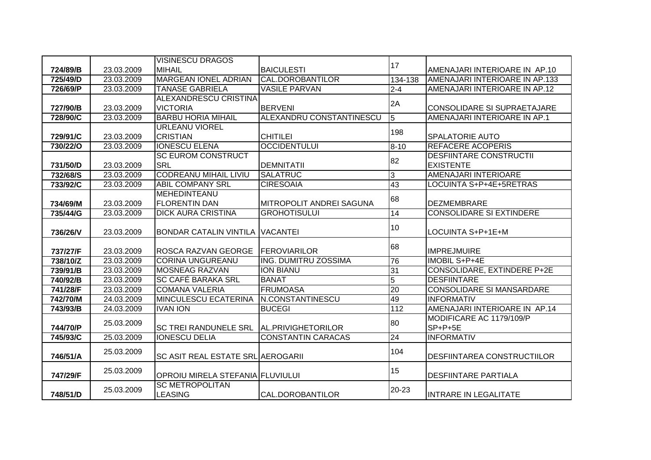|          |            | <b>VISINESCU DRAGOS</b>                  |                                 |                 |                                    |
|----------|------------|------------------------------------------|---------------------------------|-----------------|------------------------------------|
| 724/89/B | 23.03.2009 | <b>MIHAIL</b>                            | <b>BAICULESTI</b>               | 17              | AMENAJARI INTERIOARE IN AP.10      |
| 725/49/D | 23.03.2009 | <b>MARGEAN IONEL ADRIAN</b>              | <b>CAL.DOROBANTILOR</b>         | 134-138         | AMENAJARI INTERIOARE IN AP.133     |
| 726/69/P | 23.03.2009 | <b>TANASE GABRIELA</b>                   | <b>VASILE PARVAN</b>            | $2 - 4$         | AMENAJARI INTERIOARE IN AP.12      |
|          |            | <b>ALEXANDRESCU CRISTINA</b>             |                                 |                 |                                    |
| 727/90/B | 23.03.2009 | <b>VICTORIA</b>                          | <b>BERVENI</b>                  | 2A              | CONSOLIDARE SI SUPRAETAJARE        |
| 728/90/C | 23.03.2009 | <b>BARBU HORIA MIHAIL</b>                | ALEXANDRU CONSTANTINESCU        | $\overline{5}$  | AMENAJARI INTERIOARE IN AP.1       |
|          |            | <b>URLEANU VIOREL</b>                    |                                 | 198             |                                    |
| 729/91/C | 23.03.2009 | <b>CRISTIAN</b>                          | <b>CHITILEI</b>                 |                 | <b>SPALATORIE AUTO</b>             |
| 730/22/0 | 23.03.2009 | <b>IONESCU ELENA</b>                     | <b>OCCIDENTULUI</b>             | $8 - 10$        | <b>REFACERE ACOPERIS</b>           |
|          |            | <b>SC EUROM CONSTRUCT</b>                |                                 | 82              | <b>DESFIINTARE CONSTRUCTII</b>     |
| 731/50/D | 23.03.2009 | <b>SRL</b>                               | <b>DEMNITATII</b>               |                 | <b>EXISTENTE</b>                   |
| 732/68/S | 23.03.2009 | <b>CODREANU MIHAIL LIVIU</b>             | <b>SALATRUC</b>                 | $\overline{3}$  | AMENAJARI INTERIOARE               |
| 733/92/C | 23.03.2009 | <b>ABIL COMPANY SRL</b>                  | <b>CIRESOAIA</b>                | 43              | LOCUINTA S+P+4E+5RETRAS            |
|          |            | MEHEDINTEANU                             |                                 | 68              |                                    |
| 734/69/M | 23.03.2009 | <b>FLORENTIN DAN</b>                     | <b>MITROPOLIT ANDREI SAGUNA</b> |                 | <b>DEZMEMBRARE</b>                 |
| 735/44/G | 23.03.2009 | <b>DICK AURA CRISTINA</b>                | <b>GROHOTISULUI</b>             | 14              | <b>CONSOLIDARE SI EXTINDERE</b>    |
|          |            |                                          |                                 | 10              |                                    |
| 736/26/V | 23.03.2009 | BONDAR CATALIN VINTILA VACANTEI          |                                 |                 | LOCUINTA S+P+1E+M                  |
|          |            |                                          |                                 | 68              |                                    |
| 737/27/F | 23.03.2009 | <b>ROSCA RAZVAN GEORGE</b>               | <b>FEROVIARILOR</b>             |                 | <b>IMPREJMUIRE</b>                 |
| 738/10/Z | 23.03.2009 | <b>CORINA UNGUREANU</b>                  | ING. DUMITRU ZOSSIMA            | 76              | <b>IMOBIL S+P+4E</b>               |
| 739/91/B | 23.03.2009 | <b>MOSNEAG RAZVAN</b>                    | <b>ION BIANU</b>                | 31              | CONSOLIDARE, EXTINDERE P+2E        |
| 740/92/B | 23.03.2009 | <b>SC CAFÉ BARAKA SRL</b>                | <b>BANAT</b>                    | 5               | <b>DESFIINTARE</b>                 |
| 741/28/F | 23.03.2009 | <b>COMANA VALERIA</b>                    | <b>FRUMOASA</b>                 | $\overline{20}$ | <b>CONSOLIDARE SI MANSARDARE</b>   |
| 742/70/M | 24.03.2009 | <b>MINCULESCU ECATERINA</b>              | <b>N.CONSTANTINESCU</b>         | 49              | <b>INFORMATIV</b>                  |
| 743/93/B | 24.03.2009 | <b>IVAN ION</b>                          | <b>BUCEGI</b>                   | 112             | AMENAJARI INTERIOARE IN AP.14      |
|          | 25.03.2009 |                                          |                                 | 80              | MODIFICARE AC 1179/109/P           |
| 744/70/P |            | <b>SC TREI RANDUNELE SRL</b>             | AL.PRIVIGHETORILOR              |                 | SP+P+5E                            |
| 745/93/C | 25.03.2009 | <b>IONESCU DELIA</b>                     | <b>CONSTANTIN CARACAS</b>       | 24              | <b>INFORMATIV</b>                  |
|          |            |                                          |                                 | 104             |                                    |
| 746/51/A | 25.03.2009 | <b>SC ASIT REAL ESTATE SRL AEROGARII</b> |                                 |                 | <b>DESFIINTAREA CONSTRUCTIILOR</b> |
|          | 25.03.2009 |                                          |                                 | 15              |                                    |
| 747/29/F |            | OPROIU MIRELA STEFANIA FLUVIULUI         |                                 |                 | <b>DESFIINTARE PARTIALA</b>        |
|          | 25.03.2009 | <b>SC METROPOLITAN</b>                   |                                 | 20-23           |                                    |
| 748/51/D |            | <b>LEASING</b>                           | CAL.DOROBANTILOR                |                 | <b>INTRARE IN LEGALITATE</b>       |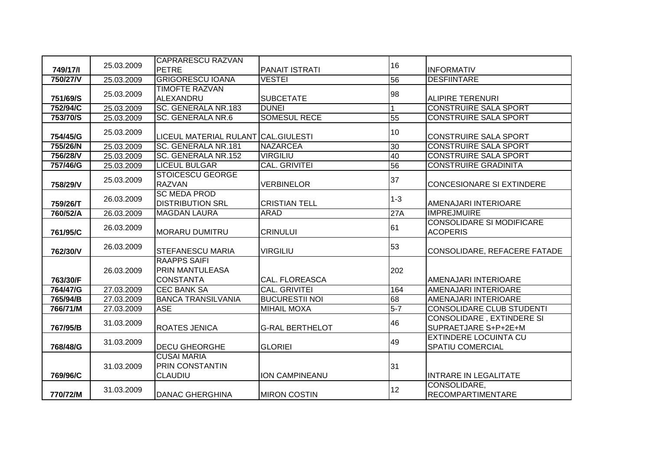|                      |            | <b>CAPRARESCU RAZVAN</b>                       |                        |                 |                                                                          |
|----------------------|------------|------------------------------------------------|------------------------|-----------------|--------------------------------------------------------------------------|
| 749/17/1             | 25.03.2009 | <b>PETRE</b>                                   | <b>PANAIT ISTRATI</b>  | 16              | <b>INFORMATIV</b>                                                        |
| 750/27/V             | 25.03.2009 | <b>GRIGORESCU IOANA</b>                        | <b>VESTEI</b>          | 56              | <b>DESFIINTARE</b>                                                       |
|                      | 25.03.2009 | <b>TIMOFTE RAZVAN</b>                          |                        | 98              |                                                                          |
| 751/69/S             |            | ALEXANDRU                                      | <b>SUBCETATE</b>       |                 | <b>ALIPIRE TERENURI</b>                                                  |
| 752/94/C             | 25.03.2009 | SC. GENERALA NR.183                            | <b>DUNEI</b>           |                 | <b>CONSTRUIRE SALA SPORT</b>                                             |
| 753/70/S             | 25.03.2009 | <b>SC. GENERALA NR.6</b>                       | <b>SOMESUL RECE</b>    | 55              | <b>CONSTRUIRE SALA SPORT</b>                                             |
|                      | 25.03.2009 |                                                |                        | 10              |                                                                          |
| 754/45/G             |            | LICEUL MATERIAL RULANT CAL.GIULESTI            |                        |                 | <b>CONSTRUIRE SALA SPORT</b>                                             |
| 755/26/N             | 25.03.2009 | SC. GENERALA NR.181                            | <b>NAZARCEA</b>        | $\overline{30}$ | <b>CONSTRUIRE SALA SPORT</b>                                             |
| 756/28/V             | 25.03.2009 | SC. GENERALA NR.152                            | <b>VIRGILIU</b>        | 40              | <b>CONSTRUIRE SALA SPORT</b>                                             |
| 757/46/G             | 25.03.2009 | <b>LICEUL BULGAR</b>                           | <b>CAL. GRIVITEI</b>   | 56              | <b>CONSTRUIRE GRADINITA</b>                                              |
|                      | 25.03.2009 | <b>STOICESCU GEORGE</b>                        |                        | 37              |                                                                          |
| 758/29/V             |            | <b>RAZVAN</b>                                  | <b>VERBINELOR</b>      |                 | <b>CONCESIONARE SI EXTINDERE</b>                                         |
|                      | 26.03.2009 | <b>SC MEDA PROD</b>                            |                        | $1 - 3$         |                                                                          |
| 759/26/T             |            | <b>DISTRIBUTION SRL</b>                        | <b>CRISTIAN TELL</b>   |                 | AMENAJARI INTERIOARE                                                     |
| 760/52/A             | 26.03.2009 | <b>MAGDAN LAURA</b>                            | <b>ARAD</b>            | 27A             | <b>IMPREJMUIRE</b>                                                       |
|                      | 26.03.2009 |                                                |                        | 61              | <b>CONSOLIDARE SI MODIFICARE</b>                                         |
| 761/95/C             |            | <b>MORARU DUMITRU</b>                          | <b>CRINULUI</b>        |                 | <b>ACOPERIS</b>                                                          |
|                      | 26.03.2009 |                                                |                        | 53              |                                                                          |
| 762/30/V             |            | <b>STEFANESCU MARIA</b><br><b>RAAPPS SAIFI</b> | <b>VIRGILIU</b>        |                 | CONSOLIDARE, REFACERE FATADE                                             |
|                      |            | <b>PRIN MANTULEASA</b>                         |                        |                 |                                                                          |
| 763/30/F             | 26.03.2009 | <b>CONSTANTA</b>                               | <b>CAL. FLOREASCA</b>  | 202             | AMENAJARI INTERIOARE                                                     |
| 764/47/G             | 27.03.2009 | <b>CEC BANK SA</b>                             | <b>CAL. GRIVITEI</b>   | 164             | AMENAJARI INTERIOARE                                                     |
| 765/94/B             | 27.03.2009 | <b>BANCA TRANSILVANIA</b>                      | <b>BUCURESTII NOI</b>  | 68              | AMENAJARI INTERIOARE                                                     |
| 766/71/M             | 27.03.2009 | <b>ASE</b>                                     | <b>MIHAIL MOXA</b>     | $5-7$           | <b>CONSOLIDARE CLUB STUDENTI</b>                                         |
|                      |            |                                                |                        |                 | <b>CONSOLIDARE, EXTINDERE SI</b>                                         |
| 767/95/B             | 31.03.2009 | <b>ROATES JENICA</b>                           | <b>G-RAL BERTHELOT</b> | 46              | SUPRAETJARE S+P+2E+M                                                     |
|                      |            |                                                |                        |                 | <b>EXTINDERE LOCUINTA CU</b>                                             |
| 768/48/G             | 31.03.2009 | <b>DECU GHEORGHE</b>                           | <b>GLORIEI</b>         | 49              | <b>SPATIU COMERCIAL</b>                                                  |
|                      |            | <b>CUSAI MARIA</b>                             |                        |                 |                                                                          |
|                      | 31.03.2009 | <b>PRIN CONSTANTIN</b>                         |                        | 31              |                                                                          |
|                      |            |                                                | <b>ION CAMPINEANU</b>  |                 |                                                                          |
|                      |            |                                                |                        |                 |                                                                          |
|                      |            |                                                |                        |                 |                                                                          |
| 769/96/C<br>770/72/M | 31.03.2009 | <b>CLAUDIU</b><br><b>DANAC GHERGHINA</b>       | <b>MIRON COSTIN</b>    | 12              | <b>INTRARE IN LEGALITATE</b><br>CONSOLIDARE,<br><b>RECOMPARTIMENTARE</b> |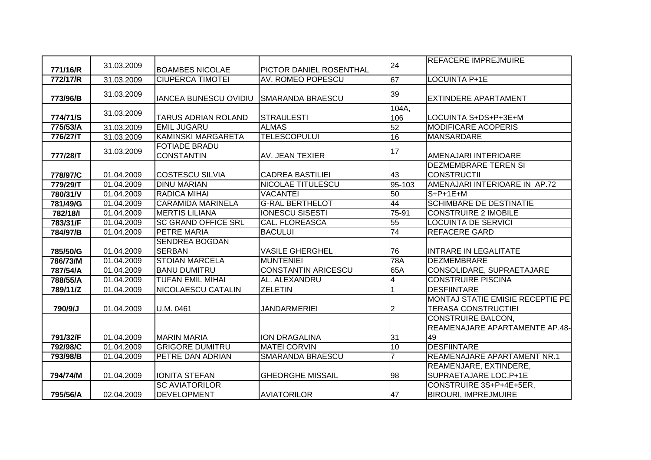|          | 31.03.2009 |                                           |                            | 24             | <b>REFACERE IMPREJMUIRE</b>      |
|----------|------------|-------------------------------------------|----------------------------|----------------|----------------------------------|
| 771/16/R |            | <b>BOAMBES NICOLAE</b>                    | PICTOR DANIEL ROSENTHAL    |                |                                  |
| 772/17/R | 31.03.2009 | <b>CIUPERCA TIMOTEI</b>                   | AV. ROMEO POPESCU          | 67             | <b>LOCUINTA P+1E</b>             |
| 773/96/B | 31.03.2009 | <b>IANCEA BUNESCU OVIDIU</b>              | <b>SMARANDA BRAESCU</b>    | 39             | <b>EXTINDERE APARTAMENT</b>      |
| 774/71/S | 31.03.2009 | <b>TARUS ADRIAN ROLAND</b>                | <b>STRAULESTI</b>          | 104A,<br>106   | LOCUINTA S+DS+P+3E+M             |
| 775/53/A | 31.03.2009 | <b>EMIL JUGARU</b>                        | <b>ALMAS</b>               | 52             | <b>MODIFICARE ACOPERIS</b>       |
| 776/27/T | 31.03.2009 | <b>KAMINSKI MARGARETA</b>                 | <b>TELESCOPULUI</b>        | 16             | <b>MANSARDARE</b>                |
| 777/28/T | 31.03.2009 | <b>FOTIADE BRADU</b><br><b>CONSTANTIN</b> | AV. JEAN TEXIER            | 17             | AMENAJARI INTERIOARE             |
|          |            |                                           |                            |                | <b>DEZMEMBRARE TEREN SI</b>      |
| 778/97/C | 01.04.2009 | <b>COSTESCU SILVIA</b>                    | <b>CADREA BASTILIEI</b>    | 43             | <b>CONSTRUCTII</b>               |
| 779/29/T | 01.04.2009 | <b>DINU MARIAN</b>                        | NICOLAE TITULESCU          | 95-103         | AMENAJARI INTERIOARE IN AP.72    |
| 780/31/V | 01.04.2009 | <b>RADICA MIHAI</b>                       | <b>VACANTEI</b>            | 50             | $S+P+1E+M$                       |
| 781/49/G | 01.04.2009 | <b>CARAMIDA MARINELA</b>                  | <b>G-RAL BERTHELOT</b>     | 44             | <b>SCHIMBARE DE DESTINATIE</b>   |
| 782/18/1 | 01.04.2009 | <b>MERTIS LILIANA</b>                     | <b>IONESCU SISESTI</b>     | $75-91$        | <b>CONSTRUIRE 2 IMOBILE</b>      |
| 783/31/F | 01.04.2009 | <b>SC GRAND OFFICE SRL</b>                | <b>CAL. FLOREASCA</b>      | 55             | <b>LOCUINTA DE SERVICI</b>       |
| 784/97/B | 01.04.2009 | <b>PETRE MARIA</b>                        | <b>BACULUI</b>             | 74             | <b>REFACERE GARD</b>             |
|          |            | <b>SENDREA BOGDAN</b>                     |                            |                |                                  |
| 785/50/G | 01.04.2009 | <b>SERBAN</b>                             | <b>VASILE GHERGHEL</b>     | 76             | <b>INTRARE IN LEGALITATE</b>     |
| 786/73/M | 01.04.2009 | <b>STOIAN MARCELA</b>                     | <b>MUNTENIEI</b>           | 78A            | <b>IDEZMEMBRARE</b>              |
| 787/54/A | 01.04.2009 | <b>BANU DUMITRU</b>                       | <b>CONSTANTIN ARICESCU</b> | 65A            | CONSOLIDARE, SUPRAETAJARE        |
| 788/55/A | 01.04.2009 | <b>TUFAN EMIL MIHAI</b>                   | AL. ALEXANDRU              | 4              | <b>CONSTRUIRE PISCINA</b>        |
| 789/11/Z | 01.04.2009 | <b>NICOLAESCU CATALIN</b>                 | <b>ZELETIN</b>             |                | <b>DESFIINTARE</b>               |
|          |            |                                           |                            |                | MONTAJ STATIE EMISIE RECEPTIE PE |
| 790/9/J  | 01.04.2009 | U.M. 0461                                 | JANDARMERIEI               | $\overline{2}$ | <b>TERASA CONSTRUCTIEI</b>       |
|          |            |                                           |                            |                | <b>CONSTRUIRE BALCON,</b>        |
|          |            |                                           |                            |                | REAMENAJARE APARTAMENTE AP.48-   |
| 791/32/F | 01.04.2009 | <b>MARIN MARIA</b>                        | ION DRAGALINA              | 31             | 49                               |
| 792/98/C | 01.04.2009 | <b>GRIGORE DUMITRU</b>                    | <b>MATEI CORVIN</b>        | 10             | <b>DESFIINTARE</b>               |
| 793/98/B | 01.04.2009 | PETRE DAN ADRIAN                          | <b>SMARANDA BRAESCU</b>    | $\overline{7}$ | REAMENAJARE APARTAMENT NR.1      |
|          |            |                                           |                            |                | REAMENJARE, EXTINDERE,           |
| 794/74/M | 01.04.2009 | <b>IONITA STEFAN</b>                      | <b>GHEORGHE MISSAIL</b>    | 98             | SUPRAETAJARE LOC.P+1E            |
|          |            | <b>SC AVIATORILOR</b>                     |                            |                | CONSTRUIRE 3S+P+4E+5ER,          |
| 795/56/A | 02.04.2009 | <b>DEVELOPMENT</b>                        | <b>AVIATORILOR</b>         | 47             | <b>BIROURI, IMPREJMUIRE</b>      |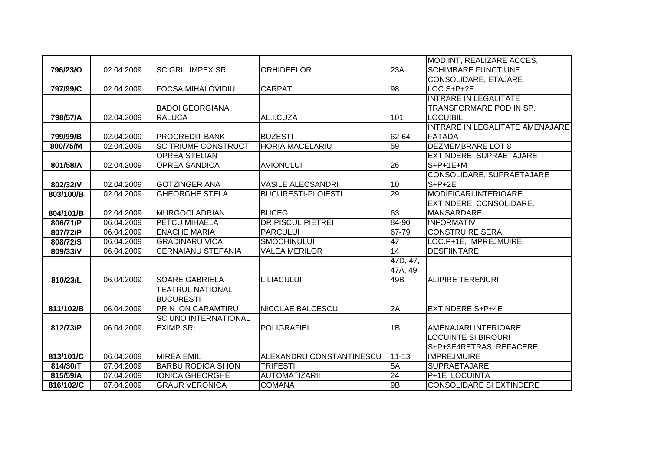|                 |            |                             |                           |           | MOD.INT, REALIZARE ACCES,       |
|-----------------|------------|-----------------------------|---------------------------|-----------|---------------------------------|
| <b>796/23/0</b> | 02.04.2009 | <b>ISC GRIL IMPEX SRL</b>   | <b>ORHIDEELOR</b>         | 23A       | <b>SCHIMBARE FUNCTIUNE</b>      |
|                 |            |                             |                           |           | <b>CONSOLIDARE, ETAJARE</b>     |
| 797/99/C        | 02.04.2009 | <b>FOCSA MIHAI OVIDIU</b>   | <b>CARPATI</b>            | 98        | $LOC.S+P+2E$                    |
|                 |            |                             |                           |           | <b>INTRARE IN LEGALITATE</b>    |
|                 |            | <b>BADOI GEORGIANA</b>      |                           |           | TRANSFORMARE POD IN SP.         |
| 798/57/A        | 02.04.2009 | <b>RALUCA</b>               | AL.I.CUZA                 | 101       | <b>LOCUIBIL</b>                 |
|                 |            |                             |                           |           | INTRARE IN LEGALITATE AMENAJARE |
| 799/99/B        | 02.04.2009 | <b>PROCREDIT BANK</b>       | <b>BUZESTI</b>            | 62-64     | <b>FATADA</b>                   |
| 800/75/M        | 02.04.2009 | <b>SC TRIUMF CONSTRUCT</b>  | <b>HORIA MACELARIU</b>    | 59        | <b>DEZMEMBRARE LOT 8</b>        |
|                 |            | <b>OPREA STELIAN</b>        |                           |           | EXTINDERE, SUPRAETAJARE         |
| 801/58/A        | 02.04.2009 | <b>OPREA SANDICA</b>        | <b>AVIONULUI</b>          | 26        | $S+P+1E+M$                      |
|                 |            |                             |                           |           | CONSOLIDARE, SUPRAETAJARE       |
| 802/32/V        | 02.04.2009 | <b>GOTZINGER ANA</b>        | <b>VASILE ALECSANDRI</b>  | 10        | $S+P+2E$                        |
| 803/100/B       | 02.04.2009 | <b>GHEORGHE STELA</b>       | <b>BUCURESTI-PLOIESTI</b> | 29        | <b>MODIFICARI INTERIOARE</b>    |
|                 |            |                             |                           |           | EXTINDERE, CONSOLIDARE,         |
| 804/101/B       | 02.04.2009 | <b>MURGOCI ADRIAN</b>       | <b>BUCEGI</b>             | 63        | <b>MANSARDARE</b>               |
| 806/71/P        | 06.04.2009 | <b>PETCU MIHAELA</b>        | <b>DR.PISCUL PIETREI</b>  | 84-90     | <b>INFORMATIV</b>               |
| 807/72/P        | 06.04.2009 | <b>ENACHE MARIA</b>         | <b>PARCULUI</b>           | 67-79     | <b>CONSTRUIRE SERA</b>          |
| 808/72/S        | 06.04.2009 | <b>GRADINARU VICA</b>       | <b>SMOCHINULUI</b>        | 47        | LOC.P+1E, IMPREJMUIRE           |
| 809/33/V        | 06.04.2009 | <b>CERNAIANU STEFANIA</b>   | <b>VALEA MERILOR</b>      | 14        | <b>DESFIINTARE</b>              |
|                 |            |                             |                           | 47D, 47,  |                                 |
|                 |            |                             |                           | 47A, 49,  |                                 |
| 810/23/L        | 06.04.2009 | <b>SOARE GABRIELA</b>       | <b>LILIACULUI</b>         | 49B       | <b>ALIPIRE TERENURI</b>         |
|                 |            | <b>TEATRUL NATIONAL</b>     |                           |           |                                 |
|                 |            | <b>BUCURESTI</b>            |                           |           |                                 |
| 811/102/B       | 06.04.2009 | PRIN ION CARAMTIRU          | <b>NICOLAE BALCESCU</b>   | 2A        | <b>EXTINDERE S+P+4E</b>         |
|                 |            | <b>SC UNO INTERNATIONAL</b> |                           |           |                                 |
| 812/73/P        | 06.04.2009 | <b>EXIMP SRL</b>            | <b>POLIGRAFIEI</b>        | 1B        | AMENAJARI INTERIOARE            |
|                 |            |                             |                           |           | <b>LOCUINTE SI BIROURI</b>      |
|                 |            |                             |                           |           | S+P+3E4RETRAS, REFACERE         |
| 813/101/C       | 06.04.2009 | <b>MIREA EMIL</b>           | ALEXANDRU CONSTANTINESCU  | $11 - 13$ | <b>IMPREJMUIRE</b>              |
| 814/30/T        | 07.04.2009 | <b>BARBU RODICA SI ION</b>  | <b>TRIFESTI</b>           | 5A        | <b>SUPRAETAJARE</b>             |
| 815/59/A        | 07.04.2009 | <b>IONICA GHEORGHE</b>      | <b>AUTOMATIZARII</b>      | 24        | <b>P+1E LOCUINTA</b>            |
| 816/102/C       | 07.04.2009 | <b>IGRAUR VERONICA</b>      | <b>COMANA</b>             | 9B        | <b>CONSOLIDARE SI EXTINDERE</b> |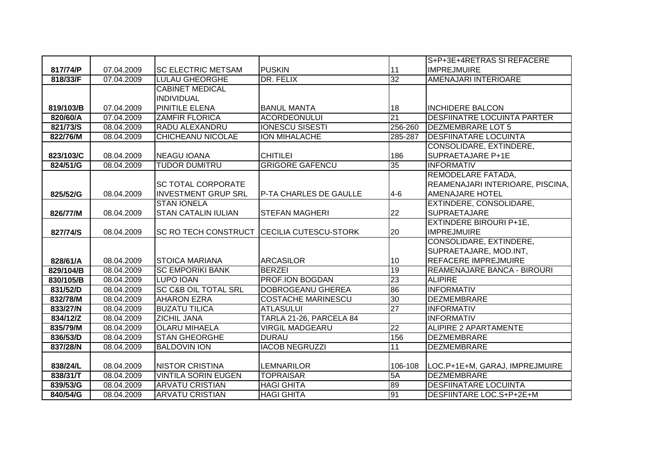|           |            |                                            |                           |                 | S+P+3E+4RETRAS SI REFACERE         |
|-----------|------------|--------------------------------------------|---------------------------|-----------------|------------------------------------|
| 817/74/P  | 07.04.2009 | <b>SC ELECTRIC METSAM</b>                  | <b>PUSKIN</b>             | 11              | <b>IMPREJMUIRE</b>                 |
| 818/33/F  | 07.04.2009 | <b>LULAU GHEORGHE</b>                      | DR. FELIX                 | 32              | AMENAJARI INTERIOARE               |
|           |            | <b>CABINET MEDICAL</b>                     |                           |                 |                                    |
|           |            | <b>INDIVIDUAL</b>                          |                           |                 |                                    |
| 819/103/B | 07.04.2009 | <b>PINITILE ELENA</b>                      | <b>BANUL MANTA</b>        | 18              | <b>INCHIDERE BALCON</b>            |
| 820/60/A  | 07.04.2009 | <b>ZAMFIR FLORICA</b>                      | <b>ACORDEONULUI</b>       | $\overline{21}$ | <b>DESFIINATRE LOCUINTA PARTER</b> |
| 821/73/S  | 08.04.2009 | RADU ALEXANDRU                             | <b>IONESCU SISESTI</b>    | 256-260         | <b>DEZMEMBRARE LOT 5</b>           |
| 822/76/M  | 08.04.2009 | <b>CHICHEANU NICOLAE</b>                   | <b>ION MIHALACHE</b>      | 285-287         | <b>DESFIINATARE LOCUINTA</b>       |
|           |            |                                            |                           |                 | CONSOLIDARE, EXTINDERE,            |
| 823/103/C | 08.04.2009 | <b>NEAGU IOANA</b>                         | <b>CHITILEI</b>           | 186             | SUPRAETAJARE P+1E                  |
| 824/51/G  | 08.04.2009 | <b>TUDOR DUMITRU</b>                       | <b>GRIGORE GAFENCU</b>    | 35              | <b>INFORMATIV</b>                  |
|           |            |                                            |                           |                 | REMODELARE FATADA,                 |
|           |            | <b>SC TOTAL CORPORATE</b>                  |                           |                 | REAMENAJARI INTERIOARE, PISCINA,   |
| 825/52/G  | 08.04.2009 | <b>INVESTMENT GRUP SRL</b>                 | P-TA CHARLES DE GAULLE    | $4 - 6$         | <b>AMENAJARE HOTEL</b>             |
|           |            | <b>STAN IONELA</b>                         |                           |                 | EXTINDERE, CONSOLIDARE,            |
| 826/77/M  | 08.04.2009 | <b>STAN CATALIN IULIAN</b>                 | <b>STEFAN MAGHERI</b>     | 22              | <b>SUPRAETAJARE</b>                |
|           |            |                                            |                           |                 | <b>EXTINDERE BIROURI P+1E,</b>     |
| 827/74/S  | 08.04.2009 | SC RO TECH CONSTRUCT CECILIA CUTESCU-STORK |                           | 20              | <b>IMPREJMUIRE</b>                 |
|           |            |                                            |                           |                 | CONSOLIDARE, EXTINDERE,            |
|           |            |                                            |                           |                 | SUPRAETAJARE, MOD.INT,             |
| 828/61/A  | 08.04.2009 | <b>STOICA MARIANA</b>                      | <b>ARCASILOR</b>          | 10              | <b>REFACERE IMPREJMUIRE</b>        |
| 829/104/B | 08.04.2009 | <b>SC EMPORIKI BANK</b>                    | <b>BERZEI</b>             | 19              | REAMENAJARE BANCA - BIROURI        |
| 830/105/B | 08.04.2009 | LUPO IOAN                                  | <b>PROF.ION BOGDAN</b>    | 23              | <b>ALIPIRE</b>                     |
| 831/52/D  | 08.04.2009 | <b>SC C&amp;B OIL TOTAL SRL</b>            | <b>DOBROGEANU GHEREA</b>  | 86              | <b>INFORMATIV</b>                  |
| 832/78/M  | 08.04.2009 | <b>AHARON EZRA</b>                         | <b>COSTACHE MARINESCU</b> | 30              | <b>DEZMEMBRARE</b>                 |
| 833/27/N  | 08.04.2009 | <b>BUZATU TILICA</b>                       | <b>ATLASULUI</b>          | $\overline{27}$ | <b>INFORMATIV</b>                  |
| 834/12/Z  | 08.04.2009 | ZICHIL JANA                                | TARLA 21-26, PARCELA 84   |                 | <b>INFORMATIV</b>                  |
| 835/79/M  | 08.04.2009 | <b>OLARU MIHAELA</b>                       | <b>VIRGIL MADGEARU</b>    | $\overline{22}$ | ALIPIRE 2 APARTAMENTE              |
| 836/53/D  | 08.04.2009 | <b>STAN GHEORGHE</b>                       | <b>DURAU</b>              | 156             | DEZMEMBRARE                        |
| 837/28/N  | 08.04.2009 | <b>BALDOVIN ION</b>                        | <b>IACOB NEGRUZZI</b>     | $\overline{11}$ | <b>DEZMEMBRARE</b>                 |
|           |            |                                            |                           |                 |                                    |
| 838/24/L  | 08.04.2009 | <b>NISTOR CRISTINA</b>                     | <b>LEMNARILOR</b>         | 106-108         | LOC.P+1E+M, GARAJ, IMPREJMUIRE     |
| 838/31/T  | 08.04.2009 | <b>VINTILA SORIN EUGEN</b>                 | <b>TOPRAISAR</b>          | 5A              | <b>DEZMEMBRARE</b>                 |
| 839/53/G  | 08.04.2009 | <b>ARVATU CRISTIAN</b>                     | <b>HAGI GHITA</b>         | 89              | <b>DESFIINATARE LOCUINTA</b>       |
| 840/54/G  | 08.04.2009 | <b>ARVATU CRISTIAN</b>                     | <b>HAGI GHITA</b>         | 91              | DESFIINTARE LOC.S+P+2E+M           |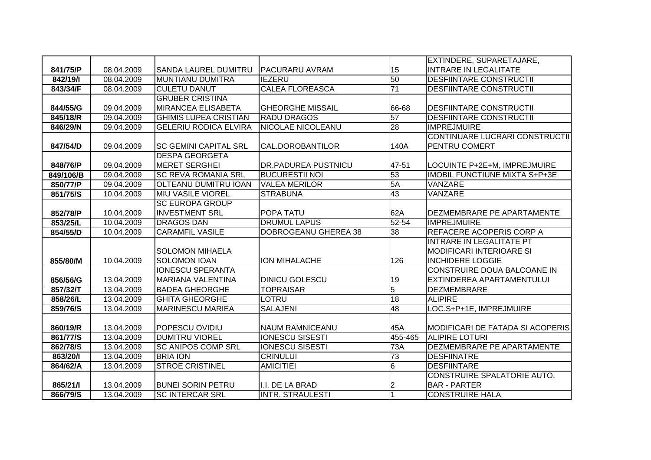|           |            |                              |                             |                  | EXTINDERE, SUPARETAJARE,              |
|-----------|------------|------------------------------|-----------------------------|------------------|---------------------------------------|
| 841/75/P  | 08.04.2009 | <b>SANDA LAUREL DUMITRU</b>  | <b>PACURARU AVRAM</b>       | 15               | <b>INTRARE IN LEGALITATE</b>          |
| 842/19/1  | 08.04.2009 | <b>IMUNTIANU DUMITRA</b>     | <b>IEZERU</b>               | 50               | <b>DESFIINTARE CONSTRUCTII</b>        |
| 843/34/F  | 08.04.2009 | <b>CULETU DANUT</b>          | <b>CALEA FLOREASCA</b>      | 71               | <b>DESFIINTARE CONSTRUCTII</b>        |
|           |            | <b>GRUBER CRISTINA</b>       |                             |                  |                                       |
| 844/55/G  | 09.04.2009 | <b>MIRANCEA ELISABETA</b>    | <b>GHEORGHE MISSAIL</b>     | 66-68            | <b>DESFIINTARE CONSTRUCTII</b>        |
| 845/18/R  | 09.04.2009 | <b>GHIMIS LUPEA CRISTIAN</b> | <b>RADU DRAGOS</b>          | 57               | <b>DESFIINTARE CONSTRUCTII</b>        |
| 846/29/N  | 09.04.2009 | <b>GELERIU RODICA ELVIRA</b> | <b>NICOLAE NICOLEANU</b>    | 28               | <b>IMPREJMUIRE</b>                    |
|           |            |                              |                             |                  | <b>CONTINUARE LUCRARI CONSTRUCTII</b> |
| 847/54/D  | 09.04.2009 | <b>SC GEMINI CAPITAL SRL</b> | CAL.DOROBANTILOR            | 140A             | <b>PENTRU COMERT</b>                  |
|           |            | <b>DESPA GEORGETA</b>        |                             |                  |                                       |
| 848/76/P  | 09.04.2009 | <b>MERET SERGHEI</b>         | DR.PADUREA PUSTNICU         | 47-51            | LOCUINTE P+2E+M, IMPREJMUIRE          |
| 849/106/B | 09.04.2009 | <b>SC REVA ROMANIA SRL</b>   | <b>BUCURESTII NOI</b>       | 53               | <b>IMOBIL FUNCTIUNE MIXTA S+P+3E</b>  |
| 850/77/P  | 09.04.2009 | <b>OLTEANU DUMITRU IOAN</b>  | <b>VALEA MERILOR</b>        | 5A               | VANZARE                               |
| 851/75/S  | 10.04.2009 | <b>MIU VASILE VIOREL</b>     | <b>STRABUNA</b>             | 43               | VANZARE                               |
|           |            | <b>SC EUROPA GROUP</b>       |                             |                  |                                       |
| 852/78/P  | 10.04.2009 | <b>INVESTMENT SRL</b>        | POPA TATU                   | 62A              | DEZMEMBRARE PE APARTAMENTE            |
| 853/25/L  | 10.04.2009 | <b>DRAGOS DAN</b>            | <b>DRUMUL LAPUS</b>         | 52-54            | <b>IMPREJMUIRE</b>                    |
| 854/55/D  | 10.04.2009 | <b>CARAMFIL VASILE</b>       | <b>DOBROGEANU GHEREA 38</b> | $\overline{38}$  | REFACERE ACOPERIS CORP A              |
|           |            |                              |                             |                  | <b>INTRARE IN LEGALITATE PT</b>       |
|           |            | <b>SOLOMON MIHAELA</b>       |                             |                  | <b>MODIFICARI INTERIOARE SI</b>       |
| 855/80/M  | 10.04.2009 | <b>SOLOMON IOAN</b>          | ION MIHALACHE               | 126              | <b>INCHIDERE LOGGIE</b>               |
|           |            | <b>IONESCU SPERANTA</b>      |                             |                  | CONSTRUIRE DOUA BALCOANE IN           |
| 856/56/G  | 13.04.2009 | MARIANA VALENTINA            | <b>DINICU GOLESCU</b>       | 19               | EXTINDEREA APARTAMENTULUI             |
| 857/32/T  | 13.04.2009 | <b>BADEA GHEORGHE</b>        | <b>TOPRAISAR</b>            | $\overline{5}$   | <b>DEZMEMBRARE</b>                    |
| 858/26/L  | 13.04.2009 | <b>GHITA GHEORGHE</b>        | <b>LOTRU</b>                | 18               | <b>ALIPIRE</b>                        |
| 859/76/S  | 13.04.2009 | <b>MARINESCU MARIEA</b>      | <b>SALAJENI</b>             | 48               | LOC.S+P+1E, IMPREJMUIRE               |
|           |            |                              |                             |                  |                                       |
| 860/19/R  | 13.04.2009 | POPESCU OVIDIU               | <b>NAUM RAMNICEANU</b>      | 45A              | MODIFICARI DE FATADA SI ACOPERIS      |
| 861/77/S  | 13.04.2009 | <b>DUMITRU VIOREL</b>        | <b>IONESCU SISESTI</b>      | 455-465          | <b>ALIPIRE LOTURI</b>                 |
| 862/78/S  | 13.04.2009 | <b>SC ANIPOS COMP SRL</b>    | <b>IONESCU SISESTI</b>      | $\overline{73A}$ | DEZMEMBRARE PE APARTAMENTE            |
| 863/20/1  | 13.04.2009 | <b>BRIA ION</b>              | <b>CRINULUI</b>             | 73               | <b>DESFIINATRE</b>                    |
| 864/62/A  | 13.04.2009 | <b>STROE CRISTINEL</b>       | <b>AMICITIEI</b>            | $6\overline{6}$  | <b>DESFIINTARE</b>                    |
|           |            |                              |                             |                  | CONSTRUIRE SPALATORIE AUTO,           |
| 865/21/1  | 13.04.2009 | <b>BUNEI SORIN PETRU</b>     | I.I. DE LA BRAD             | 2                | <b>BAR - PARTER</b>                   |
| 866/79/S  | 13.04.2009 | <b>SC INTERCAR SRL</b>       | <b>INTR. STRAULESTI</b>     |                  | <b>CONSTRUIRE HALA</b>                |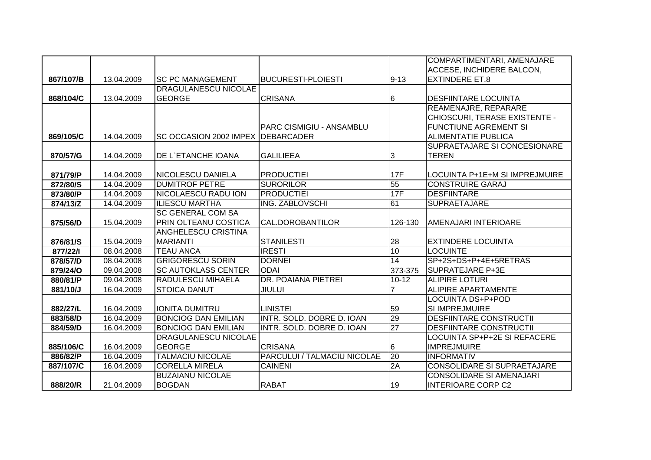|           |            |                                |                                 |                 | COMPARTIMENTARI, AMENAJARE          |
|-----------|------------|--------------------------------|---------------------------------|-----------------|-------------------------------------|
|           |            |                                |                                 |                 | <b>ACCESE, INCHIDERE BALCON,</b>    |
| 867/107/B | 13.04.2009 | <b>SC PC MANAGEMENT</b>        | <b>BUCURESTI-PLOIESTI</b>       | $9 - 13$        | <b>EXTINDERE ET.8</b>               |
|           |            | <b>DRAGULANESCU NICOLAE</b>    |                                 |                 |                                     |
| 868/104/C | 13.04.2009 | <b>GEORGE</b>                  | <b>CRISANA</b>                  | 6               | <b>DESFIINTARE LOCUINTA</b>         |
|           |            |                                |                                 |                 | REAMENAJRE, REPARARE                |
|           |            |                                |                                 |                 | CHIOSCURI, TERASE EXISTENTE -       |
|           |            |                                | <b>PARC CISMIGIU - ANSAMBLU</b> |                 | <b>FUNCTIUNE AGREMENT SI</b>        |
| 869/105/C | 14.04.2009 | <b>ISC OCCASION 2002 IMPEX</b> | <b>IDEBARCADER</b>              |                 | <b>ALIMENTATIE PUBLICA</b>          |
|           |            |                                |                                 |                 | <b>SUPRAETAJARE SI CONCESIONARE</b> |
| 870/57/G  | 14.04.2009 | <b>DE L'ETANCHE IOANA</b>      | <b>GALILIEEA</b>                | 3               | <b>TEREN</b>                        |
|           |            |                                |                                 |                 |                                     |
| 871/79/P  | 14.04.2009 | <b>NICOLESCU DANIELA</b>       | <b>PRODUCTIEI</b>               | <b>17F</b>      | LOCUINTA P+1E+M SI IMPREJMUIRE      |
| 872/80/S  | 14.04.2009 | <b>DUMITROF PETRE</b>          | <b>SURORILOR</b>                | 55              | <b>CONSTRUIRE GARAJ</b>             |
| 873/80/P  | 14.04.2009 | <b>NICOLAESCU RADU ION</b>     | <b>PRODUCTIEI</b>               | 17F             | <b>DESFIINTARE</b>                  |
| 874/13/Z  | 14.04.2009 | <b>ILIESCU MARTHA</b>          | <b>ING. ZABLOVSCHI</b>          | 61              | <b>SUPRAETAJARE</b>                 |
|           |            | <b>SC GENERAL COM SA</b>       |                                 |                 |                                     |
| 875/56/D  | 15.04.2009 | <b>PRIN OLTEANU COSTICA</b>    | CAL.DOROBANTILOR                | 126-130         | AMENAJARI INTERIOARE                |
|           |            | <b>ANGHELESCU CRISTINA</b>     |                                 |                 |                                     |
| 876/81/S  | 15.04.2009 | <b>MARIANTI</b>                | <b>STANILESTI</b>               | 28              | <b>EXTINDERE LOCUINTA</b>           |
| 877/22/1  | 08.04.2008 | <b>TEAU ANCA</b>               | <b>IRESTI</b>                   | 10              | <b>LOCUINTE</b>                     |
| 878/57/D  | 08.04.2008 | <b>GRIGORESCU SORIN</b>        | <b>DORNEI</b>                   | $\overline{14}$ | SP+2S+DS+P+4E+5RETRAS               |
| 879/24/O  | 09.04.2008 | <b>SC AUTOKLASS CENTER</b>     | <b>ODAI</b>                     | 373-375         | <b>SUPRATEJARE P+3E</b>             |
| 880/81/P  | 09.04.2008 | <b>RADULESCU MIHAELA</b>       | DR. POAIANA PIETREI             | $10 - 12$       | <b>ALIPIRE LOTURI</b>               |
| 881/10/J  | 16.04.2009 | <b>STOICA DANUT</b>            | <b>JIULUI</b>                   |                 | <b>ALIPIRE APARTAMENTE</b>          |
|           |            |                                |                                 |                 | <b>LOCUINTA DS+P+POD</b>            |
| 882/27/L  | 16.04.2009 | <b>IONITA DUMITRU</b>          | <b>LINISTEI</b>                 | 59              | <b>SI IMPREJMUIRE</b>               |
| 883/58/D  | 16.04.2009 | <b>BONCIOG DAN EMILIAN</b>     | INTR. SOLD. DOBRE D. IOAN       | 29              | <b>DESFIINTARE CONSTRUCTII</b>      |
| 884/59/D  | 16.04.2009 | <b>BONCIOG DAN EMILIAN</b>     | INTR. SOLD. DOBRE D. IOAN       | 27              | <b>DESFIINTARE CONSTRUCTII</b>      |
|           |            | <b>DRAGULANESCU NICOLAE</b>    |                                 |                 | <b>LOCUINTA SP+P+2E SI REFACERE</b> |
| 885/106/C | 16.04.2009 | <b>GEORGE</b>                  | <b>CRISANA</b>                  | 6               | <b>IMPREJMUIRE</b>                  |
| 886/82/P  | 16.04.2009 | <b>TALMACIU NICOLAE</b>        | PARCULUI / TALMACIU NICOLAE     | 20              | <b>INFORMATIV</b>                   |
| 887/107/C | 16.04.2009 | <b> CORELLA MIRELA</b>         | <b>CAINENI</b>                  | 2A              | <b>CONSOLIDARE SI SUPRAETAJARE</b>  |
|           |            | <b>BUZAIANU NICOLAE</b>        |                                 |                 | <b>CONSOLIDARE SI AMENAJARI</b>     |
| 888/20/R  | 21.04.2009 | <b>BOGDAN</b>                  | <b>RABAT</b>                    | 19              | <b>INTERIOARE CORP C2</b>           |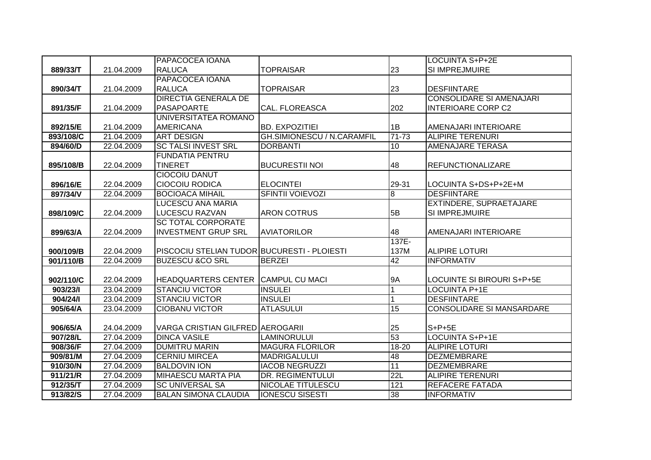|           |            | PAPACOCEA IOANA                             |                                   |                 | <b>LOCUINTA S+P+2E</b>          |
|-----------|------------|---------------------------------------------|-----------------------------------|-----------------|---------------------------------|
| 889/33/T  | 21.04.2009 | <b>RALUCA</b>                               | <b>TOPRAISAR</b>                  | 23              | SI IMPREJMUIRE                  |
|           |            | PAPACOCEA IOANA                             |                                   |                 |                                 |
| 890/34/T  | 21.04.2009 | <b>RALUCA</b>                               | <b>TOPRAISAR</b>                  | 23              | <b>DESFIINTARE</b>              |
|           |            | <b>DIRECTIA GENERALA DE</b>                 |                                   |                 | <b>CONSOLIDARE SI AMENAJARI</b> |
| 891/35/F  | 21.04.2009 | PASAPOARTE                                  | CAL. FLOREASCA                    | 202             | <b>INTERIOARE CORP C2</b>       |
|           |            | UNIVERSITATEA ROMANO                        |                                   |                 |                                 |
| 892/15/E  | 21.04.2009 | <b>AMERICANA</b>                            | <b>BD. EXPOZITIEI</b>             | 1B              | AMENAJARI INTERIOARE            |
| 893/108/C | 21.04.2009 | <b>ART DESIGN</b>                           | <b>GH.SIMIONESCU / N.CARAMFIL</b> | $71 - 73$       | <b>ALIPIRE TERENURI</b>         |
| 894/60/D  | 22.04.2009 | <b>SC TALSI INVEST SRL</b>                  | <b>DORBANTI</b>                   | 10              | <b>AMENAJARE TERASA</b>         |
|           |            | <b>FUNDATIA PENTRU</b>                      |                                   |                 |                                 |
| 895/108/B | 22.04.2009 | <b>TINERET</b>                              | <b>BUCURESTII NOI</b>             | 48              | <b>REFUNCTIONALIZARE</b>        |
|           |            | <b>CIOCOIU DANUT</b>                        |                                   |                 |                                 |
| 896/16/E  | 22.04.2009 | <b>CIOCOIU RODICA</b>                       | <b>ELOCINTEI</b>                  | 29-31           | LOCUINTA S+DS+P+2E+M            |
| 897/34/V  | 22.04.2009 | <b>BOCIOACA MIHAIL</b>                      | <b>SFINTII VOIEVOZI</b>           | $\overline{8}$  | <b>DESFIINTARE</b>              |
|           |            | LUCESCU ANA MARIA                           |                                   |                 | EXTINDERE, SUPRAETAJARE         |
| 898/109/C | 22.04.2009 | LUCESCU RAZVAN                              | <b>ARON COTRUS</b>                | 5B              | SI IMPREJMUIRE                  |
|           |            | <b>SC TOTAL CORPORATE</b>                   |                                   |                 |                                 |
| 899/63/A  | 22.04.2009 | <b>INVESTMENT GRUP SRL</b>                  | <b>AVIATORILOR</b>                | 48              | AMENAJARI INTERIOARE            |
|           |            |                                             |                                   | 137E-           |                                 |
| 900/109/B | 22.04.2009 | PISCOCIU STELIAN TUDOR BUCURESTI - PLOIESTI |                                   | 137M            | <b>ALIPIRE LOTURI</b>           |
| 901/110/B | 22.04.2009 | <b>BUZESCU &amp;CO SRL</b>                  | <b>BERZEI</b>                     | 42              | <b>INFORMATIV</b>               |
|           |            |                                             |                                   |                 |                                 |
| 902/110/C | 22.04.2009 | <b>HEADQUARTERS CENTER</b>                  | <b>CAMPUL CU MACI</b>             | 9A              | LOCUINTE SI BIROURI S+P+5E      |
| 903/23/1  | 23.04.2009 | <b>STANCIU VICTOR</b>                       | <b>INSULEI</b>                    |                 | <b>LOCUINTA P+1E</b>            |
| 904/24/1  | 23.04.2009 | <b>STANCIU VICTOR</b>                       | <b>INSULEI</b>                    |                 | <b>DESFIINTARE</b>              |
| 905/64/A  | 23.04.2009 | <b>CIOBANU VICTOR</b>                       | <b>ATLASULUI</b>                  | $\overline{15}$ | CONSOLIDARE SI MANSARDARE       |
|           |            |                                             |                                   |                 |                                 |
| 906/65/A  | 24.04.2009 | <b>VARGA CRISTIAN GILFRED AEROGARII</b>     |                                   | 25              | $S+P+5E$                        |
| 907/28/L  | 27.04.2009 | <b>DINCA VASILE</b>                         | <b>LAMINORULUI</b>                | 53              | <b>LOCUINTA S+P+1E</b>          |
| 908/36/F  | 27.04.2009 | <b>DUMITRU MARIN</b>                        | <b>MAGURA FLORILOR</b>            | $18 - 20$       | <b>ALIPIRE LOTURI</b>           |
| 909/81/M  | 27.04.2009 | <b>CERNIU MIRCEA</b>                        | <b>MADRIGALULUI</b>               | 48              | <b>DEZMEMBRARE</b>              |
| 910/30/N  | 27.04.2009 | <b>BALDOVIN ION</b>                         | <b>IACOB NEGRUZZI</b>             | 11              | <b>DEZMEMBRARE</b>              |
| 911/21/R  | 27.04.2009 | <b>MIHAESCU MARTA PIA</b>                   | DR. REGIMENTULUI                  | 22L             | <b>ALIPIRE TERENURI</b>         |
| 912/35/T  | 27.04.2009 | <b>SC UNIVERSAL SA</b>                      | NICOLAE TITULESCU                 | 121             | <b>REFACERE FATADA</b>          |
| 913/82/S  | 27.04.2009 | <b>BALAN SIMONA CLAUDIA</b>                 | <b>IONESCU SISESTI</b>            | 38              | <b>INFORMATIV</b>               |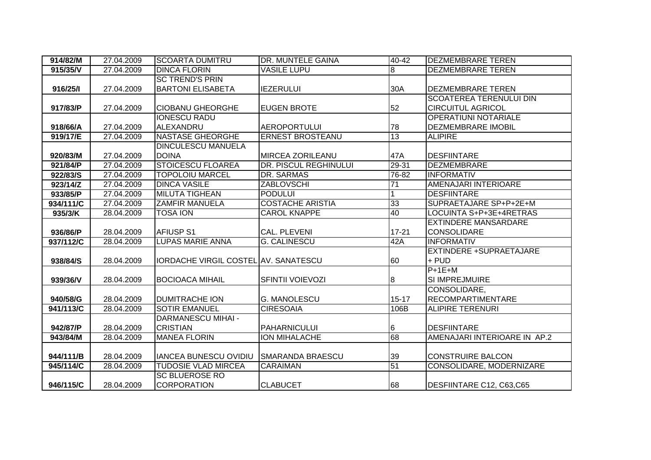| 914/82/M  | 27.04.2009 | <b>SCOARTA DUMITRU</b>               | DR. MUNTELE GAINA       | 40-42     | <b>DEZMEMBRARE TEREN</b>     |
|-----------|------------|--------------------------------------|-------------------------|-----------|------------------------------|
| 915/35/V  | 27.04.2009 | <b>DINCA FLORIN</b>                  | <b>VASILE LUPU</b>      | 8         | <b>DEZMEMBRARE TEREN</b>     |
|           |            | <b>SC TREND'S PRIN</b>               |                         |           |                              |
| 916/25/1  | 27.04.2009 | <b>BARTONI ELISABETA</b>             | <b>IEZERULUI</b>        | 30A       | DEZMEMBRARE TEREN            |
|           |            |                                      |                         |           | SCOATEREA TERENULUI DIN      |
| 917/83/P  | 27.04.2009 | <b>CIOBANU GHEORGHE</b>              | <b>EUGEN BROTE</b>      | 52        | <b>CIRCUITUL AGRICOL</b>     |
|           |            | <b>IONESCU RADU</b>                  |                         |           | <b>OPERATIUNI NOTARIALE</b>  |
| 918/66/A  | 27.04.2009 | ALEXANDRU                            | <b>AEROPORTULUI</b>     | 78        | <b>DEZMEMBRARE IMOBIL</b>    |
| 919/17/E  | 27.04.2009 | <b>NASTASE GHEORGHE</b>              | <b>ERNEST BROSTEANU</b> | 13        | <b>ALIPIRE</b>               |
|           |            | <b>DINCULESCU MANUELA</b>            |                         |           |                              |
| 920/83/M  | 27.04.2009 | <b>DOINA</b>                         | <b>MIRCEA ZORILEANU</b> | 47A       | <b>DESFIINTARE</b>           |
| 921/84/P  | 27.04.2009 | <b>STOICESCU FLOAREA</b>             | DR. PISCUL REGHINULUI   | $29 - 31$ | <b>DEZMEMBRARE</b>           |
| 922/83/S  | 27.04.2009 | <b>TOPOLOIU MARCEL</b>               | <b>DR. SARMAS</b>       | 76-82     | <b>INFORMATIV</b>            |
| 923/14/Z  | 27.04.2009 | <b>DINCA VASILE</b>                  | <b>ZABLOVSCHI</b>       | 71        | AMENAJARI INTERIOARE         |
| 933/85/P  | 27.04.2009 | <b>MILUTA TIGHEAN</b>                | <b>PODULUI</b>          |           | <b>DESFIINTARE</b>           |
| 934/111/C | 27.04.2009 | <b>ZAMFIR MANUELA</b>                | <b>COSTACHE ARISTIA</b> | 33        | SUPRAETAJARE SP+P+2E+M       |
| 935/3/K   | 28.04.2009 | TOSA ION                             | <b>CAROL KNAPPE</b>     | 40        | LOCUINTA S+P+3E+4RETRAS      |
|           |            |                                      |                         |           | <b>EXTINDERE MANSARDARE</b>  |
| 936/86/P  | 28.04.2009 | <b>AFIUSP S1</b>                     | CAL. PLEVENI            | $17 - 21$ | <b>CONSOLIDARE</b>           |
| 937/112/C | 28.04.2009 | LUPAS MARIE ANNA                     | <b>G. CALINESCU</b>     | 42A       | <b>INFORMATIV</b>            |
|           |            |                                      |                         |           | EXTINDERE +SUPRAETAJARE      |
| 938/84/S  | 28.04.2009 | IORDACHE VIRGIL COSTEL AV. SANATESCU |                         | 60        | + PUD                        |
|           |            |                                      |                         |           | $P+1E+M$                     |
| 939/36/V  | 28.04.2009 | <b>BOCIOACA MIHAIL</b>               | <b>SFINTII VOIEVOZI</b> | 8         | SI IMPREJMUIRE               |
|           |            |                                      |                         |           | CONSOLIDARE,                 |
| 940/58/G  | 28.04.2009 | <b>DUMITRACHE ION</b>                | <b>G. MANOLESCU</b>     | $15 - 17$ | <b>RECOMPARTIMENTARE</b>     |
| 941/113/C | 28.04.2009 | <b>SOTIR EMANUEL</b>                 | <b>CIRESOAIA</b>        | 106B      | <b>ALIPIRE TERENURI</b>      |
|           |            | <b>DARMANESCU MIHAI -</b>            |                         |           |                              |
| 942/87/P  | 28.04.2009 | <b>CRISTIAN</b>                      | <b>PAHARNICULUI</b>     | 6         | <b>DESFIINTARE</b>           |
| 943/84/M  | 28.04.2009 | <b>MANEA FLORIN</b>                  | <b>ION MIHALACHE</b>    | 68        | AMENAJARI INTERIOARE IN AP.2 |
|           |            |                                      |                         |           |                              |
| 944/111/B | 28.04.2009 | <b>IANCEA BUNESCU OVIDIU</b>         | <b>SMARANDA BRAESCU</b> | 39        | <b>CONSTRUIRE BALCON</b>     |
| 945/114/C | 28.04.2009 | <b>TUDOSIE VLAD MIRCEA</b>           | <b>CARAIMAN</b>         | 51        | CONSOLIDARE, MODERNIZARE     |
|           |            | <b>SC BLUEROSE RO</b>                |                         |           |                              |
| 946/115/C | 28.04.2009 | <b>CORPORATION</b>                   | <b>CLABUCET</b>         | 68        | DESFIINTARE C12, C63,C65     |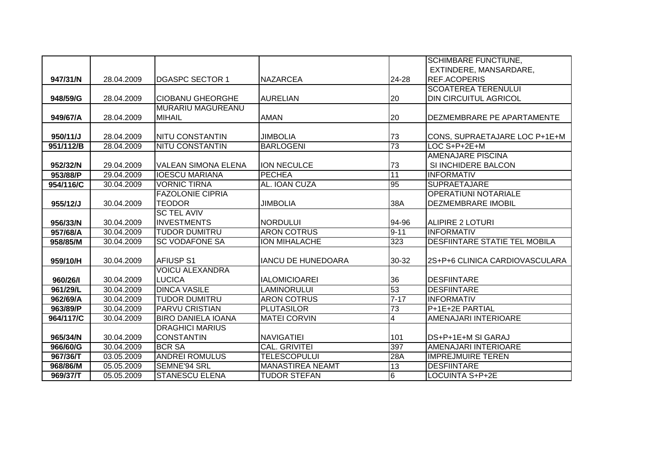|           |            |                            |                           |                 | <b>SCHIMBARE FUNCTIUNE,</b>    |
|-----------|------------|----------------------------|---------------------------|-----------------|--------------------------------|
|           |            |                            |                           |                 | EXTINDERE, MANSARDARE,         |
| 947/31/N  | 28.04.2009 | <b>IDGASPC SECTOR 1</b>    | <b>NAZARCEA</b>           | 24-28           | REF.ACOPERIS                   |
|           |            |                            |                           |                 | <b>SCOATEREA TERENULUI</b>     |
| 948/59/G  | 28.04.2009 | <b>CIOBANU GHEORGHE</b>    | <b>AURELIAN</b>           | 20              | <b>DIN CIRCUITUL AGRICOL</b>   |
|           |            | MURARIU MAGUREANU          |                           |                 |                                |
| 949/67/A  | 28.04.2009 | <b>MIHAIL</b>              | <b>AMAN</b>               | 20              | DEZMEMBRARE PE APARTAMENTE     |
|           |            |                            |                           |                 |                                |
| 950/11/J  | 28.04.2009 | <b>NITU CONSTANTIN</b>     | <b>JIMBOLIA</b>           | 73              | CONS, SUPRAETAJARE LOC P+1E+M  |
| 951/112/B | 28.04.2009 | <b>NITU CONSTANTIN</b>     | <b>BARLOGENI</b>          | 73              | LOC S+P+2E+M                   |
|           |            |                            |                           |                 | AMENAJARE PISCINA              |
| 952/32/N  | 29.04.2009 | <b>VALEAN SIMONA ELENA</b> | <b>ION NECULCE</b>        | 73              | SI INCHIDERE BALCON            |
| 953/88/P  | 29.04.2009 | <b>IOESCU MARIANA</b>      | <b>PECHEA</b>             | 11              | <b>INFORMATIV</b>              |
| 954/116/C | 30.04.2009 | <b>VORNIC TIRNA</b>        | AL. IOAN CUZA             | 95              | <b>SUPRAETAJARE</b>            |
|           |            | <b>FAZOLONIE CIPRIA</b>    |                           |                 | <b>OPERATIUNI NOTARIALE</b>    |
| 955/12/J  | 30.04.2009 | <b>TEODOR</b>              | <b>JIMBOLIA</b>           | 38A             | <b>DEZMEMBRARE IMOBIL</b>      |
|           |            | <b>SC TEL AVIV</b>         |                           |                 |                                |
| 956/33/N  | 30.04.2009 | <b>INVESTMENTS</b>         | <b>NORDULUI</b>           | 94-96           | <b>ALIPIRE 2 LOTURI</b>        |
| 957/68/A  | 30.04.2009 | <b>TUDOR DUMITRU</b>       | <b>ARON COTRUS</b>        | $9 - 11$        | <b>INFORMATIV</b>              |
| 958/85/M  | 30.04.2009 | <b>SC VODAFONE SA</b>      | <b>ION MIHALACHE</b>      | 323             | DESFIINTARE STATIE TEL MOBILA  |
|           |            |                            |                           |                 |                                |
| 959/10/H  | 30.04.2009 | <b>AFIUSP S1</b>           | <b>IANCU DE HUNEDOARA</b> | 30-32           | 2S+P+6 CLINICA CARDIOVASCULARA |
|           |            | <b>VOICU ALEXANDRA</b>     |                           |                 |                                |
| 960/26/1  | 30.04.2009 | <b>LUCICA</b>              | <b>IALOMICIOAREI</b>      | 36              | <b>DESFIINTARE</b>             |
| 961/29/L  | 30.04.2009 | <b>DINCA VASILE</b>        | <b>LAMINORULUI</b>        | 53              | <b>DESFIINTARE</b>             |
| 962/69/A  | 30.04.2009 | <b>TUDOR DUMITRU</b>       | <b>ARON COTRUS</b>        | $7 - 17$        | <b>INFORMATIV</b>              |
| 963/89/P  | 30.04.2009 | <b>PARVU CRISTIAN</b>      | <b>PLUTASILOR</b>         | $\overline{73}$ | P+1E+2E PARTIAL                |
| 964/117/C | 30.04.2009 | <b>BIRO DANIELA IOANA</b>  | <b>MATEI CORVIN</b>       | 4               | AMENAJARI INTERIOARE           |
|           |            | <b>DRAGHICI MARIUS</b>     |                           |                 |                                |
| 965/34/N  | 30.04.2009 | <b>CONSTANTIN</b>          | <b>NAVIGATIEI</b>         | 101             | DS+P+1E+M SI GARAJ             |
| 966/60/G  | 30.04.2009 | <b>BCR SA</b>              | <b>CAL. GRIVITEI</b>      | 397             | AMENAJARI INTERIOARE           |
| 967/36/T  | 03.05.2009 | <b>ANDREI ROMULUS</b>      | <b>TELESCOPULUI</b>       | 28A             | <b>IMPREJMUIRE TEREN</b>       |
| 968/86/M  | 05.05.2009 | SEMNE'94 SRL               | <b>MANASTIREA NEAMT</b>   | 13              | <b>DESFIINTARE</b>             |
| 969/37/T  | 05.05.2009 | <b>STANESCU ELENA</b>      | <b>TUDOR STEFAN</b>       | $\overline{6}$  | <b>LOCUINTA S+P+2E</b>         |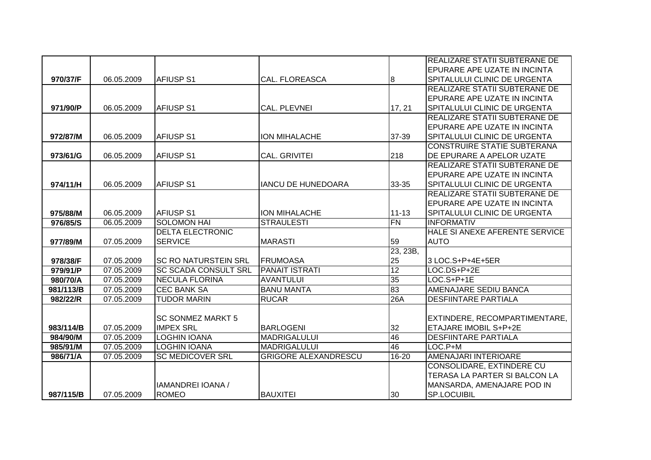|           |            |                             |                             |                 | REALIZARE STATII SUBTERANE DE       |
|-----------|------------|-----------------------------|-----------------------------|-----------------|-------------------------------------|
|           |            |                             |                             |                 | EPURARE APE UZATE IN INCINTA        |
| 970/37/F  | 06.05.2009 | <b>AFIUSP S1</b>            | CAL. FLOREASCA              | 8               | <b>SPITALULUI CLINIC DE URGENTA</b> |
|           |            |                             |                             |                 | REALIZARE STATII SUBTERANE DE       |
|           |            |                             |                             |                 | EPURARE APE UZATE IN INCINTA        |
| 971/90/P  | 06.05.2009 | <b>AFIUSP S1</b>            | CAL. PLEVNEI                | 17, 21          | SPITALULUI CLINIC DE URGENTA        |
|           |            |                             |                             |                 | REALIZARE STATII SUBTERANE DE       |
|           |            |                             |                             |                 | <b>EPURARE APE UZATE IN INCINTA</b> |
| 972/87/M  | 06.05.2009 | <b>AFIUSP S1</b>            | ION MIHALACHE               | 37-39           | SPITALULUI CLINIC DE URGENTA        |
|           |            |                             |                             |                 | <b>CONSTRUIRE STATIE SUBTERANA</b>  |
| 973/61/G  | 06.05.2009 | <b>AFIUSP S1</b>            | <b>CAL. GRIVITEI</b>        | 218             | DE EPURARE A APELOR UZATE           |
|           |            |                             |                             |                 | REALIZARE STATII SUBTERANE DE       |
|           |            |                             |                             |                 | EPURARE APE UZATE IN INCINTA        |
| 974/11/H  | 06.05.2009 | <b>AFIUSP S1</b>            | <b>IANCU DE HUNEDOARA</b>   | 33-35           | SPITALULUI CLINIC DE URGENTA        |
|           |            |                             |                             |                 | REALIZARE STATII SUBTERANE DE       |
|           |            |                             |                             |                 | <b>EPURARE APE UZATE IN INCINTA</b> |
| 975/88/M  | 06.05.2009 | <b>AFIUSP S1</b>            | ION MIHALACHE               | $11 - 13$       | SPITALULUI CLINIC DE URGENTA        |
| 976/85/S  | 06.05.2009 | <b>SOLOMON HAI</b>          | <b>STRAULESTI</b>           | $\overline{FN}$ | <b>INFORMATIV</b>                   |
|           |            | <b>DELTA ELECTRONIC</b>     |                             |                 | HALE SI ANEXE AFERENTE SERVICE      |
| 977/89/M  | 07.05.2009 | <b>SERVICE</b>              | <b>MARASTI</b>              | 59              | <b>AUTO</b>                         |
|           |            |                             |                             | 23, 23B,        |                                     |
| 978/38/F  | 07.05.2009 | <b>SC RO NATURSTEIN SRL</b> | <b>FRUMOASA</b>             | 25              | 3 LOC.S+P+4E+5ER                    |
| 979/91/P  | 07.05.2009 | ISC SCADA CONSULT SRL       | <b>PANAIT ISTRATI</b>       | 12              | LOC.DS+P+2E                         |
| 980/70/A  | 07.05.2009 | <b>NECULA FLORINA</b>       | <b>AVANTULUI</b>            | 35              | LOC.S+P+1E                          |
| 981/113/B | 07.05.2009 | <b>CEC BANK SA</b>          | <b>BANU MANTA</b>           | 83              | <b>AMENAJARE SEDIU BANCA</b>        |
| 982/22/R  | 07.05.2009 | <b>TUDOR MARIN</b>          | <b>RUCAR</b>                | 26A             | <b>DESFIINTARE PARTIALA</b>         |
|           |            |                             |                             |                 |                                     |
|           |            | <b>SC SONMEZ MARKT 5</b>    |                             |                 | EXTINDERE, RECOMPARTIMENTARE,       |
| 983/114/B | 07.05.2009 | <b>IMPEX SRL</b>            | <b>BARLOGENI</b>            | 32              | ETAJARE IMOBIL S+P+2E               |
| 984/90/M  | 07.05.2009 | <b>LOGHIN IOANA</b>         | <b>MADRIGALULUI</b>         | 46              | <b>DESFIINTARE PARTIALA</b>         |
| 985/91/M  | 07.05.2009 | <b>LOGHIN IOANA</b>         | <b>MADRIGALULUI</b>         | 46              | LOC.P+M                             |
| 986/71/A  | 07.05.2009 | <b>SC MEDICOVER SRL</b>     | <b>GRIGORE ALEXANDRESCU</b> | $16 - 20$       | AMENAJARI INTERIOARE                |
|           |            |                             |                             |                 | CONSOLIDARE, EXTINDERE CU           |
|           |            |                             |                             |                 | TERASA LA PARTER SI BALCON LA       |
|           |            | IAMANDREI IOANA /           |                             |                 | MANSARDA, AMENAJARE POD IN          |
| 987/115/B | 07.05.2009 | <b>ROMEO</b>                | <b>BAUXITEI</b>             | 30              | <b>SP.LOCUIBIL</b>                  |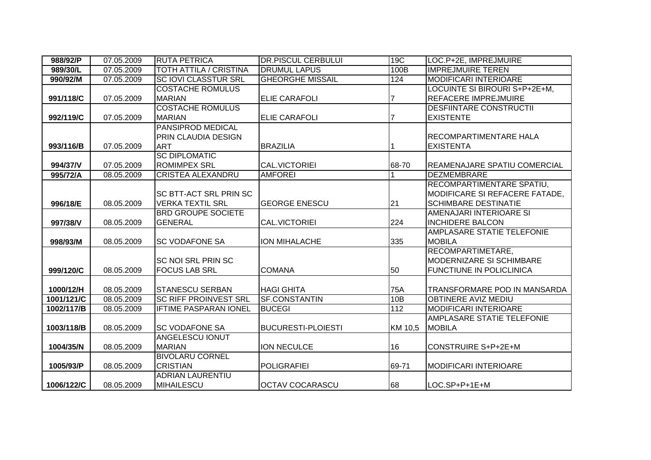| 988/92/P   | 07.05.2009 | <b>RUTA PETRICA</b>           | <b>DR.PISCUL CERBULUI</b> | 19C        | LOC.P+2E, IMPREJMUIRE           |
|------------|------------|-------------------------------|---------------------------|------------|---------------------------------|
| 989/30/L   | 07.05.2009 | <b>TOTH ATTILA / CRISTINA</b> | <b>DRUMUL LAPUS</b>       | 100B       | <b>IMPREJMUIRE TEREN</b>        |
| 990/92/M   | 07.05.2009 | <b>SC IOVI CLASSTUR SRL</b>   | <b>GHEORGHE MISSAIL</b>   | 124        | <b>MODIFICARI INTERIOARE</b>    |
|            |            | <b>COSTACHE ROMULUS</b>       |                           |            | LOCUINTE SI BIROURI S+P+2E+M,   |
| 991/118/C  | 07.05.2009 | <b>MARIAN</b>                 | <b>ELIE CARAFOLI</b>      |            | <b>REFACERE IMPREJMUIRE</b>     |
|            |            | <b>COSTACHE ROMULUS</b>       |                           |            | <b>DESFIINTARE CONSTRUCTII</b>  |
| 992/119/C  | 07.05.2009 | <b>MARIAN</b>                 | <b>ELIE CARAFOLI</b>      |            | <b>EXISTENTE</b>                |
|            |            | PANSIPROD MEDICAL             |                           |            |                                 |
|            |            | PRIN CLAUDIA DESIGN           |                           |            | <b>RECOMPARTIMENTARE HALA</b>   |
| 993/116/B  | 07.05.2009 | <b>ART</b>                    | <b>BRAZILIA</b>           |            | <b>EXISTENTA</b>                |
|            |            | <b>SC DIPLOMATIC</b>          |                           |            |                                 |
| 994/37/V   | 07.05.2009 | <b>ROMIMPEX SRL</b>           | CAL.VICTORIEI             | 68-70      | REAMENAJARE SPATIU COMERCIAL    |
| 995/72/A   | 08.05.2009 | <b>CRISTEA ALEXANDRU</b>      | <b>AMFOREI</b>            |            | <b>DEZMEMBRARE</b>              |
|            |            |                               |                           |            | RECOMPARTIMENTARE SPATIU,       |
|            |            | <b>SC BTT-ACT SRL PRIN SC</b> |                           |            | MODIFICARE SI REFACERE FATADE,  |
| 996/18/E   | 08.05.2009 | <b>VERKA TEXTIL SRL</b>       | <b>GEORGE ENESCU</b>      | 21         | <b>SCHIMBARE DESTINATIE</b>     |
|            |            | <b>BRD GROUPE SOCIETE</b>     |                           |            | AMENAJARI INTERIOARE SI         |
| 997/38/V   | 08.05.2009 | <b>GENERAL</b>                | <b>CAL.VICTORIEI</b>      | 224        | <b>INCHIDERE BALCON</b>         |
|            |            |                               |                           |            | AMPLASARE STATIE TELEFONIE      |
| 998/93/M   | 08.05.2009 | <b>SC VODAFONE SA</b>         | <b>ION MIHALACHE</b>      | 335        | <b>MOBILA</b>                   |
|            |            |                               |                           |            | RECOMPARTIMETARE,               |
|            |            | <b>SC NOI SRL PRIN SC</b>     |                           |            | <b>MODERNIZARE SI SCHIMBARE</b> |
| 999/120/C  | 08.05.2009 | <b>FOCUS LAB SRL</b>          | <b>COMANA</b>             | 50         | <b>FUNCTIUNE IN POLICLINICA</b> |
|            |            |                               |                           |            |                                 |
| 1000/12/H  | 08.05.2009 | <b>STANESCU SERBAN</b>        | <b>HAGI GHITA</b>         | <b>75A</b> | TRANSFORMARE POD IN MANSARDA    |
| 1001/121/C | 08.05.2009 | <b>SC RIFF PROINVEST SRL</b>  | <b>SF.CONSTANTIN</b>      | 10B        | <b>OBTINERE AVIZ MEDIU</b>      |
| 1002/117/B | 08.05.2009 | <b>IFTIME PASPARAN IONEL</b>  | <b>BUCEGI</b>             | 112        | <b>MODIFICARI INTERIOARE</b>    |
|            |            |                               |                           |            | AMPLASARE STATIE TELEFONIE      |
| 1003/118/B | 08.05.2009 | <b>SC VODAFONE SA</b>         | <b>BUCURESTI-PLOIESTI</b> | KM 10,5    | <b>MOBILA</b>                   |
|            |            | <b>ANGELESCU IONUT</b>        |                           |            |                                 |
| 1004/35/N  | 08.05.2009 | <b>MARIAN</b>                 | <b>ION NECULCE</b>        | 16         | <b>CONSTRUIRE S+P+2E+M</b>      |
|            |            | <b>BIVOLARU CORNEL</b>        |                           |            |                                 |
| 1005/93/P  | 08.05.2009 | <b>CRISTIAN</b>               | <b>POLIGRAFIEI</b>        | 69-71      | <b>MODIFICARI INTERIOARE</b>    |
|            |            | <b>ADRIAN LAURENTIU</b>       |                           |            |                                 |
| 1006/122/C | 08.05.2009 | MIHAILESCU                    | <b>OCTAV COCARASCU</b>    | 68         | LOC.SP+P+1E+M                   |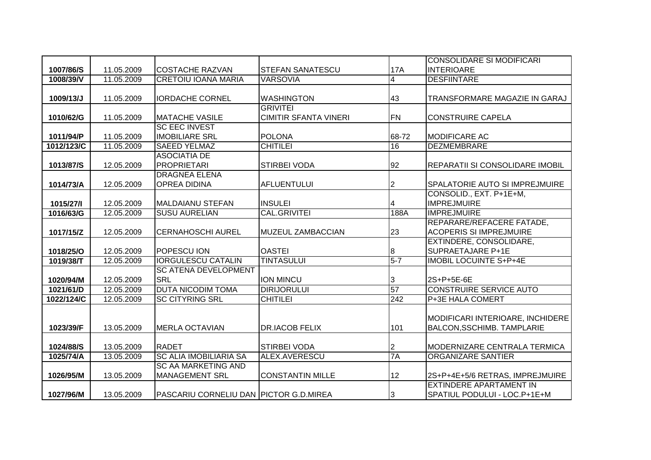|            |            |                                        |                              |                  | <b>CONSOLIDARE SI MODIFICARI</b>      |
|------------|------------|----------------------------------------|------------------------------|------------------|---------------------------------------|
| 1007/86/S  | 11.05.2009 | <b>ICOSTACHE RAZVAN</b>                | <b>STEFAN SANATESCU</b>      | 17A              | <b>INTERIOARE</b>                     |
| 1008/39/V  | 11.05.2009 | <b>CRETOIU IOANA MARIA</b>             | <b>VARSOVIA</b>              | 4                | <b>DESFIINTARE</b>                    |
|            |            |                                        |                              |                  |                                       |
| 1009/13/J  | 11.05.2009 | <b>IORDACHE CORNEL</b>                 | <b>WASHINGTON</b>            | 43               | TRANSFORMARE MAGAZIE IN GARAJ         |
|            |            |                                        | <b>GRIVITEI</b>              |                  |                                       |
| 1010/62/G  | 11.05.2009 | <b>MATACHE VASILE</b>                  | <b>CIMITIR SFANTA VINERI</b> | <b>FN</b>        | <b>CONSTRUIRE CAPELA</b>              |
|            |            | <b>SC EEC INVEST</b>                   |                              |                  |                                       |
| 1011/94/P  | 11.05.2009 | <b>IMOBILIARE SRL</b>                  | <b>POLONA</b>                | 68-72            | MODIFICARE AC                         |
| 1012/123/C | 11.05.2009 | <b>SAEED YELMAZ</b>                    | <b>CHITILEI</b>              | 16               | <b>DEZMEMBRARE</b>                    |
|            |            | <b>ASOCIATIA DE</b>                    |                              |                  |                                       |
| 1013/87/S  | 12.05.2009 | <b>PROPRIETARI</b>                     | <b>STIRBEI VODA</b>          | 92               | REPARATII SI CONSOLIDARE IMOBIL       |
|            |            | <b>DRAGNEA ELENA</b>                   |                              |                  |                                       |
| 1014/73/A  | 12.05.2009 | <b>OPREA DIDINA</b>                    | <b>AFLUENTULUI</b>           | $\overline{2}$   | <b>SPALATORIE AUTO SI IMPREJMUIRE</b> |
|            |            |                                        |                              |                  | CONSOLID., EXT. P+1E+M,               |
| 1015/27/1  | 12.05.2009 | <b>MALDAIANU STEFAN</b>                | <b>INSULEI</b>               | 4                | <b>IMPREJMUIRE</b>                    |
| 1016/63/G  | 12.05.2009 | <b>SUSU AURELIAN</b>                   | <b>CAL.GRIVITEI</b>          | 188A             | <b>IMPREJMUIRE</b>                    |
|            |            |                                        |                              |                  | REPARARE/REFACERE FATADE,             |
| 1017/15/Z  | 12.05.2009 | <b>CERNAHOSCHI AUREL</b>               | <b>MUZEUL ZAMBACCIAN</b>     | 23               | <b>ACOPERIS SI IMPREJMUIRE</b>        |
|            |            |                                        |                              |                  | EXTINDERE, CONSOLIDARE,               |
| 1018/25/O  | 12.05.2009 | POPESCU ION                            | <b>OASTEI</b>                | 8                | <b>SUPRAETAJARE P+1E</b>              |
| 1019/38/T  | 12.05.2009 | <b>IORGULESCU CATALIN</b>              | <b>TINTASULUI</b>            | $5 - 7$          | <b>IMOBIL LOCUINTE S+P+4E</b>         |
|            |            | <b>SC ATENA DEVELOPMENT</b>            |                              |                  |                                       |
| 1020/94/M  | 12.05.2009 | <b>SRL</b>                             | <b>ION MINCU</b>             | 3                | 2S+P+5E-6E                            |
| 1021/61/D  | 12.05.2009 | <b>DUTA NICODIM TOMA</b>               | <b>DIRIJORULUI</b>           | 57               | <b>CONSTRUIRE SERVICE AUTO</b>        |
| 1022/124/C | 12.05.2009 | <b>SC CITYRING SRL</b>                 | <b>CHITILEI</b>              | $\overline{242}$ | P+3E HALA COMERT                      |
|            |            |                                        |                              |                  |                                       |
|            |            |                                        |                              |                  | MODIFICARI INTERIOARE, INCHIDERE      |
| 1023/39/F  | 13.05.2009 | <b>MERLA OCTAVIAN</b>                  | <b>DR.IACOB FELIX</b>        | 101              | <b>BALCON, SSCHIMB. TAMPLARIE</b>     |
|            |            |                                        |                              |                  |                                       |
| 1024/88/S  | 13.05.2009 | <b>RADET</b>                           | <b>STIRBEI VODA</b>          | 2                | MODERNIZARE CENTRALA TERMICA          |
| 1025/74/A  | 13.05.2009 | <b>SC ALIA IMOBILIARIA SA</b>          | <b>ALEX.AVERESCU</b>         | 7A               | <b>ORGANIZARE SANTIER</b>             |
|            |            | <b>SC AA MARKETING AND</b>             |                              |                  |                                       |
| 1026/95/M  | 13.05.2009 | <b>MANAGEMENT SRL</b>                  | <b>CONSTANTIN MILLE</b>      | 12               | 2S+P+4E+5/6 RETRAS, IMPREJMUIRE       |
|            |            |                                        |                              |                  | <b>EXTINDERE APARTAMENT IN</b>        |
| 1027/96/M  | 13.05.2009 | PASCARIU CORNELIU DAN PICTOR G.D.MIREA |                              | 3                | SPATIUL PODULUI - LOC.P+1E+M          |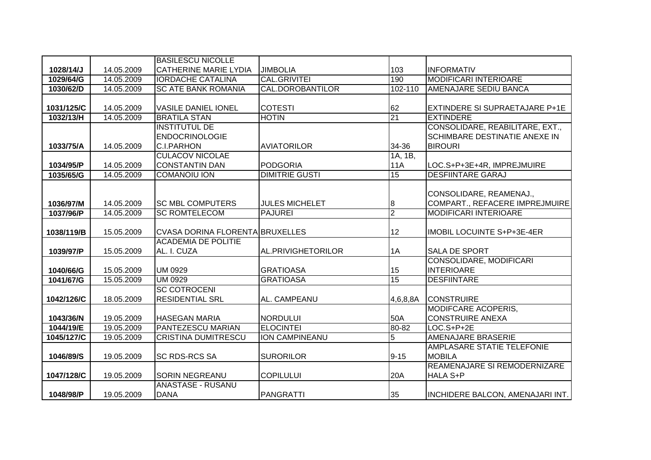|            |            | <b>BASILESCU NICOLLE</b>        |                         |                |                                   |
|------------|------------|---------------------------------|-------------------------|----------------|-----------------------------------|
| 1028/14/J  | 14.05.2009 | <b>CATHERINE MARIE LYDIA</b>    | <b>JIMBOLIA</b>         | 103            | <b>INFORMATIV</b>                 |
| 1029/64/G  | 14.05.2009 | <b>IORDACHE CATALINA</b>        | <b>CAL.GRIVITEI</b>     | 190            | <b>MODIFICARI INTERIOARE</b>      |
| 1030/62/D  | 14.05.2009 | <b>SC ATE BANK ROMANIA</b>      | <b>CAL.DOROBANTILOR</b> | 102-110        | <b>AMENAJARE SEDIU BANCA</b>      |
|            |            |                                 |                         |                |                                   |
| 1031/125/C | 14.05.2009 | <b>VASILE DANIEL IONEL</b>      | <b>COTESTI</b>          | 62             | EXTINDERE SI SUPRAETAJARE P+1E    |
| 1032/13/H  | 14.05.2009 | <b>BRATILA STAN</b>             | <b>HOTIN</b>            | 21             | <b>EXTINDERE</b>                  |
|            |            | <b>INSTITUTUL DE</b>            |                         |                | CONSOLIDARE, REABILITARE, EXT.,   |
|            |            | <b>ENDOCRINOLOGIE</b>           |                         |                | SCHIMBARE DESTINATIE ANEXE IN     |
| 1033/75/A  | 14.05.2009 | <b>C.I.PARHON</b>               | <b>AVIATORILOR</b>      | 34-36          | <b>BIROURI</b>                    |
|            |            | <b>CULACOV NICOLAE</b>          |                         | 1A, 1B,        |                                   |
| 1034/95/P  | 14.05.2009 | <b>CONSTANTIN DAN</b>           | <b>PODGORIA</b>         | <b>11A</b>     | LOC.S+P+3E+4R, IMPREJMUIRE        |
| 1035/65/G  | 14.05.2009 | <b>COMANOIU ION</b>             | <b>DIMITRIE GUSTI</b>   | 15             | <b>DESFIINTARE GARAJ</b>          |
|            |            |                                 |                         |                |                                   |
|            |            |                                 |                         |                | CONSOLIDARE, REAMENAJ.,           |
| 1036/97/M  | 14.05.2009 | <b>SC MBL COMPUTERS</b>         | <b>JULES MICHELET</b>   | 8              | COMPART., REFACERE IMPREJMUIRE    |
| 1037/96/P  | 14.05.2009 | <b>SC ROMTELECOM</b>            | <b>PAJUREI</b>          | $\overline{2}$ | MODIFICARI INTERIOARE             |
|            |            |                                 |                         |                |                                   |
| 1038/119/B | 15.05.2009 | CVASA DORINA FLORENTA BRUXELLES |                         | 12             | <b>IMOBIL LOCUINTE S+P+3E-4ER</b> |
|            |            | <b>ACADEMIA DE POLITIE</b>      |                         |                |                                   |
| 1039/97/P  | 15.05.2009 | AL. I. CUZA                     | AL.PRIVIGHETORILOR      | 1A             | <b>SALA DE SPORT</b>              |
|            |            |                                 |                         |                | CONSOLIDARE, MODIFICARI           |
| 1040/66/G  | 15.05.2009 | <b>UM 0929</b>                  | <b>GRATIOASA</b>        | 15             | <b>INTERIOARE</b>                 |
| 1041/67/G  | 15.05.2009 | <b>UM 0929</b>                  | <b>GRATIOASA</b>        | 15             | <b>DESFIINTARE</b>                |
|            |            | <b>SC COTROCENI</b>             |                         |                |                                   |
| 1042/126/C | 18.05.2009 | <b>RESIDENTIAL SRL</b>          | AL. CAMPEANU            | 4,6,8,8A       | <b>CONSTRUIRE</b>                 |
|            |            |                                 |                         |                | MODIFCARE ACOPERIS.               |
| 1043/36/N  | 19.05.2009 | <b>HASEGAN MARIA</b>            | NORDULUI                | 50A            | <b>CONSTRUIRE ANEXA</b>           |
| 1044/19/E  | 19.05.2009 | <b>PANTEZESCU MARIAN</b>        | <b>ELOCINTEI</b>        | 80-82          | $LOG. S+P+2E$                     |
| 1045/127/C | 19.05.2009 | <b>CRISTINA DUMITRESCU</b>      | <b>ION CAMPINEANU</b>   | 5              | AMENAJARE BRASERIE                |
|            |            |                                 |                         |                | AMPLASARE STATIE TELEFONIE        |
| 1046/89/S  | 19.05.2009 | <b>SC RDS-RCS SA</b>            | <b>SURORILOR</b>        | $9 - 15$       | <b>MOBILA</b>                     |
|            |            |                                 |                         |                | REAMENAJARE SI REMODERNIZARE      |
| 1047/128/C | 19.05.2009 | SORIN NEGREANU                  | <b>COPILULUI</b>        | 20A            | <b>HALA S+P</b>                   |
|            |            | <b>ANASTASE - RUSANU</b>        |                         |                |                                   |
| 1048/98/P  | 19.05.2009 | <b>DANA</b>                     | PANGRATTI               | 35             | INCHIDERE BALCON, AMENAJARI INT.  |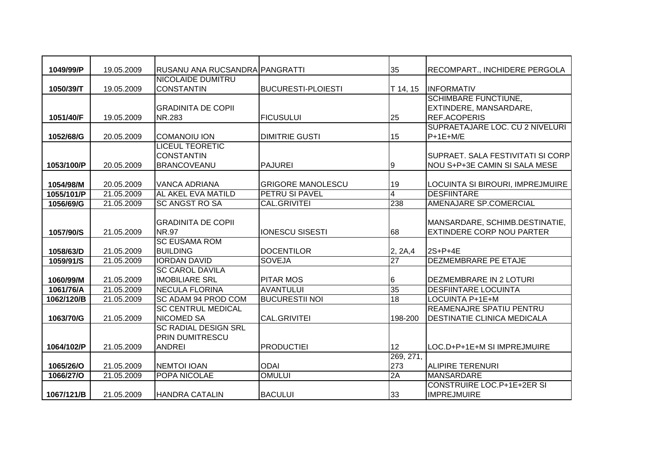| 1049/99/P               | 19.05.2009               | RUSANU ANA RUCSANDRA PANGRATTI             |                                            | 35              | RECOMPART., INCHIDERE PERGOLA                          |
|-------------------------|--------------------------|--------------------------------------------|--------------------------------------------|-----------------|--------------------------------------------------------|
| 1050/39/T               | 19.05.2009               | NICOLAIDE DUMITRU<br><b>CONSTANTIN</b>     | <b>BUCURESTI-PLOIESTI</b>                  |                 | <b>INFORMATIV</b>                                      |
|                         |                          |                                            |                                            | T 14, 15        | <b>SCHIMBARE FUNCTIUNE,</b>                            |
|                         |                          | <b>GRADINITA DE COPII</b>                  |                                            |                 | EXTINDERE, MANSARDARE,                                 |
| 1051/40/F               | 19.05.2009               | NR.283                                     | <b>FICUSULUI</b>                           | 25              | <b>REF.ACOPERIS</b>                                    |
|                         |                          |                                            |                                            |                 | SUPRAETAJARE LOC. CU 2 NIVELURI                        |
| 1052/68/G               | 20.05.2009               | <b>COMANOIU ION</b>                        | <b>DIMITRIE GUSTI</b>                      | 15              | $P+1E+M/E$                                             |
|                         |                          | <b>LICEUL TEORETIC</b>                     |                                            |                 |                                                        |
|                         |                          | <b>CONSTANTIN</b>                          |                                            |                 | SUPRAET. SALA FESTIVITATI SI CORPI                     |
| 1053/100/P              | 20.05.2009               | <b>BRANCOVEANU</b>                         | <b>PAJUREI</b>                             | Ι9              | NOU S+P+3E CAMIN SI SALA MESE                          |
|                         |                          |                                            |                                            |                 |                                                        |
| 1054/98/M<br>1055/101/P | 20.05.2009<br>21.05.2009 | <b>VANCA ADRIANA</b><br>AL AKEL EVA MATILD | <b>GRIGORE MANOLESCU</b><br>PETRU SI PAVEL | 19              | LOCUINTA SI BIROURI, IMPREJMUIRE<br><b>DESFIINTARE</b> |
| 1056/69/G               | 21.05.2009               | <b>SC ANGST RO SA</b>                      | <b>CAL.GRIVITEI</b>                        | 4<br>238        | AMENAJARE SP.COMERCIAL                                 |
|                         |                          |                                            |                                            |                 |                                                        |
|                         |                          | <b>GRADINITA DE COPII</b>                  |                                            |                 | MANSARDARE, SCHIMB.DESTINATIE,                         |
| 1057/90/S               | 21.05.2009               | <b>NR.97</b>                               | <b>IONESCU SISESTI</b>                     | 68              | <b>EXTINDERE CORP NOU PARTER</b>                       |
|                         |                          | <b>SC EUSAMA ROM</b>                       |                                            |                 |                                                        |
| 1058/63/D               | 21.05.2009               | <b>BUILDING</b>                            | <b>DOCENTILOR</b>                          | 2, 2A, 4        | $2S+P+4E$                                              |
| 1059/91/S               | 21.05.2009               | <b>IORDAN DAVID</b>                        | <b>SOVEJA</b>                              | $\overline{27}$ | <b>DEZMEMBRARE PE ETAJE</b>                            |
|                         |                          | <b>SC CAROL DAVILA</b>                     |                                            |                 |                                                        |
| 1060/99/M               | 21.05.2009               | <b>IMOBILIARE SRL</b>                      | <b>PITAR MOS</b>                           | 6               | <b>DEZMEMBRARE IN 2 LOTURI</b>                         |
| 1061/76/A               | 21.05.2009               | <b>NECULA FLORINA</b>                      | <b>AVANTULUI</b>                           | 35              | <b>DESFIINTARE LOCUINTA</b>                            |
| 1062/120/B              | 21.05.2009               | SC ADAM 94 PROD COM                        | <b>BUCURESTII NOI</b>                      | 18              | LOCUINTA P+1E+M                                        |
|                         |                          | <b>SC CENTRUL MEDICAL</b>                  |                                            |                 | <b>REAMENAJRE SPATIU PENTRU</b>                        |
| 1063/70/G               | 21.05.2009               | <b>NICOMED SA</b>                          | <b>CAL.GRIVITEI</b>                        | 198-200         | <b>DESTINATIE CLINICA MEDICALA</b>                     |
|                         |                          | <b>SC RADIAL DESIGN SRL</b>                |                                            |                 |                                                        |
|                         |                          | <b>PRIN DUMITRESCU</b>                     |                                            |                 |                                                        |
| 1064/102/P              | 21.05.2009               | <b>ANDREI</b>                              | <b>PRODUCTIEI</b>                          | 12              | LOC.D+P+1E+M SI IMPREJMUIRE                            |
|                         |                          |                                            |                                            | 269, 271,       |                                                        |
| 1065/26/O               | 21.05.2009               | <b>NEMTOI IOAN</b>                         | <b>ODAI</b><br><b>OMULUI</b>               | 273             | <b>ALIPIRE TERENURI</b>                                |
| 1066/27/0               | 21.05.2009               | POPA NICOLAE                               |                                            | 2A              | <b>MANSARDARE</b><br><b>CONSTRUIRE LOC.P+1E+2ER SI</b> |
|                         | 21.05.2009               | <b>HANDRA CATALIN</b>                      | <b>BACULUI</b>                             | 33              | <b>IMPREJMUIRE</b>                                     |
| 1067/121/B              |                          |                                            |                                            |                 |                                                        |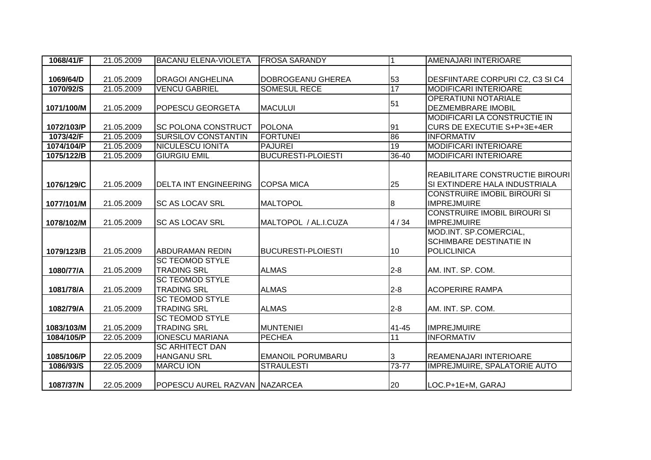| 1068/41/F  | 21.05.2009 | <b>BACANU ELENA-VIOLETA</b>   | <b>FROSA SARANDY</b>      | $\overline{1}$ | AMENAJARI INTERIOARE                |
|------------|------------|-------------------------------|---------------------------|----------------|-------------------------------------|
|            |            |                               |                           |                |                                     |
| 1069/64/D  | 21.05.2009 | <b>DRAGOI ANGHELINA</b>       | DOBROGEANU GHEREA         | 53             | DESFIINTARE CORPURI C2, C3 SI C4    |
| 1070/92/S  | 21.05.2009 | <b>VENCU GABRIEL</b>          | <b>SOMESUL RECE</b>       | 17             | <b>MODIFICARI INTERIOARE</b>        |
|            |            |                               |                           | 51             | <b>OPERATIUNI NOTARIALE</b>         |
| 1071/100/M | 21.05.2009 | <b>POPESCU GEORGETA</b>       | <b>MACULUI</b>            |                | <b>DEZMEMBRARE IMOBIL</b>           |
|            |            |                               |                           |                | <b>MODIFICARI LA CONSTRUCTIE IN</b> |
| 1072/103/P | 21.05.2009 | <b>SC POLONA CONSTRUCT</b>    | <b>POLONA</b>             | 91             | <b>CURS DE EXECUTIE S+P+3E+4ER</b>  |
| 1073/42/F  | 21.05.2009 | <b>SURSILOV CONSTANTIN</b>    | <b>FORTUNEI</b>           | 86             | <b>INFORMATIV</b>                   |
| 1074/104/P | 21.05.2009 | <b>NICULESCU IONITA</b>       | <b>PAJUREI</b>            | 19             | <b>MODIFICARI INTERIOARE</b>        |
| 1075/122/B | 21.05.2009 | <b>GIURGIU EMIL</b>           | <b>BUCURESTI-PLOIESTI</b> | $36 - 40$      | <b>MODIFICARI INTERIOARE</b>        |
|            |            |                               |                           |                |                                     |
|            |            |                               |                           |                | REABILITARE CONSTRUCTIE BIROURI     |
| 1076/129/C | 21.05.2009 | <b>DELTA INT ENGINEERING</b>  | <b>COPSA MICA</b>         | 25             | SI EXTINDERE HALA INDUSTRIALA       |
|            |            |                               |                           |                | <b>CONSTRUIRE IMOBIL BIROURI SI</b> |
| 1077/101/M | 21.05.2009 | <b>SC AS LOCAV SRL</b>        | <b>MALTOPOL</b>           | $\overline{8}$ | <b>IMPREJMUIRE</b>                  |
|            |            |                               |                           |                | <b>CONSTRUIRE IMOBIL BIROURI SI</b> |
| 1078/102/M | 21.05.2009 | <b>SC AS LOCAV SRL</b>        | MALTOPOL / AL.I.CUZA      | 4/34           | <b>IMPREJMUIRE</b>                  |
|            |            |                               |                           |                | MOD.INT. SP.COMERCIAL,              |
|            |            |                               |                           |                | <b>SCHIMBARE DESTINATIE IN</b>      |
| 1079/123/B | 21.05.2009 | <b>ABDURAMAN REDIN</b>        | <b>BUCURESTI-PLOIESTI</b> | 10             | <b>POLICLINICA</b>                  |
|            |            | <b>SC TEOMOD STYLE</b>        |                           |                |                                     |
| 1080/77/A  | 21.05.2009 | <b>TRADING SRL</b>            | <b>ALMAS</b>              | $2 - 8$        | AM. INT. SP. COM.                   |
|            |            | <b>SC TEOMOD STYLE</b>        |                           |                |                                     |
| 1081/78/A  | 21.05.2009 | <b>TRADING SRL</b>            | <b>ALMAS</b>              | $2 - 8$        | <b>ACOPERIRE RAMPA</b>              |
|            |            | <b>SC TEOMOD STYLE</b>        |                           |                |                                     |
| 1082/79/A  | 21.05.2009 | <b>TRADING SRL</b>            | <b>ALMAS</b>              | $2 - 8$        | AM. INT. SP. COM.                   |
|            |            | <b>SC TEOMOD STYLE</b>        |                           |                |                                     |
| 1083/103/M | 21.05.2009 | <b>TRADING SRL</b>            | <b>MUNTENIEI</b>          | 41-45          | <b>IMPREJMUIRE</b>                  |
| 1084/105/P | 22.05.2009 | <b>IONESCU MARIANA</b>        | <b>PECHEA</b>             | 11             | <b>INFORMATIV</b>                   |
|            |            | <b>SC ARHITECT DAN</b>        |                           |                |                                     |
| 1085/106/P | 22.05.2009 | <b>HANGANU SRL</b>            | <b>EMANOIL PORUMBARU</b>  | 3              | <b>REAMENAJARI INTERIOARE</b>       |
| 1086/93/S  | 22.05.2009 | <b>MARCU ION</b>              | <b>STRAULESTI</b>         | 73-77          | <b>IMPREJMUIRE, SPALATORIE AUTO</b> |
|            |            |                               |                           |                |                                     |
| 1087/37/N  | 22.05.2009 | POPESCU AUREL RAZVAN NAZARCEA |                           | 20             | LOC.P+1E+M, GARAJ                   |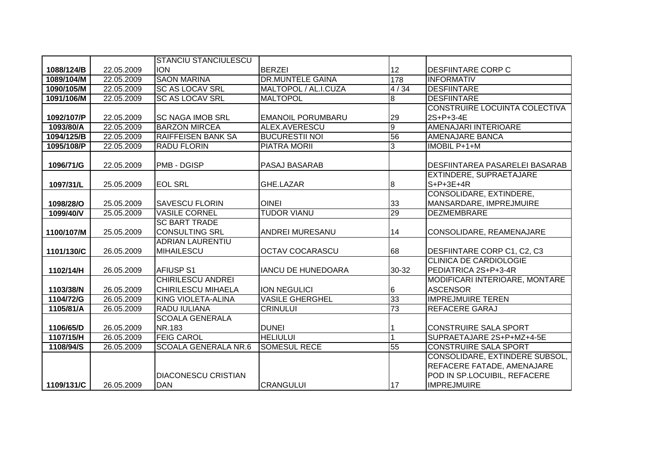|            |            | <b>STANCIU STANCIULESCU</b> |                           |                 |                                       |
|------------|------------|-----------------------------|---------------------------|-----------------|---------------------------------------|
| 1088/124/B | 22.05.2009 | <b>ION</b>                  | <b>BERZEI</b>             | 12              | <b>DESFIINTARE CORP C</b>             |
| 1089/104/M | 22.05.2009 | <b>SAON MARINA</b>          | <b>DR.MUNTELE GAINA</b>   | 178             | <b>INFORMATIV</b>                     |
| 1090/105/M | 22.05.2009 | <b>SC AS LOCAV SRL</b>      | MALTOPOL / AL.I.CUZA      | 4/34            | <b>DESFIINTARE</b>                    |
| 1091/106/M | 22.05.2009 | <b>SC AS LOCAV SRL</b>      | <b>MALTOPOL</b>           | œ               | <b>DESFIINTARE</b>                    |
|            |            |                             |                           |                 | CONSTRUIRE LOCUINTA COLECTIVA         |
| 1092/107/P | 22.05.2009 | <b>SC NAGA IMOB SRL</b>     | <b>EMANOIL PORUMBARU</b>  | 29              | 2S+P+3-4E                             |
| 1093/80/A  | 22.05.2009 | <b>BARZON MIRCEA</b>        | ALEX.AVERESCU             | σ               | AMENAJARI INTERIOARE                  |
| 1094/125/B | 22.05.2009 | <b>RAIFFEISEN BANK SA</b>   | <b>BUCURESTII NOI</b>     | 56              | <b>AMENAJARE BANCA</b>                |
| 1095/108/P | 22.05.2009 | <b>RADU FLORIN</b>          | <b>PIATRA MORII</b>       | $\overline{3}$  | <b>IMOBIL P+1+M</b>                   |
|            |            |                             |                           |                 |                                       |
| 1096/71/G  | 22.05.2009 | <b>PMB - DGISP</b>          | PASAJ BASARAB             |                 | <b>DESFIINTAREA PASARELEI BASARAB</b> |
|            |            |                             |                           |                 | EXTINDERE, SUPRAETAJARE               |
| 1097/31/L  | 25.05.2009 | <b>EOL SRL</b>              | GHE.LAZAR                 | 8               | $S+P+3E+4R$                           |
|            |            |                             |                           |                 | <b>CONSOLIDARE, EXTINDERE,</b>        |
| 1098/28/O  | 25.05.2009 | <b>ISAVESCU FLORIN</b>      | <b>OINEI</b>              | 33              | MANSARDARE, IMPREJMUIRE               |
| 1099/40/V  | 25.05.2009 | <b>VASILE CORNEL</b>        | <b>TUDOR VIANU</b>        | 29              | <b>DEZMEMBRARE</b>                    |
|            |            | <b>SC BART TRADE</b>        |                           |                 |                                       |
| 1100/107/M | 25.05.2009 | <b>CONSULTING SRL</b>       | ANDREI MURESANU           | 14              | CONSOLIDARE, REAMENAJARE              |
|            |            | <b>ADRIAN LAURENTIU</b>     |                           |                 |                                       |
| 1101/130/C | 26.05.2009 | <b>MIHAILESCU</b>           | <b>OCTAV COCARASCU</b>    | 68              | DESFIINTARE CORP C1, C2, C3           |
|            |            |                             |                           |                 | <b>CLINICA DE CARDIOLOGIE</b>         |
| 1102/14/H  | 26.05.2009 | <b>AFIUSP S1</b>            | <b>IANCU DE HUNEDOARA</b> | 30-32           | PEDIATRICA 2S+P+3-4R                  |
|            |            | <b>CHIRILESCU ANDREI</b>    |                           |                 | MODIFICARI INTERIOARE, MONTARE        |
| 1103/38/N  | 26.05.2009 | <b>CHIRILESCU MIHAELA</b>   | <b>ION NEGULICI</b>       | $6\phantom{.}6$ | <b>ASCENSOR</b>                       |
| 1104/72/G  | 26.05.2009 | <b>KING VIOLETA-ALINA</b>   | <b>VASILE GHERGHEL</b>    | 33              | <b>IMPREJMUIRE TEREN</b>              |
| 1105/81/A  | 26.05.2009 | <b>RADU IULIANA</b>         | <b>CRINULUI</b>           | 73              | <b>REFACERE GARAJ</b>                 |
|            |            | <b>SCOALA GENERALA</b>      |                           |                 |                                       |
| 1106/65/D  | 26.05.2009 | NR.183                      | <b>DUNEI</b>              |                 | <b>CONSTRUIRE SALA SPORT</b>          |
| 1107/15/H  | 26.05.2009 | <b>FEIG CAROL</b>           | <b>HELIULUI</b>           |                 | SUPRAETAJARE 2S+P+MZ+4-5E             |
| 1108/94/S  | 26.05.2009 | <b>SCOALA GENERALA NR.6</b> | <b>SOMESUL RECE</b>       | 55              | <b>CONSTRUIRE SALA SPORT</b>          |
|            |            |                             |                           |                 | CONSOLIDARE, EXTINDERE SUBSOL,        |
|            |            |                             |                           |                 | REFACERE FATADE, AMENAJARE            |
|            |            | <b>DIACONESCU CRISTIAN</b>  |                           |                 | POD IN SP.LOCUIBIL, REFACERE          |
| 1109/131/C | 26.05.2009 | <b>DAN</b>                  | <b>CRANGULUI</b>          | 17              | <b>IMPREJMUIRE</b>                    |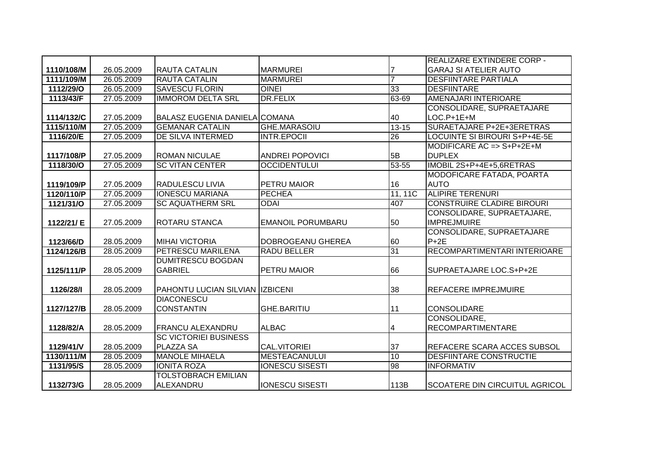|            |            |                                        |                          |                | REALIZARE EXTINDERE CORP -            |
|------------|------------|----------------------------------------|--------------------------|----------------|---------------------------------------|
| 1110/108/M | 26.05.2009 | <b>RAUTA CATALIN</b>                   | <b>MARMUREI</b>          |                | <b>GARAJ SI ATELIER AUTO</b>          |
| 1111/109/M | 26.05.2009 | <b>RAUTA CATALIN</b>                   | <b>MARMUREI</b>          | $\overline{7}$ | <b>DESFIINTARE PARTIALA</b>           |
| 1112/29/O  | 26.05.2009 | <b>SAVESCU FLORIN</b>                  | <b>OINEI</b>             | 33             | <b>DESFIINTARE</b>                    |
| 1113/43/F  | 27.05.2009 | <b>IMMOROM DELTA SRL</b>               | <b>DR.FELIX</b>          | 63-69          | <b>AMENAJARI INTERIOARE</b>           |
|            |            |                                        |                          |                | CONSOLIDARE, SUPRAETAJARE             |
| 1114/132/C | 27.05.2009 | <b>BALASZ EUGENIA DANIELA COMANA</b>   |                          | 40             | LOC.P+1E+M                            |
| 1115/110/M | 27.05.2009 | <b>GEMANAR CATALIN</b>                 | <b>GHE.MARASOIU</b>      | $13 - 15$      | SURAETAJARE P+2E+3ERETRAS             |
| 1116/20/E  | 27.05.2009 | DE SILVA INTERMED                      | <b>INTR.EPOCII</b>       | 26             | LOCUINTE SI BIROURI S+P+4E-5E         |
|            |            |                                        |                          |                | MODIFICARE AC => $S+P+2E+M$           |
| 1117/108/P | 27.05.2009 | <b>ROMAN NICULAE</b>                   | <b>ANDREI POPOVICI</b>   | 5B             | <b>DUPLEX</b>                         |
| 1118/30/O  | 27.05.2009 | <b>SC VITAN CENTER</b>                 | <b>OCCIDENTULUI</b>      | $53 - 55$      | IMOBIL 2S+P+4E+5,6RETRAS              |
|            |            |                                        |                          |                | MODOFICARE FATADA, POARTA             |
| 1119/109/P | 27.05.2009 | <b>RADULESCU LIVIA</b>                 | PETRU MAIOR              | 16             | <b>AUTO</b>                           |
| 1120/110/P | 27.05.2009 | <b>IONESCU MARIANA</b>                 | <b>PECHEA</b>            | 11, 11C        | <b>ALIPIRE TERENURI</b>               |
| 1121/31/0  | 27.05.2009 | <b>SC AQUATHERM SRL</b>                | <b>ODAI</b>              | 407            | <b>CONSTRUIRE CLADIRE BIROURI</b>     |
|            |            |                                        |                          |                | CONSOLIDARE, SUPRAETAJARE,            |
| 1122/21/ E | 27.05.2009 | <b>ROTARU STANCA</b>                   | <b>EMANOIL PORUMBARU</b> | 50             | <b>IMPREJMUIRE</b>                    |
|            |            |                                        |                          |                | CONSOLIDARE, SUPRAETAJARE             |
| 1123/66/D  | 28.05.2009 | <b>MIHAI VICTORIA</b>                  | DOBROGEANU GHEREA        | 60             | $P + 2E$                              |
| 1124/126/B | 28.05.2009 | PETRESCU MARILENA                      | <b>RADU BELLER</b>       | 31             | RECOMPARTIMENTARI INTERIOARE          |
|            |            | <b>DUMITRESCU BOGDAN</b>               |                          |                |                                       |
| 1125/111/P | 28.05.2009 | <b>GABRIEL</b>                         | PETRU MAIOR              | 66             | SUPRAETAJARE LOC.S+P+2E               |
|            |            |                                        |                          |                |                                       |
| 1126/28/1  | 28.05.2009 | <b>PAHONTU LUCIAN SILVIAN IZBICENI</b> |                          | 38             | <b>REFACERE IMPREJMUIRE</b>           |
|            |            | <b>DIACONESCU</b>                      |                          |                |                                       |
| 1127/127/B | 28.05.2009 | <b>CONSTANTIN</b>                      | <b>GHE.BARITIU</b>       | 11             | CONSOLIDARE                           |
|            |            |                                        |                          |                | CONSOLIDARE,                          |
| 1128/82/A  | 28.05.2009 | <b>FRANCU ALEXANDRU</b>                | <b>ALBAC</b>             | 4              | <b>RECOMPARTIMENTARE</b>              |
|            |            | <b>SC VICTORIEI BUSINESS</b>           |                          |                |                                       |
| 1129/41/V  | 28.05.2009 | <b>PLAZZA SA</b>                       | <b>CAL.VITORIEI</b>      | 37             | REFACERE SCARA ACCES SUBSOL           |
| 1130/111/M | 28.05.2009 | <b>MANOLE MIHAELA</b>                  | <b>MESTEACANULUI</b>     | 10             | <b>DESFIINTARE CONSTRUCTIE</b>        |
| 1131/95/S  | 28.05.2009 | <b>IONITA ROZA</b>                     | <b>IONESCU SISESTI</b>   | 98             | <b>INFORMATIV</b>                     |
|            |            | <b>TOLSTOBRACH EMILIAN</b>             |                          |                |                                       |
| 1132/73/G  | 28.05.2009 | ALEXANDRU                              | <b>IONESCU SISESTI</b>   | 113B           | <b>SCOATERE DIN CIRCUITUL AGRICOL</b> |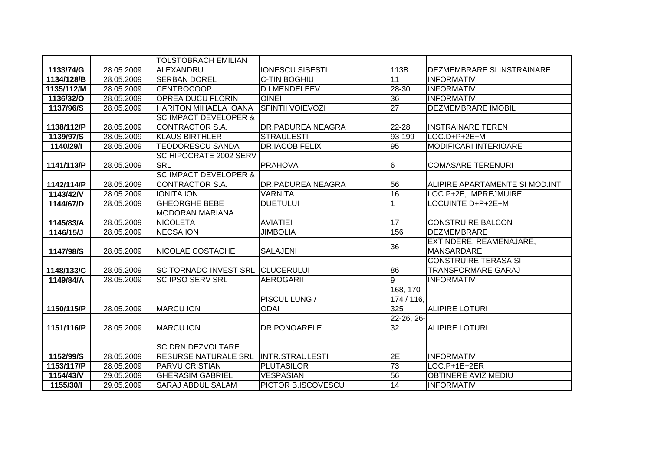|            |            | <b>TOLSTOBRACH EMILIAN</b>              |                          |                 |                                   |
|------------|------------|-----------------------------------------|--------------------------|-----------------|-----------------------------------|
| 1133/74/G  | 28.05.2009 | ALEXANDRU                               | <b>IONESCU SISESTI</b>   | 113B            | <b>DEZMEMBRARE SI INSTRAINARE</b> |
| 1134/128/B | 28.05.2009 | <b>SERBAN DOREL</b>                     | <b>C-TIN BOGHIU</b>      | $\overline{11}$ | <b>INFORMATIV</b>                 |
| 1135/112/M | 28.05.2009 | <b>CENTROCOOP</b>                       | D.I.MENDELEEV            | 28-30           | <b>INFORMATIV</b>                 |
| 1136/32/0  | 28.05.2009 | <b>OPREA DUCU FLORIN</b>                | <b>OINEI</b>             | 36              | <b>INFORMATIV</b>                 |
| 1137/96/S  | 28.05.2009 | <b>HARITON MIHAELA IOANA</b>            | <b>SFINTII VOIEVOZI</b>  | $\overline{27}$ | <b>DEZMEMBRARE IMOBIL</b>         |
|            |            | <b>SC IMPACT DEVELOPER &amp;</b>        |                          |                 |                                   |
| 1138/112/P | 28.05.2009 | CONTRACTOR S.A.                         | <b>DR.PADUREA NEAGRA</b> | 22-28           | <b>INSTRAINARE TEREN</b>          |
| 1139/97/S  | 28.05.2009 | <b>KLAUS BIRTHLER</b>                   | <b>STRAULESTI</b>        | 93-199          | LOC.D+P+2E+M                      |
| 1140/29/1  | 28.05.2009 | <b>TEODORESCU SANDA</b>                 | <b>DR.IACOB FELIX</b>    | $\overline{95}$ | <b>MODIFICARI INTERIOARE</b>      |
|            |            | <b>SC HIPOCRATE 2002 SERV</b>           |                          |                 |                                   |
| 1141/113/P | 28.05.2009 | <b>SRL</b>                              | <b>PRAHOVA</b>           | $6\phantom{.}6$ | <b>COMASARE TERENURI</b>          |
|            |            | <b>SC IMPACT DEVELOPER &amp;</b>        |                          |                 |                                   |
| 1142/114/P | 28.05.2009 | CONTRACTOR S.A.                         | <b>DR.PADUREA NEAGRA</b> | 56              | ALIPIRE APARTAMENTE SI MOD.INT    |
| 1143/42/V  | 28.05.2009 | <b>IONITA ION</b>                       | <b>VARNITA</b>           | 16              | LOC.P+2E, IMPREJMUIRE             |
| 1144/67/D  | 28.05.2009 | <b>GHEORGHE BEBE</b>                    | <b>DUETULUI</b>          |                 | LOCUINTE D+P+2E+M                 |
|            |            | <b>MODORAN MARIANA</b>                  |                          |                 |                                   |
| 1145/83/A  | 28.05.2009 | <b>NICOLETA</b>                         | <b>AVIATIEI</b>          | 17              | <b>CONSTRUIRE BALCON</b>          |
| 1146/15/J  | 28.05.2009 | <b>NECSA ION</b>                        | <b>JIMBOLIA</b>          | 156             | <b>DEZMEMBRARE</b>                |
|            |            |                                         |                          | 36              | EXTINDERE, REAMENAJARE,           |
| 1147/98/S  | 28.05.2009 | <b>NICOLAE COSTACHE</b>                 | <b>SALAJENI</b>          |                 | <b>MANSARDARE</b>                 |
|            |            |                                         |                          |                 | <b>CONSTRUIRE TERASA SI</b>       |
| 1148/133/C | 28.05.2009 | <b>SC TORNADO INVEST SRL CLUCERULUI</b> |                          | 86              | <b>TRANSFORMARE GARAJ</b>         |
| 1149/84/A  | 28.05.2009 | <b>SC IPSO SERV SRL</b>                 | <b>AEROGARII</b>         | l9              | <b>INFORMATIV</b>                 |
|            |            |                                         |                          | 168, 170-       |                                   |
|            |            |                                         | PISCUL LUNG /            | 174 / 116,      |                                   |
| 1150/115/P | 28.05.2009 | <b>MARCU ION</b>                        | <b>ODAI</b>              | 325             | <b>ALIPIRE LOTURI</b>             |
|            |            |                                         |                          | 22-26, 26-      |                                   |
| 1151/116/P | 28.05.2009 | <b>MARCU ION</b>                        | <b>DR.PONOARELE</b>      | 32              | <b>ALIPIRE LOTURI</b>             |
|            |            |                                         |                          |                 |                                   |
|            |            | <b>SC DRN DEZVOLTARE</b>                |                          |                 |                                   |
| 1152/99/S  | 28.05.2009 | <b>RESURSE NATURALE SRL</b>             | <b>INTR.STRAULESTI</b>   | 2E              | <b>INFORMATIV</b>                 |
| 1153/117/P | 28.05.2009 | PARVU CRISTIAN                          | <b>PLUTASILOR</b>        | 73              | LOC.P+1E+2ER                      |
| 1154/43/V  | 29.05.2009 | <b>GHERASIM GABRIEL</b>                 | <b>VESPASIAN</b>         | 56              | <b>OBTINERE AVIZ MEDIU</b>        |
| 1155/30/   | 29.05.2009 | <b>SARAJ ABDUL SALAM</b>                | PICTOR B.ISCOVESCU       | 14              | <b>INFORMATIV</b>                 |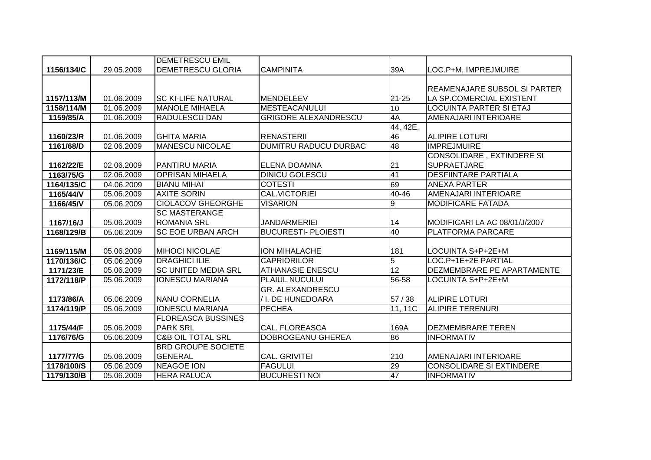|            |            | <b>DEMETRESCU EMIL</b>       |                              |          |                                     |
|------------|------------|------------------------------|------------------------------|----------|-------------------------------------|
| 1156/134/C | 29.05.2009 | <b>DEMETRESCU GLORIA</b>     | <b>CAMPINITA</b>             | 39A      | LOC.P+M, IMPREJMUIRE                |
|            |            |                              |                              |          |                                     |
|            |            |                              |                              |          | <b>REAMENAJARE SUBSOL SI PARTER</b> |
| 1157/113/M | 01.06.2009 | <b>SC KI-LIFE NATURAL</b>    | <b>MENDELEEV</b>             | 21-25    | LA SP.COMERCIAL EXISTENT            |
| 1158/114/M | 01.06.2009 | <b>MANOLE MIHAELA</b>        | <b>MESTEACANULUI</b>         | 10       | <b>LOCUINTA PARTER SI ETAJ</b>      |
| 1159/85/A  | 01.06.2009 | <b>RADULESCU DAN</b>         | <b>GRIGORE ALEXANDRESCU</b>  | 4A       | AMENAJARI INTERIOARE                |
|            |            |                              |                              | 44, 42E, |                                     |
| 1160/23/R  | 01.06.2009 | <b>GHITA MARIA</b>           | <b>RENASTERII</b>            | 46       | <b>ALIPIRE LOTURI</b>               |
| 1161/68/D  | 02.06.2009 | <b>MANESCU NICOLAE</b>       | <b>DUMITRU RADUCU DURBAC</b> | 48       | <b>IMPREJMUIRE</b>                  |
|            |            |                              |                              |          | <b>CONSOLIDARE, EXTINDERE SI</b>    |
| 1162/22/E  | 02.06.2009 | <b>PANTIRU MARIA</b>         | ELENA DOAMNA                 | 21       | <b>SUPRAETJARE</b>                  |
| 1163/75/G  | 02.06.2009 | <b>OPRISAN MIHAELA</b>       | <b>DINICU GOLESCU</b>        | 41       | <b>DESFIINTARE PARTIALA</b>         |
| 1164/135/C | 04.06.2009 | <b>BIANU MIHAI</b>           | <b>COTESTI</b>               | 69       | <b>ANEXA PARTER</b>                 |
| 1165/44/V  | 05.06.2009 | <b>AXITE SORIN</b>           | <b>CAL.VICTORIEI</b>         | 40-46    | AMENAJARI INTERIOARE                |
| 1166/45/V  | 05.06.2009 | <b>CIOLACOV GHEORGHE</b>     | <b>VISARION</b>              | 9        | <b>MODIFICARE FATADA</b>            |
|            |            | <b>SC MASTERANGE</b>         |                              |          |                                     |
| 1167/16/J  | 05.06.2009 | <b>ROMANIA SRL</b>           | <b>JANDARMERIEI</b>          | 14       | MODIFICARI LA AC 08/01/J/2007       |
| 1168/129/B | 05.06.2009 | <b>SC EOE URBAN ARCH</b>     | <b>BUCURESTI- PLOIESTI</b>   | 40       | <b>PLATFORMA PARCARE</b>            |
|            |            |                              |                              |          |                                     |
| 1169/115/M | 05.06.2009 | <b>MIHOCI NICOLAE</b>        | <b>ION MIHALACHE</b>         | 181      | LOCUINTA S+P+2E+M                   |
| 1170/136/C | 05.06.2009 | <b>DRAGHICI ILIE</b>         | <b>CAPRIORILOR</b>           | 5        | LOC.P+1E+2E PARTIAL                 |
| 1171/23/E  | 05.06.2009 | <b>SC UNITED MEDIA SRL</b>   | <b>ATHANASIE ENESCU</b>      | 12       | DEZMEMBRARE PE APARTAMENTE          |
| 1172/118/P | 05.06.2009 | <b>IONESCU MARIANA</b>       | <b>PLAIUL NUCULUI</b>        | 56-58    | LOCUINTA S+P+2E+M                   |
|            |            |                              | <b>GR. ALEXANDRESCU</b>      |          |                                     |
| 1173/86/A  | 05.06.2009 | <b>NANU CORNELIA</b>         | / I. DE HUNEDOARA            | 57/38    | <b>ALIPIRE LOTURI</b>               |
| 1174/119/P | 05.06.2009 | <b>IONESCU MARIANA</b>       | <b>PECHEA</b>                | 11, 11C  | <b>ALIPIRE TERENURI</b>             |
|            |            | <b>FLOREASCA BUSSINES</b>    |                              |          |                                     |
| 1175/44/F  | 05.06.2009 | <b>PARK SRL</b>              | <b>CAL. FLOREASCA</b>        | 169A     | <b>DEZMEMBRARE TEREN</b>            |
| 1176/76/G  | 05.06.2009 | <b>C&amp;B OIL TOTAL SRL</b> | <b>DOBROGEANU GHEREA</b>     | 86       | <b>INFORMATIV</b>                   |
|            |            | <b>BRD GROUPE SOCIETE</b>    |                              |          |                                     |
| 1177/77/G  | 05.06.2009 | <b>GENERAL</b>               | <b>CAL. GRIVITEI</b>         | 210      | AMENAJARI INTERIOARE                |
| 1178/100/S | 05.06.2009 | <b>NEAGOE ION</b>            | <b>FAGULUI</b>               | 29       | <b>CONSOLIDARE SI EXTINDERE</b>     |
| 1179/130/B | 05.06.2009 | <b>HERA RALUCA</b>           | <b>BUCURESTI NOI</b>         | 47       | <b>INFORMATIV</b>                   |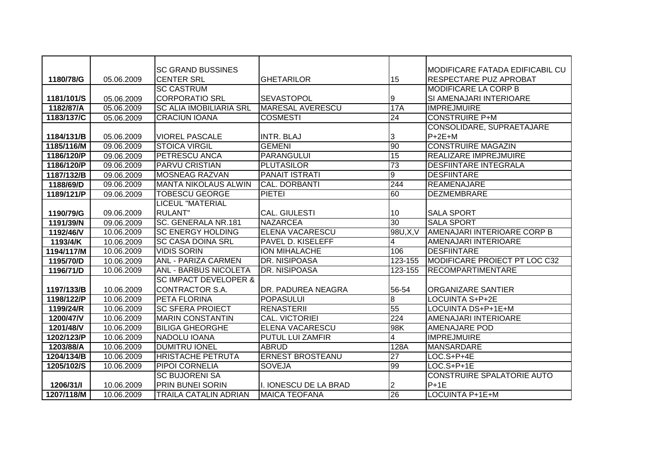|            |            | <b>SC GRAND BUSSINES</b>         |                         |                 | MODIFICARE FATADA EDIFICABIL CU      |
|------------|------------|----------------------------------|-------------------------|-----------------|--------------------------------------|
| 1180/78/G  | 05.06.2009 | <b>CENTER SRL</b>                | <b>GHETARILOR</b>       | 15              | <b>RESPECTARE PUZ APROBAT</b>        |
|            |            | <b>SC CASTRUM</b>                |                         |                 | <b>MODIFICARE LA CORP B</b>          |
| 1181/101/S | 05.06.2009 | <b>CORPORATIO SRL</b>            | SEVASTOPOL              | 9               | SI AMENAJARI INTERIOARE              |
| 1182/87/A  | 05.06.2009 | <b>SC ALIA IMOBILIARIA SRL</b>   | <b>MARESAL AVERESCU</b> | 17A             | <b>IMPREJMUIRE</b>                   |
| 1183/137/C | 05.06.2009 | <b>CRACIUN IOANA</b>             | <b>COSMESTI</b>         | $\overline{24}$ | <b>CONSTRUIRE P+M</b>                |
|            |            |                                  |                         |                 | CONSOLIDARE, SUPRAETAJARE            |
| 1184/131/B | 05.06.2009 | <b>VIOREL PASCALE</b>            | <b>INTR. BLAJ</b>       | 3               | $P+2E+M$                             |
| 1185/116/M | 09.06.2009 | <b>STOICA VIRGIL</b>             | <b>GEMENI</b>           | 90              | <b>CONSTRUIRE MAGAZIN</b>            |
| 1186/120/P | 09.06.2009 | <b>PETRESCU ANCA</b>             | <b>PARANGULUI</b>       | 15              | <b>REALIZARE IMPREJMUIRE</b>         |
| 1186/120/P | 09.06.2009 | <b>PARVU CRISTIAN</b>            | <b>PLUTASILOR</b>       | 73              | <b>DESFIINTARE INTEGRALA</b>         |
| 1187/132/B | 09.06.2009 | <b>MOSNEAG RAZVAN</b>            | <b>PANAIT ISTRATI</b>   | $\overline{9}$  | <b>DESFIINTARE</b>                   |
| 1188/69/D  | 09.06.2009 | <b>MANTA NIKOLAUS ALWIN</b>      | CAL. DORBANTI           | 244             | <b>REAMENAJARE</b>                   |
| 1189/121/P | 09.06.2009 | <b>TOBESCU GEORGE</b>            | <b>PIETEI</b>           | 60              | <b>DEZMEMBRARE</b>                   |
|            |            | LICEUL "MATERIAL                 |                         |                 |                                      |
| 1190/79/G  | 09.06.2009 | <b>RULANT</b> "                  | <b>CAL. GIULESTI</b>    | 10              | <b>SALA SPORT</b>                    |
| 1191/39/N  | 09.06.2009 | SC. GENERALA NR.181              | <b>NAZARCEA</b>         | $\overline{30}$ | <b>SALA SPORT</b>                    |
| 1192/46/V  | 10.06.2009 | <b>SC ENERGY HOLDING</b>         | <b>ELENA VACARESCU</b>  | 98U, X, V       | AMENAJARI INTERIOARE CORP B          |
| 1193/4/K   | 10.06.2009 | <b>SC CASA DOINA SRL</b>         | PAVEL D. KISELEFF       | 4               | AMENAJARI INTERIOARE                 |
| 1194/117/M | 10.06.2009 | <b>VIDIS SORIN</b>               | <b>ION MIHALACHE</b>    | 106             | <b>DESFIINTARE</b>                   |
| 1195/70/D  | 10.06.2009 | <b>ANL - PARIZA CARMEN</b>       | DR. NISIPOASA           | 123-155         | <b>MODIFICARE PROIECT PT LOC C32</b> |
| 1196/71/D  | 10.06.2009 | <b>ANL - BARBUS NICOLETA</b>     | DR. NISIPOASA           | 123-155         | <b>RECOMPARTIMENTARE</b>             |
|            |            | <b>SC IMPACT DEVELOPER &amp;</b> |                         |                 |                                      |
| 1197/133/B | 10.06.2009 | <b>CONTRACTOR S.A.</b>           | DR. PADUREA NEAGRA      | 56-54           | <b>ORGANIZARE SANTIER</b>            |
| 1198/122/P | 10.06.2009 | PETA FLORINA                     | <b>POPASULUI</b>        | $\infty$        | LOCUINTA S+P+2E                      |
| 1199/24/R  | 10.06.2009 | <b>SC SFERA PROIECT</b>          | <b>RENASTERII</b>       | 55              | LOCUINTA DS+P+1E+M                   |
| 1200/47/V  | 10.06.2009 | <b>MARIN CONSTANTIN</b>          | <b>CAL. VICTORIEI</b>   | 224             | AMENAJARI INTERIOARE                 |
| 1201/48/V  | 10.06.2009 | <b>BILIGA GHEORGHE</b>           | <b>ELENA VACARESCU</b>  | 98K             | <b>AMENAJARE POD</b>                 |
| 1202/123/P | 10.06.2009 | NADOLU IOANA                     | <b>PUTUL LUI ZAMFIR</b> | 4               | <b>IMPREJMUIRE</b>                   |
| 1203/88/A  | 10.06.2009 | <b>DUMITRU IONEL</b>             | <b>ABRUD</b>            | 128A            | <b>MANSARDARE</b>                    |
| 1204/134/B | 10.06.2009 | <b>HRISTACHE PETRUTA</b>         | <b>ERNEST BROSTEANU</b> | $\overline{27}$ | LOC.S+P+4E                           |
| 1205/102/S | 10.06.2009 | PIPOI CORNELIA                   | SOVEJA                  | 99              | LOC.S+P+1E                           |
|            |            | <b>SC BUJORENI SA</b>            |                         |                 | <b>CONSTRUIRE SPALATORIE AUTO</b>    |
| 1206/31/   | 10.06.2009 | PRIN BUNEI SORIN                 | I. IONESCU DE LA BRAD   | 2               | $P+1E$                               |
| 1207/118/M | 10.06.2009 | <b>TRAILA CATALIN ADRIAN</b>     | <b>MAICA TEOFANA</b>    | 26              | LOCUINTA P+1E+M                      |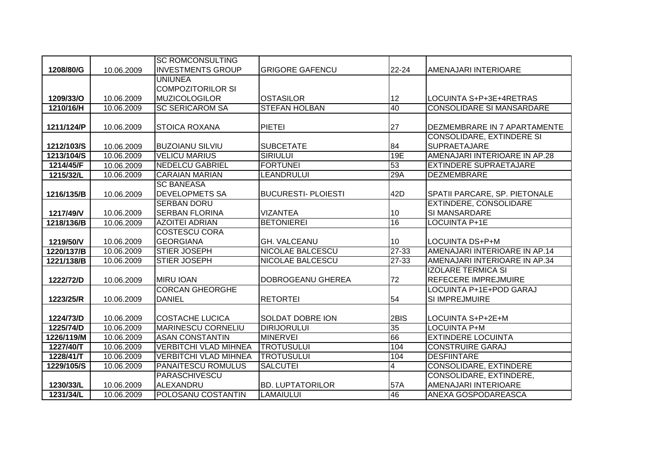|            |            | <b>SC ROMCONSULTING</b>      |                            |                |                                  |
|------------|------------|------------------------------|----------------------------|----------------|----------------------------------|
| 1208/80/G  | 10.06.2009 | <b>INVESTMENTS GROUP</b>     | <b>GRIGORE GAFENCU</b>     | 22-24          | AMENAJARI INTERIOARE             |
|            |            | <b>UNIUNEA</b>               |                            |                |                                  |
|            |            | <b>COMPOZITORILOR SI</b>     |                            |                |                                  |
| 1209/33/O  | 10.06.2009 | <b>MUZICOLOGILOR</b>         | <b>OSTASILOR</b>           | 12             | LOCUINTA S+P+3E+4RETRAS          |
| 1210/16/H  | 10.06.2009 | <b>SC SERICAROM SA</b>       | <b>STEFAN HOLBAN</b>       | 40             | <b>CONSOLIDARE SI MANSARDARE</b> |
|            |            |                              |                            |                |                                  |
| 1211/124/P | 10.06.2009 | <b>STOICA ROXANA</b>         | <b>PIETEI</b>              | 27             | DEZMEMBRARE IN 7 APARTAMENTE     |
|            |            |                              |                            |                | <b>CONSOLIDARE, EXTINDERE SI</b> |
| 1212/103/S | 10.06.2009 | <b>BUZOIANU SILVIU</b>       | <b>SUBCETATE</b>           | 84             | <b>SUPRAETAJARE</b>              |
| 1213/104/S | 10.06.2009 | <b>VELICU MARIUS</b>         | <b>SIRIULUI</b>            | 19E            | AMENAJARI INTERIOARE IN AP.28    |
| 1214/45/F  | 10.06.2009 | <b>NEDELCU GABRIEL</b>       | <b>FORTUNEI</b>            | 53             | <b>EXTINDERE SUPRAETAJARE</b>    |
| 1215/32/L  | 10.06.2009 | <b>CARAIAN MARIAN</b>        | LEANDRULUI                 | 29A            | DEZMEMBRARE                      |
|            |            | <b>SC BANEASA</b>            |                            |                |                                  |
| 1216/135/B | 10.06.2009 | <b>DEVELOPMETS SA</b>        | <b>BUCURESTI- PLOIESTI</b> | 42D            | SPATII PARCARE, SP. PIETONALE    |
|            |            | <b>SERBAN DORU</b>           |                            |                | <b>EXTINDERE, CONSOLIDARE</b>    |
| 1217/49/V  | 10.06.2009 | <b>SERBAN FLORINA</b>        | <b>VIZANTEA</b>            | 10             | SI MANSARDARE                    |
| 1218/136/B | 10.06.2009 | <b>AZOITEI ADRIAN</b>        | <b>BETONIEREI</b>          | 16             | LOCUINTA P+1E                    |
|            |            | <b>COSTESCU CORA</b>         |                            |                |                                  |
| 1219/50/V  | 10.06.2009 | <b>GEORGIANA</b>             | <b>GH. VALCEANU</b>        | 10             | LOCUINTA DS+P+M                  |
| 1220/137/B | 10.06.2009 | <b>STIER JOSEPH</b>          | NICOLAE BALCESCU           | 27-33          | AMENAJARI INTERIOARE IN AP.14    |
| 1221/138/B | 10.06.2009 | <b>STIER JOSEPH</b>          | NICOLAE BALCESCU           | 27-33          | AMENAJARI INTERIOARE IN AP.34    |
|            |            |                              |                            |                | <b>IZOLARE TERMICA SI</b>        |
| 1222/72/D  | 10.06.2009 | <b>MIRU IOAN</b>             | DOBROGEANU GHEREA          | 72             | <b>REFECERE IMPREJMUIRE</b>      |
|            |            | <b>CORCAN GHEORGHE</b>       |                            |                | LOCUINTA P+1E+POD GARAJ          |
| 1223/25/R  | 10.06.2009 | <b>DANIEL</b>                | <b>RETORTEI</b>            | 54             | SI IMPREJMUIRE                   |
|            |            |                              |                            |                |                                  |
| 1224/73/D  | 10.06.2009 | <b>COSTACHE LUCICA</b>       | SOLDAT DOBRE ION           | 2BIS           | LOCUINTA S+P+2E+M                |
| 1225/74/D  | 10.06.2009 | <b>MARINESCU CORNELIU</b>    | <b>DIRIJORULUI</b>         | 35             | <b>LOCUINTA P+M</b>              |
| 1226/119/M | 10.06.2009 | <b>ASAN CONSTANTIN</b>       | <b>MINERVEI</b>            | 66             | <b>EXTINDERE LOCUINTA</b>        |
| 1227/40/T  | 10.06.2009 | <b>VERBITCHI VLAD MIHNEA</b> | <b>TROTUSULUI</b>          | 104            | <b>CONSTRUIRE GARAJ</b>          |
| 1228/41/T  | 10.06.2009 | <b>VERBITCHI VLAD MIHNEA</b> | <b>TROTUSULUI</b>          | 104            | <b>DESFIINTARE</b>               |
| 1229/105/S | 10.06.2009 | <b>PANAITESCU ROMULUS</b>    | <b>SALCUTEI</b>            | $\overline{4}$ | <b>CONSOLIDARE, EXTINDERE</b>    |
|            |            | PARASCHIVESCU                |                            |                | CONSOLIDARE, EXTINDERE,          |
| 1230/33/L  | 10.06.2009 | ALEXANDRU                    | <b>BD. LUPTATORILOR</b>    | 57A            | AMENAJARI INTERIOARE             |
| 1231/34/L  | 10.06.2009 | POLOSANU COSTANTIN           | <b>LAMAIULUI</b>           | 46             | ANEXA GOSPODAREASCA              |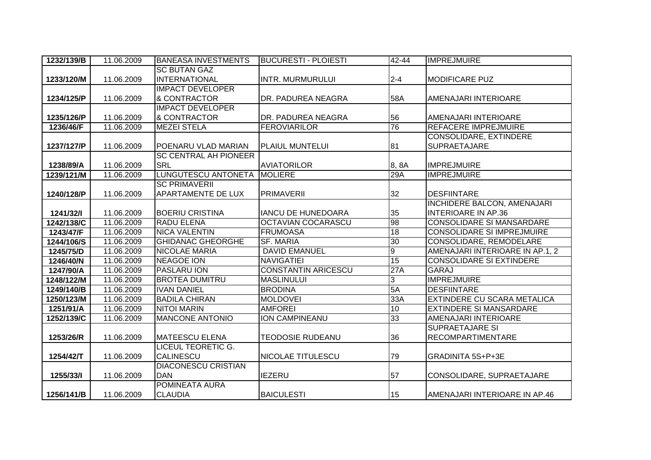| 1232/139/B | 11.06.2009 | <b>BANEASA INVESTMENTS</b>   | <b>BUCURESTI - PLOIESTI</b> | $42 - 44$      | <b>IMPREJMUIRE</b>                 |
|------------|------------|------------------------------|-----------------------------|----------------|------------------------------------|
|            |            | <b>SC BUTAN GAZ</b>          |                             |                |                                    |
| 1233/120/M | 11.06.2009 | <b>INTERNATIONAL</b>         | <b>INTR. MURMURULUI</b>     | $2 - 4$        | <b>MODIFICARE PUZ</b>              |
|            |            | <b>IMPACT DEVELOPER</b>      |                             |                |                                    |
| 1234/125/P | 11.06.2009 | & CONTRACTOR                 | DR. PADUREA NEAGRA          | 58A            | AMENAJARI INTERIOARE               |
|            |            | <b>IMPACT DEVELOPER</b>      |                             |                |                                    |
| 1235/126/P | 11.06.2009 | & CONTRACTOR                 | DR. PADUREA NEAGRA          | 56             | AMENAJARI INTERIOARE               |
| 1236/46/F  | 11.06.2009 | <b>MEZEI STELA</b>           | <b>FEROVIARILOR</b>         | 76             | <b>REFACERE IMPREJMUIRE</b>        |
|            |            |                              |                             |                | <b>CONSOLIDARE, EXTINDERE</b>      |
| 1237/127/P | 11.06.2009 | POENARU VLAD MARIAN          | <b>PLAIUL MUNTELUI</b>      | 81             | <b>SUPRAETAJARE</b>                |
|            |            | <b>SC CENTRAL AH PIONEER</b> |                             |                |                                    |
| 1238/89/A  | 11.06.2009 | <b>SRL</b>                   | <b>AVIATORILOR</b>          | 8, 8A          | <b>IMPREJMUIRE</b>                 |
| 1239/121/M | 11.06.2009 | <b>LUNGUTESCU ANTONETA</b>   | <b>MOLIERE</b>              | 29A            | <b>IMPREJMUIRE</b>                 |
|            |            | <b>SC PRIMAVERII</b>         |                             |                |                                    |
| 1240/128/P | 11.06.2009 | <b>APARTAMENTE DE LUX</b>    | <b>PRIMAVERII</b>           | 32             | <b>DESFIINTARE</b>                 |
|            |            |                              |                             |                | <b>INCHIDERE BALCON, AMENAJARI</b> |
| 1241/32/1  | 11.06.2009 | <b>BOERIU CRISTINA</b>       | <b>IANCU DE HUNEDOARA</b>   | 35             | <b>INTERIOARE IN AP.36</b>         |
| 1242/138/C | 11.06.2009 | <b>RADU ELENA</b>            | OCTAVIAN COCARASCU          | 98             | <b>CONSOLIDARE SI MANSARDARE</b>   |
| 1243/47/F  | 11.06.2009 | <b>NICA VALENTIN</b>         | <b>FRUMOASA</b>             | 18             | <b>CONSOLIDARE SI IMPREJMUIRE</b>  |
| 1244/106/S | 11.06.2009 | <b>GHIDANAC GHEORGHE</b>     | <b>SF. MARIA</b>            | 30             | CONSOLIDARE, REMODELARE            |
| 1245/75/D  | 11.06.2009 | <b>NICOLAE MARIA</b>         | <b>DAVID EMANUEL</b>        | $\overline{9}$ | AMENAJARI INTERIOARE IN AP.1, 2    |
| 1246/40/N  | 11.06.2009 | <b>NEAGOE ION</b>            | <b>NAVIGATIEI</b>           | 15             | <b>CONSOLIDARE SI EXTINDERE</b>    |
| 1247/90/A  | 11.06.2009 | <b>PASLARU ION</b>           | <b>CONSTANTIN ARICESCU</b>  | 27A            | <b>GARAJ</b>                       |
| 1248/122/M | 11.06.2009 | <b>BROTEA DUMITRU</b>        | <b>MASLINULUI</b>           | $\overline{3}$ | <b>IMPREJMUIRE</b>                 |
| 1249/140/B | 11.06.2009 | <b>IVAN DANIEL</b>           | <b>BRODINA</b>              | 5A             | <b>DESFIINTARE</b>                 |
| 1250/123/M | 11.06.2009 | <b>BADILA CHIRAN</b>         | <b>MOLDOVEI</b>             | 33A            | <b>EXTINDERE CU SCARA METALICA</b> |
| 1251/91/A  | 11.06.2009 | <b>NITOI MARIN</b>           | <b>AMFOREI</b>              | 10             | <b>EXTINDERE SI MANSARDARE</b>     |
| 1252/139/C | 11.06.2009 | <b>MANCONE ANTONIO</b>       | <b>ION CAMPINEANU</b>       | 33             | AMENAJARI INTERIOARE               |
|            |            |                              |                             |                | <b>SUPRAETAJARE SI</b>             |
| 1253/26/R  | 11.06.2009 | <b>MATEESCU ELENA</b>        | <b>TEODOSIE RUDEANU</b>     | 36             | <b>RECOMPARTIMENTARE</b>           |
|            |            | <b>LICEUL TEORETIC G.</b>    |                             |                |                                    |
| 1254/42/T  | 11.06.2009 | <b>CALINESCU</b>             | NICOLAE TITULESCU           | 79             | GRADINITA 5S+P+3E                  |
|            |            | <b>DIACONESCU CRISTIAN</b>   |                             |                |                                    |
| 1255/33/l  | 11.06.2009 | <b>DAN</b>                   | <b>IEZERU</b>               | 57             | CONSOLIDARE, SUPRAETAJARE          |
|            |            | POMINEATA AURA               |                             |                |                                    |
| 1256/141/B | 11.06.2009 | <b>CLAUDIA</b>               | <b>BAICULESTI</b>           | 15             | AMENAJARI INTERIOARE IN AP.46      |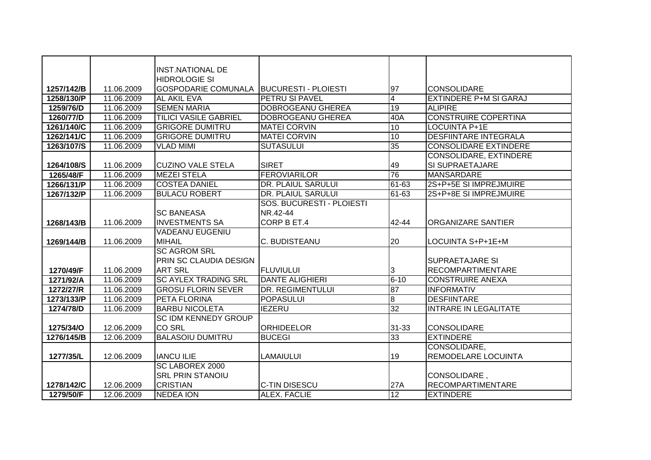|            |            | <b>INST.NATIONAL DE</b>       |                             |                |                               |
|------------|------------|-------------------------------|-----------------------------|----------------|-------------------------------|
|            |            | <b>HIDROLOGIE SI</b>          |                             |                |                               |
| 1257/142/B | 11.06.2009 | <b>GOSPODARIE COMUNALA</b>    | <b>BUCURESTI - PLOIESTI</b> | 97             | <b>CONSOLIDARE</b>            |
| 1258/130/P | 11.06.2009 | <b>AL AKIL EVA</b>            | PETRU SI PAVEL              | $\overline{4}$ | <b>EXTINDERE P+M SI GARAJ</b> |
| 1259/76/D  | 11.06.2009 | <b>SEMEN MARIA</b>            | <b>DOBROGEANU GHEREA</b>    | 19             | <b>ALIPIRE</b>                |
| 1260/77/D  | 11.06.2009 | <b>TILICI VASILE GABRIEL</b>  | <b>DOBROGEANU GHEREA</b>    | 40A            | <b>CONSTRUIRE COPERTINA</b>   |
| 1261/140/C | 11.06.2009 | <b>GRIGORE DUMITRU</b>        | <b>MATEI CORVIN</b>         | 10             | <b>LOCUINTA P+1E</b>          |
| 1262/141/C | 11.06.2009 | <b>GRIGORE DUMITRU</b>        | <b>MATEI CORVIN</b>         | 10             | <b>DESFIINTARE INTEGRALA</b>  |
| 1263/107/S | 11.06.2009 | <b>VLAD MIMI</b>              | <b>SUTASULUI</b>            | 35             | <b>CONSOLIDARE EXTINDERE</b>  |
|            |            |                               |                             |                | CONSOLIDARE, EXTINDERE        |
| 1264/108/S | 11.06.2009 | <b>CUZINO VALE STELA</b>      | <b>SIRET</b>                | 49             | <b>SI SUPRAETAJARE</b>        |
| 1265/48/F  | 11.06.2009 | <b>MEZEI STELA</b>            | <b>FEROVIARILOR</b>         | 76             | <b>MANSARDARE</b>             |
| 1266/131/P | 11.06.2009 | <b>COSTEA DANIEL</b>          | DR. PLAIUL SARULUI          | 61-63          | 2S+P+5E SI IMPREJMUIRE        |
| 1267/132/P | 11.06.2009 | <b>BULACU ROBERT</b>          | DR. PLAIUL SARULUI          | 61-63          | 2S+P+8E SI IMPREJMUIRE        |
|            |            |                               | SOS. BUCURESTI - PLOIESTI   |                |                               |
|            |            | <b>SC BANEASA</b>             | NR.42-44                    |                |                               |
| 1268/143/B | 11.06.2009 | <b>INVESTMENTS SA</b>         | CORP B ET.4                 | 42-44          | <b>ORGANIZARE SANTIER</b>     |
|            |            | <b>VADEANU EUGENIU</b>        |                             |                |                               |
| 1269/144/B | 11.06.2009 | <b>MIHAIL</b>                 | C. BUDISTEANU               | 20             | LOCUINTA S+P+1E+M             |
|            |            | <b>SC AGROM SRL</b>           |                             |                |                               |
|            |            | <b>PRIN SC CLAUDIA DESIGN</b> |                             |                | <b>SUPRAETAJARE SI</b>        |
| 1270/49/F  | 11.06.2009 | <b>ART SRL</b>                | <b>FLUVIULUI</b>            | $\overline{3}$ | <b>RECOMPARTIMENTARE</b>      |
| 1271/92/A  | 11.06.2009 | <b>SC AYLEX TRADING SRL</b>   | <b>DANTE ALIGHIERI</b>      | $6 - 10$       | <b>CONSTRUIRE ANEXA</b>       |
| 1272/27/R  | 11.06.2009 | <b>GROSU FLORIN SEVER</b>     | <b>DR. REGIMENTULUI</b>     | 87             | <b>INFORMATIV</b>             |
| 1273/133/P | 11.06.2009 | <b>PETA FLORINA</b>           | <b>POPASULUI</b>            | $\overline{8}$ | <b>DESFIINTARE</b>            |
| 1274/78/D  | 11.06.2009 | <b>BARBU NICOLETA</b>         | <b>IEZERU</b>               | 32             | <b>INTRARE IN LEGALITATE</b>  |
|            |            | <b>SC IDM KENNEDY GROUP</b>   |                             |                |                               |
| 1275/34/O  | 12.06.2009 | <b>CO SRL</b>                 | <b>ORHIDEELOR</b>           | 31-33          | <b>CONSOLIDARE</b>            |
| 1276/145/B | 12.06.2009 | <b>BALASOIU DUMITRU</b>       | <b>BUCEGI</b>               | 33             | <b>EXTINDERE</b>              |
|            |            |                               |                             |                | CONSOLIDARE,                  |
| 1277/35/L  | 12.06.2009 | <b>IANCU ILIE</b>             | LAMAIULUI                   | 19             | REMODELARE LOCUINTA           |
|            |            | <b>SC LABOREX 2000</b>        |                             |                |                               |
|            |            | <b>SRL PRIN STANOIU</b>       |                             |                | CONSOLIDARE,                  |
| 1278/142/C | 12.06.2009 | <b>CRISTIAN</b>               | <b>C-TIN DISESCU</b>        | 27A            | <b>RECOMPARTIMENTARE</b>      |
| 1279/50/F  | 12.06.2009 | <b>NEDEA ION</b>              | ALEX. FACLIE                | 12             | <b>EXTINDERE</b>              |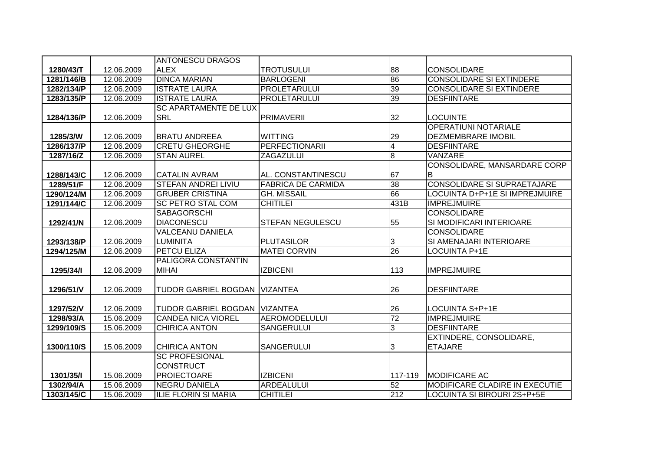|            |            | <b>ANTONESCU DRAGOS</b>              |                           |                |                                       |
|------------|------------|--------------------------------------|---------------------------|----------------|---------------------------------------|
| 1280/43/T  | 12.06.2009 | <b>ALEX</b>                          | <b>TROTUSULUI</b>         | 88             | <b>CONSOLIDARE</b>                    |
| 1281/146/B | 12.06.2009 | <b>DINCA MARIAN</b>                  | <b>BARLOGENI</b>          | 86             | <b>CONSOLIDARE SI EXTINDERE</b>       |
| 1282/134/P | 12.06.2009 | <b>ISTRATE LAURA</b>                 | <b>PROLETARULUI</b>       | 39             | <b>CONSOLIDARE SI EXTINDERE</b>       |
| 1283/135/P | 12.06.2009 | <b>ISTRATE LAURA</b>                 | <b>PROLETARULUI</b>       | 39             | <b>DESFIINTARE</b>                    |
|            |            | <b>SC APARTAMENTE DE LUX</b>         |                           |                |                                       |
| 1284/136/P | 12.06.2009 | <b>SRL</b>                           | <b>PRIMAVERII</b>         | 32             | <b>LOCUINTE</b>                       |
|            |            |                                      |                           |                | <b>OPERATIUNI NOTARIALE</b>           |
| 1285/3/W   | 12.06.2009 | <b>BRATU ANDREEA</b>                 | <b>WITTING</b>            | 29             | <b>DEZMEMBRARE IMOBIL</b>             |
| 1286/137/P | 12.06.2009 | <b>CRETU GHEORGHE</b>                | <b>PERFECTIONARII</b>     | $\overline{4}$ | <b>DESFIINTARE</b>                    |
| 1287/16/Z  | 12.06.2009 | <b>STAN AUREL</b>                    | ZAGAZULUI                 | $\overline{8}$ | <b>VANZARE</b>                        |
|            |            |                                      |                           |                | <b>CONSOLIDARE, MANSARDARE CORP</b>   |
| 1288/143/C | 12.06.2009 | <b>CATALIN AVRAM</b>                 | AL. CONSTANTINESCU        | 67             | B                                     |
| 1289/51/F  | 12.06.2009 | <b>STEFAN ANDREI LIVIU</b>           | <b>FABRICA DE CARMIDA</b> | 38             | <b>CONSOLIDARE SI SUPRAETAJARE</b>    |
| 1290/124/M | 12.06.2009 | <b>GRUBER CRISTINA</b>               | <b>GH. MISSAIL</b>        | 66             | LOCUINTA D+P+1E SI IMPREJMUIRE        |
| 1291/144/C | 12.06.2009 | <b>SC PETRO STAL COM</b>             | <b>CHITILEI</b>           | 431B           | <b>IMPREJMUIRE</b>                    |
|            |            | <b>SABAGORSCHI</b>                   |                           |                | <b>CONSOLIDARE</b>                    |
| 1292/41/N  | 12.06.2009 | <b>DIACONESCU</b>                    | <b>STEFAN NEGULESCU</b>   | 55             | SI MODIFICARI INTERIOARE              |
|            |            | <b>VALCEANU DANIELA</b>              |                           |                | <b>CONSOLIDARE</b>                    |
| 1293/138/P | 12.06.2009 | <b>LUMINITA</b>                      | <b>PLUTASILOR</b>         | 3              | SI AMENAJARI INTERIOARE               |
| 1294/125/M | 12.06.2009 | <b>IPETCU ELIZA</b>                  | <b>MATEI CORVIN</b>       | 26             | <b>LOCUINTA P+1E</b>                  |
|            |            | <b>PALIGORA CONSTANTIN</b>           |                           |                |                                       |
| 1295/34/1  | 12.06.2009 | <b>MIHAI</b>                         | <b>IZBICENI</b>           | 113            | <b>IMPREJMUIRE</b>                    |
|            |            |                                      |                           |                |                                       |
| 1296/51/V  | 12.06.2009 | <b>TUDOR GABRIEL BOGDAN VIZANTEA</b> |                           | 26             | <b>DESFIINTARE</b>                    |
|            |            |                                      |                           |                |                                       |
| 1297/52/V  | 12.06.2009 | TUDOR GABRIEL BOGDAN VIZANTEA        |                           | 26             | LOCUINTA S+P+1E                       |
| 1298/93/A  | 15.06.2009 | <b>CANDEA NICA VIOREL</b>            | <b>AEROMODELULUI</b>      | 72             | <b>IMPREJMUIRE</b>                    |
| 1299/109/S | 15.06.2009 | <b>CHIRICA ANTON</b>                 | <b>SANGERULUI</b>         | 3              | <b>DESFIINTARE</b>                    |
|            |            |                                      |                           |                | EXTINDERE, CONSOLIDARE,               |
| 1300/110/S | 15.06.2009 | <b>CHIRICA ANTON</b>                 | SANGERULUI                | 3              | <b>ETAJARE</b>                        |
|            |            | <b>SC PROFESIONAL</b>                |                           |                |                                       |
|            |            | <b>CONSTRUCT</b>                     |                           |                |                                       |
| 1301/35/1  | 15.06.2009 | PROIECTOARE                          | <b>IZBICENI</b>           | 117-119        | <b>IMODIFICARE AC</b>                 |
| 1302/94/A  | 15.06.2009 | <b>NEGRU DANIELA</b>                 | <b>ARDEALULUI</b>         | 52             | <b>MODIFICARE CLADIRE IN EXECUTIE</b> |
| 1303/145/C | 15.06.2009 | <b>ILIE FLORIN SI MARIA</b>          | <b>CHITILEI</b>           | 212            | LOCUINTA SI BIROURI 2S+P+5E           |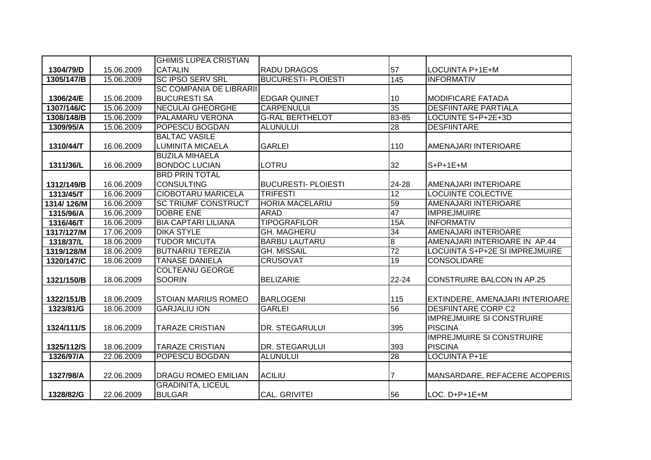|            |            | <b>GHIMIS LUPEA CRISTIAN</b>   |                            |                  |                                   |
|------------|------------|--------------------------------|----------------------------|------------------|-----------------------------------|
| 1304/79/D  | 15.06.2009 | <b>CATALIN</b>                 | RADU DRAGOS                | 57               | LOCUINTA P+1E+M                   |
| 1305/147/B | 15.06.2009 | <b>SC IPSO SERV SRL</b>        | <b>BUCURESTI- PLOIESTI</b> | $\overline{145}$ | <b>INFORMATIV</b>                 |
|            |            | <b>SC COMPANIA DE LIBRARII</b> |                            |                  |                                   |
| 1306/24/E  | 15.06.2009 | <b>BUCURESTI SA</b>            | <b>EDGAR QUINET</b>        | 10               | <b>MODIFICARE FATADA</b>          |
| 1307/146/C | 15.06.2009 | <b>NECULAI GHEORGHE</b>        | <b>CARPENULUI</b>          | 35               | <b>DESFIINTARE PARTIALA</b>       |
| 1308/148/B | 15.06.2009 | <b>PALAMARU VERONA</b>         | <b>G-RAL BERTHELOT</b>     | 83-85            | LOCUINTE S+P+2E+3D                |
| 1309/95/A  | 15.06.2009 | POPESCU BOGDAN                 | <b>ALUNULUI</b>            | 28               | <b>DESFIINTARE</b>                |
|            |            | <b>BALTAC VASILE</b>           |                            |                  |                                   |
| 1310/44/T  | 16.06.2009 | <b>LUMINITA MICAELA</b>        | <b>GARLEI</b>              | 110              | AMENAJARI INTERIOARE              |
|            |            | <b>BUZILA MIHAELA</b>          |                            |                  |                                   |
| 1311/36/L  | 16.06.2009 | <b>BONDOC LUCIAN</b>           | LOTRU                      | 32               | $S+P+1E+M$                        |
|            |            | <b>BRD PRIN TOTAL</b>          |                            |                  |                                   |
| 1312/149/B | 16.06.2009 | <b>CONSULTING</b>              | <b>BUCURESTI- PLOIESTI</b> | 24-28            | AMENAJARI INTERIOARE              |
| 1313/45/T  | 16.06.2009 | <b>CIOBOTARU MARICELA</b>      | <b>TRIFESTI</b>            | 12               | <b>LOCUINTE COLECTIVE</b>         |
| 1314/126/M | 16.06.2009 | <b>SC TRIUMF CONSTRUCT</b>     | <b>HORIA MACELARIU</b>     | 59               | AMENAJARI INTERIOARE              |
| 1315/96/A  | 16.06.2009 | <b>DOBRE ENE</b>               | ARAD                       | 47               | <b>IMPREJMUIRE</b>                |
| 1316/46/T  | 16.06.2009 | <b>BIA CAPTARI LILIANA</b>     | <b>TIPOGRAFILOR</b>        | <b>15A</b>       | <b>INFORMATIV</b>                 |
| 1317/127/M | 17.06.2009 | <b>DIKA STYLE</b>              | <b>GH. MAGHERU</b>         | $\overline{34}$  | <b>AMENAJARI INTERIOARE</b>       |
| 1318/37/L  | 18.06.2009 | <b>TUDOR MICUTA</b>            | <b>BARBU LAUTARU</b>       | $\overline{8}$   | AMENAJARI INTERIOARE IN AP.44     |
| 1319/128/M | 18.06.2009 | <b>BUTNARIU TEREZIA</b>        | <b>GH. MISSAIL</b>         | $\overline{72}$  | LOCUINTA S+P+2E SI IMPREJMUIRE    |
| 1320/147/C | 18.06.2009 | <b>TANASE DANIELA</b>          | <b>CRUSOVAT</b>            | 19               | <b>CONSOLIDARE</b>                |
|            |            | <b>COLTEANU GEORGE</b>         |                            |                  |                                   |
| 1321/150/B | 18.06.2009 | <b>SOORIN</b>                  | <b>BELIZARIE</b>           | $22 - 24$        | <b>CONSTRUIRE BALCON IN AP.25</b> |
|            |            |                                |                            |                  |                                   |
| 1322/151/B | 18.06.2009 | <b>STOIAN MARIUS ROMEO</b>     | <b>BARLOGENI</b>           | 115              | EXTINDERE, AMENAJARI INTERIOARE   |
| 1323/81/G  | 18.06.2009 | <b>GARJALIU ION</b>            | <b>GARLEI</b>              | 56               | <b>DESFIINTARE CORP C2</b>        |
|            |            |                                |                            |                  | <b>IMPREJMUIRE SI CONSTRUIRE</b>  |
| 1324/111/S | 18.06.2009 | <b>TARAZE CRISTIAN</b>         | <b>DR. STEGARULUI</b>      | 395              | <b>PISCINA</b>                    |
|            |            |                                |                            |                  | <b>IMPREJMUIRE SI CONSTRUIRE</b>  |
| 1325/112/S | 18.06.2009 | <b>TARAZE CRISTIAN</b>         | <b>DR. STEGARULUI</b>      | 393              | <b>PISCINA</b>                    |
| 1326/97/A  | 22.06.2009 | POPESCU BOGDAN                 | <b>ALUNULUI</b>            | 28               | <b>LOCUINTA P+1E</b>              |
|            |            |                                |                            |                  |                                   |
| 1327/98/A  | 22.06.2009 | <b>DRAGU ROMEO EMILIAN</b>     | <b>ACILIU</b>              |                  | MANSARDARE, REFACERE ACOPERIS     |
|            |            | <b>GRADINITA, LICEUL</b>       |                            |                  |                                   |
| 1328/82/G  | 22.06.2009 | <b>BULGAR</b>                  | <b>CAL. GRIVITEI</b>       | 56               | LOC. D+P+1E+M                     |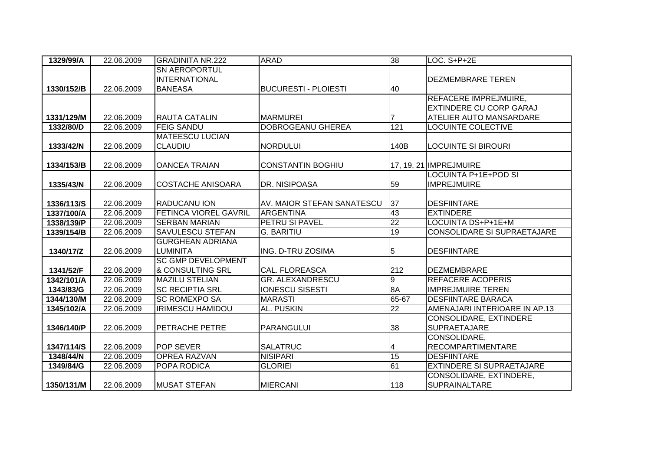| 1329/99/A  | 22.06.2009 | <b>GRADINITA NR.222</b>      | <b>ARAD</b>                 | 38              | LOC. S+P+2E                      |
|------------|------------|------------------------------|-----------------------------|-----------------|----------------------------------|
|            |            | <b>SN AEROPORTUL</b>         |                             |                 |                                  |
|            |            | <b>INTERNATIONAL</b>         |                             |                 | <b>DEZMEMBRARE TEREN</b>         |
| 1330/152/B | 22.06.2009 | <b>BANEASA</b>               | <b>BUCURESTI - PLOIESTI</b> | 40              |                                  |
|            |            |                              |                             |                 | REFACERE IMPREJMUIRE,            |
|            |            |                              |                             |                 | EXTINDERE CU CORP GARAJ          |
| 1331/129/M | 22.06.2009 | <b>RAUTA CATALIN</b>         | <b>MARMUREI</b>             |                 | <b>ATELIER AUTO MANSARDARE</b>   |
| 1332/80/D  | 22.06.2009 | <b>FEIG SANDU</b>            | DOBROGEANU GHEREA           | 121             | LOCUINTE COLECTIVE               |
|            |            | <b>MATEESCU LUCIAN</b>       |                             |                 |                                  |
| 1333/42/N  | 22.06.2009 | <b>CLAUDIU</b>               | <b>NORDULUI</b>             | 140B            | <b>LOCUINTE SI BIROURI</b>       |
|            |            |                              |                             |                 |                                  |
| 1334/153/B | 22.06.2009 | <b>OANCEA TRAIAN</b>         | <b>CONSTANTIN BOGHIU</b>    |                 | 17, 19, 21 IMPREJMUIRE           |
|            |            |                              |                             |                 | LOCUINTA P+1E+POD SI             |
| 1335/43/N  | 22.06.2009 | <b>COSTACHE ANISOARA</b>     | DR. NISIPOASA               | 59              | <b>IMPREJMUIRE</b>               |
|            |            |                              |                             |                 |                                  |
| 1336/113/S | 22.06.2009 | <b>RADUCANU ION</b>          | AV. MAIOR STEFAN SANATESCU  | 37              | <b>DESFIINTARE</b>               |
| 1337/100/A | 22.06.2009 | <b>FETINCA VIOREL GAVRIL</b> | <b>ARGENTINA</b>            | 43              | <b>EXTINDERE</b>                 |
| 1338/139/P | 22.06.2009 | <b>SERBAN MARIAN</b>         | <b>PETRU SI PAVEL</b>       | $\overline{22}$ | LOCUINTA DS+P+1E+M               |
| 1339/154/B | 22.06.2009 | <b>SAVULESCU STEFAN</b>      | <b>G. BARITIU</b>           | 19              | CONSOLIDARE SI SUPRAETAJARE      |
|            |            | <b>GURGHEAN ADRIANA</b>      |                             |                 |                                  |
| 1340/17/Z  | 22.06.2009 | <b>LUMINITA</b>              | ING. D-TRU ZOSIMA           | 5               | <b>DESFIINTARE</b>               |
|            |            | <b>SC GMP DEVELOPMENT</b>    |                             |                 |                                  |
| 1341/52/F  | 22.06.2009 | & CONSULTING SRL             | <b>CAL. FLOREASCA</b>       | 212             | <b>DEZMEMBRARE</b>               |
| 1342/101/A | 22.06.2009 | <b>MAZILU STELIAN</b>        | <b>GR. ALEXANDRESCU</b>     | $\overline{9}$  | <b>REFACERE ACOPERIS</b>         |
| 1343/83/G  | 22.06.2009 | <b>SC RECIPTIA SRL</b>       | <b>IONESCU SISESTI</b>      | 8A              | <b>IMPREJMUIRE TEREN</b>         |
| 1344/130/M | 22.06.2009 | <b>SC ROMEXPO SA</b>         | <b>MARASTI</b>              | 65-67           | <b>DESFIINTARE BARACA</b>        |
| 1345/102/A | 22.06.2009 | <b>IRIMESCU HAMIDOU</b>      | <b>AL. PUSKIN</b>           | $\overline{22}$ | AMENAJARI INTERIOARE IN AP.13    |
|            |            |                              |                             |                 | CONSOLIDARE, EXTINDERE           |
| 1346/140/P | 22.06.2009 | <b>PETRACHE PETRE</b>        | <b>PARANGULUI</b>           | 38              | <b>SUPRAETAJARE</b>              |
|            |            |                              |                             |                 | CONSOLIDARE,                     |
| 1347/114/S | 22.06.2009 | <b>POP SEVER</b>             | <b>SALATRUC</b>             | 4               | <b>RECOMPARTIMENTARE</b>         |
| 1348/44/N  | 22.06.2009 | <b>OPREA RAZVAN</b>          | <b>NISIPARI</b>             | 15              | <b>DESFIINTARE</b>               |
| 1349/84/G  | 22.06.2009 | <b>POPA RODICA</b>           | <b>GLORIEI</b>              | 61              | <b>EXTINDERE SI SUPRAETAJARE</b> |
|            |            |                              |                             |                 | CONSOLIDARE, EXTINDERE,          |
| 1350/131/M | 22.06.2009 | <b>IMUSAT STEFAN</b>         | <b>MIERCANI</b>             | 118             | SUPRAINALTARE                    |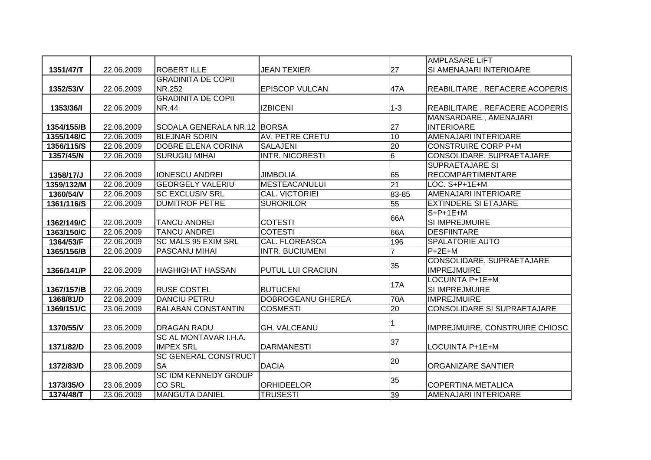|            |            |                             |                          |                | <b>AMPLASARE LIFT</b>                           |
|------------|------------|-----------------------------|--------------------------|----------------|-------------------------------------------------|
| 1351/47/T  | 22.06.2009 | <b>ROBERT ILLE</b>          | <b>JEAN TEXIER</b>       | 27             | SI AMENAJARI INTERIOARE                         |
|            |            | <b>GRADINITA DE COPII</b>   |                          |                |                                                 |
| 1352/53/V  | 22.06.2009 | NR.252                      | <b>EPISCOP VULCAN</b>    | 47A            | REABILITARE, REFACERE ACOPERIS                  |
|            |            | <b>GRADINITA DE COPII</b>   |                          |                |                                                 |
| 1353/36/1  | 22.06.2009 | <b>NR.44</b>                | <b>IZBICENI</b>          | $1 - 3$        | REABILITARE, REFACERE ACOPERIS                  |
|            |            |                             |                          |                | MANSARDARE, AMENAJARI                           |
| 1354/155/B | 22.06.2009 | SCOALA GENERALA NR.12 BORSA |                          | 27             | <b>INTERIOARE</b>                               |
| 1355/148/C | 22.06.2009 | <b>BLEJNAR SORIN</b>        | <b>AV. PETRE CRETU</b>   | 10             | <b>AMENAJARI INTERIOARE</b>                     |
| 1356/115/S | 22.06.2009 | <b>DOBRE ELENA CORINA</b>   | <b>SALAJENI</b>          | 20             | <b>CONSTRUIRE CORP P+M</b>                      |
| 1357/45/N  | 22.06.2009 | <b>SURUGIU MIHAI</b>        | <b>INTR. NICORESTI</b>   | 6              | CONSOLIDARE, SUPRAETAJARE                       |
|            |            |                             |                          |                | <b>SUPRAETAJARE SI</b>                          |
| 1358/17/J  | 22.06.2009 | <b>IONESCU ANDREI</b>       | <b>JIMBOLIA</b>          | 65             | <b>RECOMPARTIMENTARE</b>                        |
| 1359/132/M | 22.06.2009 | <b>GEORGELY VALERIU</b>     | <b>MESTEACANULUI</b>     | 21             | LOC. S+P+1E+M                                   |
| 1360/54/V  | 22.06.2009 | <b>SC EXCLUSIV SRL</b>      | <b>CAL. VICTORIEI</b>    | 83-85          | AMENAJARI INTERIOARE                            |
| 1361/116/S | 22.06.2009 | <b>DUMITROF PETRE</b>       | <b>SURORILOR</b>         | 55             | <b>EXTINDERE SI ETAJARE</b>                     |
|            |            |                             |                          | 66A            | $S+P+1E+M$                                      |
| 1362/149/C | 22.06.2009 | <b>TANCU ANDREI</b>         | <b>COTESTI</b>           |                | <b>SI IMPREJMUIRE</b>                           |
| 1363/150/C | 22.06.2009 | <b>TANCU ANDREI</b>         | <b>COTESTI</b>           | 66A            | <b>DESFIINTARE</b>                              |
| 1364/53/F  | 22.06.2009 | <b>SC MALS 95 EXIM SRL</b>  | <b>CAL. FLOREASCA</b>    | 196            | <b>SPALATORIE AUTO</b>                          |
| 1365/156/B | 22.06.2009 | <b>PASCANU MIHAI</b>        | <b>INTR. BUCIUMENI</b>   | $\overline{7}$ | $P+2E+M$                                        |
| 1366/141/P | 22.06.2009 | <b>HAGHIGHAT HASSAN</b>     | <b>PUTUL LUI CRACIUN</b> | 35             | CONSOLIDARE, SUPRAETAJARE<br><b>IMPREJMUIRE</b> |
|            |            |                             |                          |                | LOCUINTA P+1E+M                                 |
| 1367/157/B | 22.06.2009 | <b>RUSE COSTEL</b>          | <b>BUTUCENI</b>          | <b>17A</b>     | SI IMPREJMUIRE                                  |
| 1368/81/D  | 22.06.2009 | <b>DANCIU PETRU</b>         | <b>DOBROGEANU GHEREA</b> | <b>70A</b>     | <b>IMPREJMUIRE</b>                              |
| 1369/151/C | 23.06.2009 | <b>BALABAN CONSTANTIN</b>   | <b>COSMESTI</b>          | 20             | <b>CONSOLIDARE SI SUPRAETAJARE</b>              |
|            |            |                             |                          |                |                                                 |
| 1370/55/V  | 23.06.2009 | <b>DRAGAN RADU</b>          | <b>GH. VALCEANU</b>      |                | IMPREJMUIRE, CONSTRUIRE CHIOSC                  |
|            |            | SC AL MONTAVAR I.H.A.       |                          | 37             |                                                 |
| 1371/82/D  | 23.06.2009 | <b>IMPEX SRL</b>            | <b>DARMANESTI</b>        |                | LOCUINTA P+1E+M                                 |
|            |            | <b>SC GENERAL CONSTRUCT</b> |                          | 20             |                                                 |
| 1372/83/D  | 23.06.2009 | <b>SA</b>                   | <b>DACIA</b>             |                | <b>ORGANIZARE SANTIER</b>                       |
|            |            | <b>SC IDM KENNEDY GROUP</b> |                          | 35             |                                                 |
| 1373/35/O  | 23.06.2009 | <b>CO SRL</b>               | <b>ORHIDEELOR</b>        |                | <b>COPERTINA METALICA</b>                       |
| 1374/48/T  | 23.06.2009 | <b>MANGUTA DANIEL</b>       | <b>TRUSESTI</b>          | 39             | AMENAJARI INTERIOARE                            |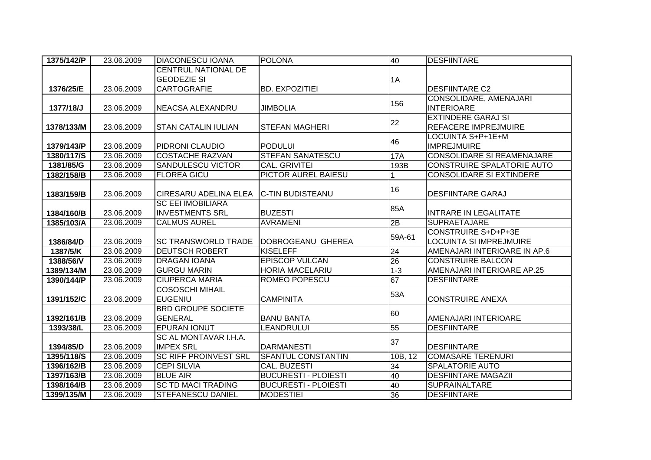| 1375/142/P | 23.06.2009 | <b>DIACONESCU IOANA</b>      | <b>POLONA</b>               | 40              | <b>DESFIINTARE</b>                |
|------------|------------|------------------------------|-----------------------------|-----------------|-----------------------------------|
|            |            | CENTRUL NATIONAL DE          |                             |                 |                                   |
|            |            | <b>GEODEZIE SI</b>           |                             | 1A              |                                   |
| 1376/25/E  | 23.06.2009 | <b>CARTOGRAFIE</b>           | <b>BD. EXPOZITIEI</b>       |                 | <b>DESFIINTARE C2</b>             |
|            |            |                              |                             | 156             | CONSOLIDARE, AMENAJARI            |
| 1377/18/J  | 23.06.2009 | NEACSA ALEXANDRU             | <b>JIMBOLIA</b>             |                 | <b>INTERIOARE</b>                 |
|            |            |                              |                             | 22              | <b>EXTINDERE GARAJ SI</b>         |
| 1378/133/M | 23.06.2009 | <b>STAN CATALIN IULIAN</b>   | <b>STEFAN MAGHERI</b>       |                 | REFACERE IMPREJMUIRE              |
|            |            |                              |                             | 46              | LOCUINTA S+P+1E+M                 |
| 1379/143/P | 23.06.2009 | <b>PIDRONI CLAUDIO</b>       | <b>PODULUI</b>              |                 | <b>IMPREJMUIRE</b>                |
| 1380/117/S | 23.06.2009 | <b>COSTACHE RAZVAN</b>       | <b>STEFAN SANATESCU</b>     | <b>17A</b>      | <b>CONSOLIDARE SI REAMENAJARE</b> |
| 1381/85/G  | 23.06.2009 | <b>SANDULESCU VICTOR</b>     | <b>CAL. GRIVITEI</b>        | 193B            | CONSTRUIRE SPALATORIE AUTO        |
| 1382/158/B | 23.06.2009 | <b>FLOREA GICU</b>           | <b>PICTOR AUREL BAIESU</b>  |                 | <b>CONSOLIDARE SI EXTINDERE</b>   |
|            |            |                              |                             | 16              |                                   |
| 1383/159/B | 23.06.2009 | <b>CIRESARU ADELINA ELEA</b> | <b>C-TIN BUDISTEANU</b>     |                 | <b>DESFIINTARE GARAJ</b>          |
|            |            | <b>SC EEI IMOBILIARA</b>     |                             | 85A             |                                   |
| 1384/160/B | 23.06.2009 | <b>INVESTMENTS SRL</b>       | <b>BUZESTI</b>              |                 | <b>INTRARE IN LEGALITATE</b>      |
| 1385/103/A | 23.06.2009 | <b>CALMUS AUREL</b>          | <b>AVRAMENI</b>             | 2B              | <b>SUPRAETAJARE</b>               |
|            |            |                              |                             | 59A-61          | <b>CONSTRUIRE S+D+P+3E</b>        |
| 1386/84/D  | 23.06.2009 | <b>SC TRANSWORLD TRADE</b>   | DOBROGEANU GHEREA           |                 | <b>LOCUINTA SI IMPREJMUIRE</b>    |
| 1387/5/K   | 23.06.2009 | <b>DEUTSCH ROBERT</b>        | <b>KISELEFF</b>             | 24              | AMENAJARI INTERIOARE IN AP.6      |
| 1388/56/V  | 23.06.2009 | <b>DRAGAN IOANA</b>          | <b>EPISCOP VULCAN</b>       | $\overline{26}$ | <b>CONSTRUIRE BALCON</b>          |
| 1389/134/M | 23.06.2009 | <b>GURGU MARIN</b>           | <b>HORIA MACELARIU</b>      | $1 - 3$         | AMENAJARI INTERIOARE AP.25        |
| 1390/144/P | 23.06.2009 | <b>CIUPERCA MARIA</b>        | ROMEO POPESCU               | 67              | <b>DESFIINTARE</b>                |
|            |            | <b>COSOSCHI MIHAIL</b>       |                             | 53A             |                                   |
| 1391/152/C | 23.06.2009 | EUGENIU                      | <b>CAMPINITA</b>            |                 | <b>CONSTRUIRE ANEXA</b>           |
|            |            | <b>BRD GROUPE SOCIETE</b>    |                             | 60              |                                   |
| 1392/161/B | 23.06.2009 | <b>GENERAL</b>               | <b>BANU BANTA</b>           |                 | AMENAJARI INTERIOARE              |
| 1393/38/L  | 23.06.2009 | <b>EPURAN IONUT</b>          | <b>LEANDRULUI</b>           | 55              | <b>DESFIINTARE</b>                |
|            |            | SC AL MONTAVAR I.H.A.        |                             | 37              |                                   |
| 1394/85/D  | 23.06.2009 | <b>IMPEX SRL</b>             | <b>DARMANESTI</b>           |                 | <b>DESFIINTARE</b>                |
| 1395/118/S | 23.06.2009 | <b>SC RIFF PROINVEST SRL</b> | <b>SFANTUL CONSTANTIN</b>   | 10B, 12         | <b>COMASARE TERENURI</b>          |
| 1396/162/B | 23.06.2009 | <b>CEPI SILVIA</b>           | <b>CAL. BUZESTI</b>         | 34              | <b>SPALATORIE AUTO</b>            |
| 1397/163/B | 23.06.2009 | <b>BLUE AIR</b>              | <b>BUCURESTI - PLOIESTI</b> | 40              | <b>DESFIINTARE MAGAZII</b>        |
| 1398/164/B | 23.06.2009 | <b>SC TD MACI TRADING</b>    | <b>BUCURESTI - PLOIESTI</b> | 40              | <b>SUPRAINALTARE</b>              |
| 1399/135/M | 23.06.2009 | <b>STEFANESCU DANIEL</b>     | <b>MODESTIEI</b>            | 36              | <b>DESFIINTARE</b>                |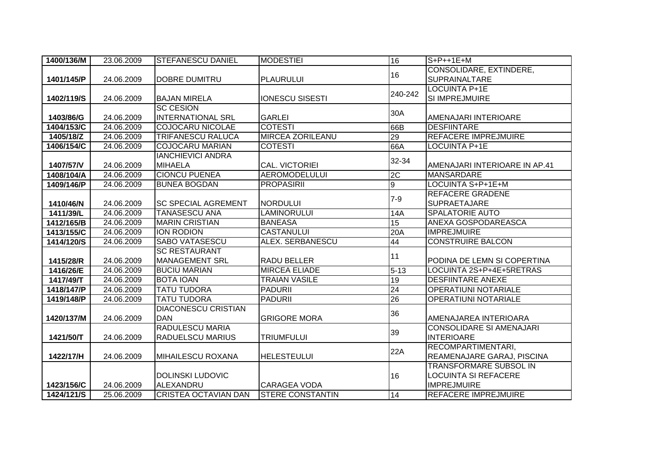| 1400/136/M | 23.06.2009 | <b>STEFANESCU DANIEL</b>    | <b>MODESTIEI</b>        | 16       | $S+P++1E+M$                     |
|------------|------------|-----------------------------|-------------------------|----------|---------------------------------|
|            |            |                             |                         | 16       | CONSOLIDARE, EXTINDERE,         |
| 1401/145/P | 24.06.2009 | <b>DOBRE DUMITRU</b>        | <b>PLAURULUI</b>        |          | <b>SUPRAINALTARE</b>            |
|            |            |                             |                         | 240-242  | <b>LOCUINTA P+1E</b>            |
| 1402/119/S | 24.06.2009 | <b>BAJAN MIRELA</b>         | <b>IONESCU SISESTI</b>  |          | <b>SI IMPREJMUIRE</b>           |
|            |            | <b>SC CESION</b>            |                         | 30A      |                                 |
| 1403/86/G  | 24.06.2009 | <b>INTERNATIONAL SRL</b>    | <b>GARLEI</b>           |          | AMENAJARI INTERIOARE            |
| 1404/153/C | 24.06.2009 | <b>COJOCARU NICOLAE</b>     | <b>COTESTI</b>          | 66B      | <b>DESFIINTARE</b>              |
| 1405/18/Z  | 24.06.2009 | <b>TRIFANESCU RALUCA</b>    | <b>MIRCEA ZORILEANU</b> | 29       | <b>REFACERE IMPREJMUIRE</b>     |
| 1406/154/C | 24.06.2009 | <b>COJOCARU MARIAN</b>      | <b>COTESTI</b>          | 66A      | <b>LOCUINTA P+1E</b>            |
|            |            | <b>IANCHIEVICI ANDRA</b>    |                         | 32-34    |                                 |
| 1407/57/V  | 24.06.2009 | <b>MIHAELA</b>              | CAL. VICTORIEI          |          | AMENAJARI INTERIOARE IN AP.41   |
| 1408/104/A | 24.06.2009 | <b>CIONCU PUENEA</b>        | <b>AEROMODELULUI</b>    | 2C       | <b>MANSARDARE</b>               |
| 1409/146/P | 24.06.2009 | <b>BUNEA BOGDAN</b>         | <b>PROPASIRII</b>       | o        | LOCUINTA S+P+1E+M               |
|            |            |                             |                         |          | <b>REFACERE GRADENE</b>         |
| 1410/46/N  | 24.06.2009 | <b>SC SPECIAL AGREMENT</b>  | <b>NORDULUI</b>         | $7-9$    | <b>SUPRAETAJARE</b>             |
| 1411/39/L  | 24.06.2009 | <b>TANASESCU ANA</b>        | <b>LAMINORULUI</b>      | 14A      | <b>SPALATORIE AUTO</b>          |
| 1412/165/B | 24.06.2009 | <b>MARIN CRISTIAN</b>       | <b>BANEASA</b>          | 15       | <b>ANEXA GOSPODAREASCA</b>      |
| 1413/155/C | 24.06.2009 | <b>ION RODION</b>           | <b>CASTANULUI</b>       | 20A      | <b>IMPREJMUIRE</b>              |
| 1414/120/S | 24.06.2009 | <b>SABO VATASESCU</b>       | ALEX. SERBANESCU        | 44       | <b>CONSTRUIRE BALCON</b>        |
|            |            | <b>SC RESTAURANT</b>        |                         |          |                                 |
| 1415/28/R  | 24.06.2009 | <b>MANAGEMENT SRL</b>       | RADU BELLER             | 11       | PODINA DE LEMN SI COPERTINA     |
| 1416/26/E  | 24.06.2009 | <b>BUCIU MARIAN</b>         | <b>MIRCEA ELIADE</b>    | $5 - 13$ | LOCUINTA 2S+P+4E+5RETRAS        |
| 1417/49/T  | 24.06.2009 | <b>BOTA IOAN</b>            | <b>TRAIAN VASILE</b>    | 19       | <b>DESFIINTARE ANEXE</b>        |
| 1418/147/P | 24.06.2009 | <b>TATU TUDORA</b>          | <b>PADURII</b>          | 24       | <b>OPERATIUNI NOTARIALE</b>     |
| 1419/148/P | 24.06.2009 | <b>TATU TUDORA</b>          | <b>PADURII</b>          | 26       | <b>OPERATIUNI NOTARIALE</b>     |
|            |            | <b>DIACONESCU CRISTIAN</b>  |                         |          |                                 |
| 1420/137/M | 24.06.2009 | <b>DAN</b>                  | <b>GRIGORE MORA</b>     | 36       | AMENAJAREA INTERIOARA           |
|            |            | <b>RADULESCU MARIA</b>      |                         |          | <b>CONSOLIDARE SI AMENAJARI</b> |
| 1421/50/T  | 24.06.2009 | RADUELSCU MARIUS            | <b>TRIUMFULUI</b>       | 39       | <b>INTERIOARE</b>               |
|            |            |                             |                         | 22A      | RECOMPARTIMENTARI,              |
| 1422/17/H  | 24.06.2009 | <b>MIHAILESCU ROXANA</b>    | <b>HELESTEULUI</b>      |          | REAMENAJARE GARAJ, PISCINA      |
|            |            |                             |                         |          | <b>TRANSFORMARE SUBSOL IN</b>   |
|            |            | <b>DOLINSKI LUDOVIC</b>     |                         | 16       | LOCUINTA SI REFACERE            |
| 1423/156/C | 24.06.2009 | ALEXANDRU                   | <b>CARAGEA VODA</b>     |          | <b>IMPREJMUIRE</b>              |
| 1424/121/S | 25.06.2009 | <b>CRISTEA OCTAVIAN DAN</b> | <b>STERE CONSTANTIN</b> | 14       | REFACERE IMPREJMUIRE            |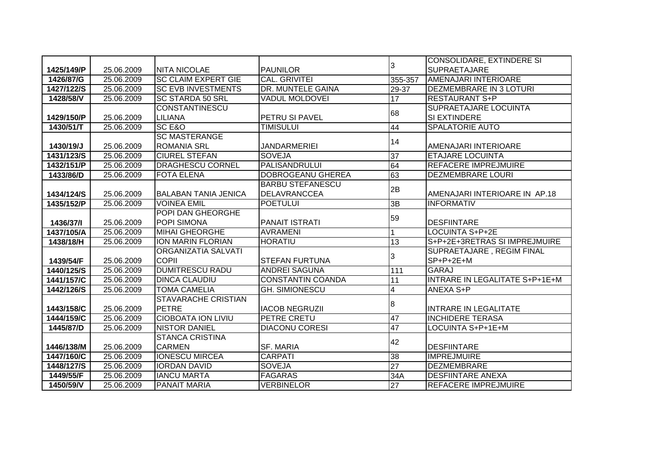|            |            |                             |                          |                 | <b>CONSOLIDARE, EXTINDERE SI</b> |
|------------|------------|-----------------------------|--------------------------|-----------------|----------------------------------|
| 1425/149/P | 25.06.2009 | <b>INITA NICOLAE</b>        | <b>PAUNILOR</b>          | 3               | <b>SUPRAETAJARE</b>              |
| 1426/87/G  | 25.06.2009 | <b>SC CLAIM EXPERT GIE</b>  | <b>CAL. GRIVITEI</b>     | 355-357         | <b>AMENAJARI INTERIOARE</b>      |
| 1427/122/S | 25.06.2009 | <b>SC EVB INVESTMENTS</b>   | DR. MUNTELE GAINA        | 29-37           | <b>DEZMEMBRARE IN 3 LOTURI</b>   |
| 1428/58/V  | 25.06.2009 | <b>SC STARDA 50 SRL</b>     | <b>VADUL MOLDOVEI</b>    | 17              | <b>RESTAURANT S+P</b>            |
|            |            | <b>CONSTANTINESCU</b>       |                          | 68              | SUPRAETAJARE LOCUINTA            |
| 1429/150/P | 25.06.2009 | <b>LILIANA</b>              | PETRU SI PAVEL           |                 | SI EXTINDERE                     |
| 1430/51/T  | 25.06.2009 | <b>SC E&amp;O</b>           | <b>TIMISULUI</b>         | 44              | <b>SPALATORIE AUTO</b>           |
|            |            | <b>SC MASTERANGE</b>        |                          | 14              |                                  |
| 1430/19/J  | 25.06.2009 | <b>ROMANIA SRL</b>          | <b>JANDARMERIEI</b>      |                 | AMENAJARI INTERIOARE             |
| 1431/123/S | 25.06.2009 | <b>CIUREL STEFAN</b>        | <b>SOVEJA</b>            | 37              | <b>ETAJARE LOCUINTA</b>          |
| 1432/151/P | 25.06.2009 | <b>DRAGHESCU CORNEL</b>     | <b>PALISANDRULUI</b>     | 64              | <b>REFACERE IMPREJMUIRE</b>      |
| 1433/86/D  | 25.06.2009 | <b>FOTA ELENA</b>           | DOBROGEANU GHEREA        | 63              | <b>DEZMEMBRARE LOURI</b>         |
|            |            |                             | <b>BARBU STEFANESCU</b>  | 2B              |                                  |
| 1434/124/S | 25.06.2009 | <b>BALABAN TANIA JENICA</b> | <b>DELAVRANCCEA</b>      |                 | AMENAJARI INTERIOARE IN AP.18    |
| 1435/152/P | 25.06.2009 | <b>VOINEA EMIL</b>          | <b>POETULUI</b>          | 3B              | <b>INFORMATIV</b>                |
|            |            | POPI DAN GHEORGHE           |                          | 59              |                                  |
| 1436/37/1  | 25.06.2009 | POPI SIMONA                 | <b>PANAIT ISTRATI</b>    |                 | <b>DESFIINTARE</b>               |
| 1437/105/A | 25.06.2009 | <b>MIHAI GHEORGHE</b>       | <b>AVRAMENI</b>          |                 | LOCUINTA S+P+2E                  |
| 1438/18/H  | 25.06.2009 | <b>ION MARIN FLORIAN</b>    | <b>HORATIU</b>           | 13              | S+P+2E+3RETRAS SI IMPREJMUIRE    |
|            |            | ORGANIZATIA SALVATI         |                          | 3               | <b>SUPRAETAJARE, REGIM FINAL</b> |
| 1439/54/F  | 25.06.2009 | <b>COPII</b>                | <b>STEFAN FURTUNA</b>    |                 | $SP+P+2E+M$                      |
| 1440/125/S | 25.06.2009 | <b>DUMITRESCU RADU</b>      | <b>ANDREI SAGUNA</b>     | 111             | <b>GARAJ</b>                     |
| 1441/157/C | 25.06.2009 | <b>DINCA CLAUDIU</b>        | <b>CONSTANTIN COANDA</b> | 11              | INTRARE IN LEGALITATE S+P+1E+M   |
| 1442/126/S | 25.06.2009 | <b>TOMA CAMELIA</b>         | <b>GH. SIMIONESCU</b>    | 4               | ANEXA S+P                        |
|            |            | <b>STAVARACHE CRISTIAN</b>  |                          | 8               |                                  |
| 1443/158/C | 25.06.2009 | <b>PETRE</b>                | <b>IACOB NEGRUZII</b>    |                 | <b>INTRARE IN LEGALITATE</b>     |
| 1444/159/C | 25.06.2009 | <b>CIOBOATA ION LIVIU</b>   | <b>PETRE CRETU</b>       | 47              | <b>INCHIDERE TERASA</b>          |
| 1445/87/D  | 25.06.2009 | <b>NISTOR DANIEL</b>        | <b>DIACONU CORESI</b>    | 47              | LOCUINTA S+P+1E+M                |
|            |            | <b>STANCA CRISTINA</b>      |                          | 42              |                                  |
| 1446/138/M | 25.06.2009 | <b>CARMEN</b>               | <b>SF. MARIA</b>         |                 | <b>DESFIINTARE</b>               |
| 1447/160/C | 25.06.2009 | <b>IONESCU MIRCEA</b>       | <b>CARPATI</b>           | 38              | <b>IMPREJMUIRE</b>               |
| 1448/127/S | 25.06.2009 | <b>IORDAN DAVID</b>         | <b>SOVEJA</b>            | $\overline{27}$ | <b>DEZMEMBRARE</b>               |
| 1449/55/F  | 25.06.2009 | <b>IANCU MARTA</b>          | <b>FAGARAS</b>           | 34A             | <b>DESFIINTARE ANEXA</b>         |
| 1450/59/V  | 25.06.2009 | <b>PANAIT MARIA</b>         | <b>VERBINELOR</b>        | 27              | REFACERE IMPREJMUIRE             |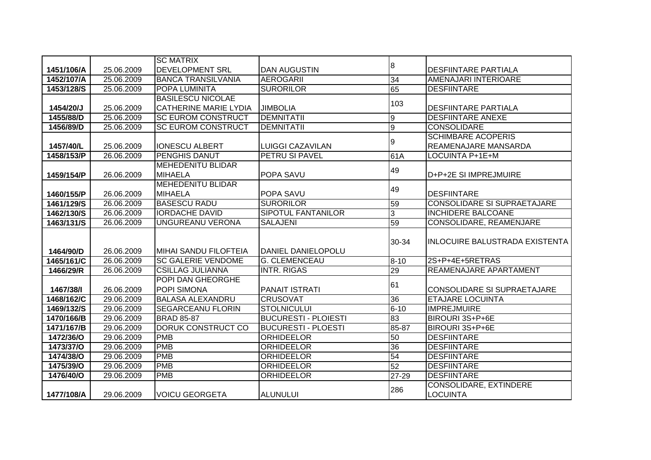|            |                          | <b>SC MATRIX</b>                        |                                                 |                |                                                               |
|------------|--------------------------|-----------------------------------------|-------------------------------------------------|----------------|---------------------------------------------------------------|
| 1451/106/A | 25.06.2009               | <b>DEVELOPMENT SRL</b>                  | <b>DAN AUGUSTIN</b>                             | 8              | <b>DESFIINTARE PARTIALA</b>                                   |
| 1452/107/A | 25.06.2009               | <b>BANCA TRANSILVANIA</b>               | <b>AEROGARII</b>                                | 34             | AMENAJARI INTERIOARE                                          |
| 1453/128/S | 25.06.2009               | <b>POPA LUMINITA</b>                    | <b>SURORILOR</b>                                | 65             | <b>DESFIINTARE</b>                                            |
|            |                          | <b>BASILESCU NICOLAE</b>                |                                                 |                |                                                               |
| 1454/20/J  | 25.06.2009               | <b>CATHERINE MARIE LYDIA</b>            | <b>JIMBOLIA</b>                                 | 103            | <b>DESFIINTARE PARTIALA</b>                                   |
| 1455/88/D  | 25.06.2009               | <b>SC EUROM CONSTRUCT</b>               | <b>DEMNITATII</b>                               | $\overline{9}$ | <b>DESFIINTARE ANEXE</b>                                      |
| 1456/89/D  | 25.06.2009               | <b>SC EUROM CONSTRUCT</b>               | <b>DEMNITATII</b>                               | Θ              | <b>CONSOLIDARE</b>                                            |
|            |                          |                                         |                                                 | 9              | <b>SCHIMBARE ACOPERIS</b>                                     |
| 1457/40/L  | 25.06.2009               | <b>IONESCU ALBERT</b>                   | <b>LUIGGI CAZAVILAN</b>                         |                | <b>REAMENAJARE MANSARDA</b>                                   |
| 1458/153/P | 26.06.2009               | PENGHIS DANUT                           | <b>PETRU SI PAVEL</b>                           | 61A            | LOCUINTA P+1E+M                                               |
|            |                          | <b>MEHEDENITU BLIDAR</b>                |                                                 | 49             |                                                               |
| 1459/154/P | 26.06.2009               | <b>MIHAELA</b>                          | POPA SAVU                                       |                | D+P+2E SI IMPREJMUIRE                                         |
|            |                          | <b>MEHEDENITU BLIDAR</b>                |                                                 | 49             |                                                               |
| 1460/155/P | 26.06.2009               | <b>MIHAELA</b>                          | POPA SAVU                                       |                | <b>DESFIINTARE</b>                                            |
| 1461/129/S | 26.06.2009               | <b>BASESCU RADU</b>                     | <b>SURORILOR</b>                                | 59             | <b>CONSOLIDARE SI SUPRAETAJARE</b>                            |
| 1462/130/S | 26.06.2009               | <b>IORDACHE DAVID</b>                   | <b>SIPOTUL FANTANILOR</b>                       | $\overline{3}$ | <b>INCHIDERE BALCOANE</b>                                     |
| 1463/131/S | 26.06.2009               | UNGUREANU VERONA                        | <b>SALAJENI</b>                                 | 59             | CONSOLIDARE, REAMENJARE                                       |
|            |                          |                                         |                                                 |                |                                                               |
|            |                          |                                         |                                                 | 30-34          | <b>INLOCUIRE BALUSTRADA EXISTENTA</b>                         |
| 1464/90/D  | 26.06.2009               | <b>MIHAI SANDU FILOFTEIA</b>            | DANIEL DANIELOPOLU                              |                |                                                               |
| 1465/161/C | 26.06.2009               | <b>SC GALERIE VENDOME</b>               | <b>G. CLEMENCEAU</b>                            | $8 - 10$       | 2S+P+4E+5RETRAS                                               |
| 1466/29/R  | 26.06.2009               | <b>CSILLAG JULIANNA</b>                 | <b>INTR. RIGAS</b>                              | 29             | REAMENAJARE APARTAMENT                                        |
|            |                          | POPI DAN GHEORGHE                       |                                                 | 61             |                                                               |
| 1467/38/1  | 26.06.2009<br>29.06.2009 | POPI SIMONA<br><b>BALASA ALEXANDRU</b>  | <b>PANAIT ISTRATI</b><br><b>CRUSOVAT</b>        |                | <b>CONSOLIDARE SI SUPRAETAJARE</b><br><b>ETAJARE LOCUINTA</b> |
| 1468/162/C | 29.06.2009               | <b>SEGARCEANU FLORIN</b>                | <b>STOLNICULUI</b>                              | 36             | <b>IMPREJMUIRE</b>                                            |
| 1469/132/S |                          | <b>BRAD 85-87</b>                       | <b>BUCURESTI - PLOIESTI</b>                     | $6 - 10$       | BIROURI 3S+P+6E                                               |
| 1470/166/B | 29.06.2009               |                                         |                                                 | 83             |                                                               |
| 1471/167/B | 29.06.2009               | <b>DORUK CONSTRUCT CO</b><br><b>PMB</b> | <b>BUCURESTI - PLOESTI</b><br><b>ORHIDEELOR</b> | 85-87          | BIROURI 3S+P+6E<br><b>DESFIINTARE</b>                         |
| 1472/36/O  | 29.06.2009               |                                         |                                                 | 50             |                                                               |
| 1473/37/O  | 29.06.2009               | <b>PMB</b>                              | <b>ORHIDEELOR</b>                               | 36             | <b>DESFIINTARE</b>                                            |
| 1474/38/O  | 29.06.2009               | <b>PMB</b>                              | <b>ORHIDEELOR</b>                               | 54             | <b>DESFIINTARE</b>                                            |
| 1475/39/O  | 29.06.2009               | <b>PMB</b>                              | <b>ORHIDEELOR</b>                               | 52             | <b>DESFIINTARE</b>                                            |
| 1476/40/O  | 29.06.2009               | <b>PMB</b>                              | <b>ORHIDEELOR</b>                               | 27-29          | <b>DESFIINTARE</b>                                            |
| 1477/108/A | 29.06.2009               | <b>VOICU GEORGETA</b>                   | <b>ALUNULUI</b>                                 | 286            | CONSOLIDARE, EXTINDERE<br><b>LOCUINTA</b>                     |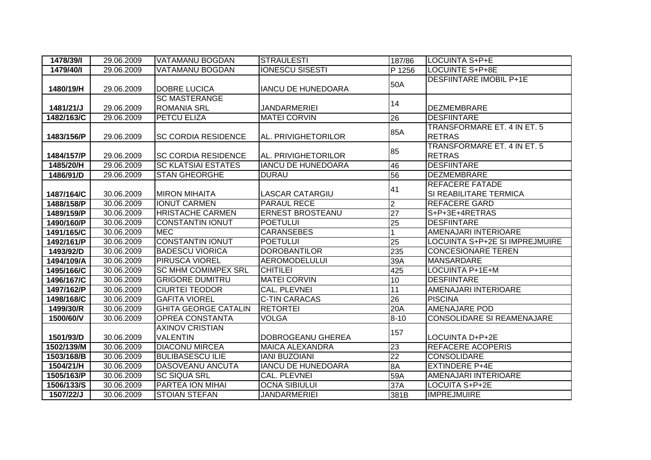| 1478/39/1  | 29.06.2009 | VATAMANU BOGDAN             | <b>STRAULESTI</b>         | 187/86          | <b>LOCUINTA S+P+E</b>             |
|------------|------------|-----------------------------|---------------------------|-----------------|-----------------------------------|
| 1479/40/1  | 29.06.2009 | VATAMANU BOGDAN             | <b>IONESCU SISESTI</b>    | P 1256          | <b>LOCUINTE S+P+8E</b>            |
|            |            |                             |                           |                 | <b>DESFIINTARE IMOBIL P+1E</b>    |
| 1480/19/H  | 29.06.2009 | <b>DOBRE LUCICA</b>         | <b>IANCU DE HUNEDOARA</b> | 50A             |                                   |
|            |            | <b>SC MASTERANGE</b>        |                           | 14              |                                   |
| 1481/21/J  | 29.06.2009 | <b>ROMANIA SRL</b>          | <b>JANDARMERIEI</b>       |                 | <b>DEZMEMBRARE</b>                |
| 1482/163/C | 29.06.2009 | <b>PETCU ELIZA</b>          | <b>MATEI CORVIN</b>       | 26              | <b>DESFIINTARE</b>                |
|            |            |                             |                           | 85A             | TRANSFORMARE ET. 4 IN ET. 5       |
| 1483/156/P | 29.06.2009 | <b>SC CORDIA RESIDENCE</b>  | AL. PRIVIGHETORILOR       |                 | <b>RETRAS</b>                     |
|            |            |                             |                           | 85              | TRANSFORMARE ET. 4 IN ET. 5       |
| 1484/157/P | 29.06.2009 | <b>ISC CORDIA RESIDENCE</b> | AL. PRIVIGHETORILOR       |                 | <b>RETRAS</b>                     |
| 1485/20/H  | 29.06.2009 | <b>SC KLATSIAI ESTATES</b>  | <b>IANCU DE HUNEDOARA</b> | 46              | <b>DESFIINTARE</b>                |
| 1486/91/D  | 29.06.2009 | <b>STAN GHEORGHE</b>        | <b>DURAU</b>              | 56              | <b>DEZMEMBRARE</b>                |
|            |            |                             |                           | 41              | <b>REFACERE FATADE</b>            |
| 1487/164/C | 30.06.2009 | IMIRON MIHAITA              | LASCAR CATARGIU           |                 | SI REABILITARE TERMICA            |
| 1488/158/P | 30.06.2009 | <b>IONUT CARMEN</b>         | PARAUL RECE               | $\overline{2}$  | <b>REFACERE GARD</b>              |
| 1489/159/P | 30.06.2009 | <b>HRISTACHE CARMEN</b>     | <b>ERNEST BROSTEANU</b>   | $\overline{27}$ | S+P+3E+4RETRAS                    |
| 1490/160/P | 30.06.2009 | <b>CONSTANTIN IONUT</b>     | <b>POETULUI</b>           | 25              | <b>DESFIINTARE</b>                |
| 1491/165/C | 30.06.2009 | <b>MEC</b>                  | <b>CARANSEBES</b>         |                 | <b>AMENAJARI INTERIOARE</b>       |
| 1492/161/P | 30.06.2009 | <b>CONSTANTIN IONUT</b>     | <b>POETULUI</b>           | 25              | LOCUINTA S+P+2E SI IMPREJMUIRE    |
| 1493/92/D  | 30.06.2009 | <b>BADESCU VIORICA</b>      | <b>DOROBANTILOR</b>       | 235             | <b>CONCESIONARE TEREN</b>         |
| 1494/109/A | 30.06.2009 | <b>PIRUSCA VIOREL</b>       | <b>AEROMODELULUI</b>      | 39A             | MANSARDARE                        |
| 1495/166/C | 30.06.2009 | <b>SC MHM COMIMPEX SRL</b>  | <b>CHITILEI</b>           | 425             | LOCUINTA P+1E+M                   |
| 1496/167/C | 30.06.2009 | <b>GRIGORE DUMITRU</b>      | <b>MATEI CORVIN</b>       | 10              | <b>DESFIINTARE</b>                |
| 1497/162/P | 30.06.2009 | <b>CIURTEI TEODOR</b>       | <b>CAL. PLEVNEI</b>       | 11              | AMENAJARI INTERIOARE              |
| 1498/168/C | 30.06.2009 | <b>GAFITA VIOREL</b>        | <b>C-TIN CARACAS</b>      | 26              | <b>PISCINA</b>                    |
| 1499/30/R  | 30.06.2009 | <b>GHITA GEORGE CATALIN</b> | <b>RETORTEI</b>           | 20A             | <b>AMENAJARE POD</b>              |
| 1500/60/V  | 30.06.2009 | <b>OPREA CONSTANTA</b>      | <b>VOLGA</b>              | $8 - 10$        | <b>CONSOLIDARE SI REAMENAJARE</b> |
|            |            | <b>AXINOV CRISTIAN</b>      |                           | 157             |                                   |
| 1501/93/D  | 30.06.2009 | <b>VALENTIN</b>             | DOBROGEANU GHEREA         |                 | LOCUINTA D+P+2E                   |
| 1502/139/M | 30.06.2009 | <b>DIACONU MIRCEA</b>       | <b>MAICA ALEXANDRA</b>    | 23              | <b>REFACERE ACOPERIS</b>          |
| 1503/168/B | 30.06.2009 | <b>BULIBASESCU ILIE</b>     | <b>IANI BUZOIANI</b>      | 22              | <b>CONSOLIDARE</b>                |
| 1504/21/H  | 30.06.2009 | <b>DASOVEANU ANCUTA</b>     | <b>IANCU DE HUNEDOARA</b> | 8A              | <b>EXTINDERE P+4E</b>             |
| 1505/163/P | 30.06.2009 | <b>SC SIQUA SRL</b>         | CAL. PLEVNEI              | 59A             | AMENAJARI INTERIOARE              |
| 1506/133/S | 30.06.2009 | PARTEA ION MIHAI            | <b>OCNA SIBIULUI</b>      | 37A             | LOCUITA S+P+2E                    |
| 1507/22/J  | 30.06.2009 | <b>STOIAN STEFAN</b>        | <b>JANDARMERIEI</b>       | 381B            | <b>IMPREJMUIRE</b>                |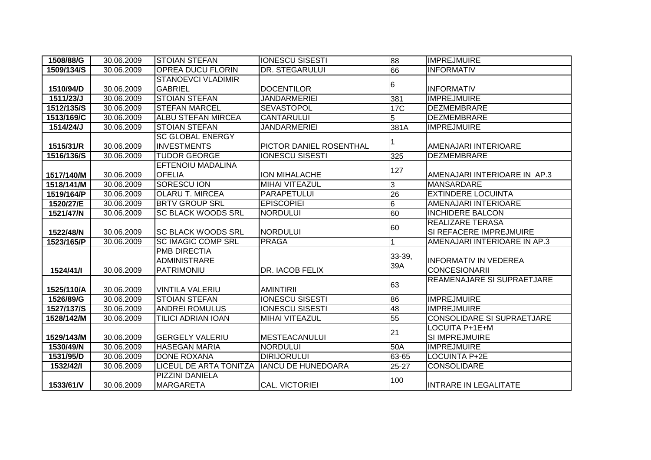| 1508/88/G  | 30.06.2009 | <b>STOIAN STEFAN</b>      | <b>IONESCU SISESTI</b>    | 88              | <b>IMPREJMUIRE</b>                |
|------------|------------|---------------------------|---------------------------|-----------------|-----------------------------------|
| 1509/134/S | 30.06.2009 | <b>OPREA DUCU FLORIN</b>  | DR. STEGARULUI            | 66              | <b>INFORMATIV</b>                 |
|            |            | <b>STANOEVCI VLADIMIR</b> |                           |                 |                                   |
| 1510/94/D  | 30.06.2009 | <b>GABRIEL</b>            | <b>DOCENTILOR</b>         | 6               | <b>INFORMATIV</b>                 |
| 1511/23/J  | 30.06.2009 | <b>STOIAN STEFAN</b>      | <b>JANDARMERIEI</b>       | 381             | <b>IMPREJMUIRE</b>                |
| 1512/135/S | 30.06.2009 | <b>STEFAN MARCEL</b>      | <b>SEVASTOPOL</b>         | <b>17C</b>      | <b>DEZMEMBRARE</b>                |
| 1513/169/C | 30.06.2009 | <b>ALBU STEFAN MIRCEA</b> | <b>CANTARULUI</b>         | 5               | <b>DEZMEMBRARE</b>                |
| 1514/24/J  | 30.06.2009 | <b>STOIAN STEFAN</b>      | <b>JANDARMERIEI</b>       | 381A            | <b>IMPREJMUIRE</b>                |
|            |            | <b>SC GLOBAL ENERGY</b>   |                           |                 |                                   |
| 1515/31/R  | 30.06.2009 | <b>INVESTMENTS</b>        | PICTOR DANIEL ROSENTHAL   |                 | AMENAJARI INTERIOARE              |
| 1516/136/S | 30.06.2009 | <b>TUDOR GEORGE</b>       | <b>IONESCU SISESTI</b>    | 325             | <b>DEZMEMBRARE</b>                |
|            |            | EFTENOIU MADALINA         |                           | 127             |                                   |
| 1517/140/M | 30.06.2009 | <b>OFELIA</b>             | ION MIHALACHE             |                 | AMENAJARI INTERIOARE IN AP.3      |
| 1518/141/M | 30.06.2009 | <b>SORESCU ION</b>        | <b>MIHAI VITEAZUL</b>     | 3               | <b>MANSARDARE</b>                 |
| 1519/164/P | 30.06.2009 | <b>OLARU T. MIRCEA</b>    | <b>PARAPETULUI</b>        | 26              | <b>EXTINDERE LOCUINTA</b>         |
| 1520/27/E  | 30.06.2009 | <b>BRTV GROUP SRL</b>     | <b>EPISCOPIEI</b>         | $6\overline{6}$ | <b>AMENAJARI INTERIOARE</b>       |
| 1521/47/N  | 30.06.2009 | <b>SC BLACK WOODS SRL</b> | <b>NORDULUI</b>           | 60              | <b>INCHIDERE BALCON</b>           |
|            |            |                           |                           | 60              | <b>REALIZARE TERASA</b>           |
| 1522/48/N  | 30.06.2009 | <b>SC BLACK WOODS SRL</b> | <b>NORDULUI</b>           |                 | SI REFACERE IMPREJMUIRE           |
| 1523/165/P | 30.06.2009 | <b>SC IMAGIC COMP SRL</b> | <b>PRAGA</b>              |                 | AMENAJARI INTERIOARE IN AP.3      |
|            |            | PMB DIRECTIA              |                           | $33-39,$        |                                   |
|            |            | ADMINISTRARE              |                           | 39A             | <b>INFORMATIV IN VEDEREA</b>      |
| 1524/41/1  | 30.06.2009 | PATRIMONIU                | DR. IACOB FELIX           |                 | <b>CONCESIONARII</b>              |
|            |            |                           |                           | 63              | <b>REAMENAJARE SI SUPRAETJARE</b> |
| 1525/110/A | 30.06.2009 | <b>VINTILA VALERIU</b>    | <b>AMINTIRII</b>          |                 |                                   |
| 1526/89/G  | 30.06.2009 | <b>STOIAN STEFAN</b>      | <b>IONESCU SISESTI</b>    | 86              | <b>IMPREJMUIRE</b>                |
| 1527/137/S | 30.06.2009 | <b>ANDREI ROMULUS</b>     | <b>IONESCU SISESTI</b>    | 48              | <b>IMPREJMUIRE</b>                |
| 1528/142/M | 30.06.2009 | <b>TILICI ADRIAN IOAN</b> | <b>MIHAI VITEAZUL</b>     | 55              | <b>CONSOLIDARE SI SUPRAETJARE</b> |
|            |            |                           |                           | 21              | LOCUITA P+1E+M                    |
| 1529/143/M | 30.06.2009 | <b>GERGELY VALERIU</b>    | <b>MESTEACANULUI</b>      |                 | SI IMPREJMUIRE                    |
| 1530/49/N  | 30.06.2009 | <b>HASEGAN MARIA</b>      | <b>NORDULUI</b>           | 50A             | <b>IMPREJMUIRE</b>                |
| 1531/95/D  | 30.06.2009 | <b>DONE ROXANA</b>        | <b>DIRIJORULUI</b>        | 63-65           | <b>LOCUINTA P+2E</b>              |
| 1532/42/1  | 30.06.2009 | LICEUL DE ARTA TONITZA    | <b>IANCU DE HUNEDOARA</b> | 25-27           | <b>CONSOLIDARE</b>                |
|            |            | PIZZINI DANIELA           |                           | 100             |                                   |
| 1533/61/V  | 30.06.2009 | <b>MARGARETA</b>          | <b>CAL. VICTORIEI</b>     |                 | <b>INTRARE IN LEGALITATE</b>      |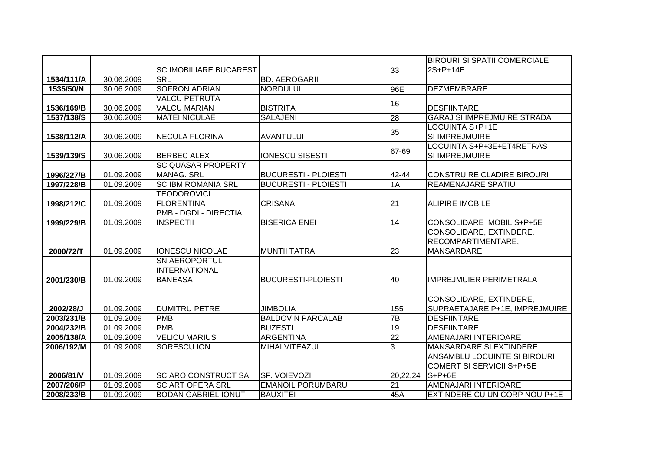|            |            |                               |                             |                 | <b>BIROURI SI SPATII COMERCIALE</b> |
|------------|------------|-------------------------------|-----------------------------|-----------------|-------------------------------------|
|            |            | <b>SC IMOBILIARE BUCAREST</b> |                             | 33              | 2S+P+14E                            |
| 1534/111/A | 30.06.2009 | <b>SRL</b>                    | <b>BD. AEROGARII</b>        |                 |                                     |
| 1535/50/N  | 30.06.2009 | <b>SOFRON ADRIAN</b>          | <b>NORDULUI</b>             | 96E             | <b>DEZMEMBRARE</b>                  |
|            |            | <b>VALCU PETRUTA</b>          |                             |                 |                                     |
| 1536/169/B | 30.06.2009 | <b>VALCU MARIAN</b>           | <b>BISTRITA</b>             | 16              | <b>DESFIINTARE</b>                  |
| 1537/138/S | 30.06.2009 | <b>MATEI NICULAE</b>          | <b>SALAJENI</b>             | $\overline{28}$ | <b>GARAJ SI IMPREJMUIRE STRADA</b>  |
|            |            |                               |                             | 35              | LOCUINTA S+P+1E                     |
| 1538/112/A | 30.06.2009 | <b>NECULA FLORINA</b>         | <b>AVANTULUI</b>            |                 | SI IMPREJMUIRE                      |
|            |            |                               |                             | 67-69           | LOCUINTA S+P+3E+ET4RETRAS           |
| 1539/139/S | 30.06.2009 | <b>BERBEC ALEX</b>            | <b>IONESCU SISESTI</b>      |                 | SI IMPREJMUIRE                      |
|            |            | <b>SC QUASAR PROPERTY</b>     |                             |                 |                                     |
| 1996/227/B | 01.09.2009 | <b>MANAG. SRL</b>             | <b>BUCURESTI - PLOIESTI</b> | 42-44           | <b>CONSTRUIRE CLADIRE BIROURI</b>   |
| 1997/228/B | 01.09.2009 | <b>SC IBM ROMANIA SRL</b>     | <b>BUCURESTI - PLOIESTI</b> | 1A              | REAMENAJARE SPATIU                  |
|            |            | <b>TEODOROVICI</b>            |                             |                 |                                     |
| 1998/212/C | 01.09.2009 | <b>FLORENTINA</b>             | <b>CRISANA</b>              | 21              | <b>ALIPIRE IMOBILE</b>              |
|            |            | <b>PMB - DGDI - DIRECTIA</b>  |                             |                 |                                     |
| 1999/229/B | 01.09.2009 | <b>INSPECTII</b>              | <b>BISERICA ENEI</b>        | 14              | CONSOLIDARE IMOBIL S+P+5E           |
|            |            |                               |                             |                 | CONSOLIDARE, EXTINDERE,             |
|            |            |                               |                             |                 | RECOMPARTIMENTARE,                  |
| 2000/72/T  | 01.09.2009 | <b>IONESCU NICOLAE</b>        | <b>MUNTII TATRA</b>         | 23              | <b>MANSARDARE</b>                   |
|            |            | <b>SN AEROPORTUL</b>          |                             |                 |                                     |
|            |            | <b>INTERNATIONAL</b>          |                             |                 |                                     |
| 2001/230/B | 01.09.2009 | <b>BANEASA</b>                | <b>BUCURESTI-PLOIESTI</b>   | 40              | <b>IMPREJMUIER PERIMETRALA</b>      |
|            |            |                               |                             |                 |                                     |
|            |            |                               |                             |                 | CONSOLIDARE, EXTINDERE,             |
| 2002/28/J  | 01.09.2009 | <b>DUMITRU PETRE</b>          | <b>JIMBOLIA</b>             | 155             | SUPRAETAJARE P+1E, IMPREJMUIRE      |
| 2003/231/B | 01.09.2009 | <b>PMB</b>                    | <b>BALDOVIN PARCALAB</b>    | 7B              | <b>DESFIINTARE</b>                  |
| 2004/232/B | 01.09.2009 | <b>PMB</b>                    | <b>BUZESTI</b>              | 19              | <b>DESFIINTARE</b>                  |
| 2005/138/A | 01.09.2009 | <b>VELICU MARIUS</b>          | <b>ARGENTINA</b>            | $\overline{22}$ | AMENAJARI INTERIOARE                |
| 2006/192/M | 01.09.2009 | <b>SORESCU ION</b>            | <b>MIHAI VITEAZUL</b>       | 3               | <b>MANSARDARE SI EXTINDERE</b>      |
|            |            |                               |                             |                 | ANSAMBLU LOCUINTE SI BIROURI        |
|            |            |                               |                             |                 | <b>COMERT SI SERVICII S+P+5E</b>    |
| 2006/81/V  | 01.09.2009 | <b>ISC ARO CONSTRUCT SA</b>   | SF. VOIEVOZI                | 20,22,24        | $S+P+6E$                            |
| 2007/206/P | 01.09.2009 | <b>SC ART OPERA SRL</b>       | <b>EMANOIL PORUMBARU</b>    | 21              | AMENAJARI INTERIOARE                |
| 2008/233/B | 01.09.2009 | <b>BODAN GABRIEL IONUT</b>    | <b>BAUXITEI</b>             | 45A             | EXTINDERE CU UN CORP NOU P+1E       |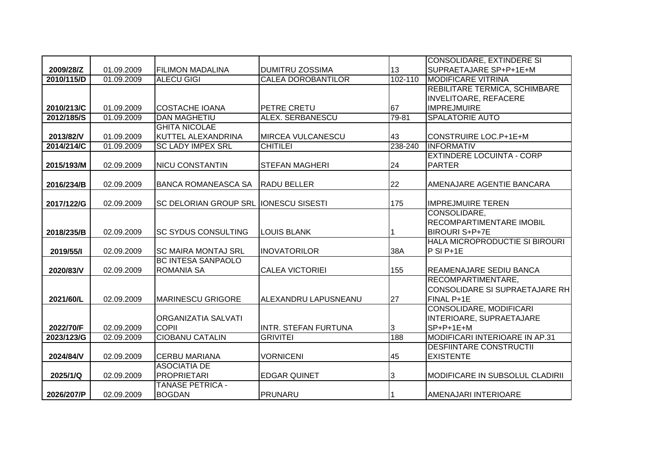|                         |            |                                       |                             |           | <b>CONSOLIDARE, EXTINDERE SI</b>                           |
|-------------------------|------------|---------------------------------------|-----------------------------|-----------|------------------------------------------------------------|
| 2009/28/Z               | 01.09.2009 | <b>FILIMON MADALINA</b>               | <b>DUMITRU ZOSSIMA</b>      | 13        | SUPRAETAJARE SP+P+1E+M                                     |
| 2010/115/D              | 01.09.2009 | <b>ALECU GIGI</b>                     | <b>CALEA DOROBANTILOR</b>   | 102-110   | <b>MODIFICARE VITRINA</b>                                  |
|                         |            |                                       |                             |           | REBILITARE TERMICA, SCHIMBARE                              |
|                         |            |                                       |                             |           | <b>INVELITOARE, REFACERE</b>                               |
| 2010/213/C              | 01.09.2009 | <b>COSTACHE IOANA</b>                 | PETRE CRETU                 | 67        | <b>IMPREJMUIRE</b>                                         |
| 2012/185/S              | 01.09.2009 | <b>DAN MAGHETIU</b>                   | <b>ALEX. SERBANESCU</b>     | $79 - 81$ | <b>SPALATORIE AUTO</b>                                     |
|                         |            | <b>GHITA NICOLAE</b>                  |                             |           |                                                            |
| 2013/82/V               | 01.09.2009 | KUTTEL ALEXANDRINA                    | <b>MIRCEA VULCANESCU</b>    | 43        | <b>CONSTRUIRE LOC.P+1E+M</b>                               |
| 2014/214/C              | 01.09.2009 | <b>SC LADY IMPEX SRL</b>              | <b>CHITILEI</b>             | 238-240   | <b>INFORMATIV</b>                                          |
|                         |            |                                       |                             |           | <b>EXTINDERE LOCUINTA - CORP</b>                           |
| 2015/193/M              | 02.09.2009 | <b>NICU CONSTANTIN</b>                | <b>STEFAN MAGHERI</b>       | 24        | <b>PARTER</b>                                              |
|                         |            |                                       |                             |           |                                                            |
| 2016/234/B              | 02.09.2009 | BANCA ROMANEASCA SA                   | <b>RADU BELLER</b>          | 22        | AMENAJARE AGENTIE BANCARA                                  |
|                         |            |                                       |                             |           |                                                            |
| 2017/122/G              | 02.09.2009 | SC DELORIAN GROUP SRL IONESCU SISESTI |                             | 175       | <b>IMPREJMUIRE TEREN</b>                                   |
|                         |            |                                       |                             |           | CONSOLIDARE,                                               |
|                         |            |                                       |                             |           | RECOMPARTIMENTARE IMOBIL                                   |
| 2018/235/B              | 02.09.2009 | <b>ISC SYDUS CONSULTING</b>           | <b>LOUIS BLANK</b>          |           | <b>BIROURI S+P+7E</b>                                      |
|                         |            |                                       |                             |           | HALA MICROPRODUCTIE SI BIROURI                             |
| 2019/55/1               | 02.09.2009 | <b>SC MAIRA MONTAJ SRL</b>            | <b>INOVATORILOR</b>         | 38A       | $P$ SI P+1E                                                |
|                         |            | <b>BC INTESA SANPAOLO</b>             |                             |           |                                                            |
| 2020/83/V               | 02.09.2009 | <b>ROMANIA SA</b>                     | <b>CALEA VICTORIEI</b>      | 155       | <b>REAMENAJARE SEDIU BANCA</b>                             |
|                         |            |                                       |                             |           | RECOMPARTIMENTARE,                                         |
|                         |            |                                       |                             |           | CONSOLIDARE SI SUPRAETAJARE RH                             |
| 2021/60/L               | 02.09.2009 | <b>MARINESCU GRIGORE</b>              | ALEXANDRU LAPUSNEANU        | 27        | FINAL P+1E                                                 |
|                         |            | <b>ORGANIZATIA SALVATI</b>            |                             |           | <b>CONSOLIDARE, MODIFICARI</b><br>INTERIOARE, SUPRAETAJARE |
|                         | 02.09.2009 | <b>COPII</b>                          | <b>INTR. STEFAN FURTUNA</b> | 3         | $SP+P+1E+M$                                                |
| 2022/70/F<br>2023/123/G | 02.09.2009 | <b>CIOBANU CATALIN</b>                | <b>GRIVITEI</b>             | 188       | MODIFICARI INTERIOARE IN AP.31                             |
|                         |            |                                       |                             |           | <b>DESFIINTARE CONSTRUCTII</b>                             |
| 2024/84/V               | 02.09.2009 | <b>CERBU MARIANA</b>                  | <b>VORNICENI</b>            | 45        | <b>EXISTENTE</b>                                           |
|                         |            | <b>ASOCIATIA DE</b>                   |                             |           |                                                            |
| 2025/1/Q                | 02.09.2009 | <b>PROPRIETARI</b>                    | <b>EDGAR QUINET</b>         | 3         | MODIFICARE IN SUBSOLUL CLADIRII                            |
|                         |            | <b>TANASE PETRICA -</b>               |                             |           |                                                            |
| 2026/207/P              | 02.09.2009 | <b>BOGDAN</b>                         | <b>PRUNARU</b>              |           | AMENAJARI INTERIOARE                                       |
|                         |            |                                       |                             |           |                                                            |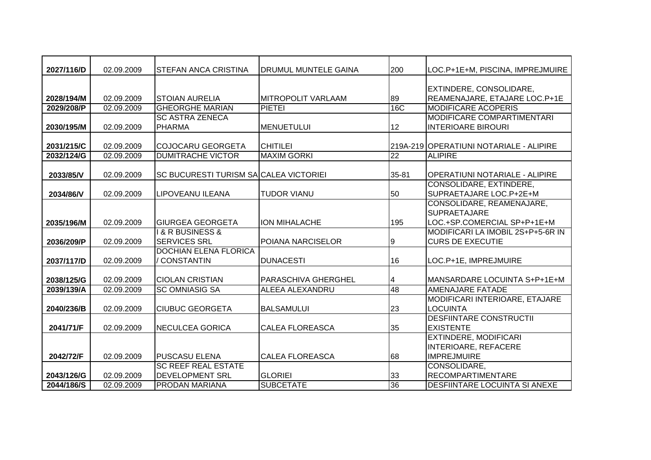| 2027/116/D               | 02.09.2009 | <b>STEFAN ANCA CRISTINA</b>                                | DRUMUL MUNTELE GAINA      | 200             | LOC.P+1E+M, PISCINA, IMPREJMUIRE                                 |
|--------------------------|------------|------------------------------------------------------------|---------------------------|-----------------|------------------------------------------------------------------|
|                          |            |                                                            |                           |                 |                                                                  |
|                          | 02.09.2009 | <b>STOIAN AURELIA</b>                                      | <b>MITROPOLIT VARLAAM</b> | 89              | EXTINDERE, CONSOLIDARE,<br>REAMENAJARE, ETAJARE LOC.P+1E         |
| 2028/194/M<br>2029/208/P | 02.09.2009 | <b>GHEORGHE MARIAN</b>                                     | <b>PIETEI</b>             | 16C             | <b>MODIFICARE ACOPERIS</b>                                       |
|                          |            | <b>SC ASTRA ZENECA</b>                                     |                           |                 | <b>MODIFICARE COMPARTIMENTARI</b>                                |
| 2030/195/M               | 02.09.2009 | <b>PHARMA</b>                                              | <b>MENUETULUI</b>         | 12              | <b>INTERIOARE BIROURI</b>                                        |
|                          |            |                                                            |                           |                 |                                                                  |
| 2031/215/C               | 02.09.2009 | <b>COJOCARU GEORGETA</b>                                   | <b>CHITILEI</b>           |                 | 219A-219 OPERATIUNI NOTARIALE - ALIPIRE                          |
| 2032/124/G               | 02.09.2009 | <b>DUMITRACHE VICTOR</b>                                   | <b>MAXIM GORKI</b>        | $\overline{22}$ | <b>ALIPIRE</b>                                                   |
|                          |            |                                                            |                           |                 |                                                                  |
| 2033/85/V                | 02.09.2009 | SC BUCURESTI TURISM SA CALEA VICTORIEI                     |                           | 35-81           | <b>OPERATIUNI NOTARIALE - ALIPIRE</b>                            |
|                          |            |                                                            |                           |                 | <b>CONSOLIDARE, EXTINDERE,</b>                                   |
| 2034/86/V                | 02.09.2009 | LIPOVEANU ILEANA                                           | <b>TUDOR VIANU</b>        | 50              | SUPRAETAJARE LOC.P+2E+M                                          |
|                          |            |                                                            |                           |                 | CONSOLIDARE, REAMENAJARE,                                        |
|                          |            |                                                            |                           |                 | <b>SUPRAETAJARE</b>                                              |
| 2035/196/M               | 02.09.2009 | <b>GIURGEA GEORGETA</b><br><b>I &amp; R BUSINESS &amp;</b> | <b>ION MIHALACHE</b>      | 195             | LOC.+SP.COMERCIAL SP+P+1E+M<br>MODIFICARI LA IMOBIL 2S+P+5-6R IN |
| 2036/209/P               | 02.09.2009 | <b>SERVICES SRL</b>                                        | POIANA NARCISELOR         | 9               | <b>CURS DE EXECUTIE</b>                                          |
|                          |            | <b>DOCHIAN ELENA FLORICA</b>                               |                           |                 |                                                                  |
| 2037/117/D               | 02.09.2009 | / CONSTANTIN                                               | <b>DUNACESTI</b>          | 16              | LOC.P+1E, IMPREJMUIRE                                            |
|                          |            |                                                            |                           |                 |                                                                  |
| 2038/125/G               | 02.09.2009 | <b>CIOLAN CRISTIAN</b>                                     | PARASCHIVA GHERGHEL       | 4               | MANSARDARE LOCUINTA S+P+1E+M                                     |
| 2039/139/A               | 02.09.2009 | <b>SC OMNIASIG SA</b>                                      | ALEEA ALEXANDRU           | 48              | AMENAJARE FATADE                                                 |
|                          |            |                                                            |                           |                 | MODIFICARI INTERIOARE, ETAJARE                                   |
| 2040/236/B               | 02.09.2009 | <b>CIUBUC GEORGETA</b>                                     | <b>BALSAMULUI</b>         | 23              | <b>LOCUINTA</b>                                                  |
|                          |            |                                                            |                           |                 | <b>DESFIINTARE CONSTRUCTII</b>                                   |
| 2041/71/F                | 02.09.2009 | <b>NECULCEA GORICA</b>                                     | <b>CALEA FLOREASCA</b>    | 35              | <b>EXISTENTE</b>                                                 |
|                          |            |                                                            |                           |                 | <b>EXTINDERE, MODIFICARI</b>                                     |
|                          |            |                                                            |                           |                 | <b>INTERIOARE, REFACERE</b>                                      |
| 2042/72/F                | 02.09.2009 | <b>PUSCASU ELENA</b>                                       | <b>CALEA FLOREASCA</b>    | 68              | <b>IMPREJMUIRE</b>                                               |
|                          |            | <b>SC REEF REAL ESTATE</b>                                 |                           |                 | CONSOLIDARE,                                                     |
| 2043/126/G               | 02.09.2009 | <b>DEVELOPMENT SRL</b>                                     | <b>GLORIEI</b>            | 33              | <b>RECOMPARTIMENTARE</b>                                         |
| 2044/186/S               | 02.09.2009 | <b>PRODAN MARIANA</b>                                      | <b>SUBCETATE</b>          | 36              | <b>DESFIINTARE LOCUINTA SI ANEXE</b>                             |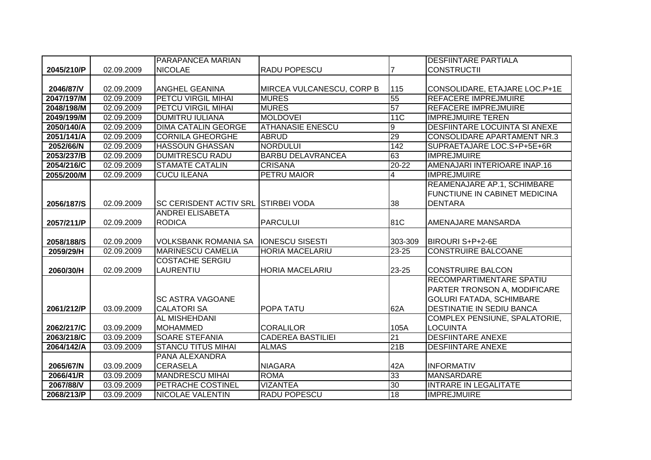|            |            | PARAPANCEA MARIAN                          |                           |                  | <b>DESFIINTARE PARTIALA</b>          |
|------------|------------|--------------------------------------------|---------------------------|------------------|--------------------------------------|
| 2045/210/P | 02.09.2009 | <b>NICOLAE</b>                             | RADU POPESCU              |                  | <b>CONSTRUCTII</b>                   |
|            |            |                                            |                           |                  |                                      |
| 2046/87/V  | 02.09.2009 | <b>ANGHEL GEANINA</b>                      | MIRCEA VULCANESCU, CORP B | 115              | CONSOLIDARE, ETAJARE LOC.P+1E        |
| 2047/197/M | 02.09.2009 | <b>PETCU VIRGIL MIHAI</b>                  | <b>MURES</b>              | 55               | <b>REFACERE IMPREJMUIRE</b>          |
| 2048/198/M | 02.09.2009 | <b>PETCU VIRGIL MIHAI</b>                  | <b>MURES</b>              | 57               | <b>REFACERE IMPREJMUIRE</b>          |
| 2049/199/M | 02.09.2009 | <b>DUMITRU IULIANA</b>                     | <b>MOLDOVEI</b>           | 11C              | <b>IMPREJMUIRE TEREN</b>             |
| 2050/140/A | 02.09.2009 | <b>DIMA CATALIN GEORGE</b>                 | <b>ATHANASIE ENESCU</b>   | $\boldsymbol{9}$ | <b>DESFIINTARE LOCUINTA SI ANEXE</b> |
| 2051/141/A | 02.09.2009 | <b>CORNILA GHEORGHE</b>                    | <b>ABRUD</b>              | 29               | CONSOLIDARE APARTAMENT NR.3          |
| 2052/66/N  | 02.09.2009 | <b>HASSOUN GHASSAN</b>                     | <b>NORDULUI</b>           | 142              | SUPRAETAJARE LOC.S+P+5E+6R           |
| 2053/237/B | 02.09.2009 | <b>DUMITRESCU RADU</b>                     | <b>BARBU DELAVRANCEA</b>  | 63               | <b>IMPREJMUIRE</b>                   |
| 2054/216/C | 02.09.2009 | <b>STAMATE CATALIN</b>                     | <b>CRISANA</b>            | $20 - 22$        | AMENAJARI INTERIOARE INAP.16         |
| 2055/200/M | 02.09.2009 | <b>CUCU ILEANA</b>                         | PETRU MAIOR               | 4                | <b>IMPREJMUIRE</b>                   |
|            |            |                                            |                           |                  | REAMENAJARE AP.1, SCHIMBARE          |
|            |            |                                            |                           |                  | <b>FUNCTIUNE IN CABINET MEDICINA</b> |
| 2056/187/S | 02.09.2009 | <b>SC CERISDENT ACTIV SRL STIRBEI VODA</b> |                           | 38               | <b>DENTARA</b>                       |
|            |            | <b>ANDREI ELISABETA</b>                    |                           |                  |                                      |
| 2057/211/P | 02.09.2009 | <b>RODICA</b>                              | <b>PARCULUI</b>           | 81C              | AMENAJARE MANSARDA                   |
|            |            |                                            |                           |                  |                                      |
| 2058/188/S | 02.09.2009 | <b>VOLKSBANK ROMANIA SA</b>                | <b>IONESCU SISESTI</b>    | 303-309          | BIROURI S+P+2-6E                     |
| 2059/29/H  | 02.09.2009 | <b>MARINESCU CAMELIA</b>                   | <b>HORIA MACELARIU</b>    | 23-25            | <b>CONSTRUIRE BALCOANE</b>           |
|            |            | <b>COSTACHE SERGIU</b>                     |                           |                  |                                      |
| 2060/30/H  | 02.09.2009 | LAURENTIU                                  | <b>HORIA MACELARIU</b>    | 23-25            | <b>CONSTRUIRE BALCON</b>             |
|            |            |                                            |                           |                  | RECOMPARTIMENTARE SPATIU             |
|            |            |                                            |                           |                  | PARTER TRONSON A, MODIFICARE         |
|            |            | <b>SC ASTRA VAGOANE</b>                    |                           |                  | <b>GOLURI FATADA, SCHIMBARE</b>      |
| 2061/212/P | 03.09.2009 | <b>CALATORI SA</b>                         | POPA TATU                 | 62A              | DESTINATIE IN SEDIU BANCA            |
|            |            | <b>AL MISHEHDANI</b>                       |                           |                  | COMPLEX PENSIUNE, SPALATORIE,        |
| 2062/217/C | 03.09.2009 | <b>MOHAMMED</b>                            | <b>CORALILOR</b>          | 105A             | <b>LOCUINTA</b>                      |
| 2063/218/C | 03.09.2009 | <b>SOARE STEFANIA</b>                      | <b>CADEREA BASTILIEI</b>  | 21               | <b>DESFIINTARE ANEXE</b>             |
| 2064/142/A | 03.09.2009 | <b>STANCU TITUS MIHAI</b>                  | <b>ALMAS</b>              | 21B              | <b>DESFIINTARE ANEXE</b>             |
|            |            | <b>PANA ALEXANDRA</b>                      |                           |                  |                                      |
| 2065/67/N  | 03.09.2009 | <b>CERASELA</b>                            | <b>NIAGARA</b>            | 42A              | <b>INFORMATIV</b>                    |
| 2066/41/R  | 03.09.2009 | <b>MANDRESCU MIHAI</b>                     | <b>ROMA</b>               | 33               | <b>MANSARDARE</b>                    |
| 2067/88/V  | 03.09.2009 | <b>PETRACHE COSTINEL</b>                   | <b>VIZANTEA</b>           | 30               | <b>INTRARE IN LEGALITATE</b>         |
| 2068/213/P | 03.09.2009 | <b>NICOLAE VALENTIN</b>                    | <b>RADU POPESCU</b>       | 18               | <b>IMPREJMUIRE</b>                   |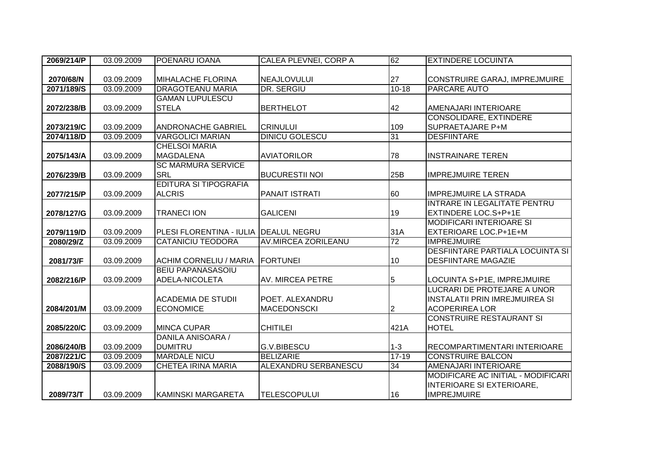| 2069/214/P | 03.09.2009 | POENARU IOANA                         | CALEA PLEVNEI, CORP A       | 62              | <b>EXTINDERE LOCUINTA</b>               |
|------------|------------|---------------------------------------|-----------------------------|-----------------|-----------------------------------------|
|            |            |                                       |                             |                 |                                         |
| 2070/68/N  | 03.09.2009 | <b>MIHALACHE FLORINA</b>              | NEAJLOVULUI                 | 27              | CONSTRUIRE GARAJ, IMPREJMUIRE           |
| 2071/189/S | 03.09.2009 | <b>DRAGOTEANU MARIA</b>               | DR. SERGIU                  | $10 - 18$       | <b>PARCARE AUTO</b>                     |
|            |            | <b>GAMAN LUPULESCU</b>                |                             |                 |                                         |
| 2072/238/B | 03.09.2009 | <b>STELA</b>                          | <b>BERTHELOT</b>            | 42              | AMENAJARI INTERIOARE                    |
|            |            |                                       |                             |                 | <b>CONSOLIDARE, EXTINDERE</b>           |
| 2073/219/C | 03.09.2009 | <b>ANDRONACHE GABRIEL</b>             | <b>CRINULUI</b>             | 109             | SUPRAETAJARE P+M                        |
| 2074/118/D | 03.09.2009 | <b>VARGOLICI MARIAN</b>               | <b>DINICU GOLESCU</b>       | 31              | <b>DESFIINTARE</b>                      |
|            |            | <b>CHELSOI MARIA</b>                  |                             |                 |                                         |
| 2075/143/A | 03.09.2009 | <b>MAGDALENA</b>                      | <b>AVIATORILOR</b>          | 78              | <b>INSTRAINARE TEREN</b>                |
|            |            | <b>SC MARMURA SERVICE</b>             |                             |                 |                                         |
| 2076/239/B | 03.09.2009 | <b>SRL</b>                            | <b>BUCURESTII NOI</b>       | 25B             | <b>IMPREJMUIRE TEREN</b>                |
|            |            | <b>EDITURA SI TIPOGRAFIA</b>          |                             |                 |                                         |
| 2077/215/P | 03.09.2009 | <b>ALCRIS</b>                         | <b>PANAIT ISTRATI</b>       | 60              | <b>IMPREJMUIRE LA STRADA</b>            |
|            |            |                                       |                             |                 | INTRARE IN LEGALITATE PENTRU            |
| 2078/127/G | 03.09.2009 | <b>TRANECI ION</b>                    | <b>GALICENI</b>             | 19              | <b>EXTINDERE LOC.S+P+1E</b>             |
|            |            |                                       |                             |                 | <b>MODIFICARI INTERIOARE SI</b>         |
| 2079/119/D | 03.09.2009 | PLESI FLORENTINA - IULIA DEALUL NEGRU |                             | 31A             | <b>EXTERIOARE LOC.P+1E+M</b>            |
| 2080/29/Z  | 03.09.2009 | <b>CATANICIU TEODORA</b>              | <b>AV.MIRCEA ZORILEANU</b>  | 72              | <b>IMPREJMUIRE</b>                      |
|            |            |                                       |                             |                 | <b>DESFIINTARE PARTIALA LOCUINTA SI</b> |
| 2081/73/F  | 03.09.2009 | ACHIM CORNELIU / MARIA                | <b>FORTUNEI</b>             | 10              | <b>DESFIINTARE MAGAZIE</b>              |
|            |            | <b>BEIU PAPANASASOIU</b>              |                             |                 |                                         |
| 2082/216/P | 03.09.2009 | ADELA-NICOLETA                        | AV. MIRCEA PETRE            | 5               | LOCUINTA S+P1E, IMPREJMUIRE             |
|            |            |                                       |                             |                 | LUCRARI DE PROTEJARE A UNOR             |
|            |            | <b>ACADEMIA DE STUDII</b>             | POET. ALEXANDRU             |                 | <b>INSTALATII PRIN IMREJMUIREA SI</b>   |
| 2084/201/M | 03.09.2009 | <b>ECONOMICE</b>                      | <b>MACEDONSCKI</b>          | $\overline{2}$  | <b>ACOPERIREA LOR</b>                   |
|            |            |                                       |                             |                 | <b>CONSTRUIRE RESTAURANT SI</b>         |
| 2085/220/C | 03.09.2009 | <b>MINCA CUPAR</b>                    | <b>CHITILEI</b>             | 421A            | <b>HOTEL</b>                            |
|            |            | DANILA ANISOARA /                     |                             |                 |                                         |
| 2086/240/B | 03.09.2009 | <b>DUMITRU</b>                        | <b>G.V.BIBESCU</b>          | $1-3$           | RECOMPARTIMENTARI INTERIOARE            |
| 2087/221/C | 03.09.2009 | <b>MARDALE NICU</b>                   | <b>BELIZARIE</b>            | $17 - 19$       | <b>CONSTRUIRE BALCON</b>                |
| 2088/190/S | 03.09.2009 | <b>CHETEA IRINA MARIA</b>             | <b>ALEXANDRU SERBANESCU</b> | $\overline{34}$ | AMENAJARI INTERIOARE                    |
|            |            |                                       |                             |                 | MODIFICARE AC INITIAL - MODIFICARI      |
|            |            |                                       |                             |                 | INTERIOARE SI EXTERIOARE,               |
| 2089/73/T  | 03.09.2009 | KAMINSKI MARGARETA                    | <b>TELESCOPULUI</b>         | 16              | <b>IMPREJMUIRE</b>                      |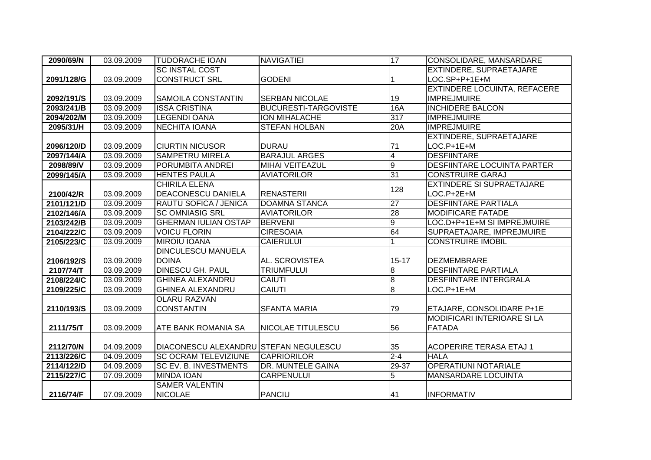| 2090/69/N  | 03.09.2009 | <b>TUDORACHE IOAN</b>                 | <b>NAVIGATIEI</b>           | 17               | <b>CONSOLIDARE, MANSARDARE</b>     |
|------------|------------|---------------------------------------|-----------------------------|------------------|------------------------------------|
|            |            | <b>SC INSTAL COST</b>                 |                             |                  | <b>EXTINDERE, SUPRAETAJARE</b>     |
| 2091/128/G | 03.09.2009 | <b>CONSTRUCT SRL</b>                  | <b>GODENI</b>               |                  | LOC.SP+P+1E+M                      |
|            |            |                                       |                             |                  | EXTINDERE LOCUINTA, REFACERE       |
| 2092/191/S | 03.09.2009 | ISAMOILA CONSTANTIN                   | <b>SERBAN NICOLAE</b>       | 19               | <b>IMPREJMUIRE</b>                 |
| 2093/241/B | 03.09.2009 | <b>ISSA CRISTINA</b>                  | <b>BUCURESTI-TARGOVISTE</b> | 16A              | <b>INCHIDERE BALCON</b>            |
| 2094/202/M | 03.09.2009 | <b>LEGENDI OANA</b>                   | <b>ION MIHALACHE</b>        | 317              | <b>IMPREJMUIRE</b>                 |
| 2095/31/H  | 03.09.2009 | <b>NECHITA IOANA</b>                  | <b>STEFAN HOLBAN</b>        | 20A              | <b>IMPREJMUIRE</b>                 |
|            |            |                                       |                             |                  | <b>EXTINDERE, SUPRAETAJARE</b>     |
| 2096/120/D | 03.09.2009 | <b>CIURTIN NICUSOR</b>                | <b>DURAU</b>                | 71               | $LOC.P+1E+M$                       |
| 2097/144/A | 03.09.2009 | <b>SAMPETRU MIRELA</b>                | <b>BARAJUL ARGES</b>        | $\overline{4}$   | <b>DESFIINTARE</b>                 |
| 2098/89/V  | 03.09.2009 | <b>PORUMBITA ANDREI</b>               | <b>MIHAI VEITEAZUL</b>      | $\overline{9}$   | <b>DESFIINTARE LOCUINTA PARTER</b> |
| 2099/145/A | 03.09.2009 | <b>HENTES PAULA</b>                   | <b>AVIATORILOR</b>          | 31               | <b>CONSTRUIRE GARAJ</b>            |
|            |            | <b>CHIRILA ELENA</b>                  |                             | 128              | <b>EXTINDERE SI SUPRAETAJARE</b>   |
| 2100/42/R  | 03.09.2009 | <b>DEACONESCU DANIELA</b>             | <b>RENASTERII</b>           |                  | $LOC.P+2E+M$                       |
| 2101/121/D | 03.09.2009 | <b>RAUTU SOFICA / JENICA</b>          | <b>DOAMNA STANCA</b>        | 27               | <b>DESFIINTARE PARTIALA</b>        |
| 2102/146/A | 03.09.2009 | <b>SC OMNIASIG SRL</b>                | <b>AVIATORILOR</b>          | 28               | <b>MODIFICARE FATADE</b>           |
| 2103/242/B | 03.09.2009 | <b>GHERMAN IULIAN OSTAP</b>           | <b>BERVENI</b>              | $\boldsymbol{9}$ | LOC.D+P+1E+M SI IMPREJMUIRE        |
| 2104/222/C | 03.09.2009 | <b>VOICU FLORIN</b>                   | <b>CIRESOAIA</b>            | 64               | SUPRAETAJARE, IMPREJMUIRE          |
| 2105/223/C | 03.09.2009 | <b>MIROIU IOANA</b>                   | <b>CAIERULUI</b>            |                  | <b>CONSTRUIRE IMOBIL</b>           |
|            |            | <b>DINCULESCU MANUELA</b>             |                             |                  |                                    |
| 2106/192/S | 03.09.2009 | <b>DOINA</b>                          | AL. SCROVISTEA              | $15 - 17$        | DEZMEMBRARE                        |
| 2107/74/T  | 03.09.2009 | <b>DINESCU GH. PAUL</b>               | <b>TRIUMFULUI</b>           | 8                | <b>DESFIINTARE PARTIALA</b>        |
| 2108/224/C | 03.09.2009 | <b>GHINEA ALEXANDRU</b>               | <b>CAIUTI</b>               | $\overline{8}$   | <b>DESFIINTARE INTERGRALA</b>      |
| 2109/225/C | 03.09.2009 | <b>GHINEA ALEXANDRU</b>               | <b>CAIUTI</b>               | $\overline{8}$   | $LOC.P+1E+M$                       |
|            |            | <b>OLARU RAZVAN</b>                   |                             |                  |                                    |
| 2110/193/S | 03.09.2009 | <b>CONSTANTIN</b>                     | <b>SFANTA MARIA</b>         | 79               | ETAJARE, CONSOLIDARE P+1E          |
|            |            |                                       |                             |                  | <b>MODIFICARI INTERIOARE SI LA</b> |
| 2111/75/T  | 03.09.2009 | <b>ATE BANK ROMANIA SA</b>            | <b>NICOLAE TITULESCU</b>    | 56               | <b>FATADA</b>                      |
|            |            |                                       |                             |                  |                                    |
| 2112/70/N  | 04.09.2009 | DIACONESCU ALEXANDRU STEFAN NEGULESCU |                             | 35               | <b>ACOPERIRE TERASA ETAJ 1</b>     |
| 2113/226/C | 04.09.2009 | <b>SC OCRAM TELEVIZIUNE</b>           | <b>ICAPRIORILOR</b>         | $2 - 4$          | <b>HALA</b>                        |
| 2114/122/D | 04.09.2009 | <b>SC EV. B. INVESTMENTS</b>          | <b>DR. MUNTELE GAINA</b>    | $29 - 37$        | <b>OPERATIUNI NOTARIALE</b>        |
| 2115/227/C | 07.09.2009 | <b>MINDA IOAN</b>                     | <b>CARPENULUI</b>           | 5                | <b>MANSARDARE LOCUINTA</b>         |
|            |            | <b>SAMER VALENTIN</b>                 |                             |                  |                                    |
| 2116/74/F  | 07.09.2009 | <b>NICOLAE</b>                        | <b>PANCIU</b>               | 41               | <b>INFORMATIV</b>                  |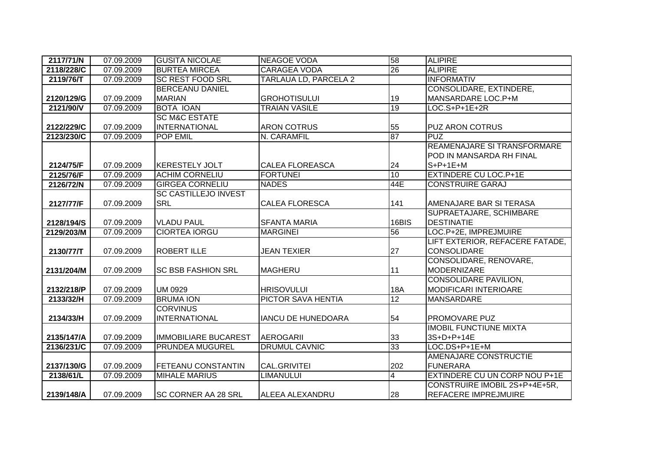| 2117/71/N  | 07.09.2009 | <b>GUSITA NICOLAE</b>       | <b>NEAGOE VODA</b>        | 58              | <b>ALIPIRE</b>                                        |
|------------|------------|-----------------------------|---------------------------|-----------------|-------------------------------------------------------|
| 2118/228/C | 07.09.2009 | <b>BURTEA MIRCEA</b>        | <b>CARAGEA VODA</b>       | 26              | <b>ALIPIRE</b>                                        |
| 2119/76/T  | 07.09.2009 | <b>SC REST FOOD SRL</b>     | TARLAUA LD, PARCELA 2     |                 | <b>INFORMATIV</b>                                     |
|            |            | <b>BERCEANU DANIEL</b>      |                           |                 | CONSOLIDARE, EXTINDERE,                               |
| 2120/129/G | 07.09.2009 | <b>MARIAN</b>               | <b>GROHOTISULUI</b>       | 19              | MANSARDARE LOC.P+M                                    |
| 2121/90/V  | 07.09.2009 | <b>BOTA IOAN</b>            | <b>TRAIAN VASILE</b>      | 19              | $LOC.S+P+1E+2R$                                       |
|            |            | <b>SC M&amp;C ESTATE</b>    |                           |                 |                                                       |
| 2122/229/C | 07.09.2009 | <b>INTERNATIONAL</b>        | <b>ARON COTRUS</b>        | 55              | <b>PUZ ARON COTRUS</b>                                |
| 2123/230/C | 07.09.2009 | <b>POP EMIL</b>             | N. CARAMFIL               | 87              | <b>PUZ</b>                                            |
|            |            |                             |                           |                 | REAMENAJARE SI TRANSFORMARE                           |
|            |            |                             |                           |                 | POD IN MANSARDA RH FINAL                              |
| 2124/75/F  | 07.09.2009 | <b>IKERESTELY JOLT</b>      | <b>CALEA FLOREASCA</b>    | 24              | $S+P+1E+M$                                            |
| 2125/76/F  | 07.09.2009 | <b>ACHIM CORNELIU</b>       | <b>FORTUNEI</b>           | 10              | <b>EXTINDERE CU LOC.P+1E</b>                          |
| 2126/72/N  | 07.09.2009 | <b>GIRGEA CORNELIU</b>      | <b>NADES</b>              | 44E             | <b>CONSTRUIRE GARAJ</b>                               |
|            |            | <b>SC CASTILLEJO INVEST</b> |                           |                 |                                                       |
| 2127/77/F  | 07.09.2009 | <b>SRL</b>                  | <b>CALEA FLORESCA</b>     | 141             | AMENAJARE BAR SI TERASA                               |
|            |            |                             |                           |                 | SUPRAETAJARE, SCHIMBARE                               |
| 2128/194/S | 07.09.2009 | <b>VLADU PAUL</b>           | <b>SFANTA MARIA</b>       | 16BIS           | <b>DESTINATIE</b>                                     |
|            |            |                             |                           |                 |                                                       |
| 2129/203/M | 07.09.2009 | <b>CIORTEA IORGU</b>        | <b>MARGINEI</b>           | 56              | LOC.P+2E, IMPREJMUIRE                                 |
|            |            |                             |                           |                 | LIFT EXTERIOR, REFACERE FATADE,                       |
| 2130/77/T  | 07.09.2009 | <b>ROBERT ILLE</b>          | <b>JEAN TEXIER</b>        | 27              | <b>CONSOLIDARE</b>                                    |
|            |            |                             |                           |                 | CONSOLIDARE, RENOVARE,                                |
| 2131/204/M | 07.09.2009 | <b>SC BSB FASHION SRL</b>   | <b>MAGHERU</b>            | 11              | <b>MODERNIZARE</b>                                    |
|            |            |                             |                           |                 | <b>CONSOLIDARE PAVILION,</b>                          |
| 2132/218/P | 07.09.2009 | <b>UM 0929</b>              | <b>HRISOVULUI</b>         | 18A             | <b>MODIFICARI INTERIOARE</b>                          |
| 2133/32/H  | 07.09.2009 | <b>BRUMA ION</b>            | <b>PICTOR SAVA HENTIA</b> | $\overline{12}$ | <b>MANSARDARE</b>                                     |
|            |            | <b>CORVINUS</b>             |                           |                 |                                                       |
| 2134/33/H  | 07.09.2009 | <b>INTERNATIONAL</b>        | <b>IANCU DE HUNEDOARA</b> | 54              | PROMOVARE PUZ                                         |
|            |            |                             |                           |                 | <b>IMOBIL FUNCTIUNE MIXTA</b>                         |
| 2135/147/A | 07.09.2009 | <b>IMMOBILIARE BUCAREST</b> | <b>AEROGARII</b>          | 33              | 3S+D+P+14E                                            |
| 2136/231/C | 07.09.2009 | PRUNDEA MUGUREL             | <b>DRUMUL CAVNIC</b>      | 33              | LOC.DS+P+1E+M                                         |
|            |            |                             |                           |                 | AMENAJARE CONSTRUCTIE                                 |
| 2137/130/G | 07.09.2009 | <b>FETEANU CONSTANTIN</b>   | CAL.GRIVITEI              | 202             | <b>FUNERARA</b>                                       |
| 2138/61/L  | 07.09.2009 | <b>MIHALE MARIUS</b>        | <b>LIMANULUI</b>          | $\overline{4}$  | EXTINDERE CU UN CORP NOU P+1E                         |
|            |            |                             |                           | 28              | CONSTRUIRE IMOBIL 2S+P+4E+5R,<br>REFACERE IMPREJMUIRE |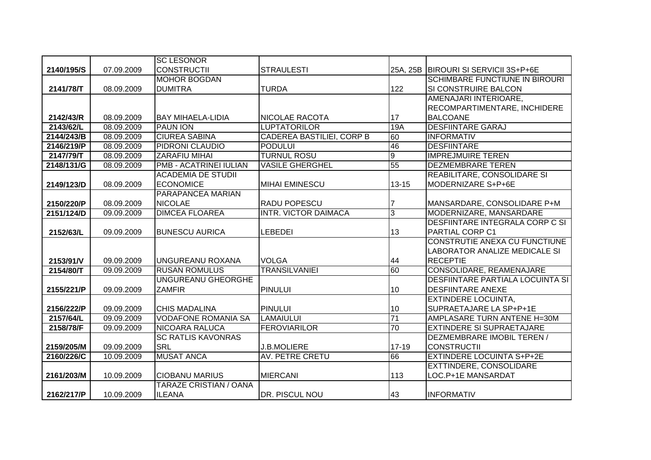|            |            | <b>SC LESONOR</b>             |                                  |                |                                         |
|------------|------------|-------------------------------|----------------------------------|----------------|-----------------------------------------|
| 2140/195/S | 07.09.2009 | <b>CONSTRUCTII</b>            | <b>STRAULESTI</b>                | 25A, 25B       | BIROURI SI SERVICII 3S+P+6E             |
|            |            | <b>MOHOR BOGDAN</b>           |                                  |                | <b>SCHIMBARE FUNCTIUNE IN BIROURI</b>   |
| 2141/78/T  | 08.09.2009 | <b>DUMITRA</b>                | <b>TURDA</b>                     | 122            | <b>SI CONSTRUIRE BALCON</b>             |
|            |            |                               |                                  |                | AMENAJARI INTERIOARE,                   |
|            |            |                               |                                  |                | <b>RECOMPARTIMENTARE, INCHIDERE</b>     |
| 2142/43/R  | 08.09.2009 | <b>BAY MIHAELA-LIDIA</b>      | <b>NICOLAE RACOTA</b>            | 17             | <b>BALCOANE</b>                         |
| 2143/62/L  | 08.09.2009 | <b>PAUN ION</b>               | <b>LUPTATORILOR</b>              | 19A            | <b>DESFIINTARE GARAJ</b>                |
| 2144/243/B | 08.09.2009 | <b>CIUREA SABINA</b>          | <b>CADEREA BASTILIEI, CORP B</b> | 60             | <b>INFORMATIV</b>                       |
| 2146/219/P | 08.09.2009 | PIDRONI CLAUDIO               | <b>PODULUI</b>                   | 46             | <b>DESFIINTARE</b>                      |
| 2147/79/T  | 08.09.2009 | <b>ZARAFIU MIHAI</b>          | <b>TURNUL ROSU</b>               | g              | <b>IMPREJMUIRE TEREN</b>                |
| 2148/131/G | 08.09.2009 | <b>PMB - ACATRINEI IULIAN</b> | <b>VASILE GHERGHEL</b>           | 55             | <b>DEZMEMBRARE TEREN</b>                |
|            |            | <b>ACADEMIA DE STUDII</b>     |                                  |                | REABILITARE, CONSOLIDARE SI             |
| 2149/123/D | 08.09.2009 | <b>ECONOMICE</b>              | <b>MIHAI EMINESCU</b>            | $13 - 15$      | MODERNIZARE S+P+6E                      |
|            |            | PARAPANCEA MARIAN             |                                  |                |                                         |
| 2150/220/P | 08.09.2009 | <b>NICOLAE</b>                | <b>RADU POPESCU</b>              |                | MANSARDARE, CONSOLIDARE P+M             |
| 2151/124/D | 09.09.2009 | <b>DIMCEA FLOAREA</b>         | <b>INTR. VICTOR DAIMACA</b>      | $\overline{3}$ | MODERNIZARE, MANSARDARE                 |
|            |            |                               |                                  |                | <b>DESFIINTARE INTEGRALA CORP C SI</b>  |
| 2152/63/L  | 09.09.2009 | <b>BUNESCU AURICA</b>         | <b>LEBEDEI</b>                   | 13             | <b>PARTIAL CORP C1</b>                  |
|            |            |                               |                                  |                | CONSTRUTIE ANEXA CU FUNCTIUNE           |
|            |            |                               |                                  |                | <b>LABORATOR ANALIZE MEDICALE SI</b>    |
| 2153/91/V  | 09.09.2009 | UNGUREANU ROXANA              | <b>VOLGA</b>                     | 44             | <b>RECEPTIE</b>                         |
| 2154/80/T  | 09.09.2009 | <b>RUSAN ROMULUS</b>          | <b>TRANSILVANIEI</b>             | 60             | CONSOLIDARE, REAMENAJARE                |
|            |            | UNGUREANU GHEORGHE            |                                  |                | <b>DESFIINTARE PARTIALA LOCUINTA SI</b> |
| 2155/221/P | 09.09.2009 | <b>ZAMFIR</b>                 | <b>PINULUI</b>                   | 10             | <b>DESFIINTARE ANEXE</b>                |
|            |            |                               |                                  |                | <b>EXTINDERE LOCUINTA,</b>              |
| 2156/222/P | 09.09.2009 | <b>CHIS MADALINA</b>          | <b>PINULUI</b>                   | 10             | SUPRAETAJARE LA SP+P+1E                 |
| 2157/64/L  | 09.09.2009 | <b>VODAFONE ROMANIA SA</b>    | <b>LAMAIULUI</b>                 | 71             | AMPLASARE TURN ANTENE H=30M             |
| 2158/78/F  | 09.09.2009 | <b>NICOARA RALUCA</b>         | <b>FEROVIARILOR</b>              | 70             | <b>EXTINDERE SI SUPRAETAJARE</b>        |
|            |            | <b>SC RATLIS KAVONRAS</b>     |                                  |                | DEZMEMBRARE IMOBIL TEREN /              |
| 2159/205/M | 09.09.2009 | <b>SRL</b>                    | <b>J.B.MOLIERE</b>               | 17-19          | <b>CONSTRUCTII</b>                      |
| 2160/226/C | 10.09.2009 | <b>MUSAT ANCA</b>             | <b>AV. PETRE CRETU</b>           | 66             | <b>EXTINDERE LOCUINTA S+P+2E</b>        |
|            |            |                               |                                  |                | EXTTINDERE, CONSOLIDARE                 |
| 2161/203/M | 10.09.2009 | <b>CIOBANU MARIUS</b>         | <b>MIERCANI</b>                  | 113            | LOC.P+1E MANSARDAT                      |
|            |            | <b>TARAZE CRISTIAN / OANA</b> |                                  |                |                                         |
| 2162/217/P | 10.09.2009 | <b>ILEANA</b>                 | <b>DR. PISCUL NOU</b>            | 43             | <b>INFORMATIV</b>                       |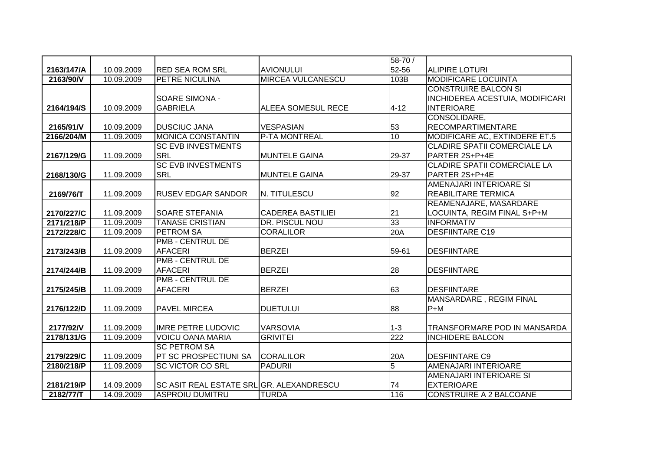|            |            |                                          |                          | 58-70 /        |                                     |
|------------|------------|------------------------------------------|--------------------------|----------------|-------------------------------------|
| 2163/147/A | 10.09.2009 | <b>RED SEA ROM SRL</b>                   | <b>AVIONULUI</b>         | 52-56          | <b>ALIPIRE LOTURI</b>               |
| 2163/90/V  | 10.09.2009 | <b>PETRE NICULINA</b>                    | <b>MIRCEA VULCANESCU</b> | 103B           | <b>MODIFICARE LOCUINTA</b>          |
|            |            |                                          |                          |                | <b>CONSTRUIRE BALCON SI</b>         |
|            |            | <b>SOARE SIMONA -</b>                    |                          |                | INCHIDEREA ACESTUIA, MODIFICARI     |
| 2164/194/S | 10.09.2009 | <b>GABRIELA</b>                          | ALEEA SOMESUL RECE       | $4 - 12$       | <b>INTERIOARE</b>                   |
|            |            |                                          |                          |                | CONSOLIDARE,                        |
| 2165/91/V  | 10.09.2009 | <b>DUSCIUC JANA</b>                      | <b>VESPASIAN</b>         | 53             | <b>RECOMPARTIMENTARE</b>            |
| 2166/204/M | 11.09.2009 | <b>MONICA CONSTANTIN</b>                 | <b>P-TA MONTREAL</b>     | 10             | MODIFICARE AC, EXTINDERE ET.5       |
|            |            | <b>SC EVB INVESTMENTS</b>                |                          |                | <b>CLADIRE SPATII COMERCIALE LA</b> |
| 2167/129/G | 11.09.2009 | <b>SRL</b>                               | <b>MUNTELE GAINA</b>     | 29-37          | PARTER 2S+P+4E                      |
|            |            | <b>SC EVB INVESTMENTS</b>                |                          |                | <b>CLADIRE SPATII COMERCIALE LA</b> |
| 2168/130/G | 11.09.2009 | <b>SRL</b>                               | <b>MUNTELE GAINA</b>     | 29-37          | PARTER 2S+P+4E                      |
|            |            |                                          |                          |                | AMENAJARI INTERIOARE SI             |
| 2169/76/T  | 11.09.2009 | <b>RUSEV EDGAR SANDOR</b>                | N. TITULESCU             | 92             | <b>REABILITARE TERMICA</b>          |
|            |            |                                          |                          |                | REAMENAJARE, MASARDARE              |
| 2170/227/C | 11.09.2009 | <b>SOARE STEFANIA</b>                    | <b>CADEREA BASTILIEI</b> | 21             | LOCUINTA, REGIM FINAL S+P+M         |
| 2171/218/P | 11.09.2009 | <b>TANASE CRISTIAN</b>                   | DR. PISCUL NOU           | 33             | <b>INFORMATIV</b>                   |
| 2172/228/C | 11.09.2009 | <b>PETROM SA</b>                         | <b>CORALILOR</b>         | 20A            | <b>DESFIINTARE C19</b>              |
|            |            | <b>PMB - CENTRUL DE</b>                  |                          |                |                                     |
| 2173/243/B | 11.09.2009 | <b>AFACERI</b>                           | <b>BERZEI</b>            | 59-61          | <b>DESFIINTARE</b>                  |
|            |            | <b>PMB - CENTRUL DE</b>                  |                          |                |                                     |
| 2174/244/B | 11.09.2009 | <b>AFACERI</b>                           | <b>BERZEI</b>            | 28             | <b>DESFIINTARE</b>                  |
|            |            | <b>PMB - CENTRUL DE</b>                  |                          |                |                                     |
| 2175/245/B | 11.09.2009 | <b>AFACERI</b>                           | <b>BERZEI</b>            | 63             | <b>DESFIINTARE</b>                  |
|            |            |                                          |                          |                | MANSARDARE, REGIM FINAL             |
| 2176/122/D | 11.09.2009 | <b>PAVEL MIRCEA</b>                      | <b>DUETULUI</b>          | 88             | $P+M$                               |
|            |            |                                          |                          |                |                                     |
| 2177/92/V  | 11.09.2009 | <b>IMRE PETRE LUDOVIC</b>                | <b>VARSOVIA</b>          | $1 - 3$        | TRANSFORMARE POD IN MANSARDA        |
| 2178/131/G | 11.09.2009 | <b>VOICU OANA MARIA</b>                  | <b>GRIVITEI</b>          | 222            | <b>INCHIDERE BALCON</b>             |
|            |            | <b>SC PETROM SA</b>                      |                          |                |                                     |
| 2179/229/C | 11.09.2009 | <b>PT SC PROSPECTIUNI SA</b>             | <b>CORALILOR</b>         | 20A            | <b>DESFIINTARE C9</b>               |
| 2180/218/P | 11.09.2009 | <b>SC VICTOR CO SRL</b>                  | <b>PADURII</b>           | $\overline{5}$ | AMENAJARI INTERIOARE                |
|            |            |                                          |                          |                | AMENAJARI INTERIOARE SI             |
| 2181/219/P | 14.09.2009 | SC ASIT REAL ESTATE SRLIGR. ALEXANDRESCU |                          | 74             | <b>EXTERIOARE</b>                   |
| 2182/77/T  | 14.09.2009 | <b>ASPROIU DUMITRU</b>                   | <b>TURDA</b>             | 116            | <b>CONSTRUIRE A 2 BALCOANE</b>      |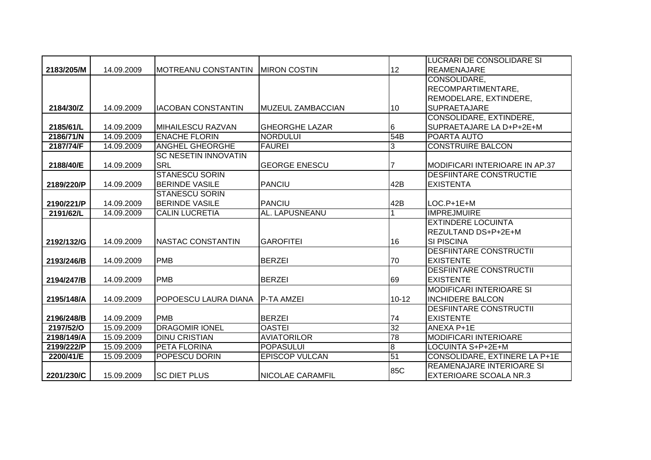|            |            |                                    |                          |                 | LUCRARI DE CONSOLIDARE SI        |
|------------|------------|------------------------------------|--------------------------|-----------------|----------------------------------|
| 2183/205/M | 14.09.2009 | IMOTREANU CONSTANTIN IMIRON COSTIN |                          | 12              | <b>REAMENAJARE</b>               |
|            |            |                                    |                          |                 | CONSOLIDARE,                     |
|            |            |                                    |                          |                 | RECOMPARTIMENTARE,               |
|            |            |                                    |                          |                 | REMODELARE, EXTINDERE,           |
| 2184/30/Z  | 14.09.2009 | <b>IACOBAN CONSTANTIN</b>          | <b>MUZEUL ZAMBACCIAN</b> | 10              | <b>SUPRAETAJARE</b>              |
|            |            |                                    |                          |                 | CONSOLIDARE, EXTINDERE,          |
| 2185/61/L  | 14.09.2009 | <b>MIHAILESCU RAZVAN</b>           | <b>GHEORGHE LAZAR</b>    | 6               | SUPRAETAJARE LA D+P+2E+M         |
| 2186/71/N  | 14.09.2009 | <b>ENACHE FLORIN</b>               | <b>NORDULUI</b>          | 54B             | POARTA AUTO                      |
| 2187/74/F  | 14.09.2009 | <b>ANGHEL GHEORGHE</b>             | <b>FAUREI</b>            | $\overline{3}$  | <b>CONSTRUIRE BALCON</b>         |
|            |            | <b>SC NESETIN INNOVATIN</b>        |                          |                 |                                  |
| 2188/40/E  | 14.09.2009 | <b>SRL</b>                         | <b>GEORGE ENESCU</b>     |                 | MODIFICARI INTERIOARE IN AP.37   |
|            |            | <b>STANESCU SORIN</b>              |                          |                 | <b>DESFIINTARE CONSTRUCTIE</b>   |
| 2189/220/P | 14.09.2009 | <b>BERINDE VASILE</b>              | <b>PANCIU</b>            | 42B             | <b>EXISTENTA</b>                 |
|            |            | <b>STANESCU SORIN</b>              |                          |                 |                                  |
| 2190/221/P | 14.09.2009 | <b>BERINDE VASILE</b>              | <b>PANCIU</b>            | 42B             | $LOC.P+1E+M$                     |
| 2191/62/L  | 14.09.2009 | <b>CALIN LUCRETIA</b>              | AL. LAPUSNEANU           |                 | <b>IMPREJMUIRE</b>               |
|            |            |                                    |                          |                 | <b>EXTINDERE LOCUINTA</b>        |
|            |            |                                    |                          |                 | IREZULTAND DS+P+2E+M             |
| 2192/132/G | 14.09.2009 | NASTAC CONSTANTIN                  | <b>GAROFITEI</b>         | 16              | <b>SI PISCINA</b>                |
|            |            |                                    |                          |                 | <b>DESFIINTARE CONSTRUCTII</b>   |
| 2193/246/B | 14.09.2009 | PMB                                | <b>BERZEI</b>            | 70              | <b>EXISTENTE</b>                 |
|            |            |                                    |                          |                 | <b>DESFIINTARE CONSTRUCTII</b>   |
| 2194/247/B | 14.09.2009 | <b>PMB</b>                         | <b>BERZEI</b>            | 69              | <b>EXISTENTE</b>                 |
|            |            |                                    |                          |                 | <b>MODIFICARI INTERIOARE SI</b>  |
| 2195/148/A | 14.09.2009 | <b>POPOESCU LAURA DIANA</b>        | <b>P-TA AMZEI</b>        | $10 - 12$       | <b>INCHIDERE BALCON</b>          |
|            |            |                                    |                          |                 | <b>DESFIINTARE CONSTRUCTII</b>   |
| 2196/248/B | 14.09.2009 | <b>PMB</b>                         | <b>BERZEI</b>            | 74              | <b>EXISTENTE</b>                 |
| 2197/52/0  | 15.09.2009 | <b>DRAGOMIR IONEL</b>              | <b>OASTEI</b>            | $\overline{32}$ | ANEXA P+1E                       |
| 2198/149/A | 15.09.2009 | <b>DINU CRISTIAN</b>               | <b>AVIATORILOR</b>       | 78              | <b>MODIFICARI INTERIOARE</b>     |
| 2199/222/P | 15.09.2009 | PETA FLORINA                       | <b>POPASULUI</b>         | ø               | LOCUINTA S+P+2E+M                |
| 2200/41/E  | 15.09.2009 | POPESCU DORIN                      | <b>EPISCOP VULCAN</b>    | 51              | CONSOLIDARE, EXTINERE LA P+1E    |
|            |            |                                    |                          | 85C             | <b>REAMENAJARE INTERIOARE SI</b> |
| 2201/230/C | 15.09.2009 | <b>SC DIET PLUS</b>                | <b>NICOLAE CARAMFIL</b>  |                 | <b>EXTERIOARE SCOALA NR.3</b>    |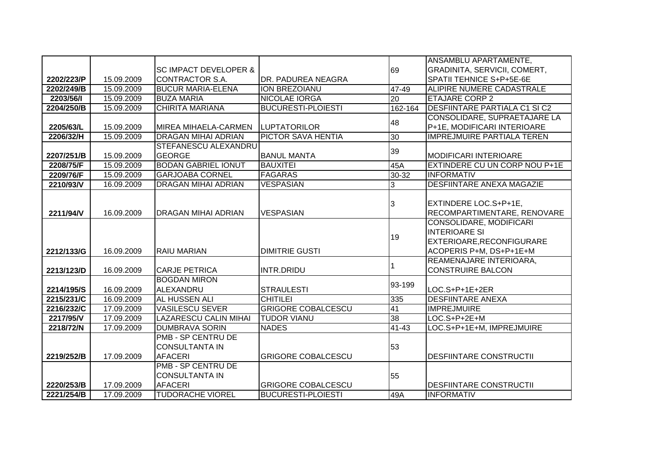|            |            |                                  |                           |                 | ANSAMBLU APARTAMENTE,                |
|------------|------------|----------------------------------|---------------------------|-----------------|--------------------------------------|
|            |            | <b>SC IMPACT DEVELOPER &amp;</b> |                           | 69              | GRADINITA, SERVICII, COMERT,         |
| 2202/223/P | 15.09.2009 | CONTRACTOR S.A.                  | DR. PADUREA NEAGRA        |                 | <b>SPATII TEHNICE S+P+5E-6E</b>      |
| 2202/249/B | 15.09.2009 | <b>BUCUR MARIA-ELENA</b>         | <b>ION BREZOIANU</b>      | 47-49           | <b>ALIPIRE NUMERE CADASTRALE</b>     |
| 2203/56/1  | 15.09.2009 | <b>BUZA MARIA</b>                | <b>NICOLAE IORGA</b>      | $\overline{20}$ | <b>ETAJARE CORP 2</b>                |
| 2204/250/B | 15.09.2009 | <b>CHIRITA MARIANA</b>           | <b>BUCURESTI-PLOIESTI</b> | 162-164         | <b>DESFIINTARE PARTIALA C1 SI C2</b> |
|            |            |                                  |                           |                 | CONSOLIDARE, SUPRAETAJARE LA         |
| 2205/63/L  | 15.09.2009 | MIREA MIHAELA-CARMEN             | <b>LUPTATORILOR</b>       | 48              | P+1E, MODIFICARI INTERIOARE          |
| 2206/32/H  | 15.09.2009 | <b>DRAGAN MIHAI ADRIAN</b>       | PICTOR SAVA HENTIA        | $\overline{30}$ | <b>IMPREJMUIRE PARTIALA TEREN</b>    |
|            |            | <b>STEFANESCU ALEXANDRU</b>      |                           |                 |                                      |
| 2207/251/B | 15.09.2009 | <b>GEORGE</b>                    | <b>BANUL MANTA</b>        | 39              | <b>MODIFICARI INTERIOARE</b>         |
| 2208/75/F  | 15.09.2009 | <b>BODAN GABRIEL IONUT</b>       | <b>BAUXITEI</b>           | 45A             | EXTINDERE CU UN CORP NOU P+1E        |
| 2209/76/F  | 15.09.2009 | <b>GARJOABA CORNEL</b>           | <b>FAGARAS</b>            | 30-32           | <b>INFORMATIV</b>                    |
| 2210/93/V  | 16.09.2009 | <b>DRAGAN MIHAI ADRIAN</b>       | <b>VESPASIAN</b>          | 3               | <b>DESFIINTARE ANEXA MAGAZIE</b>     |
|            |            |                                  |                           |                 |                                      |
|            |            |                                  |                           | 3               | EXTINDERE LOC.S+P+1E,                |
| 2211/94/V  | 16.09.2009 | <b>DRAGAN MIHAI ADRIAN</b>       | <b>VESPASIAN</b>          |                 | RECOMPARTIMENTARE, RENOVARE          |
|            |            |                                  |                           |                 | CONSOLIDARE, MODIFICARI              |
|            |            |                                  |                           | 19              | <b>INTERIOARE SI</b>                 |
|            |            |                                  |                           |                 | EXTERIOARE, RECONFIGURARE            |
| 2212/133/G | 16.09.2009 | <b>RAIU MARIAN</b>               | <b>DIMITRIE GUSTI</b>     |                 | ACOPERIS P+M, DS+P+1E+M              |
|            |            |                                  |                           |                 | REAMENAJARE INTERIOARA,              |
| 2213/123/D | 16.09.2009 | <b>CARJE PETRICA</b>             | <b>INTR.DRIDU</b>         |                 | <b>CONSTRUIRE BALCON</b>             |
|            |            | <b>BOGDAN MIRON</b>              |                           | 93-199          |                                      |
| 2214/195/S | 16.09.2009 | ALEXANDRU                        | <b>STRAULESTI</b>         |                 | LOC.S+P+1E+2ER                       |
| 2215/231/C | 16.09.2009 | <b>AL HUSSEN ALI</b>             | <b>CHITILEI</b>           | 335             | <b>DESFIINTARE ANEXA</b>             |
| 2216/232/C | 17.09.2009 | <b>VASILESCU SEVER</b>           | <b>GRIGORE COBALCESCU</b> | 41              | <b>IMPREJMUIRE</b>                   |
| 2217/95/V  | 17.09.2009 | <b>LAZARESCU CALIN MIHAI</b>     | <b>TUDOR VIANU</b>        | 38              | LOC.S+P+2E+M                         |
| 2218/72/N  | 17.09.2009 | <b>DUMBRAVA SORIN</b>            | <b>NADES</b>              | 41-43           | LOC.S+P+1E+M, IMPREJMUIRE            |
|            |            | <b>PMB - SP CENTRU DE</b>        |                           |                 |                                      |
|            |            | <b>CONSULTANTA IN</b>            |                           | 53              |                                      |
| 2219/252/B | 17.09.2009 | <b>AFACERI</b>                   | <b>GRIGORE COBALCESCU</b> |                 | <b>DESFIINTARE CONSTRUCTII</b>       |
|            |            | <b>PMB - SP CENTRU DE</b>        |                           |                 |                                      |
|            |            | <b>CONSULTANTA IN</b>            |                           | 55              |                                      |
| 2220/253/B | 17.09.2009 | <b>AFACERI</b>                   | <b>GRIGORE COBALCESCU</b> |                 | <b>DESFIINTARE CONSTRUCTII</b>       |
| 2221/254/B | 17.09.2009 | <b>TUDORACHE VIOREL</b>          | <b>BUCURESTI-PLOIESTI</b> | 49A             | <b>INFORMATIV</b>                    |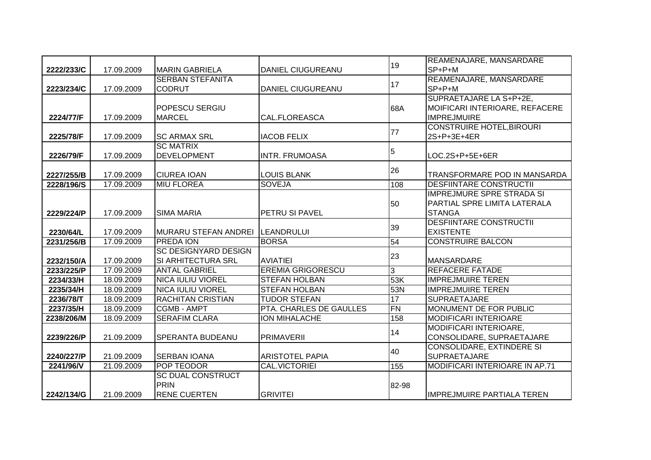|            |            |                             |                          | 19              | REAMENAJARE, MANSARDARE           |
|------------|------------|-----------------------------|--------------------------|-----------------|-----------------------------------|
| 2222/233/C | 17.09.2009 | <b>MARIN GABRIELA</b>       | <b>DANIEL CIUGUREANU</b> |                 | $SP + P + M$                      |
|            |            | <b>SERBAN STEFANITA</b>     |                          | 17              | REAMENAJARE, MANSARDARE           |
| 2223/234/C | 17.09.2009 | <b>CODRUT</b>               | <b>DANIEL CIUGUREANU</b> |                 | $SP + P + M$                      |
|            |            |                             |                          |                 | SUPRAETAJARE LA S+P+2E,           |
|            |            | <b>POPESCU SERGIU</b>       |                          | 68A             | MOIFICARI INTERIOARE, REFACERE    |
| 2224/77/F  | 17.09.2009 | <b>MARCEL</b>               | <b>CAL.FLOREASCA</b>     |                 | <b>IMPREJMUIRE</b>                |
|            |            |                             |                          | 77              | <b>CONSTRUIRE HOTEL, BIROURI</b>  |
| 2225/78/F  | 17.09.2009 | <b>SC ARMAX SRL</b>         | <b>IACOB FELIX</b>       |                 | 2S+P+3E+4ER                       |
|            |            | <b>SC MATRIX</b>            |                          | 5               |                                   |
| 2226/79/F  | 17.09.2009 | <b>DEVELOPMENT</b>          | <b>INTR. FRUMOASA</b>    |                 | LOC.2S+P+5E+6ER                   |
|            |            |                             |                          | 26              |                                   |
| 2227/255/B | 17.09.2009 | <b>CIUREA IOAN</b>          | <b>LOUIS BLANK</b>       |                 | TRANSFORMARE POD IN MANSARDA      |
| 2228/196/S | 17.09.2009 | <b>MIU FLOREA</b>           | <b>SOVEJA</b>            | 108             | <b>DESFIINTARE CONSTRUCTII</b>    |
|            |            |                             |                          |                 | <b>IMPREJMURE SPRE STRADA SI</b>  |
|            |            |                             |                          | 50              | PARTIAL SPRE LIMITA LATERALA      |
| 2229/224/P | 17.09.2009 | <b>SIMA MARIA</b>           | PETRU SI PAVEL           |                 | <b>STANGA</b>                     |
|            |            |                             |                          | 39              | <b>DESFIINTARE CONSTRUCTII</b>    |
| 2230/64/L  | 17.09.2009 | MURARU STEFAN ANDREI        | <b>ILEANDRULUI</b>       |                 | <b>EXISTENTE</b>                  |
| 2231/256/B | 17.09.2009 | <b>PREDA ION</b>            | <b>BORSA</b>             | 54              | <b>CONSTRUIRE BALCON</b>          |
|            |            | <b>SC DESIGNYARD DESIGN</b> |                          | 23              |                                   |
| 2232/150/A | 17.09.2009 | SI ARHITECTURA SRL          | <b>AVIATIEI</b>          |                 | <b>MANSARDARE</b>                 |
| 2233/225/P | 17.09.2009 | <b>ANTAL GABRIEL</b>        | <b>EREMIA GRIGORESCU</b> | 3               | <b>REFACERE FATADE</b>            |
| 2234/33/H  | 18.09.2009 | <b>NICA IULIU VIOREL</b>    | <b>STEFAN HOLBAN</b>     | 53K             | <b>IMPREJMUIRE TEREN</b>          |
| 2235/34/H  | 18.09.2009 | <b>NICA IULIU VIOREL</b>    | <b>STEFAN HOLBAN</b>     | 53N             | <b>IMPREJMUIRE TEREN</b>          |
| 2236/78/T  | 18.09.2009 | <b>RACHITAN CRISTIAN</b>    | <b>TUDOR STEFAN</b>      | 17              | <b>SUPRAETAJARE</b>               |
| 2237/35/H  | 18.09.2009 | <b>CGMB - AMPT</b>          | PTA. CHARLES DE GAULLES  | $\overline{FN}$ | MONUMENT DE FOR PUBLIC            |
| 2238/206/M | 18.09.2009 | <b>SERAFIM CLARA</b>        | <b>ION MIHALACHE</b>     | 158             | <b>MODIFICARI INTERIOARE</b>      |
|            |            |                             |                          | 14              | MODIFICARI INTERIOARE,            |
| 2239/226/P | 21.09.2009 | <b>SPERANTA BUDEANU</b>     | <b>PRIMAVERII</b>        |                 | CONSOLIDARE, SUPRAETAJARE         |
|            |            |                             |                          | 40              | CONSOLIDARE, EXTINDERE SI         |
| 2240/227/P | 21.09.2009 | ISERBAN IOANA               | <b>ARISTOTEL PAPIA</b>   |                 | <b>SUPRAETAJARE</b>               |
| 2241/96/V  | 21.09.2009 | POP TEODOR                  | <b>CAL.VICTORIEI</b>     | 155             | MODIFICARI INTERIOARE IN AP.71    |
|            |            | <b>SC DUAL CONSTRUCT</b>    |                          |                 |                                   |
|            |            | PRIN                        |                          | 82-98           |                                   |
| 2242/134/G | 21.09.2009 | <b>RENE CUERTEN</b>         | <b>GRIVITEI</b>          |                 | <b>IMPREJMUIRE PARTIALA TEREN</b> |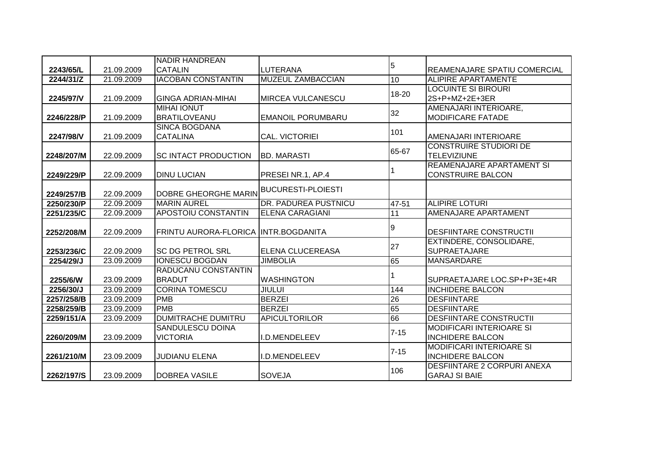|            |            | <b>NADIR HANDREAN</b>                |                           |                |                                                            |
|------------|------------|--------------------------------------|---------------------------|----------------|------------------------------------------------------------|
| 2243/65/L  | 21.09.2009 | <b>CATALIN</b>                       | LUTERANA                  | 5              | REAMENAJARE SPATIU COMERCIAL                               |
| 2244/31/Z  | 21.09.2009 | <b>IACOBAN CONSTANTIN</b>            | MUZEUL ZAMBACCIAN         | 10             | <b>ALIPIRE APARTAMENTE</b>                                 |
|            |            |                                      |                           | $18 - 20$      | <b>LOCUINTE SI BIROURI</b>                                 |
| 2245/97/V  | 21.09.2009 | <b>GINGA ADRIAN-MIHAI</b>            | MIRCEA VULCANESCU         |                | 2S+P+MZ+2E+3ER                                             |
|            |            | <b>MIHAI IONUT</b>                   |                           | 32             | AMENAJARI INTERIOARE,                                      |
| 2246/228/P | 21.09.2009 | <b>BRATILOVEANU</b>                  | <b>EMANOIL PORUMBARU</b>  |                | <b>MODIFICARE FATADE</b>                                   |
|            |            | <b>SINCA BOGDANA</b>                 |                           | 101            |                                                            |
| 2247/98/V  | 21.09.2009 | <b>CATALINA</b>                      | <b>CAL. VICTORIEI</b>     |                | AMENAJARI INTERIOARE                                       |
|            |            |                                      |                           | 65-67          | <b>CONSTRUIRE STUDIORI DE</b>                              |
| 2248/207/M | 22.09.2009 | <b>SC INTACT PRODUCTION</b>          | <b>BD. MARASTI</b>        |                | <b>TELEVIZIUNE</b>                                         |
|            |            |                                      |                           |                | <b>REAMENAJARE APARTAMENT SI</b>                           |
| 2249/229/P | 22.09.2009 | <b>DINU LUCIAN</b>                   | PRESEI NR.1, AP.4         |                | <b>CONSTRUIRE BALCON</b>                                   |
|            |            |                                      | <b>BUCURESTI-PLOIESTI</b> |                |                                                            |
| 2249/257/B | 22.09.2009 | <b>DOBRE GHEORGHE MARIN</b>          |                           |                |                                                            |
| 2250/230/P | 22.09.2009 | <b>MARIN AUREL</b>                   | DR. PADUREA PUSTNICU      | 47-51          | <b>ALIPIRE LOTURI</b>                                      |
| 2251/235/C | 22.09.2009 | <b>APOSTOIU CONSTANTIN</b>           | <b>ELENA CARAGIANI</b>    | 11             | <b>AMENAJARE APARTAMENT</b>                                |
| 2252/208/M | 22.09.2009 | FRINTU AURORA-FLORICA INTR.BOGDANITA |                           | $\overline{9}$ | <b>DESFIINTARE CONSTRUCTII</b>                             |
|            |            |                                      |                           | 27             | EXTINDERE, CONSOLIDARE,                                    |
| 2253/236/C | 22.09.2009 | <b>SC DG PETROL SRL</b>              | ELENA CLUCEREASA          |                | <b>SUPRAETAJARE</b>                                        |
| 2254/29/J  | 23.09.2009 | <b>IONESCU BOGDAN</b>                | <b>JIMBOLIA</b>           | 65             | <b>MANSARDARE</b>                                          |
|            |            | RADUCANU CONSTANTIN                  |                           |                |                                                            |
| 2255/6/W   | 23.09.2009 | <b>BRADUT</b>                        | <b>WASHINGTON</b>         |                | SUPRAETAJARE LOC.SP+P+3E+4R                                |
| 2256/30/J  | 23.09.2009 | <b>CORINA TOMESCU</b>                | <b>JIULUI</b>             | 144            | <b>INCHIDERE BALCON</b>                                    |
| 2257/258/B | 23.09.2009 | <b>PMB</b>                           | <b>BERZEI</b>             | 26             | <b>DESFIINTARE</b>                                         |
| 2258/259/B | 23.09.2009 | <b>PMB</b>                           | <b>BERZEI</b>             | 65             | <b>DESFIINTARE</b>                                         |
| 2259/151/A | 23.09.2009 | <b>DUMITRACHE DUMITRU</b>            | <b>APICULTORILOR</b>      | 66             | <b>DESFIINTARE CONSTRUCTII</b>                             |
|            |            | <b>SANDULESCU DOINA</b>              |                           | $7 - 15$       | <b>MODIFICARI INTERIOARE SI</b>                            |
| 2260/209/M | 23.09.2009 | <b>VICTORIA</b>                      | I.D.MENDELEEV             |                | <b>INCHIDERE BALCON</b>                                    |
|            |            |                                      |                           | $7 - 15$       | <b>MODIFICARI INTERIOARE SI</b>                            |
| 2261/210/M | 23.09.2009 | <b>JUDIANU ELENA</b>                 | I.D.MENDELEEV             |                | <b>INCHIDERE BALCON</b>                                    |
| 2262/197/S | 23.09.2009 | <b>DOBREA VASILE</b>                 | <b>SOVEJA</b>             | 106            | <b>DESFIINTARE 2 CORPURI ANEXA</b><br><b>GARAJ SI BAIE</b> |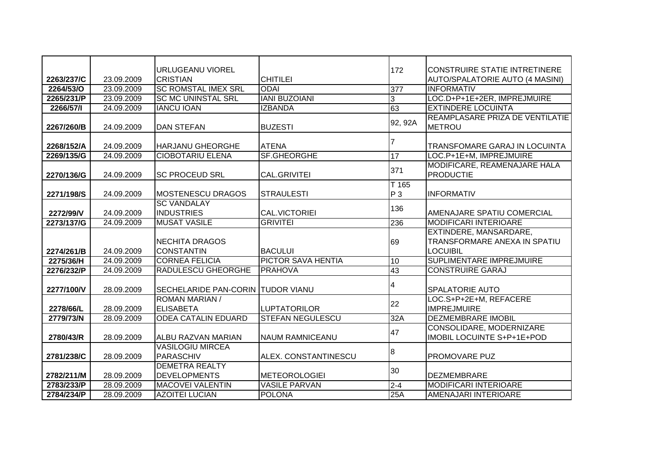|            |            | <b>URLUGEANU VIOREL</b>                      |                         | 172     | <b>CONSTRUIRE STATIE INTRETINERE</b>                                      |
|------------|------------|----------------------------------------------|-------------------------|---------|---------------------------------------------------------------------------|
| 2263/237/C | 23.09.2009 | <b>CRISTIAN</b>                              | <b>CHITILEI</b>         |         | AUTO/SPALATORIE AUTO (4 MASINI)                                           |
| 2264/53/O  | 23.09.2009 | <b>SC ROMSTAL IMEX SRL</b>                   | <b>ODAI</b>             | 377     | <b>INFORMATIV</b>                                                         |
| 2265/231/P | 23.09.2009 | <b>SC MC UNINSTAL SRL</b>                    | <b>IANI BUZOIANI</b>    | 3       | LOC.D+P+1E+2ER, IMPREJMUIRE                                               |
| 2266/57/1  | 24.09.2009 | <b>IANCU IOAN</b>                            | <b>IZBANDA</b>          | 63      | <b>EXTINDERE LOCUINTA</b>                                                 |
| 2267/260/B | 24.09.2009 | <b>DAN STEFAN</b>                            | <b>BUZESTI</b>          | 92, 92A | REAMPLASARE PRIZA DE VENTILATIE<br><b>METROU</b>                          |
| 2268/152/A | 24.09.2009 | <b>HARJANU GHEORGHE</b>                      | <b>ATENA</b>            |         | TRANSFOMARE GARAJ IN LOCUINTA                                             |
| 2269/135/G | 24.09.2009 | <b>CIOBOTARIU ELENA</b>                      | <b>SF.GHEORGHE</b>      | 17      | LOC.P+1E+M, IMPREJMUIRE                                                   |
| 2270/136/G | 24.09.2009 | <b>SC PROCEUD SRL</b>                        | CAL.GRIVITEI            | 371     | MODIFICARE, REAMENAJARE HALA<br><b>PRODUCTIE</b>                          |
|            |            |                                              |                         | $T$ 165 |                                                                           |
| 2271/198/S | 24.09.2009 | <b>MOSTENESCU DRAGOS</b>                     | <b>STRAULESTI</b>       | $P_3$   | <b>INFORMATIV</b>                                                         |
| 2272/99/V  | 24.09.2009 | <b>SC VANDALAY</b><br><b>INDUSTRIES</b>      | <b>CAL.VICTORIEI</b>    | 136     | AMENAJARE SPATIU COMERCIAL                                                |
| 2273/137/G | 24.09.2009 | <b>MUSAT VASILE</b>                          | <b>GRIVITEI</b>         | 236     | <b>MODIFICARI INTERIOARE</b>                                              |
| 2274/261/B | 24.09.2009 | <b>NECHITA DRAGOS</b><br><b>CONSTANTIN</b>   | <b>BACULUI</b>          | 69      | EXTINDERE, MANSARDARE,<br>TRANSFORMARE ANEXA IN SPATIU<br><b>LOCUIBIL</b> |
| 2275/36/H  | 24.09.2009 | <b>CORNEA FELICIA</b>                        | PICTOR SAVA HENTIA      | 10      | SUPLIMENTARE IMPREJMUIRE                                                  |
| 2276/232/P | 24.09.2009 | <b>RADULESCU GHEORGHE</b>                    | <b>PRAHOVA</b>          | 43      | <b>CONSTRUIRE GARAJ</b>                                                   |
| 2277/100/V | 28.09.2009 | <b>SECHELARIDE PAN-CORIN TUDOR VIANU</b>     |                         | 4       | <b>SPALATORIE AUTO</b>                                                    |
| 2278/66/L  | 28.09.2009 | <b>ROMAN MARIAN /</b><br><b>ELISABETA</b>    | <b>LUPTATORILOR</b>     | 22      | LOC.S+P+2E+M, REFACERE<br><b>IMPREJMUIRE</b>                              |
| 2779/73/N  | 28.09.2009 | <b>ODEA CATALIN EDUARD</b>                   | <b>STEFAN NEGULESCU</b> | 32A     | <b>DEZMEMBRARE IMOBIL</b>                                                 |
| 2780/43/R  | 28.09.2009 | <b>ALBU RAZVAN MARIAN</b>                    | NAUM RAMNICEANU         | 47      | CONSOLIDARE, MODERNIZARE<br>IMOBIL LOCUINTE S+P+1E+POD                    |
| 2781/238/C | 28.09.2009 | <b>VASILOGIU MIRCEA</b><br>PARASCHIV         | ALEX. CONSTANTINESCU    | 8       | <b>PROMOVARE PUZ</b>                                                      |
| 2782/211/M | 28.09.2009 | <b>DEMETRA REALTY</b><br><b>DEVELOPMENTS</b> | <b>METEOROLOGIEI</b>    | 30      | <b>DEZMEMBRARE</b>                                                        |
| 2783/233/P | 28.09.2009 | <b>MACOVEI VALENTIN</b>                      | <b>VASILE PARVAN</b>    | $2 - 4$ | <b>MODIFICARI INTERIOARE</b>                                              |
| 2784/234/P | 28.09.2009 | <b>AZOITEI LUCIAN</b>                        | <b>POLONA</b>           | 25A     | <b>AMENAJARI INTERIOARE</b>                                               |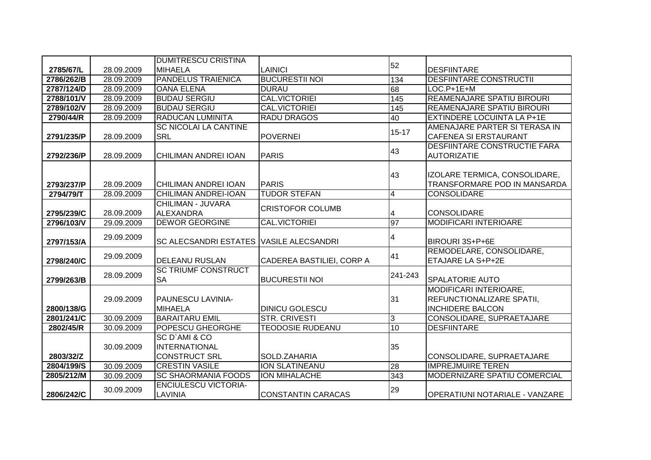|            |            | <b>DUMITRESCU CRISTINA</b>                     |                           |                         |                                                           |
|------------|------------|------------------------------------------------|---------------------------|-------------------------|-----------------------------------------------------------|
| 2785/67/L  | 28.09.2009 | <b>MIHAELA</b>                                 | LAINICI                   | 52                      | <b>DESFIINTARE</b>                                        |
| 2786/262/B | 28.09.2009 | <b>PANDELUS TRAIENICA</b>                      | <b>BUCURESTII NOI</b>     | 134                     | <b>DESFIINTARE CONSTRUCTII</b>                            |
| 2787/124/D | 28.09.2009 | <b>OANA ELENA</b>                              | <b>DURAU</b>              | 68                      | $LOC.P+1E+M$                                              |
| 2788/101/V | 28.09.2009 | <b>BUDAU SERGIU</b>                            | <b>CAL.VICTORIEI</b>      | 145                     | <b>REAMENAJARE SPATIU BIROURI</b>                         |
| 2789/102/V | 28.09.2009 | <b>BUDAU SERGIU</b>                            | <b>CAL.VICTORIEI</b>      | 145                     | <b>REAMENAJARE SPATIU BIROURI</b>                         |
| 2790/44/R  | 28.09.2009 | <b>RADUCAN LUMINITA</b>                        | <b>RADU DRAGOS</b>        | 40                      | <b>EXTINDERE LOCUINTA LA P+1E</b>                         |
|            |            | <b>SC NICOLAI LA CANTINE</b>                   |                           | $15 - 17$               | AMENAJARE PARTER SI TERASA IN                             |
| 2791/235/P | 28.09.2009 | <b>SRL</b>                                     | <b>POVERNEI</b>           |                         | <b>CAFENEA SI ERSTAURANT</b>                              |
| 2792/236/P | 28.09.2009 | <b>CHILIMAN ANDREI IOAN</b>                    | <b>PARIS</b>              | 43                      | <b>DESFIINTARE CONSTRUCTIE FARA</b><br><b>AUTORIZATIE</b> |
|            |            |                                                |                           |                         |                                                           |
|            |            |                                                |                           | 43                      | IZOLARE TERMICA, CONSOLIDARE,                             |
| 2793/237/P | 28.09.2009 | CHILIMAN ANDREI IOAN                           | <b>PARIS</b>              |                         | TRANSFORMARE POD IN MANSARDA                              |
| 2794/79/T  | 28.09.2009 | <b>CHILIMAN ANDREI-IOAN</b>                    | <b>TUDOR STEFAN</b>       | $\overline{\mathbf{4}}$ | <b>CONSOLIDARE</b>                                        |
|            |            | CHILIMAN - JUVARA                              | <b>CRISTOFOR COLUMB</b>   |                         |                                                           |
| 2795/239/C | 28.09.2009 | <b>ALEXANDRA</b>                               |                           | 4                       | <b>CONSOLIDARE</b>                                        |
| 2796/103/V | 29.09.2009 | <b>DEWOR GEORGINE</b>                          | <b>CAL.VICTORIEI</b>      | $\overline{97}$         | <b>MODIFICARI INTERIOARE</b>                              |
| 2797/153/A | 29.09.2009 | <b>SC ALECSANDRI ESTATES VASILE ALECSANDRI</b> |                           | 4                       | BIROURI 3S+P+6E                                           |
|            | 29.09.2009 |                                                |                           | 41                      | REMODELARE, CONSOLIDARE,                                  |
| 2798/240/C |            | <b>DELEANU RUSLAN</b>                          | CADEREA BASTILIEI, CORP A |                         | ETAJARE LA S+P+2E                                         |
| 2799/263/B | 28.09.2009 | <b>SC TRIUMF CONSTRUCT</b><br><b>SA</b>        | <b>BUCURESTII NOI</b>     | 241-243                 | <b>SPALATORIE AUTO</b>                                    |
|            |            |                                                |                           |                         | MODIFICARI INTERIOARE,                                    |
|            | 29.09.2009 | PAUNESCU LAVINIA-                              |                           | 31                      | <b>REFUNCTIONALIZARE SPATII,</b>                          |
| 2800/138/G |            | <b>MIHAELA</b>                                 | <b>DINICU GOLESCU</b>     |                         | <b>INCHIDERE BALCON</b>                                   |
| 2801/241/C | 30.09.2009 | <b>BARAITARU EMIL</b>                          | <b>STR. CRIVESTI</b>      | 3                       | CONSOLIDARE, SUPRAETAJARE                                 |
| 2802/45/R  | 30.09.2009 | <b>POPESCU GHEORGHE</b>                        | <b>TEODOSIE RUDEANU</b>   | 10                      | <b>DESFIINTARE</b>                                        |
|            |            | SC D'AMI & CO                                  |                           |                         |                                                           |
|            | 30.09.2009 | <b>INTERNATIONAL</b>                           |                           | 35                      |                                                           |
| 2803/32/Z  |            | <b>CONSTRUCT SRL</b>                           | SOLD.ZAHARIA              |                         | CONSOLIDARE, SUPRAETAJARE                                 |
| 2804/199/S | 30.09.2009 | <b>CRESTIN VASILE</b>                          | <b>ION SLATINE ANU</b>    | 28                      | <b>IMPREJMUIRE TEREN</b>                                  |
| 2805/212/M | 30.09.2009 | <b>SC SHAORMANIA FOODS</b>                     | <b>ION MIHALACHE</b>      | 343                     | MODERNIZARE SPATIU COMERCIAL                              |
| 2806/242/C | 30.09.2009 | <b>ENCIULESCU VICTORIA-</b><br>LAVINIA         | <b>CONSTANTIN CARACAS</b> | 29                      | <b>OPERATIUNI NOTARIALE - VANZARE</b>                     |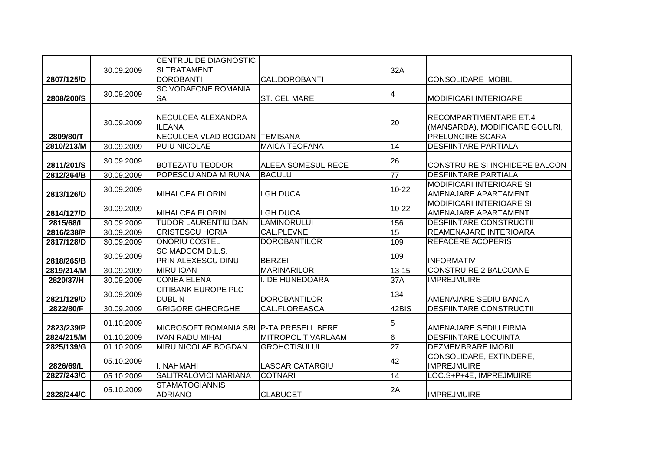|            |            | <b>CENTRUL DE DIAGNOSTIC</b>                                         |                           |                 |                                                                              |
|------------|------------|----------------------------------------------------------------------|---------------------------|-----------------|------------------------------------------------------------------------------|
|            | 30.09.2009 | <b>SI TRATAMENT</b>                                                  |                           | 32A             |                                                                              |
| 2807/125/D |            | <b>DOROBANTI</b>                                                     | CAL.DOROBANTI             |                 | <b>CONSOLIDARE IMOBIL</b>                                                    |
|            | 30.09.2009 | <b>SC VODAFONE ROMANIA</b>                                           |                           | 4               |                                                                              |
| 2808/200/S |            | <b>SA</b>                                                            | <b>ST. CEL MARE</b>       |                 | MODIFICARI INTERIOARE                                                        |
| 2809/80/T  | 30.09.2009 | NECULCEA ALEXANDRA<br><b>ILEANA</b><br>NECULCEA VLAD BOGDAN TEMISANA |                           | 20              | RECOMPARTIMENTARE ET.4<br>(MANSARDA), MODIFICARE GOLURI,<br>PRELUNGIRE SCARA |
| 2810/213/M | 30.09.2009 | <b>PUIU NICOLAE</b>                                                  | <b>MAICA TEOFANA</b>      | 14              | <b>DESFIINTARE PARTIALA</b>                                                  |
| 2811/201/S | 30.09.2009 | <b>BOTEZATU TEODOR</b>                                               | ALEEA SOMESUL RECE        | 26              | CONSTRUIRE SI INCHIDERE BALCON                                               |
| 2812/264/B | 30.09.2009 | POPESCU ANDA MIRUNA                                                  | <b>BACULUI</b>            | $\overline{77}$ | <b>DESFIINTARE PARTIALA</b>                                                  |
| 2813/126/D | 30.09.2009 | <b>MIHALCEA FLORIN</b>                                               | I.GH.DUCA                 | $10 - 22$       | <b>MODIFICARI INTERIOARE SI</b><br>AMENAJARE APARTAMENT                      |
| 2814/127/D | 30.09.2009 | <b>MIHALCEA FLORIN</b>                                               | I.GH.DUCA                 | $10 - 22$       | <b>MODIFICARI INTERIOARE SI</b><br>AMENAJARE APARTAMENT                      |
| 2815/68/L  | 30.09.2009 | <b>TUDOR LAURENTIU DAN</b>                                           | <b>LAMINORULUI</b>        | 156             | DESFIINTARE CONSTRUCTII                                                      |
| 2816/238/P | 30.09.2009 | <b>CRISTESCU HORIA</b>                                               | <b>CAL.PLEVNEI</b>        | $\overline{15}$ | <b>REAMENAJARE INTERIOARA</b>                                                |
| 2817/128/D | 30.09.2009 | <b>ONORIU COSTEL</b>                                                 | <b>DOROBANTILOR</b>       | 109             | <b>REFACERE ACOPERIS</b>                                                     |
| 2818/265/B | 30.09.2009 | SC MADCOM D.L.S.<br>PRIN ALEXESCU DINU                               | <b>BERZEI</b>             | 109             | <b>INFORMATIV</b>                                                            |
| 2819/214/M | 30.09.2009 | <b>MIRU IOAN</b>                                                     | <b>MARINARILOR</b>        | $13 - 15$       | <b>CONSTRUIRE 2 BALCOANE</b>                                                 |
| 2820/37/H  | 30.09.2009 | <b>CONEA ELENA</b>                                                   | I. DE HUNEDOARA           | 37A             | <b>IMPREJMUIRE</b>                                                           |
| 2821/129/D | 30.09.2009 | <b>CITIBANK EUROPE PLC</b><br><b>DUBLIN</b>                          | <b>DOROBANTILOR</b>       | 134             | AMENAJARE SEDIU BANCA                                                        |
| 2822/80/F  | 30.09.2009 | <b>GRIGORE GHEORGHE</b>                                              | <b>CAL.FLOREASCA</b>      | 42BIS           | <b>DESFIINTARE CONSTRUCTII</b>                                               |
| 2823/239/P | 01.10.2009 | MICROSOFT ROMANIA SRL P-TA PRESEI LIBERE                             |                           | 5               | AMENAJARE SEDIU FIRMA                                                        |
| 2824/215/M | 01.10.2009 | <b>IVAN RADU MIHAI</b>                                               | <b>MITROPOLIT VARLAAM</b> | $6\phantom{1}$  | <b>DESFIINTARE LOCUINTA</b>                                                  |
| 2825/139/G | 01.10.2009 | <b>MIRU NICOLAE BOGDAN</b>                                           | <b>GROHOTISULUI</b>       | $\overline{27}$ | <b>DEZMEMBRARE IMOBIL</b>                                                    |
| 2826/69/L  | 05.10.2009 | I. NAHMAHI                                                           | <b>LASCAR CATARGIU</b>    | 42              | CONSOLIDARE, EXTINDERE,<br><b>IMPREJMUIRE</b>                                |
| 2827/243/C | 05.10.2009 | SALITRALOVICI MARIANA                                                | <b>COTNARI</b>            | 14              | LOC.S+P+4E, IMPREJMUIRE                                                      |
| 2828/244/C | 05.10.2009 | <b>STAMATOGIANNIS</b><br><b>ADRIANO</b>                              | <b>CLABUCET</b>           | 2A              | <b>IMPREJMUIRE</b>                                                           |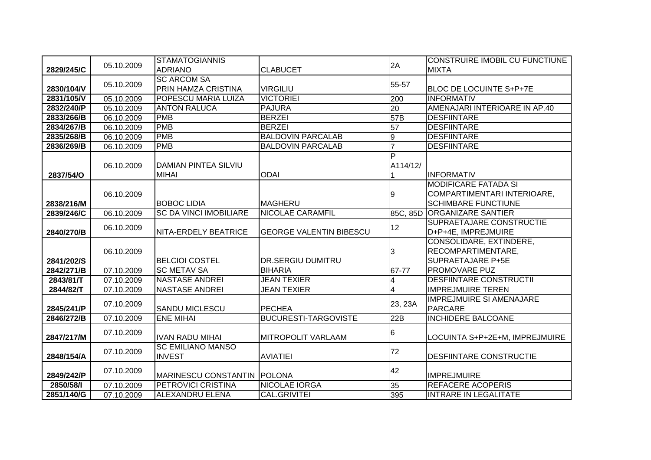|            |            | <b>STAMATOGIANNIS</b>         |                                |                         | <b>CONSTRUIRE IMOBIL CU FUNCTIUNE</b> |
|------------|------------|-------------------------------|--------------------------------|-------------------------|---------------------------------------|
| 2829/245/C | 05.10.2009 | <b>ADRIANO</b>                | <b>CLABUCET</b>                | 2A                      | <b>MIXTA</b>                          |
|            |            | <b>SC ARCOM SA</b>            |                                | 55-57                   |                                       |
| 2830/104/V | 05.10.2009 | PRIN HAMZA CRISTINA           | <b>VIRGILIU</b>                |                         | BLOC DE LOCUINTE S+P+7E               |
| 2831/105/V | 05.10.2009 | POPESCU MARIA LUIZA           | <b>VICTORIEI</b>               | 200                     | <b>INFORMATIV</b>                     |
| 2832/240/P | 05.10.2009 | <b>ANTON RALUCA</b>           | <b>PAJURA</b>                  | $\overline{20}$         | AMENAJARI INTERIOARE IN AP.40         |
| 2833/266/B | 06.10.2009 | <b>PMB</b>                    | <b>BERZEI</b>                  | 57B                     | <b>DESFIINTARE</b>                    |
| 2834/267/B | 06.10.2009 | <b>PMB</b>                    | <b>BERZEI</b>                  | 57                      | <b>DESFIINTARE</b>                    |
| 2835/268/B | 06.10.2009 | <b>PMB</b>                    | <b>BALDOVIN PARCALAB</b>       | $\overline{9}$          | <b>DESFIINTARE</b>                    |
| 2836/269/B | 06.10.2009 | <b>PMB</b>                    | <b>BALDOVIN PARCALAB</b>       | $\overline{7}$          | <b>DESFIINTARE</b>                    |
|            |            |                               |                                | $\overline{\mathsf{P}}$ |                                       |
|            | 06.10.2009 | DAMIAN PINTEA SILVIU          |                                | A114/12/                |                                       |
| 2837/54/O  |            | <b>MIHAI</b>                  | <b>ODAI</b>                    |                         | <b>INFORMATIV</b>                     |
|            |            |                               |                                |                         | <b>MODIFICARE FATADA SI</b>           |
|            | 06.10.2009 |                               |                                | 9                       | COMPARTIMENTARI INTERIOARE,           |
| 2838/216/M |            | <b>BOBOC LIDIA</b>            | <b>MAGHERU</b>                 |                         | <b>SCHIMBARE FUNCTIUNE</b>            |
| 2839/246/C | 06.10.2009 | <b>SC DA VINCI IMOBILIARE</b> | NICOLAE CARAMFIL               |                         | 85C, 85D ORGANIZARE SANTIER           |
|            | 06.10.2009 |                               |                                | 12                      | SUPRAETAJARE CONSTRUCTIE              |
| 2840/270/B |            | NITA-ERDELY BEATRICE          | <b>GEORGE VALENTIN BIBESCU</b> |                         | D+P+4E, IMPREJMUIRE                   |
|            |            |                               |                                |                         | CONSOLIDARE, EXTINDERE,               |
|            | 06.10.2009 |                               |                                | 3                       | RECOMPARTIMENTARE,                    |
| 2841/202/S |            | <b>BELCIOI COSTEL</b>         | <b>DR.SERGIU DUMITRU</b>       |                         | <b>SUPRAETAJARE P+5E</b>              |
| 2842/271/B | 07.10.2009 | <b>SC METAV SA</b>            | <b>BIHARIA</b>                 | 67-77                   | <b>PROMOVARE PUZ</b>                  |
| 2843/81/T  | 07.10.2009 | <b>NASTASE ANDREI</b>         | <b>JEAN TEXIER</b>             | 4                       | <b>DESFIINTARE CONSTRUCTII</b>        |
| 2844/82/T  | 07.10.2009 | <b>NASTASE ANDREI</b>         | <b>JEAN TEXIER</b>             | 4                       | <b>IMPREJMUIRE TEREN</b>              |
|            | 07.10.2009 |                               |                                | 23, 23A                 | <b>IMPREJMUIRE SI AMENAJARE</b>       |
| 2845/241/P |            | <b>SANDU MICLESCU</b>         | PECHEA                         |                         | <b>PARCARE</b>                        |
| 2846/272/B | 07.10.2009 | <b>ENE MIHAI</b>              | <b>BUCURESTI-TARGOVISTE</b>    | 22B                     | <b>INCHIDERE BALCOANE</b>             |
|            | 07.10.2009 |                               |                                | $6\phantom{.}6$         |                                       |
| 2847/217/M |            | <b>IVAN RADU MIHAI</b>        | <b>MITROPOLIT VARLAAM</b>      |                         | LOCUINTA S+P+2E+M, IMPREJMUIRE        |
|            | 07.10.2009 | <b>SC EMILIANO MANSO</b>      |                                | 72                      |                                       |
| 2848/154/A |            | <b>INVEST</b>                 | <b>AVIATIEI</b>                |                         | <b>DESFIINTARE CONSTRUCTIE</b>        |
|            | 07.10.2009 |                               |                                | 42                      |                                       |
| 2849/242/P |            | MARINESCU CONSTANTIN POLONA   |                                |                         | <b>IMPREJMUIRE</b>                    |
| 2850/58/1  | 07.10.2009 | <b>PETROVICI CRISTINA</b>     | <b>NICOLAE IORGA</b>           | 35                      | <b>REFACERE ACOPERIS</b>              |
| 2851/140/G | 07.10.2009 | <b>ALEXANDRU ELENA</b>        | CAL.GRIVITEI                   | 395                     | <b>INTRARE IN LEGALITATE</b>          |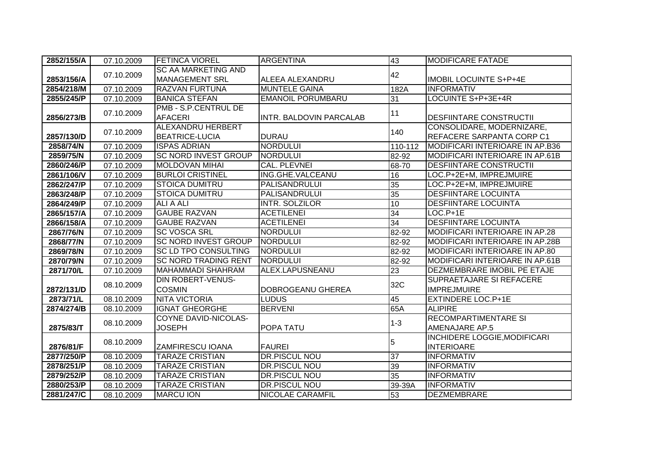| 2852/155/A | 07.10.2009 | <b>FETINCA VIOREL</b>       | <b>ARGENTINA</b>         | 43              | <b>MODIFICARE FATADE</b>               |
|------------|------------|-----------------------------|--------------------------|-----------------|----------------------------------------|
|            |            | <b>SC AA MARKETING AND</b>  |                          |                 |                                        |
| 2853/156/A | 07.10.2009 | <b>MANAGEMENT SRL</b>       | ALEEA ALEXANDRU          | 42              | <b>IMOBIL LOCUINTE S+P+4E</b>          |
| 2854/218/M | 07.10.2009 | RAZVAN FURTUNA              | <b>MUNTELE GAINA</b>     | 182A            | <b>INFORMATIV</b>                      |
| 2855/245/P | 07.10.2009 | <b>BANICA STEFAN</b>        | <b>EMANOIL PORUMBARU</b> | 31              | LOCUINTE S+P+3E+4R                     |
|            | 07.10.2009 | <b>PMB - S.P.CENTRUL DE</b> |                          | 11              |                                        |
| 2856/273/B |            | <b>AFACERI</b>              | INTR. BALDOVIN PARCALAB  |                 | DESFIINTARE CONSTRUCTII                |
|            | 07.10.2009 | <b>ALEXANDRU HERBERT</b>    |                          | 140             | CONSOLIDARE, MODERNIZARE,              |
| 2857/130/D |            | <b>BEATRICE-LUCIA</b>       | <b>DURAU</b>             |                 | REFACERE SARPANTA CORP C1              |
| 2858/74/N  | 07.10.2009 | <b>ISPAS ADRIAN</b>         | <b>NORDULUI</b>          | 110-112         | MODIFICARI INTERIOARE IN AP.B36        |
| 2859/75/N  | 07.10.2009 | <b>SC NORD INVEST GROUP</b> | <b>NORDULUI</b>          | 82-92           | <b>MODIFICARI INTERIOARE IN AP.61B</b> |
| 2860/246/P | 07.10.2009 | <b>MOLDOVAN MIHAI</b>       | <b>CAL. PLEVNEI</b>      | 68-70           | <b>DESFIINTARE CONSTRUCTII</b>         |
| 2861/106/V | 07.10.2009 | <b>BURLOI CRISTINEL</b>     | ING.GHE.VALCEANU         | 16              | LOC.P+2E+M, IMPREJMUIRE                |
| 2862/247/P | 07.10.2009 | <b>STOICA DUMITRU</b>       | PALISANDRULUI            | 35              | LOC.P+2E+M, IMPREJMUIRE                |
| 2863/248/P | 07.10.2009 | <b>STOICA DUMITRU</b>       | <b>PALISANDRULUI</b>     | 35              | <b>DESFIINTARE LOCUINTA</b>            |
| 2864/249/P | 07.10.2009 | <b>ALI A ALI</b>            | INTR. SOLZILOR           | 10              | <b>DESFIINTARE LOCUINTA</b>            |
| 2865/157/A | 07.10.2009 | <b>GAUBE RAZVAN</b>         | <b>ACETILENEI</b>        | $\overline{34}$ | $LOC.P+1E$                             |
| 2866/158/A | 07.10.2009 | <b>GAUBE RAZVAN</b>         | <b>ACETILENEI</b>        | 34              | <b>DESFIINTARE LOCUINTA</b>            |
| 2867/76/N  | 07.10.2009 | <b>SC VOSCA SRL</b>         | <b>NORDULUI</b>          | 82-92           | MODIFICARI INTERIOARE IN AP.28         |
| 2868/77/N  | 07.10.2009 | <b>SC NORD INVEST GROUP</b> | <b>NORDULUI</b>          | 82-92           | MODIFICARI INTERIOARE IN AP.28B        |
| 2869/78/N  | 07.10.2009 | <b>SC LD TPO CONSULTING</b> | <b>NORDULUI</b>          | 82-92           | MODIFICARI INTERIOARE IN AP.80         |
| 2870/79/N  | 07.10.2009 | <b>SC NORD TRADING RENT</b> | <b>NORDULUI</b>          | 82-92           | <b>MODIFICARI INTERIOARE IN AP.61B</b> |
| 2871/70/L  | 07.10.2009 | <b>MAHAMMADI SHAHRAM</b>    | ALEX.LAPUSNEANU          | 23              | DEZMEMBRARE IMOBIL PE ETAJE            |
|            | 08.10.2009 | <b>DIN ROBERT-VENUS-</b>    |                          | 32C             | SUPRAETAJARE SI REFACERE               |
| 2872/131/D |            | <b>COSMIN</b>               | DOBROGEANU GHEREA        |                 | <b>IMPREJMUIRE</b>                     |
| 2873/71/L  | 08.10.2009 | <b>NITA VICTORIA</b>        | <b>LUDUS</b>             | 45              | <b>EXTINDERE LOC.P+1E</b>              |
| 2874/274/B | 08.10.2009 | <b>IGNAT GHEORGHE</b>       | <b>BERVENI</b>           | 65A             | <b>ALIPIRE</b>                         |
|            | 08.10.2009 | COYNE DAVID-NICOLAS-        |                          | $1 - 3$         | <b>RECOMPARTIMENTARE SI</b>            |
| 2875/83/T  |            | <b>JOSEPH</b>               | POPA TATU                |                 | AMENAJARE AP.5                         |
|            | 08.10.2009 |                             |                          | 5               | <b>INCHIDERE LOGGIE, MODIFICARI</b>    |
| 2876/81/F  |            | <b>ZAMFIRESCU IOANA</b>     | <b>FAUREI</b>            |                 | <b>INTERIOARE</b>                      |
| 2877/250/P | 08.10.2009 | <b>TARAZE CRISTIAN</b>      | <b>DR.PISCUL NOU</b>     | 37              | <b>INFORMATIV</b>                      |
| 2878/251/P | 08.10.2009 | <b>TARAZE CRISTIAN</b>      | <b>DR.PISCUL NOU</b>     | 39              | <b>INFORMATIV</b>                      |
| 2879/252/P | 08.10.2009 | <b>TARAZE CRISTIAN</b>      | <b>DR.PISCUL NOU</b>     | 35              | <b>INFORMATIV</b>                      |
| 2880/253/P | 08.10.2009 | <b>TARAZE CRISTIAN</b>      | <b>DR.PISCUL NOU</b>     | 39-39A          | <b>INFORMATIV</b>                      |
| 2881/247/C | 08.10.2009 | <b>MARCU ION</b>            | NICOLAE CARAMFIL         | 53              | <b>DEZMEMBRARE</b>                     |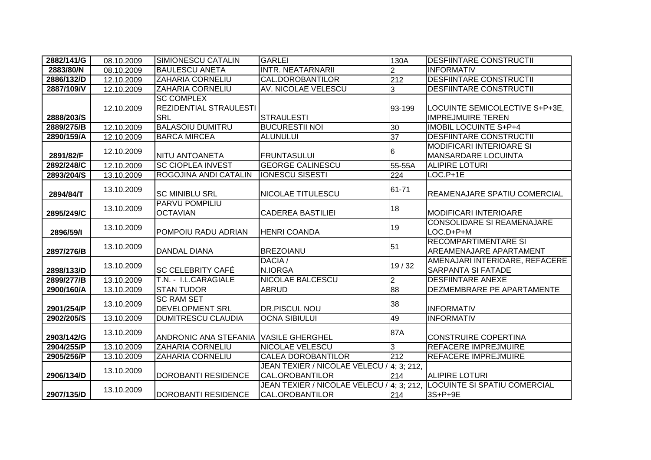| 2882/141/G | 08.10.2009 | SIMIONESCU CATALIN                                               | <b>GARLEI</b>                                                       | 130A           | <b>DESFIINTARE CONSTRUCTII</b>                                |
|------------|------------|------------------------------------------------------------------|---------------------------------------------------------------------|----------------|---------------------------------------------------------------|
| 2883/80/N  | 08.10.2009 | <b>BAULESCU ANETA</b>                                            | <b>INTR. NEATARNARII</b>                                            | $\overline{2}$ | <b>INFORMATIV</b>                                             |
| 2886/132/D | 12.10.2009 | <b>ZAHARIA CORNELIU</b>                                          | <b>CAL.DOROBANTILOR</b>                                             | 212            | <b>DESFIINTARE CONSTRUCTII</b>                                |
| 2887/109/V | 12.10.2009 | ZAHARIA CORNELIU                                                 | AV. NICOLAE VELESCU                                                 | 3              | <b>DESFIINTARE CONSTRUCTII</b>                                |
| 2888/203/S | 12.10.2009 | <b>SC COMPLEX</b><br><b>REZIDENTIAL STRAULESTI</b><br><b>SRL</b> | <b>STRAULESTI</b>                                                   | 93-199         | LOCUINTE SEMICOLECTIVE S+P+3E,<br><b>IMPREJMUIRE TEREN</b>    |
| 2889/275/B | 12.10.2009 | <b>BALASOIU DUMITRU</b>                                          | <b>BUCURESTII NOI</b>                                               | 30             | <b>IMOBIL LOCUINTE S+P+4</b>                                  |
| 2890/159/A | 12.10.2009 | <b>BARCA MIRCEA</b>                                              | <b>ALUNULUI</b>                                                     | 37             | <b>DESFIINTARE CONSTRUCTII</b>                                |
| 2891/82/F  | 12.10.2009 | <b>NITU ANTOANETA</b>                                            | <b>FRUNTASULUI</b>                                                  | 6              | <b>MODIFICARI INTERIOARE SI</b><br><b>MANSARDARE LOCUINTA</b> |
| 2892/248/C | 12.10.2009 | <b>SC CIOPLEA INVEST</b>                                         | <b>GEORGE CALINESCU</b>                                             | 55-55A         | <b>ALIPIRE LOTURI</b>                                         |
| 2893/204/S | 13.10.2009 | ROGOJINA ANDI CATALIN                                            | <b>IONESCU SISESTI</b>                                              | 224            | $LOC.P+1E$                                                    |
| 2894/84/T  | 13.10.2009 | <b>SC MINIBLU SRL</b>                                            | NICOLAE TITULESCU                                                   | 61-71          | REAMENAJARE SPATIU COMERCIAL                                  |
| 2895/249/C | 13.10.2009 | <b>PARVU POMPILIU</b><br><b>OCTAVIAN</b>                         | <b>CADEREA BASTILIEI</b>                                            | 18             | <b>MODIFICARI INTERIOARE</b>                                  |
| 2896/59/1  | 13.10.2009 | <b>POMPOIU RADU ADRIAN</b>                                       | <b>HENRI COANDA</b>                                                 | 19             | <b>CONSOLIDARE SI REAMENAJARE</b><br>LOC.D+P+M                |
| 2897/276/B | 13.10.2009 | <b>DANDAL DIANA</b>                                              | <b>BREZOIANU</b>                                                    | 51             | RECOMPARTIMENTARE SI<br>AREAMENAJARE APARTAMENT               |
| 2898/133/D | 13.10.2009 | <b>SC CELEBRITY CAFÉ</b>                                         | DACIA /<br>N.IORGA                                                  | 19/32          | AMENAJARI INTERIOARE, REFACERE<br><b>SARPANTA SI FATADE</b>   |
| 2899/277/B | 13.10.2009 | T.N. - I.L.CARAGIALE                                             | <b>NICOLAE BALCESCU</b>                                             | $\overline{2}$ | <b>DESFIINTARE ANEXE</b>                                      |
| 2900/160/A | 13.10.2009 | <b>STAN TUDOR</b>                                                | <b>ABRUD</b>                                                        | $\frac{88}{5}$ | DEZMEMBRARE PE APARTAMENTE                                    |
| 2901/254/P | 13.10.2009 | <b>SC RAM SET</b><br><b>DEVELOPMENT SRL</b>                      | DR.PISCUL NOU                                                       | 38             | <b>INFORMATIV</b>                                             |
| 2902/205/S | 13.10.2009 | <b>DUMITRESCU CLAUDIA</b>                                        | <b>OCNA SIBIULUI</b>                                                | 49             | <b>INFORMATIV</b>                                             |
| 2903/142/G | 13.10.2009 | <b>ANDRONIC ANA STEFANIA</b>                                     | <b>VASILE GHERGHEL</b>                                              | 87A            | <b>CONSTRUIRE COPERTINA</b>                                   |
| 2904/255/P | 13.10.2009 | ZAHARIA CORNELIU                                                 | NICOLAE VELESCU                                                     | 3              | <b>REFACERE IMPREJMUIRE</b>                                   |
| 2905/256/P | 13.10.2009 | <b>ZAHARIA CORNELIU</b>                                          | <b>CALEA DOROBANTILOR</b>                                           | 212            | <b>REFACERE IMPREJMUIRE</b>                                   |
| 2906/134/D | 13.10.2009 | <b>DOROBANTI RESIDENCE</b>                                       | JEAN TEXIER / NICOLAE VELECU / 4; 3; 212,<br><b>CAL.OROBANTILOR</b> | 214            | <b>ALIPIRE LOTURI</b>                                         |
| 2907/135/D | 13.10.2009 | <b>DOROBANTI RESIDENCE</b>                                       | JEAN TEXIER / NICOLAE VELECU / 4; 3; 212,<br><b>CAL.OROBANTILOR</b> | 214            | <b>LOCUINTE SI SPATIU COMERCIAL</b><br>3S+P+9E                |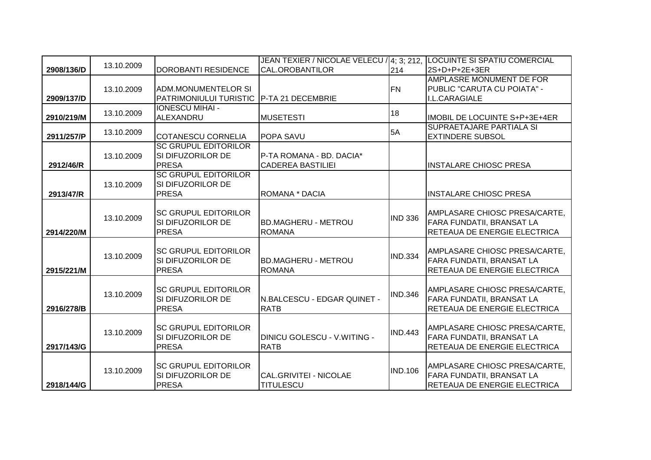|            |            |                               | JEAN TEXIER / NICOLAE VELECU / 4; 3; 212, |                | <b>LOCUINTE SI SPATIU COMERCIAL</b>  |
|------------|------------|-------------------------------|-------------------------------------------|----------------|--------------------------------------|
| 2908/136/D | 13.10.2009 | <b>DOROBANTI RESIDENCE</b>    | <b>CAL.OROBANTILOR</b>                    | 214            | l2S+D+P+2E+3ER                       |
|            |            |                               |                                           |                | AMPLASRE MONUMENT DE FOR             |
|            | 13.10.2009 | <b>ADM.MONUMENTELOR SI</b>    |                                           | FN             | PUBLIC "CARUTA CU POIATA" -          |
| 2909/137/D |            | <b>PATRIMONIULUI TURISTIC</b> | P-TA 21 DECEMBRIE                         |                | I.L.CARAGIALE                        |
|            | 13.10.2009 | <b>IONESCU MIHAI -</b>        |                                           | 18             |                                      |
| 2910/219/M |            | ALEXANDRU                     | <b>MUSETESTI</b>                          |                | <b>IMOBIL DE LOCUINTE S+P+3E+4ER</b> |
|            | 13.10.2009 |                               |                                           | 5A             | SUPRAETAJARE PARTIALA SI             |
| 2911/257/P |            | <b>COTANESCU CORNELIA</b>     | <b>POPA SAVU</b>                          |                | <b>EXTINDERE SUBSOL</b>              |
|            |            | <b>SC GRUPUL EDITORILOR</b>   |                                           |                |                                      |
|            | 13.10.2009 | SI DIFUZORILOR DE             | P-TA ROMANA - BD. DACIA*                  |                |                                      |
| 2912/46/R  |            | <b>PRESA</b>                  | <b>CADEREA BASTILIEI</b>                  |                | <b>INSTALARE CHIOSC PRESA</b>        |
|            |            | <b>SC GRUPUL EDITORILOR</b>   |                                           |                |                                      |
|            | 13.10.2009 | SI DIFUZORILOR DE             |                                           |                |                                      |
| 2913/47/R  |            | <b>PRESA</b>                  | ROMANA * DACIA                            |                | <b>INSTALARE CHIOSC PRESA</b>        |
|            |            |                               |                                           |                |                                      |
|            | 13.10.2009 | <b>ISC GRUPUL EDITORILOR</b>  |                                           | <b>IND 336</b> | AMPLASARE CHIOSC PRESA/CARTE,        |
|            |            | SI DIFUZORILOR DE             | <b>BD.MAGHERU - METROU</b>                |                | FARA FUNDATII, BRANSAT LA            |
| 2914/220/M |            | <b>PRESA</b>                  | <b>ROMANA</b>                             |                | RETEAUA DE ENERGIE ELECTRICA         |
|            |            |                               |                                           |                |                                      |
|            | 13.10.2009 | <b>SC GRUPUL EDITORILOR</b>   |                                           | <b>IND.334</b> | AMPLASARE CHIOSC PRESA/CARTE,        |
|            |            | SI DIFUZORILOR DE             | <b>BD.MAGHERU - METROU</b>                |                | FARA FUNDATII, BRANSAT LA            |
| 2915/221/M |            | <b>PRESA</b>                  | <b>ROMANA</b>                             |                | RETEAUA DE ENERGIE ELECTRICA         |
|            |            |                               |                                           |                |                                      |
|            | 13.10.2009 | <b>SC GRUPUL EDITORILOR</b>   |                                           | <b>IND.346</b> | AMPLASARE CHIOSC PRESA/CARTE,        |
|            |            | SI DIFUZORILOR DE             | N.BALCESCU - EDGAR QUINET -               |                | FARA FUNDATII, BRANSAT LA            |
| 2916/278/B |            | <b>PRESA</b>                  | <b>RATB</b>                               |                | RETEAUA DE ENERGIE ELECTRICA         |
|            |            |                               |                                           |                |                                      |
|            | 13.10.2009 | <b>ISC GRUPUL EDITORILOR</b>  |                                           | <b>IND.443</b> | AMPLASARE CHIOSC PRESA/CARTE,        |
|            |            | SI DIFUZORILOR DE             | <b>DINICU GOLESCU - V.WITING -</b>        |                | FARA FUNDATII, BRANSAT LA            |
| 2917/143/G |            | <b>PRESA</b>                  | <b>RATB</b>                               |                | RETEAUA DE ENERGIE ELECTRICA         |
|            |            |                               |                                           |                |                                      |
|            | 13.10.2009 | <b>SC GRUPUL EDITORILOR</b>   |                                           | <b>IND.106</b> | AMPLASARE CHIOSC PRESA/CARTE,        |
|            |            | SI DIFUZORILOR DE             | CAL.GRIVITEI - NICOLAE                    |                | FARA FUNDATII, BRANSAT LA            |
| 2918/144/G |            | <b>PRESA</b>                  | <b>TITULESCU</b>                          |                | RETEAUA DE ENERGIE ELECTRICA         |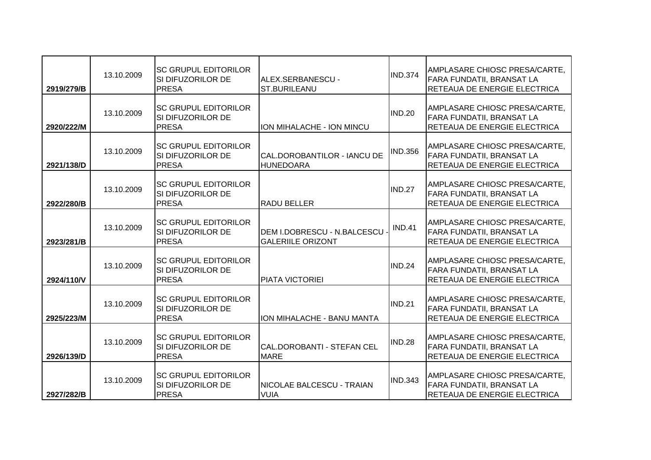| 2919/279/B | 13.10.2009 | <b>ISC GRUPUL EDITORILOR</b><br>SI DIFUZORILOR DE<br><b>PRESA</b>  | ALEX.SERBANESCU -<br><b>ST.BURILEANU</b>                  | <b>IND.374</b> | AMPLASARE CHIOSC PRESA/CARTE,<br><b>FARA FUNDATII, BRANSAT LA</b><br>RETEAUA DE ENERGIE ELECTRICA |
|------------|------------|--------------------------------------------------------------------|-----------------------------------------------------------|----------------|---------------------------------------------------------------------------------------------------|
| 2920/222/M | 13.10.2009 | ISC GRUPUL EDITORILOR<br>ISI DIFUZORILOR DE<br><b>PRESA</b>        | ION MIHALACHE - ION MINCU                                 | <b>IND.20</b>  | AMPLASARE CHIOSC PRESA/CARTE,<br>FARA FUNDATII, BRANSAT LA<br>RETEAUA DE ENERGIE ELECTRICA        |
| 2921/138/D | 13.10.2009 | <b>ISC GRUPUL EDITORILOR</b><br>SI DIFUZORILOR DE<br><b>PRESA</b>  | CAL.DOROBANTILOR - IANCU DE<br><b>HUNEDOARA</b>           | <b>IND.356</b> | AMPLASARE CHIOSC PRESA/CARTE,<br><b>FARA FUNDATII, BRANSAT LA</b><br>RETEAUA DE ENERGIE ELECTRICA |
| 2922/280/B | 13.10.2009 | <b>SC GRUPUL EDITORILOR</b><br>SI DIFUZORILOR DE<br><b>PRESA</b>   | <b>RADU BELLER</b>                                        | IND.27         | AMPLASARE CHIOSC PRESA/CARTE,<br><b>FARA FUNDATII, BRANSAT LA</b><br>RETEAUA DE ENERGIE ELECTRICA |
| 2923/281/B | 13.10.2009 | <b>ISC GRUPUL EDITORILOR</b><br>ISI DIFUZORILOR DE<br><b>PRESA</b> | DEM I.DOBRESCU - N.BALCESCU -<br><b>GALERIILE ORIZONT</b> | <b>IND.41</b>  | AMPLASARE CHIOSC PRESA/CARTE,<br>FARA FUNDATII, BRANSAT LA<br>RETEAUA DE ENERGIE ELECTRICA        |
| 2924/110/V | 13.10.2009 | <b>ISC GRUPUL EDITORILOR</b><br>SI DIFUZORILOR DE<br><b>PRESA</b>  | <b>PIATA VICTORIEI</b>                                    | <b>IND.24</b>  | AMPLASARE CHIOSC PRESA/CARTE,<br><b>FARA FUNDATII, BRANSAT LA</b><br>RETEAUA DE ENERGIE ELECTRICA |
| 2925/223/M | 13.10.2009 | <b>SC GRUPUL EDITORILOR</b><br>SI DIFUZORILOR DE<br><b>PRESA</b>   | ION MIHALACHE - BANU MANTA                                | <b>IND.21</b>  | AMPLASARE CHIOSC PRESA/CARTE,<br>FARA FUNDATII, BRANSAT LA<br>RETEAUA DE ENERGIE ELECTRICA        |
| 2926/139/D | 13.10.2009 | <b>ISC GRUPUL EDITORILOR</b><br>SI DIFUZORILOR DE<br><b>PRESA</b>  | CAL.DOROBANTI - STEFAN CEL<br><b>MARE</b>                 | <b>IND.28</b>  | AMPLASARE CHIOSC PRESA/CARTE,<br><b>FARA FUNDATII, BRANSAT LA</b><br>RETEAUA DE ENERGIE ELECTRICA |
| 2927/282/B | 13.10.2009 | <b>ISC GRUPUL EDITORILOR</b><br>SI DIFUZORILOR DE<br><b>PRESA</b>  | NICOLAE BALCESCU - TRAIAN<br><b>VUIA</b>                  | <b>IND.343</b> | AMPLASARE CHIOSC PRESA/CARTE,<br>FARA FUNDATII, BRANSAT LA<br>RETEAUA DE ENERGIE ELECTRICA        |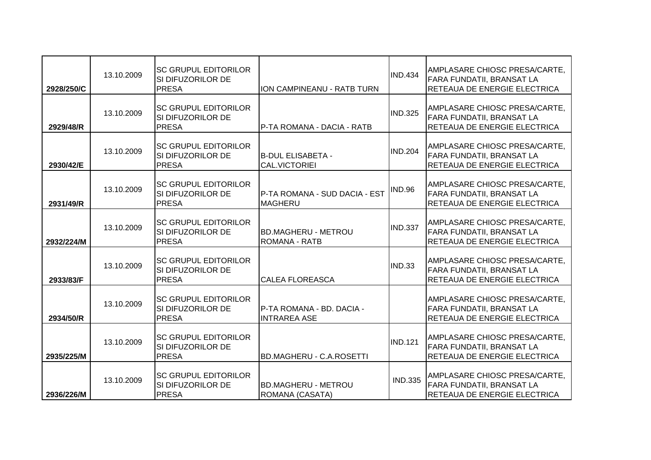| 2928/250/C | 13.10.2009 | <b>ISC GRUPUL EDITORILOR</b><br>SI DIFUZORILOR DE<br><b>PRESA</b> | ION CAMPINEANU - RATB TURN                         | <b>IND.434</b> | AMPLASARE CHIOSC PRESA/CARTE,<br>FARA FUNDATII, BRANSAT LA<br>RETEAUA DE ENERGIE ELECTRICA        |
|------------|------------|-------------------------------------------------------------------|----------------------------------------------------|----------------|---------------------------------------------------------------------------------------------------|
| 2929/48/R  | 13.10.2009 | <b>ISC GRUPUL EDITORILOR</b><br>SI DIFUZORILOR DE<br><b>PRESA</b> | P-TA ROMANA - DACIA - RATB                         | <b>IND.325</b> | AMPLASARE CHIOSC PRESA/CARTE,<br>FARA FUNDATII, BRANSAT LA<br>RETEAUA DE ENERGIE ELECTRICA        |
| 2930/42/E  | 13.10.2009 | <b>SC GRUPUL EDITORILOR</b><br>SI DIFUZORILOR DE<br><b>PRESA</b>  | <b>B-DUL ELISABETA -</b><br><b>CAL.VICTORIEI</b>   | <b>IND.204</b> | AMPLASARE CHIOSC PRESA/CARTE,<br>FARA FUNDATII, BRANSAT LA<br>RETEAUA DE ENERGIE ELECTRICA        |
| 2931/49/R  | 13.10.2009 | <b>SC GRUPUL EDITORILOR</b><br>SI DIFUZORILOR DE<br><b>PRESA</b>  | P-TA ROMANA - SUD DACIA - EST<br><b>MAGHERU</b>    | <b>IND.96</b>  | AMPLASARE CHIOSC PRESA/CARTE,<br><b>FARA FUNDATII, BRANSAT LA</b><br>RETEAUA DE ENERGIE ELECTRICA |
| 2932/224/M | 13.10.2009 | <b>SC GRUPUL EDITORILOR</b><br>SI DIFUZORILOR DE<br><b>PRESA</b>  | <b>BD.MAGHERU - METROU</b><br><b>ROMANA - RATB</b> | <b>IND.337</b> | AMPLASARE CHIOSC PRESA/CARTE,<br>FARA FUNDATII, BRANSAT LA<br>RETEAUA DE ENERGIE ELECTRICA        |
| 2933/83/F  | 13.10.2009 | <b>SC GRUPUL EDITORILOR</b><br>SI DIFUZORILOR DE<br><b>PRESA</b>  | <b>CALEA FLOREASCA</b>                             | <b>IND.33</b>  | AMPLASARE CHIOSC PRESA/CARTE,<br><b>FARA FUNDATII, BRANSAT LA</b><br>RETEAUA DE ENERGIE ELECTRICA |
| 2934/50/R  | 13.10.2009 | <b>SC GRUPUL EDITORILOR</b><br>SI DIFUZORILOR DE<br><b>PRESA</b>  | P-TA ROMANA - BD. DACIA -<br><b>INTRAREA ASE</b>   |                | AMPLASARE CHIOSC PRESA/CARTE,<br>FARA FUNDATII, BRANSAT LA<br>RETEAUA DE ENERGIE ELECTRICA        |
| 2935/225/M | 13.10.2009 | <b>ISC GRUPUL EDITORILOR</b><br>SI DIFUZORILOR DE<br><b>PRESA</b> | <b>BD.MAGHERU - C.A.ROSETTI</b>                    | <b>IND.121</b> | AMPLASARE CHIOSC PRESA/CARTE,<br>FARA FUNDATII, BRANSAT LA<br>RETEAUA DE ENERGIE ELECTRICA        |
| 2936/226/M | 13.10.2009 | <b>SC GRUPUL EDITORILOR</b><br>SI DIFUZORILOR DE<br><b>PRESA</b>  | <b>BD.MAGHERU - METROU</b><br>ROMANA (CASATA)      | <b>IND.335</b> | AMPLASARE CHIOSC PRESA/CARTE,<br>FARA FUNDATII, BRANSAT LA<br>RETEAUA DE ENERGIE ELECTRICA        |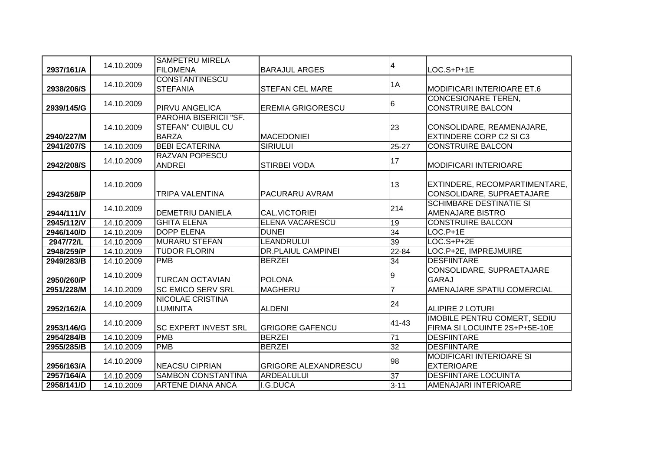|            | 14.10.2009 | <b>SAMPETRU MIRELA</b>                                             |                             | $\overline{4}$ |                                                                      |
|------------|------------|--------------------------------------------------------------------|-----------------------------|----------------|----------------------------------------------------------------------|
| 2937/161/A |            | <b>FILOMENA</b>                                                    | <b>BARAJUL ARGES</b>        |                | LOC.S+P+1E                                                           |
| 2938/206/S | 14.10.2009 | <b>CONSTANTINESCU</b><br><b>STEFANIA</b>                           | <b>STEFAN CEL MARE</b>      | 1A             | MODIFICARI INTERIOARE ET.6                                           |
| 2939/145/G | 14.10.2009 | <b>PIRVU ANGELICA</b>                                              | <b>EREMIA GRIGORESCU</b>    | 16             | <b>CONCESIONARE TEREN,</b><br><b>CONSTRUIRE BALCON</b>               |
| 2940/227/M | 14.10.2009 | PAROHIA BISERICII "SF.<br><b>STEFAN" CUIBUL CU</b><br><b>BARZA</b> | <b>MACEDONIEI</b>           | 23             | CONSOLIDARE, REAMENAJARE,<br><b>EXTINDERE CORP C2 SI C3</b>          |
| 2941/207/S | 14.10.2009 | <b>BEBI ECATERINA</b>                                              | <b>SIRIULUI</b>             | $25 - 27$      | <b>CONSTRUIRE BALCON</b>                                             |
| 2942/208/S | 14.10.2009 | <b>RAZVAN POPESCU</b><br><b>ANDREI</b>                             | <b>STIRBEI VODA</b>         | 17             | <b>MODIFICARI INTERIOARE</b>                                         |
| 2943/258/P | 14.10.2009 | <b>TRIPA VALENTINA</b>                                             | PACURARU AVRAM              | 13             | EXTINDERE, RECOMPARTIMENTARE,<br>CONSOLIDARE, SUPRAETAJARE           |
| 2944/111/V | 14.10.2009 | <b>DEMETRIU DANIELA</b>                                            | <b>CAL.VICTORIEI</b>        | 214            | <b>SCHIMBARE DESTINATIE SI</b><br><b>AMENAJARE BISTRO</b>            |
| 2945/112/V | 14.10.2009 | <b>GHITA ELENA</b>                                                 | ELENA VACARESCU             | 19             | <b>CONSTRUIRE BALCON</b>                                             |
| 2946/140/D | 14.10.2009 | <b>DOPP ELENA</b>                                                  | <b>DUNEI</b>                | 34             | $\overline{LOC.P+1E}$                                                |
| 2947/72/L  | 14.10.2009 | <b>MURARU STEFAN</b>                                               | <b>LEANDRULUI</b>           | 39             | $LOC.S+P+2E$                                                         |
| 2948/259/P | 14.10.2009 | <b>TUDOR FLORIN</b>                                                | <b>DR.PLAIUL CAMPINEI</b>   | 22-84          | LOC.P+2E, IMPREJMUIRE                                                |
| 2949/283/B | 14.10.2009 | <b>PMB</b>                                                         | <b>BERZEI</b>               | 34             | <b>DESFIINTARE</b>                                                   |
| 2950/260/P | 14.10.2009 | <b>TURCAN OCTAVIAN</b>                                             | <b>POLONA</b>               | 9              | CONSOLIDARE, SUPRAETAJARE<br><b>GARAJ</b>                            |
| 2951/228/M | 14.10.2009 | <b>SC EMICO SERV SRL</b>                                           | <b>MAGHERU</b>              | 7              | AMENAJARE SPATIU COMERCIAL                                           |
| 2952/162/A | 14.10.2009 | <b>NICOLAE CRISTINA</b><br><b>LUMINITA</b>                         | <b>ALDENI</b>               | 24             | <b>ALIPIRE 2 LOTURI</b>                                              |
| 2953/146/G | 14.10.2009 | <b>SC EXPERT INVEST SRL</b>                                        | <b>GRIGORE GAFENCU</b>      | 41-43          | <b>IMOBILE PENTRU COMERT, SEDIU</b><br>FIRMA SI LOCUINTE 2S+P+5E-10E |
| 2954/284/B | 14.10.2009 | <b>PMB</b>                                                         | <b>BERZEI</b>               | 71             | <b>DESFIINTARE</b>                                                   |
| 2955/285/B | 14.10.2009 | <b>PMB</b>                                                         | <b>BERZEI</b>               | 32             | <b>DESFIINTARE</b>                                                   |
| 2956/163/A | 14.10.2009 | <b>NEACSU CIPRIAN</b>                                              | <b>GRIGORE ALEXANDRESCU</b> | 98             | <b>MODIFICARI INTERIOARE SI</b><br><b>EXTERIOARE</b>                 |
| 2957/164/A | 14.10.2009 | <b>SAMBON CONSTANTINA</b>                                          | <b>ARDEALULUI</b>           | 37             | <b>DESFIINTARE LOCUINTA</b>                                          |
| 2958/141/D | 14.10.2009 | <b>ARTENE DIANA ANCA</b>                                           | I.G.DUCA                    | $3 - 11$       | AMENAJARI INTERIOARE                                                 |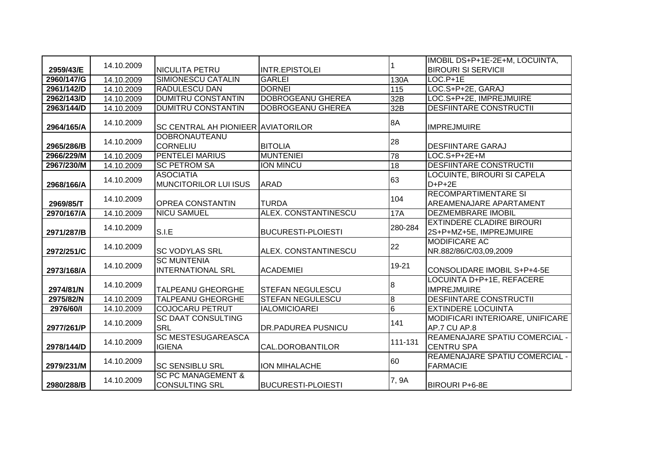|            |            |                                                        |                             |                | IMOBIL DS+P+1E-2E+M, LOCUINTA,                              |
|------------|------------|--------------------------------------------------------|-----------------------------|----------------|-------------------------------------------------------------|
| 2959/43/E  | 14.10.2009 | <b>NICULITA PETRU</b>                                  | <b>INTR.EPISTOLEI</b>       |                | <b>BIROURI SI SERVICII</b>                                  |
| 2960/147/G | 14.10.2009 | <b>SIMIONESCU CATALIN</b>                              | <b>GARLEI</b>               | 130A           | $LOC.P+1E$                                                  |
| 2961/142/D | 14.10.2009 | <b>RADULESCU DAN</b>                                   | <b>DORNEI</b>               | 115            | LOC.S+P+2E, GARAJ                                           |
| 2962/143/D | 14.10.2009 | <b>DUMITRU CONSTANTIN</b>                              | <b>DOBROGEANU GHEREA</b>    | 32B            | LOC.S+P+2E, IMPREJMUIRE                                     |
| 2963/144/D | 14.10.2009 | <b>DUMITRU CONSTANTIN</b>                              | <b>DOBROGEANU GHEREA</b>    | 32B            | <b>DESFIINTARE CONSTRUCTII</b>                              |
| 2964/165/A | 14.10.2009 | <b>SC CENTRAL AH PIONIEER AVIATORILOR</b>              |                             | 8A             | <b>IMPREJMUIRE</b>                                          |
| 2965/286/B | 14.10.2009 | <b>DOBRONAUTEANU</b><br>CORNELIU                       | <b>BITOLIA</b>              | 28             | <b>DESFIINTARE GARAJ</b>                                    |
| 2966/229/M | 14.10.2009 | <b>PENTELEI MARIUS</b>                                 | <b>MUNTENIEI</b>            | 78             | LOC.S+P+2E+M                                                |
| 2967/230/M | 14.10.2009 | <b>SC PETROM SA</b>                                    | <b>ION MINCU</b>            | 18             | <b>DESFIINTARE CONSTRUCTII</b>                              |
| 2968/166/A | 14.10.2009 | <b>ASOCIATIA</b><br><b>MUNCITORILOR LUI ISUS</b>       | <b>ARAD</b>                 | 63             | <b>LOCUINTE, BIROURI SI CAPELA</b><br>$D+P+2E$              |
| 2969/85/T  | 14.10.2009 | <b>OPREA CONSTANTIN</b>                                | <b>TURDA</b>                | 104            | <b>RECOMPARTIMENTARE SI</b><br>AREAMENAJARE APARTAMENT      |
| 2970/167/A | 14.10.2009 | <b>NICU SAMUEL</b>                                     | <b>ALEX. CONSTANTINESCU</b> | <b>17A</b>     | <b>DEZMEMBRARE IMOBIL</b>                                   |
| 2971/287/B | 14.10.2009 | S.I.E                                                  | <b>BUCURESTI-PLOIESTI</b>   | 280-284        | <b>EXTINDERE CLADIRE BIROURI</b><br>2S+P+MZ+5E, IMPREJMUIRE |
| 2972/251/C | 14.10.2009 | <b>SC VODYLAS SRL</b>                                  | ALEX. CONSTANTINESCU        | 22             | <b>MODIFICARE AC</b><br>NR.882/86/C/03,09,2009              |
| 2973/168/A | 14.10.2009 | <b>SC MUNTENIA</b><br><b>INTERNATIONAL SRL</b>         | <b>ACADEMIEI</b>            | 19-21          | CONSOLIDARE IMOBIL S+P+4-5E                                 |
| 2974/81/N  | 14.10.2009 | <b>TALPEANU GHEORGHE</b>                               | <b>STEFAN NEGULESCU</b>     | 8              | LOCUINTA D+P+1E, REFACERE<br><b>IMPREJMUIRE</b>             |
| 2975/82/N  | 14.10.2009 | <b>TALPEANU GHEORGHE</b>                               | <b>STEFAN NEGULESCU</b>     | 8              | <b>DESFIINTARE CONSTRUCTII</b>                              |
| 2976/60/1  | 14.10.2009 | <b>COJOCARU PETRUT</b>                                 | <b>IALOMICIOAREI</b>        | $\overline{6}$ | <b>EXTINDERE LOCUINTA</b>                                   |
| 2977/261/P | 14.10.2009 | <b>SC DAAT CONSULTING</b><br><b>SRL</b>                | <b>DR.PADUREA PUSNICU</b>   | 141            | MODIFICARI INTERIOARE, UNIFICARE<br>AP.7 CU AP.8            |
| 2978/144/D | 14.10.2009 | <b>SC MESTESUGAREASCA</b><br><b>IGIENA</b>             | CAL.DOROBANTILOR            | 111-131        | REAMENAJARE SPATIU COMERCIAL -<br><b>CENTRU SPA</b>         |
| 2979/231/M | 14.10.2009 | <b>SC SENSIBLU SRL</b>                                 | <b>ION MIHALACHE</b>        | 60             | REAMENAJARE SPATIU COMERCIAL -<br><b>FARMACIE</b>           |
| 2980/288/B | 14.10.2009 | <b>SC PC MANAGEMENT &amp;</b><br><b>CONSULTING SRL</b> | <b>BUCURESTI-PLOIESTI</b>   | 7, 9A          | <b>BIROURI P+6-8E</b>                                       |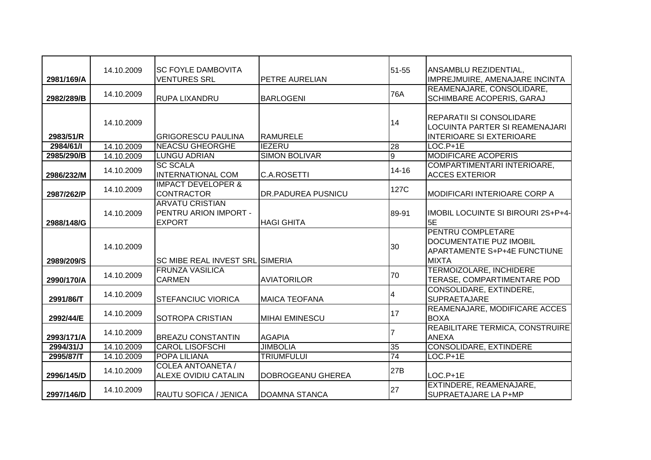|            | 14.10.2009 | ISC FOYLE DAMBOVITA                    |                       | 51-55          | ANSAMBLU REZIDENTIAL,               |
|------------|------------|----------------------------------------|-----------------------|----------------|-------------------------------------|
| 2981/169/A |            | <b>VENTURES SRL</b>                    | PETRE AURELIAN        |                | IMPREJMUIRE, AMENAJARE INCINTA      |
|            | 14.10.2009 |                                        |                       | 76A            | REAMENAJARE, CONSOLIDARE,           |
| 2982/289/B |            | <b>RUPA LIXANDRU</b>                   | <b>BARLOGENI</b>      |                | <b>SCHIMBARE ACOPERIS, GARAJ</b>    |
|            |            |                                        |                       |                |                                     |
|            | 14.10.2009 |                                        |                       | 14             | REPARATII SI CONSOLIDARE            |
|            |            |                                        |                       |                | LOCUINTA PARTER SI REAMENAJARI      |
| 2983/51/R  |            | <b>GRIGORESCU PAULINA</b>              | <b>RAMURELE</b>       |                | <b>INTERIOARE SI EXTERIOARE</b>     |
| 2984/61/1  | 14.10.2009 | <b>NEACSU GHEORGHE</b>                 | <b>IEZERU</b>         | 28             | LOC.P+1E                            |
| 2985/290/B | 14.10.2009 | <b>LUNGU ADRIAN</b>                    | <b>SIMON BOLIVAR</b>  | $\overline{9}$ | <b>MODIFICARE ACOPERIS</b>          |
|            | 14.10.2009 | <b>SC SCALA</b>                        |                       | $14 - 16$      | COMPARTIMENTARI INTERIOARE,         |
| 2986/232/M |            | <b>INTERNATIONAL COM</b>               | C.A.ROSETTI           |                | <b>ACCES EXTERIOR</b>               |
|            | 14.10.2009 | <b>IMPACT DEVELOPER &amp;</b>          |                       | 127C           |                                     |
| 2987/262/P |            | <b>CONTRACTOR</b>                      | DR.PADUREA PUSNICU    |                | MODIFICARI INTERIOARE CORP A        |
|            |            | <b>ARVATU CRISTIAN</b>                 |                       |                |                                     |
|            | 14.10.2009 | PENTRU ARION IMPORT -                  |                       | 89-91          | IMOBIL LOCUINTE SI BIROURI 2S+P+4-  |
| 2988/148/G |            | <b>EXPORT</b>                          | <b>HAGI GHITA</b>     |                | 5E                                  |
|            |            |                                        |                       |                | PENTRU COMPLETARE                   |
|            |            |                                        |                       |                | <b>DOCUMENTATIE PUZ IMOBIL</b>      |
|            | 14.10.2009 |                                        |                       | 30             | <b>APARTAMENTE S+P+4E FUNCTIUNE</b> |
| 2989/209/S |            | <b>SC MIBE REAL INVEST SRL SIMERIA</b> |                       |                | <b>MIXTA</b>                        |
|            |            | <b>FRUNZA VASILICA</b>                 |                       |                | <b>TERMOIZOLARE, INCHIDERE</b>      |
| 2990/170/A | 14.10.2009 | <b>CARMEN</b>                          | <b>AVIATORILOR</b>    | 70             | TERASE, COMPARTIMENTARE POD         |
|            |            |                                        |                       |                | CONSOLIDARE, EXTINDERE,             |
| 2991/86/T  | 14.10.2009 | <b>STEFANCIUC VIORICA</b>              | <b>IMAICA TEOFANA</b> | 4              | <b>SUPRAETAJARE</b>                 |
|            | 14.10.2009 |                                        |                       | 17             | REAMENAJARE, MODIFICARE ACCES       |
| 2992/44/E  |            | <b>SOTROPA CRISTIAN</b>                | <b>MIHAI EMINESCU</b> |                | <b>BOXA</b>                         |
|            |            |                                        |                       |                | REABILITARE TERMICA, CONSTRUIRE     |
| 2993/171/A | 14.10.2009 | <b>BREAZU CONSTANTIN</b>               | <b>AGAPIA</b>         |                | <b>ANEXA</b>                        |
| 2994/31/J  | 14.10.2009 | <b>CAROL LISOFSCHI</b>                 | <b>JIMBOLIA</b>       | 35             | <b>CONSOLIDARE, EXTINDERE</b>       |
| 2995/87/T  | 14.10.2009 | <b>POPA LILIANA</b>                    | <b>TRIUMFULUI</b>     | 74             | LOC.P+1E                            |
|            |            | <b>COLEA ANTOANETA /</b>               |                       |                |                                     |
| 2996/145/D | 14.10.2009 | <b>ALEXE OVIDIU CATALIN</b>            | DOBROGEANU GHEREA     | 27B            | $LOC.P+1E$                          |
|            |            |                                        |                       |                | EXTINDERE, REAMENAJARE,             |
| 2997/146/D | 14.10.2009 | RAUTU SOFICA / JENICA                  | <b>DOAMNA STANCA</b>  | 27             | <b>SUPRAETAJARE LA P+MP</b>         |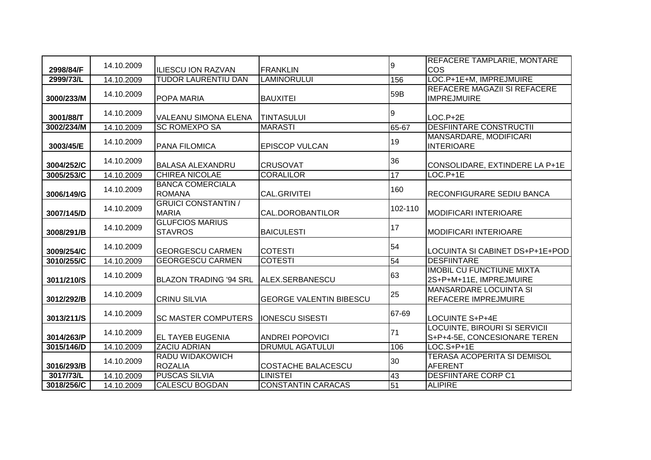|                        | 14.10.2009 |                                                   |                                       | 9       | <b>REFACERE TAMPLARIE, MONTARE</b>                            |
|------------------------|------------|---------------------------------------------------|---------------------------------------|---------|---------------------------------------------------------------|
| 2998/84/F<br>2999/73/L | 14.10.2009 | IILIESCU ION RAZVAN<br><b>TUDOR LAURENTIU DAN</b> | <b>FRANKLIN</b><br><b>LAMINORULUI</b> | 156     | COS<br>LOC.P+1E+M, IMPREJMUIRE                                |
|                        |            |                                                   |                                       |         | REFACERE MAGAZII SI REFACERE                                  |
| 3000/233/M             | 14.10.2009 | <b>POPA MARIA</b>                                 | <b>BAUXITEI</b>                       | 59B     | <b>IMPREJMUIRE</b>                                            |
| 3001/88/T              | 14.10.2009 | <b>VALEANU SIMONA ELENA</b>                       | <b>TINTASULUI</b>                     | 9       | $LOC.P+2E$                                                    |
| 3002/234/M             | 14.10.2009 | <b>SC ROMEXPO SA</b>                              | <b>MARASTI</b>                        | 65-67   | <b>DESFIINTARE CONSTRUCTII</b>                                |
| 3003/45/E              | 14.10.2009 | <b>PANA FILOMICA</b>                              | <b>EPISCOP VULCAN</b>                 | 19      | MANSARDARE, MODIFICARI<br><b>INTERIOARE</b>                   |
| 3004/252/C             | 14.10.2009 | <b>BALASA ALEXANDRU</b>                           | <b>CRUSOVAT</b>                       | 36      | CONSOLIDARE, EXTINDERE LA P+1E                                |
| 3005/253/C             | 14.10.2009 | <b>CHIREA NICOLAE</b>                             | <b>CORALILOR</b>                      | 17      | $LOC.P+1E$                                                    |
| 3006/149/G             | 14.10.2009 | <b>BANCA COMERCIALA</b><br><b>ROMANA</b>          | <b>CAL.GRIVITEI</b>                   | 160     | <b>RECONFIGURARE SEDIU BANCA</b>                              |
| 3007/145/D             | 14.10.2009 | <b>GRUICI CONSTANTIN /</b><br><b>MARIA</b>        | CAL.DOROBANTILOR                      | 102-110 | MODIFICARI INTERIOARE                                         |
| 3008/291/B             | 14.10.2009 | <b>GLUFCIOS MARIUS</b><br><b>STAVROS</b>          | <b>BAICULESTI</b>                     | 17      | <b>MODIFICARI INTERIOARE</b>                                  |
| 3009/254/C             | 14.10.2009 | <b>GEORGESCU CARMEN</b>                           | <b>COTESTI</b>                        | 54      | LOCUINTA SI CABINET DS+P+1E+POD                               |
| 3010/255/C             | 14.10.2009 | <b>GEORGESCU CARMEN</b>                           | <b>COTESTI</b>                        | 54      | <b>DESFIINTARE</b>                                            |
| 3011/210/S             | 14.10.2009 | <b>BLAZON TRADING '94 SRL</b>                     | ALEX.SERBANESCU                       | 63      | <b>IMOBIL CU FUNCTIUNE MIXTA</b><br>2S+P+M+11E, IMPREJMUIRE   |
| 3012/292/B             | 14.10.2009 | <b>CRINU SILVIA</b>                               | <b>GEORGE VALENTIN BIBESCU</b>        | 25      | <b>MANSARDARE LOCUINTA SI</b><br><b>REFACERE IMPREJMUIRE</b>  |
| 3013/211/S             | 14.10.2009 | <b>SC MASTER COMPUTERS</b>                        | <b>IONESCU SISESTI</b>                | 67-69   | LOCUINTE S+P+4E                                               |
| 3014/263/P             | 14.10.2009 | <b>EL TAYEB EUGENIA</b>                           | <b>ANDREI POPOVICI</b>                | 71      | LOCUINTE, BIROURI SI SERVICII<br>S+P+4-5E, CONCESIONARE TEREN |
| 3015/146/D             | 14.10.2009 | <b>ZACIU ADRIAN</b>                               | <b>DRUMUL AGATULUI</b>                | 106     | $LOC.S+P+1E$                                                  |
| 3016/293/B             | 14.10.2009 | RADU WIDAKOWICH<br><b>ROZALIA</b>                 | <b>COSTACHE BALACESCU</b>             | 30      | <b>TERASA ACOPERITA SI DEMISOL</b><br><b>AFERENT</b>          |
| 3017/73/L              | 14.10.2009 | <b>PUSCAS SILVIA</b>                              | <b>LINISTEI</b>                       | 43      | <b>DESFIINTARE CORP C1</b>                                    |
| 3018/256/C             | 14.10.2009 | <b>CALESCU BOGDAN</b>                             | <b>CONSTANTIN CARACAS</b>             | 51      | <b>ALIPIRE</b>                                                |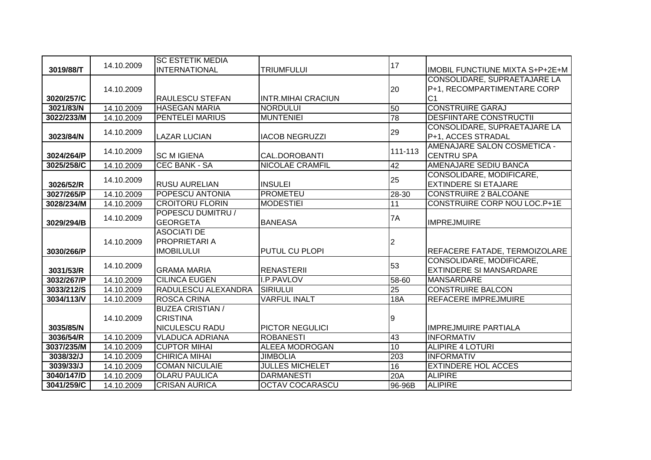|            |            | <b>SC ESTETIK MEDIA</b> |                           |         |                                        |
|------------|------------|-------------------------|---------------------------|---------|----------------------------------------|
| 3019/88/T  | 14.10.2009 | <b>INTERNATIONAL</b>    | <b>TRIUMFULUI</b>         | 17      | <b>IMOBIL FUNCTIUNE MIXTA S+P+2E+M</b> |
|            |            |                         |                           |         | CONSOLIDARE, SUPRAETAJARE LA           |
|            | 14.10.2009 |                         |                           | 20      | P+1, RECOMPARTIMENTARE CORP            |
| 3020/257/C |            | <b>RAULESCU STEFAN</b>  | <b>INTR.MIHAI CRACIUN</b> |         | C <sub>1</sub>                         |
| 3021/83/N  | 14.10.2009 | <b>HASEGAN MARIA</b>    | <b>NORDULUI</b>           | 50      | <b>CONSTRUIRE GARAJ</b>                |
| 3022/233/M | 14.10.2009 | <b>PENTELEI MARIUS</b>  | <b>MUNTENIEI</b>          | 78      | <b>DESFIINTARE CONSTRUCTII</b>         |
|            |            |                         |                           |         | CONSOLIDARE, SUPRAETAJARE LA           |
| 3023/84/N  | 14.10.2009 | <b>LAZAR LUCIAN</b>     | <b>IACOB NEGRUZZI</b>     | 29      | P+1, ACCES STRADAL                     |
|            |            |                         |                           |         | AMENAJARE SALON COSMETICA -            |
| 3024/264/P | 14.10.2009 | <b>SC M IGIENA</b>      | CAL.DOROBANTI             | 111-113 | <b>CENTRU SPA</b>                      |
| 3025/258/C | 14.10.2009 | <b>CEC BANK - SA</b>    | <b>NICOLAE CRAMFIL</b>    | 42      | <b>AMENAJARE SEDIU BANCA</b>           |
|            | 14.10.2009 |                         |                           | 25      | CONSOLIDARE, MODIFICARE,               |
| 3026/52/R  |            | <b>RUSU AURELIAN</b>    | <b>INSULEI</b>            |         | <b>EXTINDERE SI ETAJARE</b>            |
| 3027/265/P | 14.10.2009 | POPESCU ANTONIA         | <b>PROMETEU</b>           | 28-30   | <b>CONSTRUIRE 2 BALCOANE</b>           |
| 3028/234/M | 14.10.2009 | <b>CROITORU FLORIN</b>  | <b>MODESTIEI</b>          | 11      | CONSTRUIRE CORP NOU LOC.P+1E           |
|            | 14.10.2009 | POPESCU DUMITRU /       |                           | 7A      |                                        |
| 3029/294/B |            | <b>GEORGETA</b>         | <b>BANEASA</b>            |         | <b>IMPREJMUIRE</b>                     |
|            |            | <b>ASOCIATI DE</b>      |                           |         |                                        |
|            | 14.10.2009 | <b>PROPRIETARIA</b>     |                           | 2       |                                        |
| 3030/266/P |            | <b>IMOBILULUI</b>       | <b>PUTUL CU PLOPI</b>     |         | REFACERE FATADE, TERMOIZOLARE          |
|            | 14.10.2009 |                         |                           | 53      | CONSOLIDARE, MODIFICARE,               |
| 3031/53/R  |            | <b>GRAMA MARIA</b>      | <b>RENASTERII</b>         |         | <b>EXTINDERE SI MANSARDARE</b>         |
| 3032/267/P | 14.10.2009 | <b>CILINCA EUGEN</b>    | <b>I.P.PAVLOV</b>         | 58-60   | <b>MANSARDARE</b>                      |
| 3033/212/S | 14.10.2009 | RADULESCU ALEXANDRA     | <b>SIRIULUI</b>           | 25      | <b>CONSTRUIRE BALCON</b>               |
| 3034/113/V | 14.10.2009 | <b>ROSCA CRINA</b>      | <b>VARFUL INALT</b>       | 18A     | <b>REFACERE IMPREJMUIRE</b>            |
|            |            | <b>BUZEA CRISTIAN /</b> |                           |         |                                        |
|            | 14.10.2009 | <b>CRISTINA</b>         |                           | 9       |                                        |
| 3035/85/N  |            | <b>NICULESCU RADU</b>   | <b>PICTOR NEGULICI</b>    |         | <b>IMPREJMUIRE PARTIALA</b>            |
| 3036/54/R  | 14.10.2009 | <b>VLADUCA ADRIANA</b>  | <b>ROBANESTI</b>          | 43      | <b>INFORMATIV</b>                      |
| 3037/235/M | 14.10.2009 | <b>CUPTOR MIHAI</b>     | <b>ALEEA MODROGAN</b>     | 10      | <b>ALIPIRE 4 LOTURI</b>                |
| 3038/32/J  | 14.10.2009 | <b>CHIRICA MIHAI</b>    | <b>JIMBOLIA</b>           | 203     | <b>INFORMATIV</b>                      |
| 3039/33/J  | 14.10.2009 | <b>COMAN NICULAIE</b>   | <b>JULLES MICHELET</b>    | 16      | <b>EXTINDERE HOL ACCES</b>             |
| 3040/147/D | 14.10.2009 | <b>OLLARU PAULICA</b>   | <b>DARMANESTI</b>         | 20A     | <b>ALIPIRE</b>                         |
| 3041/259/C | 14.10.2009 | <b>CRISAN AURICA</b>    | <b>OCTAV COCARASCU</b>    | 96-96B  | <b>ALIPIRE</b>                         |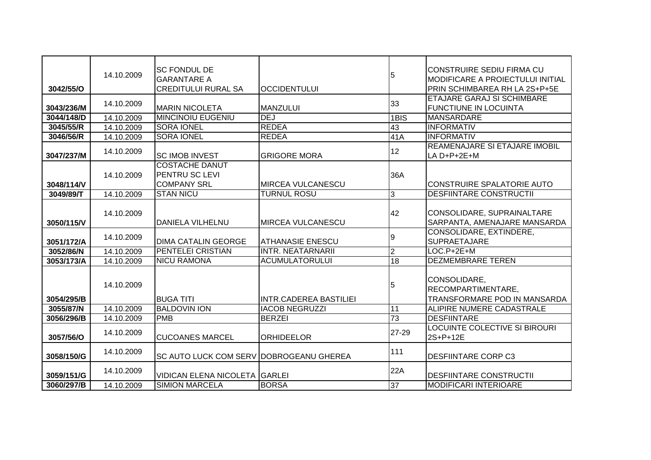|            |            | <b>SC FONDUL DE</b>                            |                               |                | <b>CONSTRUIRE SEDIU FIRMA CU</b>        |
|------------|------------|------------------------------------------------|-------------------------------|----------------|-----------------------------------------|
|            | 14.10.2009 | lGARANTARE A                                   |                               | 5              | <b>MODIFICARE A PROIECTULUI INITIAL</b> |
| 3042/55/O  |            | <b>CREDITULUI RURAL SA</b>                     | <b>OCCIDENTULUI</b>           |                | PRIN SCHIMBAREA RH LA 2S+P+5E           |
|            | 14.10.2009 |                                                |                               | 33             | <b>ETAJARE GARAJ SI SCHIMBARE</b>       |
| 3043/236/M |            | <b>MARIN NICOLETA</b>                          | <b>MANZULUI</b>               |                | <b>FUNCTIUNE IN LOCUINTA</b>            |
| 3044/148/D | 14.10.2009 | <b>MINCINOIU EUGENIU</b>                       | <b>DEJ</b>                    | 1BIS           | <b>MANSARDARE</b>                       |
| 3045/55/R  | 14.10.2009 | <b>SORA IONEL</b>                              | <b>REDEA</b>                  | 43             | <b>INFORMATIV</b>                       |
| 3046/56/R  | 14.10.2009 | <b>SORA IONEL</b>                              | <b>REDEA</b>                  | 41A            | <b>INFORMATIV</b>                       |
|            | 14.10.2009 |                                                |                               | 12             | <b>REAMENAJARE SI ETAJARE IMOBIL</b>    |
| 3047/237/M |            | <b>SC IMOB INVEST</b>                          | <b>GRIGORE MORA</b>           |                | LA $D+P+2E+M$                           |
|            |            | <b>COSTACHE DANUT</b>                          |                               |                |                                         |
|            | 14.10.2009 | <b>PENTRU SC LEVI</b>                          |                               | 36A            |                                         |
| 3048/114/V |            | <b>COMPANY SRL</b>                             | <b>MIRCEA VULCANESCU</b>      |                | <b>CONSTRUIRE SPALATORIE AUTO</b>       |
| 3049/89/T  | 14.10.2009 | <b>STAN NICU</b>                               | <b>TURNUL ROSU</b>            | 3              | <b>DESFIINTARE CONSTRUCTII</b>          |
|            |            |                                                |                               |                |                                         |
|            | 14.10.2009 |                                                |                               | 42             | CONSOLIDARE, SUPRAINALTARE              |
| 3050/115/V |            | <b>DANIELA VILHELNU</b>                        | <b>MIRCEA VULCANESCU</b>      |                | SARPANTA, AMENAJARE MANSARDA            |
|            | 14.10.2009 |                                                |                               | 9              | CONSOLIDARE, EXTINDERE,                 |
| 3051/172/A |            | <b>DIMA CATALIN GEORGE</b>                     | <b>ATHANASIE ENESCU</b>       |                | <b>SUPRAETAJARE</b>                     |
| 3052/86/N  | 14.10.2009 | PENTELEI CRISTIAN                              | <b>INTR. NEATARNARII</b>      | $\overline{2}$ | $LOC.P+2E+M$                            |
| 3053/173/A | 14.10.2009 | <b>NICU RAMONA</b>                             | <b>ACUMULATORULUI</b>         | 18             | <b>DEZMEMBRARE TEREN</b>                |
|            |            |                                                |                               |                |                                         |
|            | 14.10.2009 |                                                |                               | 5              | CONSOLIDARE,                            |
|            |            |                                                |                               |                | RECOMPARTIMENTARE,                      |
| 3054/295/B |            | <b>BUGA TITI</b>                               | <b>INTR.CADEREA BASTILIEI</b> |                | TRANSFORMARE POD IN MANSARDA            |
| 3055/87/N  | 14.10.2009 | <b>BALDOVIN ION</b>                            | <b>IACOB NEGRUZZI</b>         | 11             | <b>ALIPIRE NUMERE CADASTRALE</b>        |
| 3056/296/B | 14.10.2009 | <b>PMB</b>                                     | <b>BERZEI</b>                 | 73             | <b>DESFIINTARE</b>                      |
|            | 14.10.2009 |                                                |                               | 27-29          | LOCUINTE COLECTIVE SI BIROURI           |
| 3057/56/O  |            | <b>CUCOANES MARCEL</b>                         | <b>ORHIDEELOR</b>             |                | 2S+P+12E                                |
|            | 14.10.2009 |                                                |                               | 111            |                                         |
| 3058/150/G |            | <b>SC AUTO LUCK COM SERV DOBROGEANU GHEREA</b> |                               |                | <b>DESFIINTARE CORP C3</b>              |
|            | 14.10.2009 |                                                |                               | 22A            |                                         |
| 3059/151/G |            | VIDICAN ELENA NICOLETA GARLEI                  |                               |                | <b>DESFIINTARE CONSTRUCTII</b>          |
| 3060/297/B | 14.10.2009 | <b>SIMION MARCELA</b>                          | <b>BORSA</b>                  | 37             | <b>MODIFICARI INTERIOARE</b>            |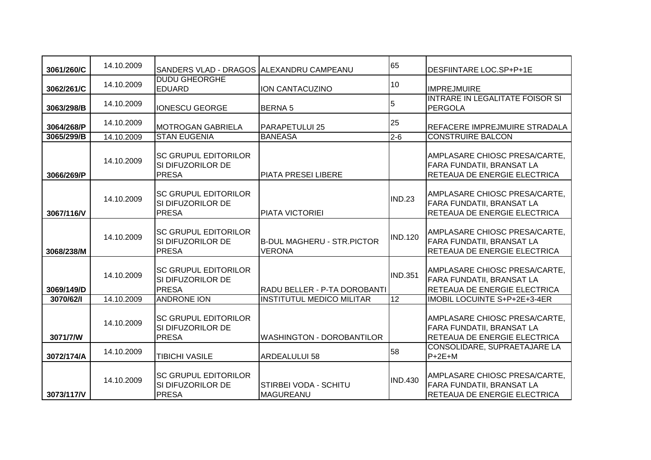| 3061/260/C | 14.10.2009 | SANDERS VLAD - DRAGOS ALEXANDRU CAMPEANU                                |                                                    | 65             | DESFIINTARE LOC.SP+P+1E                                                                           |
|------------|------------|-------------------------------------------------------------------------|----------------------------------------------------|----------------|---------------------------------------------------------------------------------------------------|
| 3062/261/C | 14.10.2009 | <b>DUDU GHEORGHE</b><br><b>EDUARD</b>                                   | ION CANTACUZINO                                    | 10             | <b>IMPREJMUIRE</b>                                                                                |
| 3063/298/B | 14.10.2009 | <b>IONESCU GEORGE</b>                                                   | <b>BERNA 5</b>                                     | 5              | INTRARE IN LEGALITATE FOISOR SI<br>PERGOLA                                                        |
| 3064/268/P | 14.10.2009 | <b>IMOTROGAN GABRIELA</b>                                               | <b>PARAPETULUI 25</b>                              | 25             | REFACERE IMPREJMUIRE STRADALA                                                                     |
| 3065/299/B | 14.10.2009 | <b>STAN EUGENIA</b>                                                     | <b>BANEASA</b>                                     | $2 - 6$        | <b>CONSTRUIRE BALCON</b>                                                                          |
| 3066/269/P | 14.10.2009 | <b>SC GRUPUL EDITORILOR</b><br>SI DIFUZORILOR DE<br><b>PRESA</b>        | <b>PIATA PRESEI LIBERE</b>                         |                | AMPLASARE CHIOSC PRESA/CARTE,<br><b>FARA FUNDATII, BRANSAT LA</b><br>RETEAUA DE ENERGIE ELECTRICA |
| 3067/116/V | 14.10.2009 | <b>SC GRUPUL EDITORILOR</b><br>SI DIFUZORILOR DE<br><b>PRESA</b>        | PIATA VICTORIEI                                    | <b>IND.23</b>  | AMPLASARE CHIOSC PRESA/CARTE,<br><b>FARA FUNDATII, BRANSAT LA</b><br>RETEAUA DE ENERGIE ELECTRICA |
| 3068/238/M | 14.10.2009 | <b>SC GRUPUL EDITORILOR</b><br>SI DIFUZORILOR DE<br><b>PRESA</b>        | <b>B-DUL MAGHERU - STR.PICTOR</b><br><b>VERONA</b> | <b>IND.120</b> | AMPLASARE CHIOSC PRESA/CARTE,<br><b>FARA FUNDATII, BRANSAT LA</b><br>RETEAUA DE ENERGIE ELECTRICA |
| 3069/149/D | 14.10.2009 | <b>SC GRUPUL EDITORILOR</b><br><b>SI DIFUZORILOR DE</b><br><b>PRESA</b> | RADU BELLER - P-TA DOROBANTI                       | <b>IND.351</b> | AMPLASARE CHIOSC PRESA/CARTE,<br>FARA FUNDATII, BRANSAT LA<br>RETEAUA DE ENERGIE ELECTRICA        |
| 3070/62/1  | 14.10.2009 | <b>ANDRONE ION</b>                                                      | <b>INSTITUTUL MEDICO MILITAR</b>                   | 12             | <b>IMOBIL LOCUINTE S+P+2E+3-4ER</b>                                                               |
| 3071/7/W   | 14.10.2009 | <b>SC GRUPUL EDITORILOR</b><br>SI DIFUZORILOR DE<br><b>PRESA</b>        | <b>WASHINGTON - DOROBANTILOR</b>                   |                | AMPLASARE CHIOSC PRESA/CARTE,<br>FARA FUNDATII, BRANSAT LA<br><b>RETEAUA DE ENERGIE ELECTRICA</b> |
| 3072/174/A | 14.10.2009 | <b>TIBICHI VASILE</b>                                                   | <b>ARDEALULUI 58</b>                               | 58             | CONSOLIDARE, SUPRAETAJARE LA<br>$P+2E+M$                                                          |
| 3073/117/V | 14.10.2009 | <b>SC GRUPUL EDITORILOR</b><br><b>SI DIFUZORILOR DE</b><br><b>PRESA</b> | <b>STIRBEI VODA - SCHITU</b><br><b>MAGUREANU</b>   | <b>IND.430</b> | AMPLASARE CHIOSC PRESA/CARTE,<br>FARA FUNDATII, BRANSAT LA<br>RETEAUA DE ENERGIE ELECTRICA        |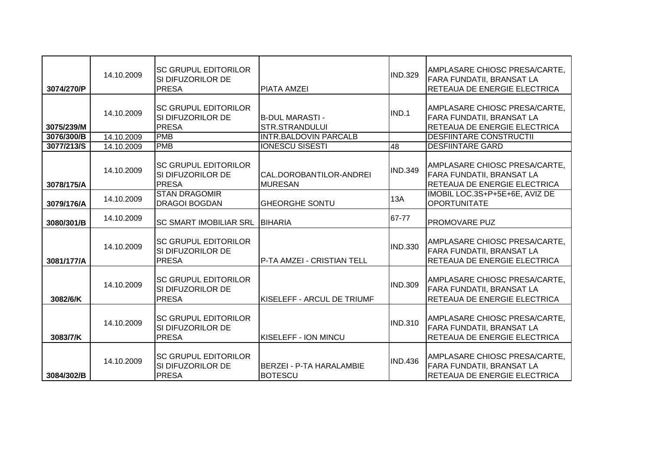| 3074/270/P | 14.10.2009 | <b>SC GRUPUL EDITORILOR</b><br>SI DIFUZORILOR DE<br><b>PRESA</b>        | <b>PIATA AMZEI</b>                              | <b>IND.329</b>  | AMPLASARE CHIOSC PRESA/CARTE,<br><b>FARA FUNDATII, BRANSAT LA</b><br>RETEAUA DE ENERGIE ELECTRICA |
|------------|------------|-------------------------------------------------------------------------|-------------------------------------------------|-----------------|---------------------------------------------------------------------------------------------------|
| 3075/239/M | 14.10.2009 | <b>SC GRUPUL EDITORILOR</b><br>SI DIFUZORILOR DE<br><b>PRESA</b>        | <b>B-DUL MARASTI -</b><br><b>STR.STRANDULUI</b> | IND.1           | AMPLASARE CHIOSC PRESA/CARTE,<br>FARA FUNDATII, BRANSAT LA<br>RETEAUA DE ENERGIE ELECTRICA        |
| 3076/300/B | 14.10.2009 | <b>PMB</b>                                                              | <b>INTR.BALDOVIN PARCALB</b>                    |                 | <b>DESFIINTARE CONSTRUCTII</b>                                                                    |
| 3077/213/S | 14.10.2009 | <b>PMB</b>                                                              | <b>IONESCU SISESTI</b>                          | $\overline{48}$ | <b>DESFIINTARE GARD</b>                                                                           |
| 3078/175/A | 14.10.2009 | <b>SC GRUPUL EDITORILOR</b><br><b>SI DIFUZORILOR DE</b><br><b>PRESA</b> | CAL.DOROBANTILOR-ANDREI<br><b>MURESAN</b>       | <b>IND.349</b>  | AMPLASARE CHIOSC PRESA/CARTE,<br><b>FARA FUNDATII, BRANSAT LA</b><br>RETEAUA DE ENERGIE ELECTRICA |
| 3079/176/A | 14.10.2009 | <b>STAN DRAGOMIR</b><br><b>DRAGOI BOGDAN</b>                            | <b>GHEORGHE SONTU</b>                           | 13A             | IMOBIL LOC.3S+P+5E+6E, AVIZ DE<br><b>OPORTUNITATE</b>                                             |
| 3080/301/B | 14.10.2009 | <b>SC SMART IMOBILIAR SRL</b>                                           | <b>BIHARIA</b>                                  | 67-77           | <b>PROMOVARE PUZ</b>                                                                              |
| 3081/177/A | 14.10.2009 | <b>SC GRUPUL EDITORILOR</b><br>SI DIFUZORILOR DE<br><b>PRESA</b>        | P-TA AMZEI - CRISTIAN TELL                      | <b>IND.330</b>  | AMPLASARE CHIOSC PRESA/CARTE,<br>FARA FUNDATII, BRANSAT LA<br>RETEAUA DE ENERGIE ELECTRICA        |
| 3082/6/K   | 14.10.2009 | <b>SC GRUPUL EDITORILOR</b><br>ISI DIFUZORILOR DE<br><b>PRESA</b>       | KISELEFF - ARCUL DE TRIUMF                      | <b>IND.309</b>  | AMPLASARE CHIOSC PRESA/CARTE,<br>FARA FUNDATII, BRANSAT LA<br>RETEAUA DE ENERGIE ELECTRICA        |
| 3083/7/K   | 14.10.2009 | <b>SC GRUPUL EDITORILOR</b><br>SI DIFUZORILOR DE<br><b>PRESA</b>        | KISELEFF - ION MINCU                            | <b>IND.310</b>  | AMPLASARE CHIOSC PRESA/CARTE,<br>FARA FUNDATII, BRANSAT LA<br>RETEAUA DE ENERGIE ELECTRICA        |
| 3084/302/B | 14.10.2009 | <b>SC GRUPUL EDITORILOR</b><br>SI DIFUZORILOR DE<br><b>PRESA</b>        | BERZEI - P-TA HARALAMBIE<br><b>BOTESCU</b>      | <b>IND.436</b>  | AMPLASARE CHIOSC PRESA/CARTE,<br><b>FARA FUNDATII, BRANSAT LA</b><br>RETEAUA DE ENERGIE ELECTRICA |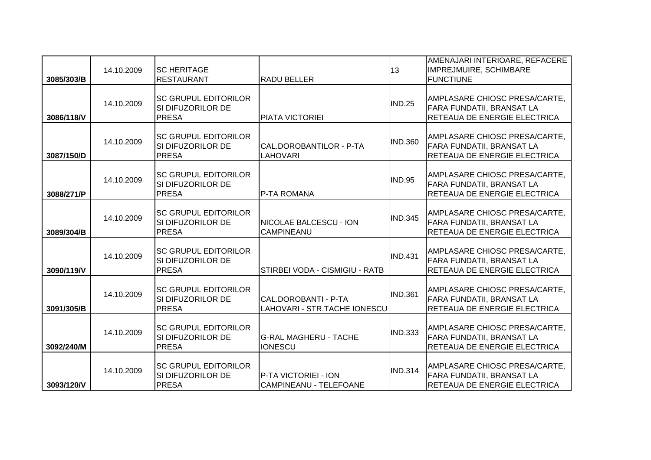| 3085/303/B | 14.10.2009 | ISC HERITAGE<br><b>RESTAURANT</b>                                  | <b>RADU BELLER</b>                                   | 13             | AMENAJARI INTERIOARE, REFACERE<br>IMPREJMUIRE, SCHIMBARE<br><b>FUNCTIUNE</b>                      |
|------------|------------|--------------------------------------------------------------------|------------------------------------------------------|----------------|---------------------------------------------------------------------------------------------------|
| 3086/118/V | 14.10.2009 | <b>SC GRUPUL EDITORILOR</b><br>SI DIFUZORILOR DE<br><b>PRESA</b>   | <b>PIATA VICTORIEI</b>                               | <b>IND.25</b>  | AMPLASARE CHIOSC PRESA/CARTE,<br>FARA FUNDATII, BRANSAT LA<br>RETEAUA DE ENERGIE ELECTRICA        |
| 3087/150/D | 14.10.2009 | <b>ISC GRUPUL EDITORILOR</b><br>ISI DIFUZORILOR DE<br><b>PRESA</b> | CAL.DOROBANTILOR - P-TA<br><b>LAHOVARI</b>           | <b>IND.360</b> | AMPLASARE CHIOSC PRESA/CARTE,<br>FARA FUNDATII, BRANSAT LA<br>RETEAUA DE ENERGIE ELECTRICA        |
| 3088/271/P | 14.10.2009 | <b>SC GRUPUL EDITORILOR</b><br>SI DIFUZORILOR DE<br><b>PRESA</b>   | P-TA ROMANA                                          | IND.95         | AMPLASARE CHIOSC PRESA/CARTE,<br>FARA FUNDATII, BRANSAT LA<br>RETEAUA DE ENERGIE ELECTRICA        |
| 3089/304/B | 14.10.2009 | <b>ISC GRUPUL EDITORILOR</b><br>SI DIFUZORILOR DE<br><b>PRESA</b>  | <b>NICOLAE BALCESCU - ION</b><br><b>CAMPINEANU</b>   | <b>IND.345</b> | AMPLASARE CHIOSC PRESA/CARTE,<br><b>FARA FUNDATII, BRANSAT LA</b><br>RETEAUA DE ENERGIE ELECTRICA |
| 3090/119/V | 14.10.2009 | <b>ISC GRUPUL EDITORILOR</b><br>SI DIFUZORILOR DE<br><b>PRESA</b>  | STIRBEI VODA - CISMIGIU - RATB                       | <b>IND.431</b> | AMPLASARE CHIOSC PRESA/CARTE,<br>FARA FUNDATII, BRANSAT LA<br>RETEAUA DE ENERGIE ELECTRICA        |
| 3091/305/B | 14.10.2009 | <b>SC GRUPUL EDITORILOR</b><br>SI DIFUZORILOR DE<br><b>PRESA</b>   | CAL.DOROBANTI - P-TA<br>LAHOVARI - STR.TACHE IONESCU | <b>IND.361</b> | AMPLASARE CHIOSC PRESA/CARTE,<br>FARA FUNDATII, BRANSAT LA<br>RETEAUA DE ENERGIE ELECTRICA        |
| 3092/240/M | 14.10.2009 | <b>ISC GRUPUL EDITORILOR</b><br>SI DIFUZORILOR DE<br><b>PRESA</b>  | <b>G-RAL MAGHERU - TACHE</b><br><b>IONESCU</b>       | <b>IND.333</b> | AMPLASARE CHIOSC PRESA/CARTE,<br>FARA FUNDATII, BRANSAT LA<br>RETEAUA DE ENERGIE ELECTRICA        |
| 3093/120/V | 14.10.2009 | <b>ISC GRUPUL EDITORILOR</b><br>SI DIFUZORILOR DE<br><b>PRESA</b>  | P-TA VICTORIEI - ION<br>CAMPINEANU - TELEFOANE       | <b>IND.314</b> | AMPLASARE CHIOSC PRESA/CARTE,<br>FARA FUNDATII, BRANSAT LA<br>RETEAUA DE ENERGIE ELECTRICA        |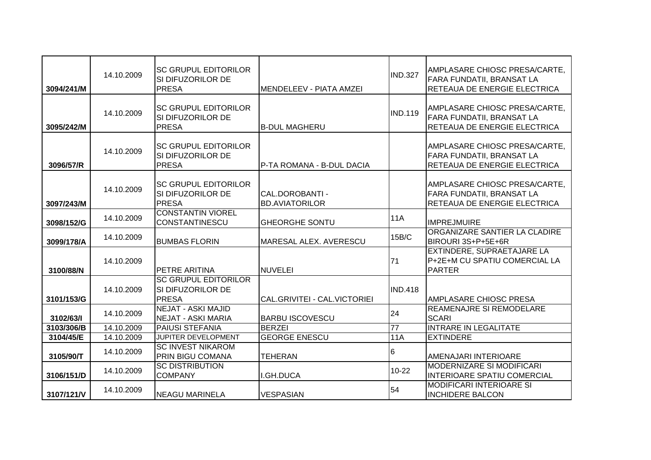| 3094/241/M | 14.10.2009 | <b>ISC GRUPUL EDITORILOR</b><br>SI DIFUZORILOR DE<br><b>PRESA</b> | <b>MENDELEEV - PIATA AMZEI</b>           | <b>IND.327</b>  | AMPLASARE CHIOSC PRESA/CARTE,<br><b>FARA FUNDATII, BRANSAT LA</b><br>RETEAUA DE ENERGIE ELECTRICA |
|------------|------------|-------------------------------------------------------------------|------------------------------------------|-----------------|---------------------------------------------------------------------------------------------------|
| 3095/242/M | 14.10.2009 | <b>ISC GRUPUL EDITORILOR</b><br>SI DIFUZORILOR DE<br><b>PRESA</b> | <b>B-DUL MAGHERU</b>                     | <b>IND.119</b>  | AMPLASARE CHIOSC PRESA/CARTE,<br>FARA FUNDATII, BRANSAT LA<br><b>RETEAUA DE ENERGIE ELECTRICA</b> |
| 3096/57/R  | 14.10.2009 | <b>ISC GRUPUL EDITORILOR</b><br>SI DIFUZORILOR DE<br><b>PRESA</b> | P-TA ROMANA - B-DUL DACIA                |                 | AMPLASARE CHIOSC PRESA/CARTE,<br>FARA FUNDATII, BRANSAT LA<br>RETEAUA DE ENERGIE ELECTRICA        |
| 3097/243/M | 14.10.2009 | <b>SC GRUPUL EDITORILOR</b><br>ISI DIFUZORILOR DE<br><b>PRESA</b> | CAL.DOROBANTI -<br><b>BD.AVIATORILOR</b> |                 | AMPLASARE CHIOSC PRESA/CARTE,<br><b>FARA FUNDATII, BRANSAT LA</b><br>RETEAUA DE ENERGIE ELECTRICA |
| 3098/152/G | 14.10.2009 | <b>CONSTANTIN VIOREL</b><br><b>CONSTANTINESCU</b>                 | <b>GHEORGHE SONTU</b>                    | <b>11A</b>      | <b>IMPREJMUIRE</b>                                                                                |
| 3099/178/A | 14.10.2009 | <b>BUMBAS FLORIN</b>                                              | MARESAL ALEX. AVERESCU                   | 15B/C           | ORGANIZARE SANTIER LA CLADIRE<br>BIROURI 3S+P+5E+6R                                               |
| 3100/88/N  | 14.10.2009 | <b>PETRE ARITINA</b>                                              | <b>NUVELEI</b>                           | 71              | EXTINDERE, SUPRAETAJARE LA<br>P+2E+M CU SPATIU COMERCIAL LA<br><b>PARTER</b>                      |
| 3101/153/G | 14.10.2009 | <b>SC GRUPUL EDITORILOR</b><br>SI DIFUZORILOR DE<br><b>PRESA</b>  | CAL.GRIVITEI - CAL.VICTORIEI             | <b>IND.418</b>  | <b>AMPLASARE CHIOSC PRESA</b>                                                                     |
| 3102/63/1  | 14.10.2009 | <b>NEJAT - ASKI MAJID</b><br>NEJAT - ASKI MARIA                   | <b>BARBU ISCOVESCU</b>                   | 24              | REAMENAJRE SI REMODELARE<br><b>SCARI</b>                                                          |
| 3103/306/B | 14.10.2009 | <b>PAIUSI STEFANIA</b>                                            | <b>BERZEI</b>                            | 77              | <b>INTRARE IN LEGALITATE</b>                                                                      |
| 3104/45/E  | 14.10.2009 | JUPITER DEVELOPMENT                                               | <b>GEORGE ENESCU</b>                     | 11A             | <b>EXTINDERE</b>                                                                                  |
| 3105/90/T  | 14.10.2009 | <b>SC INVEST NIKAROM</b><br><b>PRIN BIGU COMANA</b>               | <b>TEHERAN</b>                           | $6\overline{6}$ | AMENAJARI INTERIOARE                                                                              |
| 3106/151/D | 14.10.2009 | <b>SC DISTRIBUTION</b><br><b>COMPANY</b>                          | I.GH.DUCA                                | 10-22           | <b>MODERNIZARE SI MODIFICARI</b><br>INTERIOARE SPATIU COMERCIAL                                   |
| 3107/121/V | 14.10.2009 | INEAGU MARINELA                                                   | <b>VESPASIAN</b>                         | 54              | <b>MODIFICARI INTERIOARE SI</b><br><b>INCHIDERE BALCON</b>                                        |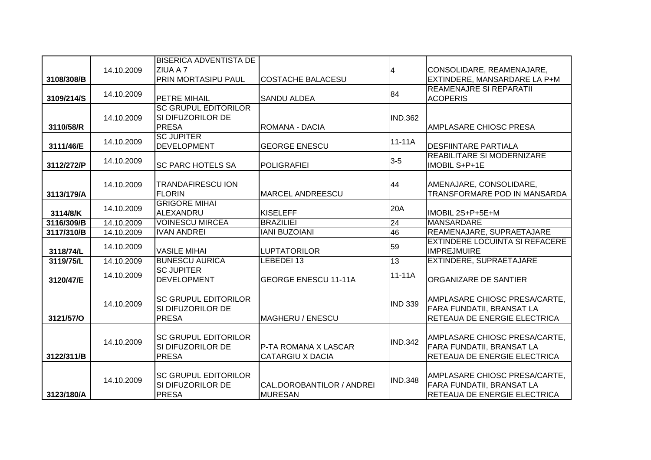|            |            | <b>BISERICA ADVENTISTA DE</b>           |                                             |                    |                                                           |
|------------|------------|-----------------------------------------|---------------------------------------------|--------------------|-----------------------------------------------------------|
|            | 14.10.2009 | ZIUA A 7                                |                                             | $\overline{\bf 4}$ | CONSOLIDARE, REAMENAJARE,                                 |
| 3108/308/B |            | <b>PRIN MORTASIPU PAUL</b>              | <b>COSTACHE BALACESU</b>                    |                    | EXTINDERE, MANSARDARE LA P+M                              |
| 3109/214/S | 14.10.2009 | <b>PETRE MIHAIL</b>                     | <b>SANDU ALDEA</b>                          | 84                 | <b>REAMENAJRE SI REPARATII</b><br><b>ACOPERIS</b>         |
|            |            | <b>SC GRUPUL EDITORILOR</b>             |                                             |                    |                                                           |
|            | 14.10.2009 | SI DIFUZORILOR DE                       |                                             | <b>IND.362</b>     |                                                           |
| 3110/58/R  |            | <b>PRESA</b>                            | ROMANA - DACIA                              |                    | AMPLASARE CHIOSC PRESA                                    |
|            |            | <b>SC JUPITER</b>                       |                                             |                    |                                                           |
| 3111/46/E  | 14.10.2009 | <b>DEVELOPMENT</b>                      | <b>GEORGE ENESCU</b>                        | 11-11A             | <b>DESFIINTARE PARTIALA</b>                               |
|            | 14.10.2009 |                                         |                                             | $3-5$              | <b>REABILITARE SI MODERNIZARE</b>                         |
| 3112/272/P |            | <b>SC PARC HOTELS SA</b>                | <b>POLIGRAFIEI</b>                          |                    | IMOBIL S+P+1E                                             |
|            |            |                                         |                                             |                    |                                                           |
|            | 14.10.2009 | <b>TRANDAFIRESCU ION</b>                |                                             | 44                 | AMENAJARE, CONSOLIDARE,                                   |
| 3113/179/A |            | <b>FLORIN</b><br><b>GRIGORE MIHAI</b>   | <b>MARCEL ANDREESCU</b>                     |                    | TRANSFORMARE POD IN MANSARDA                              |
| 3114/8/K   | 14.10.2009 | ALEXANDRU                               | <b>KISELEFF</b>                             | 20A                | IMOBIL 2S+P+5E+M                                          |
| 3116/309/B | 14.10.2009 | <b>VOINESCU MIRCEA</b>                  | <b>BRAZILIEI</b>                            | 24                 | <b>MANSARDARE</b>                                         |
| 3117/310/B | 14.10.2009 | <b>IVAN ANDREI</b>                      | <b>IANI BUZOIANI</b>                        | 46                 | REAMENAJARE, SUPRAETAJARE                                 |
|            | 14.10.2009 |                                         |                                             | 59                 | <b>EXTINDERE LOCUINTA SI REFACERE</b>                     |
| 3118/74/L  |            | <b>VASILE MIHAI</b>                     | <b>LUPTATORILOR</b>                         |                    | <b>IMPREJMUIRE</b>                                        |
| 3119/75/L  | 14.10.2009 | <b>BUNESCU AURICA</b>                   | LEBEDEI 13                                  | 13                 | EXTINDERE, SUPRAETAJARE                                   |
|            | 14.10.2009 | <b>SC JUPITER</b><br><b>DEVELOPMENT</b> |                                             | $11-11A$           |                                                           |
| 3120/47/E  |            |                                         | <b>GEORGE ENESCU 11-11A</b>                 |                    | <b>ORGANIZARE DE SANTIER</b>                              |
|            |            | <b>SC GRUPUL EDITORILOR</b>             |                                             |                    | AMPLASARE CHIOSC PRESA/CARTE,                             |
|            | 14.10.2009 | SI DIFUZORILOR DE                       |                                             | <b>IND 339</b>     | FARA FUNDATII, BRANSAT LA                                 |
| 3121/57/O  |            | PRESA                                   | MAGHERU / ENESCU                            |                    | RETEAUA DE ENERGIE ELECTRICA                              |
|            |            |                                         |                                             |                    |                                                           |
|            | 14.10.2009 | <b>SC GRUPUL EDITORILOR</b>             |                                             | <b>IND.342</b>     | AMPLASARE CHIOSC PRESA/CARTE,                             |
|            |            |                                         | P-TA ROMANA X LASCAR                        |                    | FARA FUNDATII, BRANSAT LA                                 |
|            |            | SI DIFUZORILOR DE                       |                                             |                    |                                                           |
| 3122/311/B |            | <b>PRESA</b>                            | <b>CATARGIU X DACIA</b>                     |                    | RETEAUA DE ENERGIE ELECTRICA                              |
|            |            |                                         |                                             |                    |                                                           |
|            | 14.10.2009 | <b>SC GRUPUL EDITORILOR</b>             |                                             | <b>IND.348</b>     | AMPLASARE CHIOSC PRESA/CARTE,                             |
| 3123/180/A |            | SI DIFUZORILOR DE<br><b>PRESA</b>       | CAL.DOROBANTILOR / ANDREI<br><b>MURESAN</b> |                    | FARA FUNDATII, BRANSAT LA<br>RETEAUA DE ENERGIE ELECTRICA |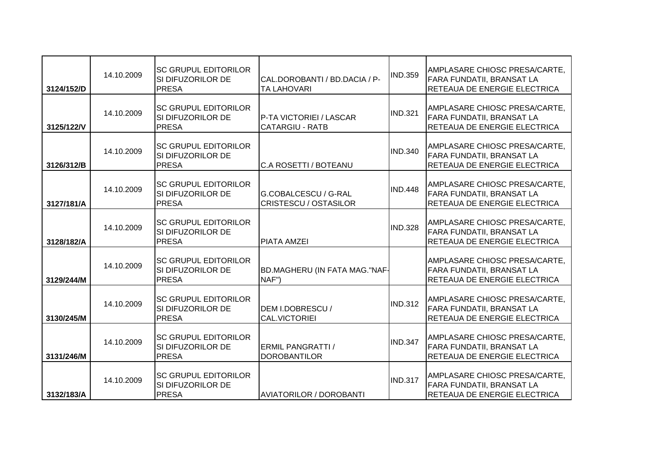| 3124/152/D | 14.10.2009 | <b>ISC GRUPUL EDITORILOR</b><br>SI DIFUZORILOR DE<br><b>PRESA</b>       | CAL.DOROBANTI / BD.DACIA / P-<br><b>TA LAHOVARI</b>       | <b>IND.359</b> | AMPLASARE CHIOSC PRESA/CARTE,<br><b>FARA FUNDATII, BRANSAT LA</b><br>RETEAUA DE ENERGIE ELECTRICA |
|------------|------------|-------------------------------------------------------------------------|-----------------------------------------------------------|----------------|---------------------------------------------------------------------------------------------------|
| 3125/122/V | 14.10.2009 | <b>SC GRUPUL EDITORILOR</b><br>ISI DIFUZORILOR DE<br><b>PRESA</b>       | <b>IP-TA VICTORIEI / LASCAR</b><br><b>CATARGIU - RATB</b> | <b>IND.321</b> | AMPLASARE CHIOSC PRESA/CARTE,<br>FARA FUNDATII, BRANSAT LA<br>RETEAUA DE ENERGIE ELECTRICA        |
| 3126/312/B | 14.10.2009 | <b>SC GRUPUL EDITORILOR</b><br>SI DIFUZORILOR DE<br><b>PRESA</b>        | C.A ROSETTI / BOTEANU                                     | <b>IND.340</b> | AMPLASARE CHIOSC PRESA/CARTE,<br>FARA FUNDATII, BRANSAT LA<br>RETEAUA DE ENERGIE ELECTRICA        |
| 3127/181/A | 14.10.2009 | <b>SC GRUPUL EDITORILOR</b><br>SI DIFUZORILOR DE<br><b>PRESA</b>        | G.COBALCESCU / G-RAL<br><b>CRISTESCU / OSTASILOR</b>      | <b>IND.448</b> | AMPLASARE CHIOSC PRESA/CARTE,<br>FARA FUNDATII, BRANSAT LA<br>RETEAUA DE ENERGIE ELECTRICA        |
| 3128/182/A | 14.10.2009 | <b>SC GRUPUL EDITORILOR</b><br>ISI DIFUZORILOR DE<br><b>PRESA</b>       | <b>PIATA AMZEI</b>                                        | <b>IND.328</b> | AMPLASARE CHIOSC PRESA/CARTE,<br>FARA FUNDATII, BRANSAT LA<br>RETEAUA DE ENERGIE ELECTRICA        |
| 3129/244/M | 14.10.2009 | <b>SC GRUPUL EDITORILOR</b><br>SI DIFUZORILOR DE<br><b>PRESA</b>        | BD.MAGHERU (IN FATA MAG."NAF-<br>NAF")                    |                | AMPLASARE CHIOSC PRESA/CARTE,<br>FARA FUNDATII, BRANSAT LA<br>RETEAUA DE ENERGIE ELECTRICA        |
| 3130/245/M | 14.10.2009 | <b>SC GRUPUL EDITORILOR</b><br>SI DIFUZORILOR DE<br><b>PRESA</b>        | DEM I.DOBRESCU /<br><b>CAL.VICTORIEI</b>                  | <b>IND.312</b> | AMPLASARE CHIOSC PRESA/CARTE,<br>FARA FUNDATII, BRANSAT LA<br>RETEAUA DE ENERGIE ELECTRICA        |
| 3131/246/M | 14.10.2009 | <b>SC GRUPUL EDITORILOR</b><br><b>SI DIFUZORILOR DE</b><br><b>PRESA</b> | <b>ERMIL PANGRATTI /</b><br><b>DOROBANTILOR</b>           | IND.347        | AMPLASARE CHIOSC PRESA/CARTE,<br>FARA FUNDATII, BRANSAT LA<br>RETEAUA DE ENERGIE ELECTRICA        |
| 3132/183/A | 14.10.2009 | <b>ISC GRUPUL EDITORILOR</b><br>SI DIFUZORILOR DE<br><b>PRESA</b>       | AVIATORILOR / DOROBANTI                                   | <b>IND.317</b> | AMPLASARE CHIOSC PRESA/CARTE,<br>FARA FUNDATII, BRANSAT LA<br>RETEAUA DE ENERGIE ELECTRICA        |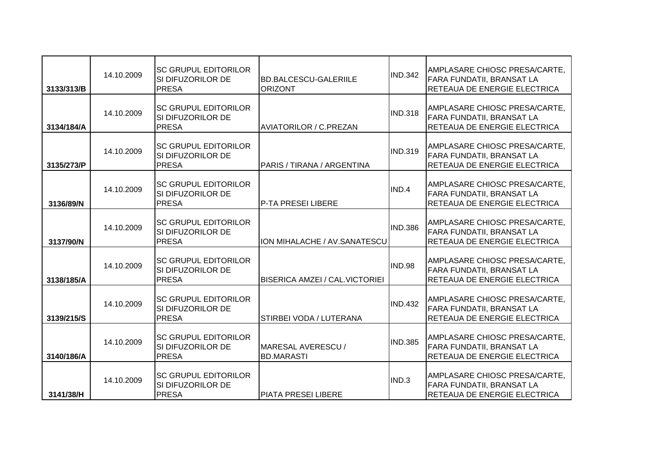| 3133/313/B | 14.10.2009 | <b>ISC GRUPUL EDITORILOR</b><br>SI DIFUZORILOR DE<br><b>PRESA</b> | <b>BD.BALCESCU-GALERIILE</b><br><b>ORIZONT</b> | <b>IND.342</b> | AMPLASARE CHIOSC PRESA/CARTE,<br><b>FARA FUNDATII, BRANSAT LA</b><br>RETEAUA DE ENERGIE ELECTRICA |
|------------|------------|-------------------------------------------------------------------|------------------------------------------------|----------------|---------------------------------------------------------------------------------------------------|
| 3134/184/A | 14.10.2009 | <b>SC GRUPUL EDITORILOR</b><br>SI DIFUZORILOR DE<br><b>PRESA</b>  | <b>AVIATORILOR / C.PREZAN</b>                  | <b>IND.318</b> | AMPLASARE CHIOSC PRESA/CARTE,<br>FARA FUNDATII, BRANSAT LA<br>RETEAUA DE ENERGIE ELECTRICA        |
| 3135/273/P | 14.10.2009 | <b>SC GRUPUL EDITORILOR</b><br>SI DIFUZORILOR DE<br><b>PRESA</b>  | PARIS / TIRANA / ARGENTINA                     | <b>IND.319</b> | AMPLASARE CHIOSC PRESA/CARTE,<br><b>FARA FUNDATII, BRANSAT LA</b><br>RETEAUA DE ENERGIE ELECTRICA |
| 3136/89/N  | 14.10.2009 | <b>SC GRUPUL EDITORILOR</b><br>SI DIFUZORILOR DE<br><b>PRESA</b>  | <b>P-TA PRESEI LIBERE</b>                      | IND.4          | AMPLASARE CHIOSC PRESA/CARTE,<br>FARA FUNDATII, BRANSAT LA<br>RETEAUA DE ENERGIE ELECTRICA        |
| 3137/90/N  | 14.10.2009 | <b>SC GRUPUL EDITORILOR</b><br>SI DIFUZORILOR DE<br><b>PRESA</b>  | ION MIHALACHE / AV.SANATESCU                   | <b>IND.386</b> | AMPLASARE CHIOSC PRESA/CARTE,<br>FARA FUNDATII, BRANSAT LA<br>RETEAUA DE ENERGIE ELECTRICA        |
| 3138/185/A | 14.10.2009 | <b>SC GRUPUL EDITORILOR</b><br>SI DIFUZORILOR DE<br><b>PRESA</b>  | <b>BISERICA AMZEI / CAL. VICTORIEI</b>         | <b>IND.98</b>  | AMPLASARE CHIOSC PRESA/CARTE,<br><b>FARA FUNDATII, BRANSAT LA</b><br>RETEAUA DE ENERGIE ELECTRICA |
| 3139/215/S | 14.10.2009 | <b>SC GRUPUL EDITORILOR</b><br>SI DIFUZORILOR DE<br><b>PRESA</b>  | STIRBEI VODA / LUTERANA                        | <b>IND.432</b> | AMPLASARE CHIOSC PRESA/CARTE,<br>FARA FUNDATII, BRANSAT LA<br>RETEAUA DE ENERGIE ELECTRICA        |
| 3140/186/A | 14.10.2009 | <b>SC GRUPUL EDITORILOR</b><br>SI DIFUZORILOR DE<br><b>PRESA</b>  | MARESAL AVERESCU /<br><b>BD.MARASTI</b>        | <b>IND.385</b> | AMPLASARE CHIOSC PRESA/CARTE,<br><b>FARA FUNDATII, BRANSAT LA</b><br>RETEAUA DE ENERGIE ELECTRICA |
| 3141/38/H  | 14.10.2009 | <b>SC GRUPUL EDITORILOR</b><br>SI DIFUZORILOR DE<br><b>PRESA</b>  | <b>PIATA PRESEI LIBERE</b>                     | IND.3          | AMPLASARE CHIOSC PRESA/CARTE,<br>FARA FUNDATII, BRANSAT LA<br>RETEAUA DE ENERGIE ELECTRICA        |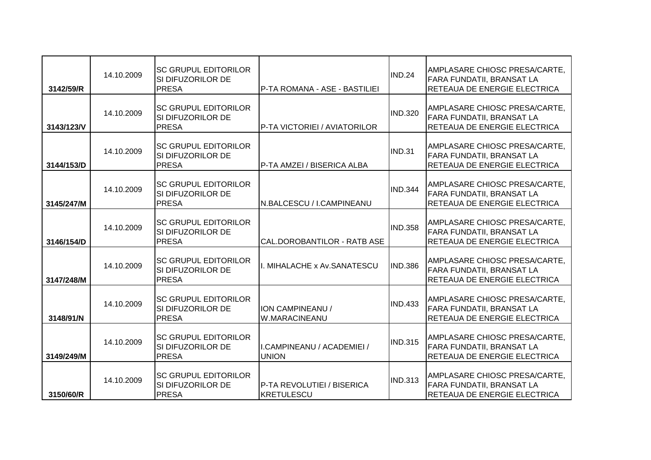| 3142/59/R  | 14.10.2009 | ISC GRUPUL EDITORILOR<br>SI DIFUZORILOR DE<br><b>PRESA</b>        | P-TA ROMANA - ASE - BASTILIEI              | <b>IND.24</b>  | AMPLASARE CHIOSC PRESA/CARTE,<br><b>FARA FUNDATII, BRANSAT LA</b><br>RETEAUA DE ENERGIE ELECTRICA |
|------------|------------|-------------------------------------------------------------------|--------------------------------------------|----------------|---------------------------------------------------------------------------------------------------|
| 3143/123/V | 14.10.2009 | ISC GRUPUL EDITORILOR<br>ISI DIFUZORILOR DE<br><b>PRESA</b>       | P-TA VICTORIEI / AVIATORILOR               | <b>IND.320</b> | AMPLASARE CHIOSC PRESA/CARTE,<br>FARA FUNDATII, BRANSAT LA<br>RETEAUA DE ENERGIE ELECTRICA        |
| 3144/153/D | 14.10.2009 | <b>SC GRUPUL EDITORILOR</b><br>SI DIFUZORILOR DE<br><b>PRESA</b>  | P-TA AMZEI / BISERICA ALBA                 | <b>IND.31</b>  | AMPLASARE CHIOSC PRESA/CARTE,<br><b>FARA FUNDATII, BRANSAT LA</b><br>RETEAUA DE ENERGIE ELECTRICA |
| 3145/247/M | 14.10.2009 | <b>SC GRUPUL EDITORILOR</b><br>SI DIFUZORILOR DE<br><b>PRESA</b>  | N.BALCESCU / I.CAMPINEANU                  | <b>IND.344</b> | AMPLASARE CHIOSC PRESA/CARTE,<br>FARA FUNDATII, BRANSAT LA<br>RETEAUA DE ENERGIE ELECTRICA        |
| 3146/154/D | 14.10.2009 | <b>ISC GRUPUL EDITORILOR</b><br>SI DIFUZORILOR DE<br><b>PRESA</b> | CAL.DOROBANTILOR - RATB ASE                | <b>IND.358</b> | AMPLASARE CHIOSC PRESA/CARTE,<br>FARA FUNDATII, BRANSAT LA<br>RETEAUA DE ENERGIE ELECTRICA        |
| 3147/248/M | 14.10.2009 | lsc grupul editorilor<br>ISI DIFUZORILOR DE<br><b>PRESA</b>       | I. MIHALACHE x Av.SANATESCU                | <b>IND.386</b> | AMPLASARE CHIOSC PRESA/CARTE,<br><b>FARA FUNDATII, BRANSAT LA</b><br>RETEAUA DE ENERGIE ELECTRICA |
| 3148/91/N  | 14.10.2009 | <b>ISC GRUPUL EDITORILOR</b><br>SI DIFUZORILOR DE<br><b>PRESA</b> | ION CAMPINEANU /<br>W.MARACINEANU          | <b>IND.433</b> | AMPLASARE CHIOSC PRESA/CARTE,<br>FARA FUNDATII, BRANSAT LA<br>RETEAUA DE ENERGIE ELECTRICA        |
| 3149/249/M | 14.10.2009 | <b>ISC GRUPUL EDITORILOR</b><br>SI DIFUZORILOR DE<br><b>PRESA</b> | I.CAMPINEANU / ACADEMIEI /<br><b>UNION</b> | <b>IND.315</b> | AMPLASARE CHIOSC PRESA/CARTE,<br>FARA FUNDATII, BRANSAT LA<br>RETEAUA DE ENERGIE ELECTRICA        |
| 3150/60/R  | 14.10.2009 | <b>ISC GRUPUL EDITORILOR</b><br>SI DIFUZORILOR DE<br><b>PRESA</b> | P-TA REVOLUTIEI / BISERICA<br>KRETULESCU   | <b>IND.313</b> | AMPLASARE CHIOSC PRESA/CARTE,<br>FARA FUNDATII, BRANSAT LA<br><b>RETEAUA DE ENERGIE ELECTRICA</b> |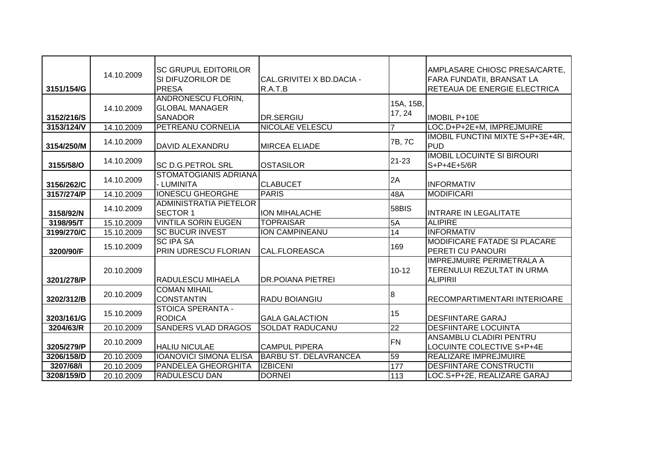|            | 14.10.2009 | <b>ISC GRUPUL EDITORILOR</b><br>ISI DIFUZORILOR DE | CAL.GRIVITEI X BD.DACIA -    |                | AMPLASARE CHIOSC PRESA/CARTE,<br><b>FARA FUNDATII, BRANSAT LA</b> |
|------------|------------|----------------------------------------------------|------------------------------|----------------|-------------------------------------------------------------------|
| 3151/154/G |            | <b>PRESA</b>                                       | R.A.T.B                      |                | RETEAUA DE ENERGIE ELECTRICA                                      |
|            |            | ANDRONESCU FLORIN,                                 |                              | 15A, 15B,      |                                                                   |
|            | 14.10.2009 | <b>GLOBAL MANAGER</b>                              |                              | 17, 24         |                                                                   |
| 3152/216/S |            | <b>SANADOR</b>                                     | DR.SERGIU                    |                | <b>IMOBIL P+10E</b>                                               |
| 3153/124/V | 14.10.2009 | <b>PETREANU CORNELIA</b>                           | <b>NICOLAE VELESCU</b>       | $\overline{7}$ | LOC.D+P+2E+M, IMPREJMUIRE                                         |
| 3154/250/M | 14.10.2009 | DAVID ALEXANDRU                                    | <b>MIRCEA ELIADE</b>         | 7B, 7C         | IMOBIL FUNCTINI MIXTE S+P+3E+4R,<br>PUD                           |
| 3155/58/O  | 14.10.2009 | <b>SC D.G.PETROL SRL</b>                           | <b>OSTASILOR</b>             | $21 - 23$      | <b>IMOBIL LOCUINTE SI BIROURI</b><br>$S+P+4E+5/6R$                |
|            |            | <b>STOMATOGIANIS ADRIANA</b>                       |                              |                |                                                                   |
| 3156/262/C | 14.10.2009 | - LUMINITA                                         | <b>CLABUCET</b>              | 2A             | <b>INFORMATIV</b>                                                 |
| 3157/274/P | 14.10.2009 | <b>IONESCU GHEORGHE</b>                            | <b>PARIS</b>                 | 48A            | <b>MODIFICARI</b>                                                 |
|            | 14.10.2009 | <b>ADMINISTRATIA PIETELOR</b>                      |                              | 58BIS          |                                                                   |
| 3158/92/N  |            | <b>SECTOR 1</b>                                    | <b>ION MIHALACHE</b>         |                | <b>INTRARE IN LEGALITATE</b>                                      |
| 3198/95/T  | 15.10.2009 | <b>VINTILA SORIN EUGEN</b>                         | <b>TOPRAISAR</b>             | 5A             | <b>ALIPIRE</b>                                                    |
| 3199/270/C | 15.10.2009 | <b>SC BUCUR INVEST</b>                             | ION CAMPINEANU               | 14             | <b>INFORMATIV</b>                                                 |
|            | 15.10.2009 | <b>SC IPA SA</b>                                   |                              | 169            | <b>MODIFICARE FATADE SI PLACARE</b>                               |
| 3200/90/F  |            | <b>PRIN UDRESCU FLORIAN</b>                        | <b>CAL.FLOREASCA</b>         |                | <b>PERETI CU PANOURI</b>                                          |
|            |            |                                                    |                              |                | <b>IMPREJMUIRE PERIMETRALA A</b>                                  |
|            | 20.10.2009 |                                                    |                              | $10 - 12$      | TERENULUI REZULTAT IN URMA                                        |
| 3201/278/P |            | <b>RADULESCU MIHAELA</b>                           | <b>DR.POIANA PIETREI</b>     |                | <b>ALIPIRII</b>                                                   |
|            | 20.10.2009 | <b>COMAN MIHAIL</b><br><b>CONSTANTIN</b>           |                              | 8              |                                                                   |
| 3202/312/B |            | STOICA SPERANTA -                                  | RADU BOIANGIU                |                | <b>RECOMPARTIMENTARI INTERIOARE</b>                               |
| 3203/161/G | 15.10.2009 | <b>RODICA</b>                                      | <b>GALA GALACTION</b>        | 15             | <b>DESFIINTARE GARAJ</b>                                          |
| 3204/63/R  | 20.10.2009 | <b>SANDERS VLAD DRAGOS</b>                         | <b>SOLDAT RADUCANU</b>       | 22             | <b>DESFIINTARE LOCUINTA</b>                                       |
|            |            |                                                    |                              |                | ANSAMBLU CLADIRI PENTRU                                           |
| 3205/279/P | 20.10.2009 | <b>HALIU NICULAE</b>                               | <b>CAMPUL PIPERA</b>         | FN             | LOCUINTE COLECTIVE S+P+4E                                         |
| 3206/158/D | 20.10.2009 | <b>IOANOVICI SIMONA ELISA</b>                      | <b>BARBU ST. DELAVRANCEA</b> | 59             | REALIZARE IMPREJMUIRE                                             |
| 3207/68/1  | 20.10.2009 | <b>PANDELEA GHEORGHITA</b>                         | <b>IZBICENI</b>              | 177            | <b>DESFIINTARE CONSTRUCTII</b>                                    |
| 3208/159/D | 20.10.2009 | <b>RADULESCU DAN</b>                               | <b>DORNEI</b>                | 113            | LOC.S+P+2E, REALIZARE GARAJ                                       |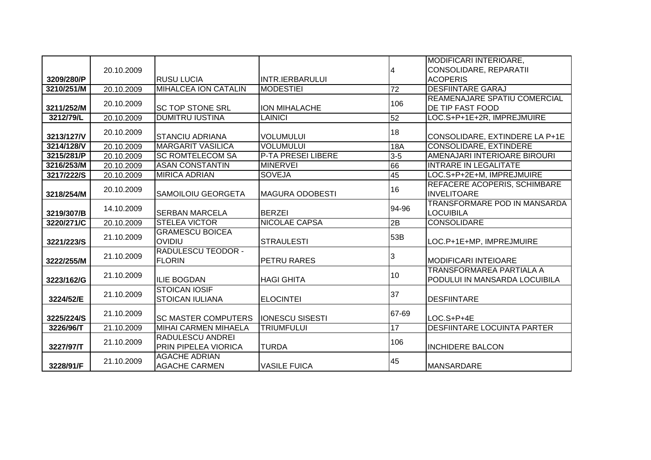|            |            |                             |                           |                 | <b>MODIFICARI INTERIOARE,</b>        |
|------------|------------|-----------------------------|---------------------------|-----------------|--------------------------------------|
|            | 20.10.2009 |                             |                           | 4               | CONSOLIDARE, REPARATII               |
| 3209/280/P |            | <b>RUSU LUCIA</b>           | <b>INTR.IERBARULUI</b>    |                 | <b>ACOPERIS</b>                      |
| 3210/251/M | 20.10.2009 | <b>MIHALCEA ION CATALIN</b> | <b>MODESTIEI</b>          | $\overline{72}$ | <b>DESFIINTARE GARAJ</b>             |
|            | 20.10.2009 |                             |                           | 106             | <b>REAMENAJARE SPATIU COMERCIAL</b>  |
| 3211/252/M |            | <b>SC TOP STONE SRL</b>     | <b>ION MIHALACHE</b>      |                 | <b>DE TIP FAST FOOD</b>              |
| 3212/79/L  | 20.10.2009 | <b>DUMITRU IUSTINA</b>      | <b>LAINICI</b>            | 52              | LOC.S+P+1E+2R, IMPREJMUIRE           |
|            | 20.10.2009 |                             |                           | 18              |                                      |
| 3213/127/V |            | <b>STANCIU ADRIANA</b>      | <b>VOLUMULUI</b>          |                 | CONSOLIDARE, EXTINDERE LA P+1E       |
| 3214/128/V | 20.10.2009 | <b>MARGARIT VASILICA</b>    | <b>VOLUMULUI</b>          | <b>18A</b>      | <b>CONSOLIDARE, EXTINDERE</b>        |
| 3215/281/P | 20.10.2009 | <b>SC ROMTELECOM SA</b>     | <b>P-TA PRESEI LIBERE</b> | $3 - 5$         | AMENAJARI INTERIOARE BIROURI         |
| 3216/253/M | 20.10.2009 | <b>ASAN CONSTANTIN</b>      | <b>MINERVEI</b>           | 66              | <b>INTRARE IN LEGALITATE</b>         |
| 3217/222/S | 20.10.2009 | <b>MIRICA ADRIAN</b>        | <b>SOVEJA</b>             | 45              | LOC.S+P+2E+M, IMPREJMUIRE            |
|            | 20.10.2009 |                             |                           | 16              | REFACERE ACOPERIS, SCHIMBARE         |
| 3218/254/M |            | SAMOILOIU GEORGETA          | IMAGURA ODOBESTI          |                 | <b>INVELITOARE</b>                   |
|            | 14.10.2009 |                             |                           | 94-96           | TRANSFORMARE POD IN MANSARDA         |
| 3219/307/B |            | <b>SERBAN MARCELA</b>       | <b>BERZEI</b>             |                 | <b>LOCUIBILA</b>                     |
| 3220/271/C | 20.10.2009 | <b>STELEA VICTOR</b>        | <b>NICOLAE CAPSA</b>      | 2B              | <b>CONSOLIDARE</b>                   |
|            | 21.10.2009 | <b>GRAMESCU BOICEA</b>      |                           | 53B             |                                      |
| 3221/223/S |            | <b>OVIDIU</b>               | <b>STRAULESTI</b>         |                 | LOC.P+1E+MP, IMPREJMUIRE             |
|            | 21.10.2009 | <b>RADULESCU TEODOR -</b>   |                           | 3               |                                      |
| 3222/255/M |            | <b>FLORIN</b>               | PETRU RARES               |                 | <b>MODIFICARI INTEIOARE</b>          |
|            | 21.10.2009 |                             |                           | 10              | <b>TRANSFORMAREA PARTIALA A</b>      |
| 3223/162/G |            | <b>ILIE BOGDAN</b>          | <b>HAGI GHITA</b>         |                 | <b>PODULUI IN MANSARDA LOCUIBILA</b> |
|            | 21.10.2009 | <b>STOICAN IOSIF</b>        |                           | 37              |                                      |
| 3224/52/E  |            | <b>STOICAN IULIANA</b>      | <b>ELOCINTEI</b>          |                 | <b>DESFIINTARE</b>                   |
|            | 21.10.2009 |                             |                           | 67-69           |                                      |
| 3225/224/S |            | <b>SC MASTER COMPUTERS</b>  | <b>IONESCU SISESTI</b>    |                 | LOC.S+P+4E                           |
| 3226/96/T  | 21.10.2009 | <b>MIHAI CARMEN MIHAELA</b> | <b>TRIUMFULUI</b>         | 17              | <b>DESFIINTARE LOCUINTA PARTER</b>   |
|            | 21.10.2009 | <b>RADULESCU ANDREI</b>     |                           | 106             |                                      |
| 3227/97/T  |            | PRIN PIPELEA VIORICA        | <b>TURDA</b>              |                 | <b>INCHIDERE BALCON</b>              |
|            | 21.10.2009 | <b>AGACHE ADRIAN</b>        |                           | 45              |                                      |
| 3228/91/F  |            | <b>AGACHE CARMEN</b>        | <b>VASILE FUICA</b>       |                 | <b>MANSARDARE</b>                    |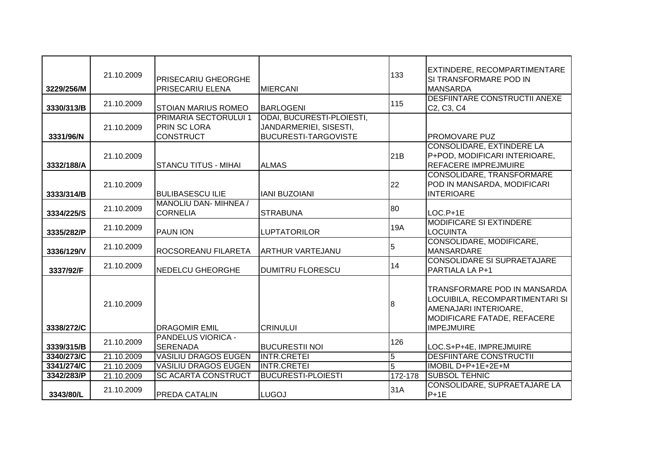| 3229/256/M | 21.10.2009 | <b>PRISECARIU GHEORGHE</b><br><b>PRISECARIU ELENA</b>                   | <b>MIERCANI</b>                                                                           | 133            | EXTINDERE, RECOMPARTIMENTARE<br>SI TRANSFORMARE POD IN<br><b>MANSARDA</b>                                                                    |
|------------|------------|-------------------------------------------------------------------------|-------------------------------------------------------------------------------------------|----------------|----------------------------------------------------------------------------------------------------------------------------------------------|
| 3330/313/B | 21.10.2009 | <b>STOIAN MARIUS ROMEO</b>                                              | <b>BARLOGENI</b>                                                                          | 115            | <b>DESFIINTARE CONSTRUCTII ANEXE</b><br>C <sub>2</sub> , C <sub>3</sub> , C <sub>4</sub>                                                     |
| 3331/96/N  | 21.10.2009 | <b>PRIMARIA SECTORULUI 1</b><br><b>PRIN SC LORA</b><br><b>CONSTRUCT</b> | <b>ODAI, BUCURESTI-PLOIESTI,</b><br>JANDARMERIEI, SISESTI,<br><b>BUCURESTI-TARGOVISTE</b> |                | <b>PROMOVARE PUZ</b>                                                                                                                         |
| 3332/188/A | 21.10.2009 | <b>STANCU TITUS - MIHAI</b>                                             | <b>ALMAS</b>                                                                              | 21B            | <b>CONSOLIDARE, EXTINDERE LA</b><br>P+POD, MODIFICARI INTERIOARE,<br><b>REFACERE IMPREJMUIRE</b>                                             |
| 3333/314/B | 21.10.2009 | <b>BULIBASESCU ILIE</b>                                                 | <b>IANI BUZOIANI</b>                                                                      | 22             | <b>CONSOLIDARE, TRANSFORMARE</b><br>POD IN MANSARDA, MODIFICARI<br><b>INTERIOARE</b>                                                         |
| 3334/225/S | 21.10.2009 | MANOLIU DAN- MIHNEA /<br><b>CORNELIA</b>                                | <b>STRABUNA</b>                                                                           | 80             | $LOC.P+1E$                                                                                                                                   |
| 3335/282/P | 21.10.2009 | <b>PAUN ION</b>                                                         | <b>LUPTATORILOR</b>                                                                       | 19A            | <b>MODIFICARE SI EXTINDERE</b><br><b>LOCUINTA</b>                                                                                            |
| 3336/129/V | 21.10.2009 | <b>ROCSOREANU FILARETA</b>                                              | <b>ARTHUR VARTEJANU</b>                                                                   | 5              | CONSOLIDARE, MODIFICARE,<br><b>MANSARDARE</b>                                                                                                |
| 3337/92/F  | 21.10.2009 | <b>NEDELCU GHEORGHE</b>                                                 | <b>DUMITRU FLORESCU</b>                                                                   | 14             | <b>CONSOLIDARE SI SUPRAETAJARE</b><br>PARTIALA LA P+1                                                                                        |
| 3338/272/C | 21.10.2009 | <b>DRAGOMIR EMIL</b>                                                    | <b>CRINULUI</b>                                                                           | 8              | TRANSFORMARE POD IN MANSARDA<br>LOCUIBILA, RECOMPARTIMENTARI SI<br>AMENAJARI INTERIOARE,<br>MODIFICARE FATADE, REFACERE<br><b>IMPEJMUIRE</b> |
| 3339/315/B | 21.10.2009 | <b>PANDELUS VIORICA -</b><br><b>SERENADA</b>                            | <b>BUCURESTII NOI</b>                                                                     | 126            | LOC.S+P+4E, IMPREJMUIRE                                                                                                                      |
| 3340/273/C | 21.10.2009 | <b>VASILIU DRAGOS EUGEN</b>                                             | <b>INTR.CRETEI</b>                                                                        | 5              | <b>DESFIINTARE CONSTRUCTII</b>                                                                                                               |
| 3341/274/C | 21.10.2009 | <b>VASILIU DRAGOS EUGEN</b>                                             | <b>INTR.CRETEI</b>                                                                        | $\overline{5}$ | IMOBIL D+P+1E+2E+M                                                                                                                           |
| 3342/283/P | 21.10.2009 | <b>SC ACARTA CONSTRUCT</b>                                              | <b>BUCURESTI-PLOIESTI</b>                                                                 | 172-178        | <b>SUBSOL TEHNIC</b>                                                                                                                         |
| 3343/80/L  | 21.10.2009 | <b>PREDA CATALIN</b>                                                    | <b>LUGOJ</b>                                                                              | 31A            | CONSOLIDARE, SUPRAETAJARE LA<br>$P+1E$                                                                                                       |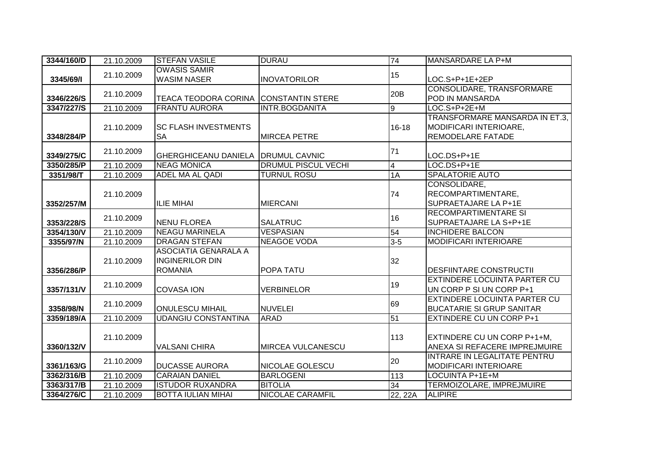| 3344/160/D | 21.10.2009 | <b>STEFAN VASILE</b>                                             | <b>DURAU</b>               | 74                      | MANSARDARE LA P+M                                                                    |
|------------|------------|------------------------------------------------------------------|----------------------------|-------------------------|--------------------------------------------------------------------------------------|
| 3345/69/1  | 21.10.2009 | <b>OWASIS SAMIR</b><br><b>WASIM NASER</b>                        | <b>INOVATORILOR</b>        | 15                      | LOC.S+P+1E+2EP                                                                       |
| 3346/226/S | 21.10.2009 | TEACA TEODORA CORINA CONSTANTIN STERE                            |                            | 20 <sub>B</sub>         | CONSOLIDARE, TRANSFORMARE<br>POD IN MANSARDA                                         |
| 3347/227/S | 21.10.2009 | <b>FRANTU AURORA</b>                                             | <b>INTR.BOGDANITA</b>      | Θ                       | LOC.S+P+2E+M                                                                         |
| 3348/284/P | 21.10.2009 | <b>SC FLASH INVESTMENTS</b><br><b>SA</b>                         | <b>MIRCEA PETRE</b>        | $16 - 18$               | TRANSFORMARE MANSARDA IN ET.3,<br><b>MODIFICARI INTERIOARE,</b><br>REMODELARE FATADE |
| 3349/275/C | 21.10.2009 | <b>GHERGHICEANU DANIELA</b>                                      | <b>DRUMUL CAVNIC</b>       | 71                      | LOC.DS+P+1E                                                                          |
| 3350/285/P | 21.10.2009 | <b>NEAG MONICA</b>                                               | <b>DRUMUL PISCUL VECHI</b> | $\overline{\mathbf{4}}$ | LOC.DS+P+1E                                                                          |
| 3351/98/T  | 21.10.2009 | <b>ADEL MA AL QADI</b>                                           | <b>TURNUL ROSU</b>         | 1A                      | <b>SPALATORIE AUTO</b>                                                               |
| 3352/257/M | 21.10.2009 | <b>IILIE MIHAI</b>                                               | <b>MIERCANI</b>            | 74                      | CONSOLIDARE,<br>RECOMPARTIMENTARE,<br>SUPRAETAJARE LA P+1E                           |
| 3353/228/S | 21.10.2009 | <b>NENU FLOREA</b>                                               | <b>SALATRUC</b>            | 16                      | <b>RECOMPARTIMENTARE SI</b><br>SUPRAETAJARE LA S+P+1E                                |
| 3354/130/V | 21.10.2009 | <b>NEAGU MARINELA</b>                                            | <b>VESPASIAN</b>           | 54                      | <b>INCHIDERE BALCON</b>                                                              |
| 3355/97/N  | 21.10.2009 | <b>DRAGAN STEFAN</b>                                             | <b>NEAGOE VODA</b>         | $3-5$                   | <b>MODIFICARI INTERIOARE</b>                                                         |
| 3356/286/P | 21.10.2009 | ASOCIATIA GENARALA A<br><b>INGINERILOR DIN</b><br><b>ROMANIA</b> | POPA TATU                  | 32                      | <b>DESFIINTARE CONSTRUCTII</b>                                                       |
| 3357/131/V | 21.10.2009 | <b>COVASA ION</b>                                                | <b>VERBINELOR</b>          | 19                      | <b>EXTINDERE LOCUINTA PARTER CU</b><br>UN CORP P SI UN CORP P+1                      |
| 3358/98/N  | 21.10.2009 | <b>ONULESCU MIHAIL</b>                                           | <b>NUVELEI</b>             | 69                      | EXTINDERE LOCUINTA PARTER CU<br><b>BUCATARIE SI GRUP SANITAR</b>                     |
| 3359/189/A | 21.10.2009 | <b>UDANGIU CONSTANTINA</b>                                       | <b>ARAD</b>                | 51                      | <b>EXTINDERE CU UN CORP P+1</b>                                                      |
| 3360/132/V | 21.10.2009 | <b>VALSANI CHIRA</b>                                             | <b>MIRCEA VULCANESCU</b>   | 113                     | EXTINDERE CU UN CORP P+1+M,<br>ANEXA SI REFACERE IMPREJMUIRE                         |
| 3361/163/G | 21.10.2009 | <b>DUCASSE AURORA</b>                                            | NICOLAE GOLESCU            | 20                      | <b>INTRARE IN LEGALITATE PENTRU</b><br><b>MODIFICARI INTERIOARE</b>                  |
| 3362/316/B | 21.10.2009 | <b>CARAIAN DANIEL</b>                                            | <b>BARLOGENI</b>           | 113                     | <b>LOCUINTA P+1E+M</b>                                                               |
| 3363/317/B | 21.10.2009 | <b>ISTUDOR RUXANDRA</b>                                          | <b>BITOLIA</b>             | 34                      | TERMOIZOLARE, IMPREJMUIRE                                                            |
| 3364/276/C | 21.10.2009 | <b>BOTTA IULIAN MIHAI</b>                                        | <b>NICOLAE CARAMFIL</b>    | 22, 22A                 | <b>ALIPIRE</b>                                                                       |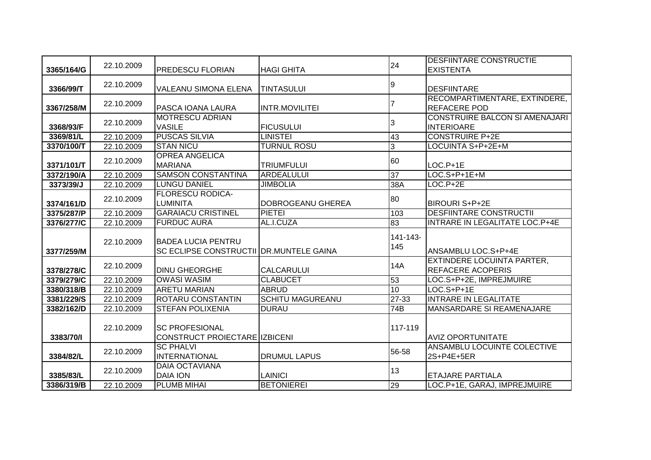| 3365/164/G | 22.10.2009 | <b>PREDESCU FLORIAN</b>                                              | <b>HAGI GHITA</b>       | 24              | <b>DESFIINTARE CONSTRUCTIE</b><br><b>EXISTENTA</b>         |
|------------|------------|----------------------------------------------------------------------|-------------------------|-----------------|------------------------------------------------------------|
|            |            |                                                                      |                         |                 |                                                            |
| 3366/99/T  | 22.10.2009 | VALEANU SIMONA ELENA                                                 | <b>TINTASULUI</b>       | 9               | <b>DESFIINTARE</b>                                         |
| 3367/258/M | 22.10.2009 | PASCA IOANA LAURA                                                    | <b>INTR.MOVILITEI</b>   |                 | RECOMPARTIMENTARE, EXTINDERE,<br><b>REFACERE POD</b>       |
| 3368/93/F  | 22.10.2009 | <b>MOTRESCU ADRIAN</b><br><b>VASILE</b>                              | <b>FICUSULUI</b>        | 3               | <b>CONSTRUIRE BALCON SI AMENAJARI</b><br><b>INTERIOARE</b> |
| 3369/81/L  | 22.10.2009 | <b>PUSCAS SILVIA</b>                                                 | <b>LINISTEI</b>         | 43              | <b>CONSTRUIRE P+2E</b>                                     |
| 3370/100/T | 22.10.2009 | <b>STAN NICU</b>                                                     | <b>TURNUL ROSU</b>      | 3               | LOCUINTA S+P+2E+M                                          |
| 3371/101/T | 22.10.2009 | <b>OPREA ANGELICA</b><br><b>MARIANA</b>                              | <b>TRIUMFULUI</b>       | 60              | $LOC.P+1E$                                                 |
| 3372/190/A | 22.10.2009 | <b>SAMSON CONSTANTINA</b>                                            | <b>ARDEALULUI</b>       | 37              | $LOC.S+P+1E+M$                                             |
| 3373/39/J  | 22.10.2009 | <b>LUNGU DANIEL</b>                                                  | <b>JIMBOLIA</b>         | 38A             | $LOC.P+2E$                                                 |
| 3374/161/D | 22.10.2009 | <b>FLORESCU RODICA-</b><br><b>LUMINITA</b>                           | DOBROGEANU GHEREA       | 80              | <b>BIROURI S+P+2E</b>                                      |
| 3375/287/P | 22.10.2009 | <b>GARAIACU CRISTINEL</b>                                            | <b>PIETEI</b>           | 103             | <b>DESFIINTARE CONSTRUCTII</b>                             |
| 3376/277/C | 22.10.2009 | <b>FURDUC AURA</b>                                                   | AL.I.CUZA               | $\overline{83}$ | INTRARE IN LEGALITATE LOC.P+4E                             |
| 3377/259/M | 22.10.2009 | <b>BADEA LUCIA PENTRU</b><br>SC ECLIPSE CONSTRUCTII DR.MUNTELE GAINA |                         | 141-143-<br>145 | ANSAMBLU LOC.S+P+4E                                        |
| 3378/278/C | 22.10.2009 | <b>DINU GHEORGHE</b>                                                 | <b>CALCARULUI</b>       | 14A             | EXTINDERE LOCUINTA PARTER,<br><b>REFACERE ACOPERIS</b>     |
| 3379/279/C | 22.10.2009 | <b>OWASI WASIM</b>                                                   | <b>CLABUCET</b>         | 53              | LOC.S+P+2E, IMPREJMUIRE                                    |
| 3380/318/B | 22.10.2009 | <b>ARETU MARIAN</b>                                                  | <b>ABRUD</b>            | 10              | $LOC.S+P+1E$                                               |
| 3381/229/S | 22.10.2009 | <b>ROTARU CONSTANTIN</b>                                             | <b>SCHITU MAGUREANU</b> | 27-33           | <b>INTRARE IN LEGALITATE</b>                               |
| 3382/162/D | 22.10.2009 | <b>STEFAN POLIXENIA</b>                                              | <b>DURAU</b>            | 74B             | MANSARDARE SI REAMENAJARE                                  |
| 3383/70/1  | 22.10.2009 | ISC PROFESIONAL<br>CONSTRUCT PROIECTARE IZBICENI                     |                         | 117-119         | <b>AVIZ OPORTUNITATE</b>                                   |
| 3384/82/L  | 22.10.2009 | <b>SC PHALVI</b><br><b>INTERNATIONAL</b>                             | <b>DRUMUL LAPUS</b>     | 56-58           | ANSAMBLU LOCUINTE COLECTIVE<br>2S+P4E+5ER                  |
| 3385/83/L  | 22.10.2009 | <b>DAIA OCTAVIANA</b><br><b>DAIA ION</b>                             | <b>LAINICI</b>          | 13              | <b>ETAJARE PARTIALA</b>                                    |
| 3386/319/B | 22.10.2009 | <b>PLUMB MIHAI</b>                                                   | <b>BETONIEREI</b>       | 29              | LOC.P+1E, GARAJ, IMPREJMUIRE                               |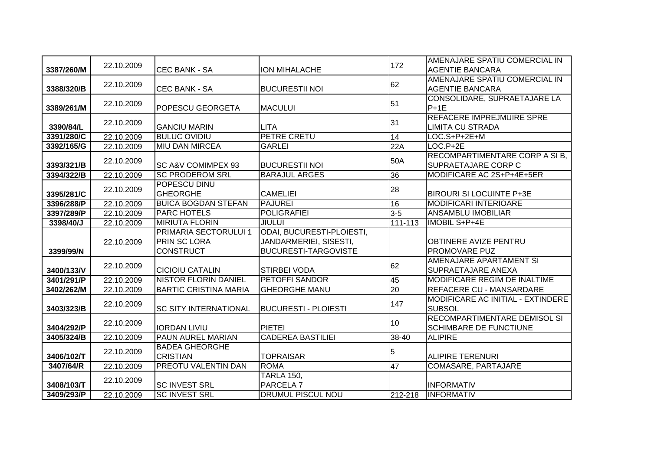| 3387/260/M               | 22.10.2009               | <b>CEC BANK - SA</b>                                             | <b>ION MIHALACHE</b>                                                               | 172     | AMENAJARE SPATIU COMERCIAL IN<br><b>AGENTIE BANCARA</b>       |
|--------------------------|--------------------------|------------------------------------------------------------------|------------------------------------------------------------------------------------|---------|---------------------------------------------------------------|
|                          |                          |                                                                  |                                                                                    | 62      | AMENAJARE SPATIU COMERCIAL IN                                 |
| 3388/320/B               | 22.10.2009               | <b>CEC BANK - SA</b>                                             | <b>BUCURESTII NOI</b>                                                              |         | <b>AGENTIE BANCARA</b>                                        |
| 3389/261/M               | 22.10.2009               | <b>POPESCU GEORGETA</b>                                          | <b>MACULUI</b>                                                                     | 51      | CONSOLIDARE, SUPRAETAJARE LA<br>$P+1E$                        |
| 3390/84/L                | 22.10.2009               | <b>GANCIU MARIN</b>                                              | <b>LITA</b>                                                                        | 31      | <b>REFACERE IMPREJMUIRE SPRE</b><br><b>LIMITA CU STRADA</b>   |
| 3391/280/C               | 22.10.2009               | <b>BULUC OVIDIU</b>                                              | <b>PETRE CRETU</b>                                                                 | 14      | LOC.S+P+2E+M                                                  |
| 3392/165/G               | 22.10.2009               | <b>MIU DAN MIRCEA</b>                                            | <b>GARLEI</b>                                                                      | 22A     | $LOC.P+2E$                                                    |
| 3393/321/B               | 22.10.2009               | <b>SC A&amp;V COMIMPEX 93</b>                                    | <b>BUCURESTII NOI</b>                                                              | 50A     | RECOMPARTIMENTARE CORP A SI B,<br><b>SUPRAETAJARE CORP C</b>  |
| 3394/322/B               | 22.10.2009               | <b>SC PRODEROM SRL</b>                                           | <b>BARAJUL ARGES</b>                                                               | 36      | MODIFICARE AC 2S+P+4E+5ER                                     |
| 3395/281/C               | 22.10.2009               | POPESCU DINU<br><b>GHEORGHE</b>                                  | <b>CAMELIEI</b>                                                                    | 28      | <b>BIROURI SI LOCUINTE P+3E</b>                               |
| 3396/288/P               | 22.10.2009               | <b>BUICA BOGDAN STEFAN</b>                                       | <b>PAJUREI</b>                                                                     | 16      | <b>MODIFICARI INTERIOARE</b>                                  |
| 3397/289/P               | 22.10.2009               | <b>PARC HOTELS</b>                                               | <b>POLIGRAFIEI</b>                                                                 | $3 - 5$ | <b>ANSAMBLU IMOBILIAR</b>                                     |
| 3398/40/J                | 22.10.2009               | <b>MIRIUTA FLORIN</b>                                            | <b>JIULUI</b>                                                                      | 111-113 | <b>IMOBIL S+P+4E</b>                                          |
|                          |                          |                                                                  |                                                                                    |         |                                                               |
| 3399/99/N                | 22.10.2009               | PRIMARIA SECTORULUI 1<br><b>PRIN SC LORA</b><br><b>CONSTRUCT</b> | ODAI, BUCURESTI-PLOIESTI,<br>JANDARMERIEI, SISESTI,<br><b>BUCURESTI-TARGOVISTE</b> |         | <b>OBTINERE AVIZE PENTRU</b><br><b>PROMOVARE PUZ</b>          |
| 3400/133/V               | 22.10.2009               | <b>CICIOIU CATALIN</b>                                           | <b>STIRBEI VODA</b>                                                                | 62      | AMENAJARE APARTAMENT SI<br><b>SUPRAETAJARE ANEXA</b>          |
| 3401/291/P               | 22.10.2009               | <b>NISTOR FLORIN DANIEL</b>                                      | <b>PETOFFI SANDOR</b>                                                              | 45      | <b>MODIFICARE REGIM DE INALTIME</b>                           |
| 3402/262/M               | 22.10.2009               | <b>BARTIC CRISTINA MARIA</b>                                     | <b>GHEORGHE MANU</b>                                                               | 20      | <b>REFACERE CU - MANSARDARE</b>                               |
| 3403/323/B               | 22.10.2009               | <b>ISC SITY INTERNATIONAL</b>                                    | <b>BUCURESTI - PLOIESTI</b>                                                        | 147     | MODIFICARE AC INITIAL - EXTINDERE<br><b>SUBSOL</b>            |
| 3404/292/P               | 22.10.2009               | <b>IORDAN LIVIU</b>                                              | <b>PIETEI</b>                                                                      | 10      | RECOMPARTIMENTARE DEMISOL SI<br><b>SCHIMBARE DE FUNCTIUNE</b> |
| 3405/324/B               | 22.10.2009               | PAUN AUREL MARIAN                                                | <b>CADEREA BASTILIEI</b>                                                           | 38-40   | <b>ALIPIRE</b>                                                |
| 3406/102/T               | 22.10.2009               | <b>BADEA GHEORGHE</b><br><b>CRISTIAN</b>                         | <b>TOPRAISAR</b>                                                                   | 5       | ALIPIRE TERENURI                                              |
| 3407/64/R                | 22.10.2009               | <b>PREOTU VALENTIN DAN</b>                                       | <b>ROMA</b>                                                                        | 47      | <b>COMASARE, PARTAJARE</b>                                    |
| 3408/103/T<br>3409/293/P | 22.10.2009<br>22.10.2009 | <b>SC INVEST SRL</b><br><b>SC INVEST SRL</b>                     | <b>TARLA 150,</b><br>PARCELA <sub>7</sub><br>DRUMUL PISCUL NOU                     | 212-218 | <b>INFORMATIV</b><br><b>INFORMATIV</b>                        |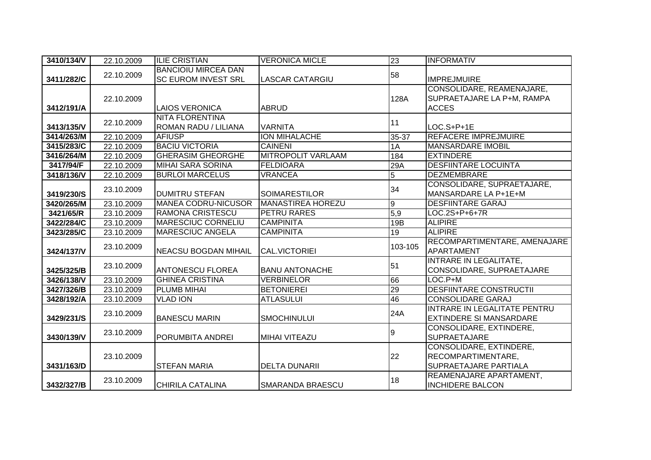| 3410/134/V | 22.10.2009 | <b>ILIE CRISTIAN</b>                                     | <b>VERONICA MICLE</b>     | 23             | <b>INFORMATIV</b>                                                             |
|------------|------------|----------------------------------------------------------|---------------------------|----------------|-------------------------------------------------------------------------------|
| 3411/282/C | 22.10.2009 | <b>BANCIOIU MIRCEA DAN</b><br><b>SC EUROM INVEST SRL</b> | <b>LASCAR CATARGIU</b>    | 58             | <b>IMPREJMUIRE</b>                                                            |
| 3412/191/A | 22.10.2009 | <b>LAIOS VERONICA</b>                                    | <b>ABRUD</b>              | 128A           | CONSOLIDARE, REAMENAJARE,<br>SUPRAETAJARE LA P+M, RAMPA<br><b>ACCES</b>       |
| 3413/135/V | 22.10.2009 | <b>NITA FLORENTINA</b><br>ROMAN RADU / LILIANA           | <b>VARNITA</b>            | 11             | $LOC.S+P+1E$                                                                  |
| 3414/263/M | 22.10.2009 | <b>AFIUSP</b>                                            | ION MIHALACHE             | 35-37          | <b>REFACERE IMPREJMUIRE</b>                                                   |
| 3415/283/C | 22.10.2009 | <b>BACIU VICTORIA</b>                                    | <b>CAINENI</b>            | 1A             | <b>MANSARDARE IMOBIL</b>                                                      |
| 3416/264/M | 22.10.2009 | <b>GHERASIM GHEORGHE</b>                                 | <b>MITROPOLIT VARLAAM</b> | 184            | <b>EXTINDERE</b>                                                              |
| 3417/94/F  | 22.10.2009 | <b>MIHAI SARA SORINA</b>                                 | <b>FELDIOARA</b>          | 29A            | <b>DESFIINTARE LOCUINTA</b>                                                   |
| 3418/136/V | 22.10.2009 | <b>BURLOI MARCELUS</b>                                   | <b>VRANCEA</b>            | $\overline{5}$ | <b>DEZMEMBRARE</b>                                                            |
| 3419/230/S | 23.10.2009 | <b>DUMITRU STEFAN</b>                                    | <b>SOIMARESTILOR</b>      | 34             | CONSOLIDARE, SUPRAETAJARE,<br>MANSARDARE LA P+1E+M                            |
| 3420/265/M | 23.10.2009 | <b>MANEA CODRU-NICUSOR</b>                               | <b>MANASTIREA HOREZU</b>  | ۱o             | <b>DESFIINTARE GARAJ</b>                                                      |
| 3421/65/R  | 23.10.2009 | <b>RAMONA CRISTESCU</b>                                  | PETRU RARES               | 5,9            | LOC.2S+P+6+7R                                                                 |
| 3422/284/C | 23.10.2009 | <b>MARESCIUC CORNELIU</b>                                | <b>CAMPINITA</b>          | 19B            | <b>ALIPIRE</b>                                                                |
| 3423/285/C | 23.10.2009 | <b>MARESCIUC ANGELA</b>                                  | <b>CAMPINITA</b>          | 19             | <b>ALIPIRE</b>                                                                |
| 3424/137/V | 23.10.2009 | <b>NEACSU BOGDAN MIHAIL</b>                              | <b>CAL.VICTORIEI</b>      | 103-105        | RECOMPARTIMENTARE, AMENAJARE<br>APARTAMENT                                    |
| 3425/325/B | 23.10.2009 | <b>ANTONESCU FLOREA</b>                                  | <b>BANU ANTONACHE</b>     | 51             | <b>INTRARE IN LEGALITATE,</b><br>CONSOLIDARE, SUPRAETAJARE                    |
| 3426/138/V | 23.10.2009 | <b>GHINEA CRISTINA</b>                                   | <b>VERBINELOR</b>         | 66             | LOC.P+M                                                                       |
| 3427/326/B | 23.10.2009 | PLUMB MIHAI                                              | <b>BETONIEREI</b>         | 29             | <b>DESFIINTARE CONSTRUCTII</b>                                                |
| 3428/192/A | 23.10.2009 | <b>VLAD ION</b>                                          | <b>ATLASULUI</b>          | 46             | <b>CONSOLIDARE GARAJ</b>                                                      |
| 3429/231/S | 23.10.2009 | <b>BANESCU MARIN</b>                                     | <b>SMOCHINULUI</b>        | 24A            | INTRARE IN LEGALITATE PENTRU<br><b>EXTINDERE SI MANSARDARE</b>                |
| 3430/139/V | 23.10.2009 | PORUMBITA ANDREI                                         | <b>MIHAI VITEAZU</b>      | 9              | <b>CONSOLIDARE, EXTINDERE,</b><br><b>SUPRAETAJARE</b>                         |
| 3431/163/D | 23.10.2009 | <b>STEFAN MARIA</b>                                      | <b>DELTA DUNARII</b>      | 22             | CONSOLIDARE, EXTINDERE,<br>RECOMPARTIMENTARE,<br><b>SUPRAETAJARE PARTIALA</b> |
| 3432/327/B | 23.10.2009 | <b>CHIRILA CATALINA</b>                                  | <b>SMARANDA BRAESCU</b>   | 18             | REAMENAJARE APARTAMENT,<br><b>INCHIDERE BALCON</b>                            |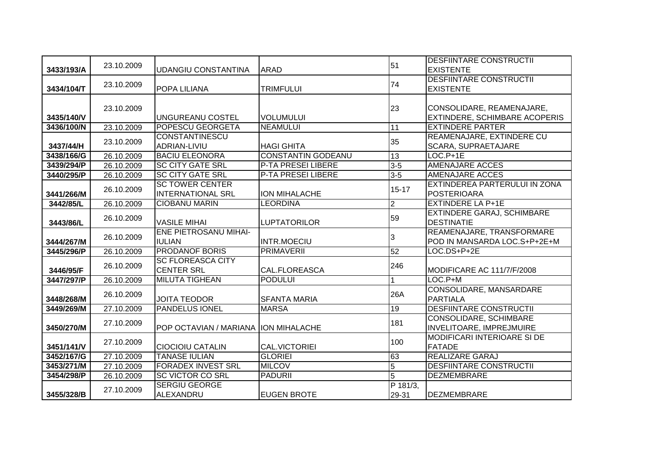| 3433/193/A | 23.10.2009 | <b>UDANGIU CONSTANTINA</b>                         | <b>ARAD</b>               | 51                             | <b>DESFIINTARE CONSTRUCTII</b><br><b>EXISTENTE</b>                |
|------------|------------|----------------------------------------------------|---------------------------|--------------------------------|-------------------------------------------------------------------|
| 3434/104/T | 23.10.2009 | POPA LILIANA                                       | <b>TRIMFULUI</b>          | 74                             | <b>DESFIINTARE CONSTRUCTII</b><br><b>EXISTENTE</b>                |
| 3435/140/V | 23.10.2009 | <b>UNGUREANU COSTEL</b>                            | <b>VOLUMULUI</b>          | 23                             | CONSOLIDARE, REAMENAJARE,<br><b>EXTINDERE, SCHIMBARE ACOPERIS</b> |
| 3436/100/N | 23.10.2009 | POPESCU GEORGETA                                   | <b>NEAMULUI</b>           | 11                             | <b>EXTINDERE PARTER</b>                                           |
| 3437/44/H  | 23.10.2009 | <b>CONSTANTINESCU</b><br>ADRIAN-LIVIU              | <b>HAGI GHITA</b>         | 35                             | REAMENAJARE, EXTINDERE CU<br>SCARA, SUPRAETAJARE                  |
| 3438/166/G | 26.10.2009 | <b>BACIU ELEONORA</b>                              | <b>CONSTANTIN GODEANU</b> | 13                             | $LOC.P+1E$                                                        |
| 3439/294/P | 26.10.2009 | <b>SC CITY GATE SRL</b>                            | <b>P-TA PRESEI LIBERE</b> | $3 - 5$                        | <b>AMENAJARE ACCES</b>                                            |
| 3440/295/P | 26.10.2009 | <b>SC CITY GATE SRL</b>                            | <b>P-TA PRESEI LIBERE</b> | $3-5$                          | <b>AMENAJARE ACCES</b>                                            |
| 3441/266/M | 26.10.2009 | <b>SC TOWER CENTER</b><br><b>INTERNATIONAL SRL</b> | <b>ION MIHALACHE</b>      | $15 - 17$                      | EXTINDEREA PARTERULUI IN ZONA<br><b>POSTERIOARA</b>               |
| 3442/85/L  | 26.10.2009 | <b>CIOBANU MARIN</b>                               | <b>LEORDINA</b>           | $\overline{2}$                 | <b>EXTINDERE LA P+1E</b>                                          |
| 3443/86/L  | 26.10.2009 | <b>VASILE MIHAI</b>                                | <b>LUPTATORILOR</b>       | 59                             | <b>EXTINDERE GARAJ, SCHIMBARE</b><br><b>DESTINATIE</b>            |
| 3444/267/M | 26.10.2009 | <b>ENE PIETROSANU MIHAI-</b><br><b>IULIAN</b>      | <b>INTR.MOECIU</b>        | 3                              | REAMENAJARE, TRANSFORMARE<br>POD IN MANSARDA LOC.S+P+2E+M         |
| 3445/296/P | 26.10.2009 | <b>PRODANOF BORIS</b>                              | <b>PRIMAVERII</b>         | 52                             | LOC.DS+P+2E                                                       |
| 3446/95/F  | 26.10.2009 | <b>SC FLOREASCA CITY</b><br><b>CENTER SRL</b>      | CAL.FLOREASCA             | 246                            | MODIFICARE AC 111/7/F/2008                                        |
| 3447/297/P | 26.10.2009 | <b>MILUTA TIGHEAN</b>                              | <b>PODULUI</b>            |                                | $LOC.P+M$                                                         |
| 3448/268/M | 26.10.2009 | <b>JOITA TEODOR</b>                                | <b>SFANTA MARIA</b>       | 26A                            | CONSOLIDARE, MANSARDARE<br><b>PARTIALA</b>                        |
| 3449/269/M | 27.10.2009 | <b>PANDELUS IONEL</b>                              | <b>MARSA</b>              | 19                             | <b>DESFIINTARE CONSTRUCTII</b>                                    |
| 3450/270/M | 27.10.2009 | POP OCTAVIAN / MARIANA   ION MIHALACHE             |                           | 181                            | <b>CONSOLIDARE, SCHIMBARE</b><br>INVELITOARE, IMPREJMUIRE         |
| 3451/141/V | 27.10.2009 | <b>CIOCIOIU CATALIN</b>                            | <b>CAL.VICTORIEI</b>      | 100                            | <b>MODIFICARI INTERIOARE SI DE</b><br><b>FATADE</b>               |
| 3452/167/G | 27.10.2009 | <b>TANASE IULIAN</b>                               | <b>GLORIEI</b>            | 63                             | <b>REALIZARE GARAJ</b>                                            |
| 3453/271/M | 27.10.2009 | <b>FORADEX INVEST SRL</b>                          | <b>MILCOV</b>             | $\overline{5}$                 | <b>DESFIINTARE CONSTRUCTII</b>                                    |
| 3454/298/P | 26.10.2009 | <b>SC VICTOR CO SRL</b>                            | <b>PADURII</b>            | $\overline{5}$                 | <b>DEZMEMBRARE</b>                                                |
| 3455/328/B | 27.10.2009 | <b>SERGIU GEORGE</b><br>ALEXANDRU                  | <b>EUGEN BROTE</b>        | $\overline{P}$ 181/3,<br>29-31 | <b>DEZMEMBRARE</b>                                                |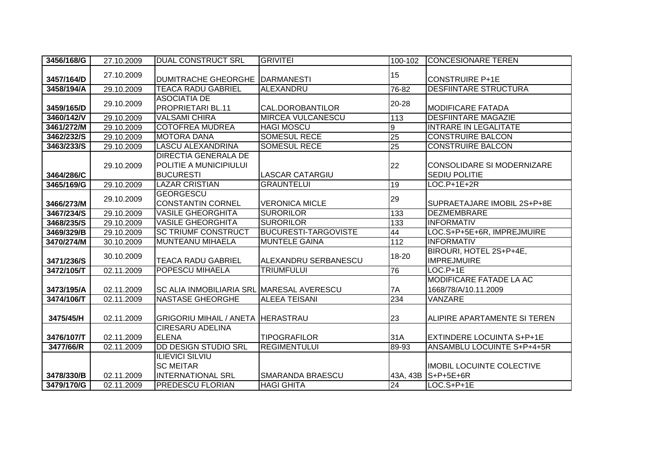| 3456/168/G | 27.10.2009 | <b>DUAL CONSTRUCT SRL</b>                                              | <b>GRIVITEI</b>             | 100-102         | <b>CONCESIONARE TEREN</b>                                 |
|------------|------------|------------------------------------------------------------------------|-----------------------------|-----------------|-----------------------------------------------------------|
| 3457/164/D | 27.10.2009 | <b>DUMITRACHE GHEORGHE</b>                                             | <b>DARMANESTI</b>           | 15              | <b>CONSTRUIRE P+1E</b>                                    |
| 3458/194/A | 29.10.2009 | <b>TEACA RADU GABRIEL</b>                                              | ALEXANDRU                   | 76-82           | <b>DESFIINTARE STRUCTURA</b>                              |
| 3459/165/D | 29.10.2009 | <b>ASOCIATIA DE</b><br><b>PROPRIETARI BL.11</b>                        | CAL.DOROBANTILOR            | 20-28           | <b>MODIFICARE FATADA</b>                                  |
| 3460/142/V | 29.10.2009 | <b>VALSAMI CHIRA</b>                                                   | <b>MIRCEA VULCANESCU</b>    | 113             | <b>DESFIINTARE MAGAZIE</b>                                |
| 3461/272/M | 29.10.2009 | <b>COTOFREA MUDREA</b>                                                 | <b>HAGI MOSCU</b>           | 9               | <b>INTRARE IN LEGALITATE</b>                              |
| 3462/232/S | 29.10.2009 | <b>MOTORA DANA</b>                                                     | <b>SOMESUL RECE</b>         | $\overline{25}$ | <b>CONSTRUIRE BALCON</b>                                  |
| 3463/233/S | 29.10.2009 | <b>LASCU ALEXANDRINA</b>                                               | <b>SOMESUL RECE</b>         | 25              | <b>CONSTRUIRE BALCON</b>                                  |
| 3464/286/C | 29.10.2009 | DIRECTIA GENERALA DE<br>POLITIE A MUNICIPIULUI<br><b>BUCURESTI</b>     | <b>LASCAR CATARGIU</b>      | 22              | <b>CONSOLIDARE SI MODERNIZARE</b><br><b>SEDIU POLITIE</b> |
| 3465/169/G | 29.10.2009 | <b>LAZAR CRISTIAN</b>                                                  | <b>GRAUNTELUI</b>           | $\overline{19}$ | $LOC.P+1E+2R$                                             |
| 3466/273/M | 29.10.2009 | <b>GEORGESCU</b><br><b>CONSTANTIN CORNEL</b>                           | <b>VERONICA MICLE</b>       | 29              | SUPRAETAJARE IMOBIL 2S+P+8E                               |
| 3467/234/S | 29.10.2009 | <b>VASILE GHEORGHITA</b>                                               | <b>SURORILOR</b>            | 133             | <b>DEZMEMBRARE</b>                                        |
| 3468/235/S | 29.10.2009 | <b>VASILE GHEORGHITA</b>                                               | <b>SURORILOR</b>            | 133             | <b>INFORMATIV</b>                                         |
| 3469/329/B | 29.10.2009 | <b>SC TRIUMF CONSTRUCT</b>                                             | <b>BUCURESTI-TARGOVISTE</b> | 44              | LOC.S+P+5E+6R, IMPREJMUIRE                                |
| 3470/274/M | 30.10.2009 | <b>MUNTEANU MIHAELA</b>                                                | <b>MUNTELE GAINA</b>        | $\frac{11}{2}$  | <b>INFORMATIV</b>                                         |
| 3471/236/S | 30.10.2009 | <b>TEACA RADU GABRIEL</b>                                              | ALEXANDRU SERBANESCU        | 18-20           | BIROURI, HOTEL 2S+P+4E,<br><b>IMPREJMUIRE</b>             |
| 3472/105/T | 02.11.2009 | POPESCU MIHAELA                                                        | <b>TRIUMFULUI</b>           | 76              | $LOC.P+1E$                                                |
| 3473/195/A | 02.11.2009 | <b>SC ALIA INMOBILIARIA SRL MARESAL AVERESCU</b>                       |                             | 7A              | MODIFICARE FATADE LA AC<br>1668/78/A/10.11.2009           |
| 3474/106/T | 02.11.2009 | <b>NASTASE GHEORGHE</b>                                                | <b>ALEEA TEISANI</b>        | 234             | VANZARE                                                   |
| 3475/45/H  | 02.11.2009 | <b>GRIGORIU MIHAIL / ANETA HERASTRAU</b>                               |                             | 23              | ALIPIRE APARTAMENTE SI TEREN                              |
| 3476/107/T | 02.11.2009 | <b>CIRESARU ADELINA</b><br><b>ELENA</b>                                | <b>TIPOGRAFILOR</b>         | 31A             | <b>EXTINDERE LOCUINTA S+P+1E</b>                          |
| 3477/66/R  | 02.11.2009 | <b>DD DESIGN STUDIO SRL</b>                                            | <b>REGIMENTULUI</b>         | 89-93           | ANSAMBLU LOCUINTE S+P+4+5R                                |
| 3478/330/B | 02.11.2009 | <b>ILIEVICI SILVIU</b><br><b>SC MEITAR</b><br><b>INTERNATIONAL SRL</b> | SMARANDA BRAESCU            |                 | <b>IMOBIL LOCUINTE COLECTIVE</b><br>43A, 43B S+P+5E+6R    |
| 3479/170/G | 02.11.2009 | <b>PREDESCU FLORIAN</b>                                                | <b>HAGI GHITA</b>           | 24              | LOC.S+P+1E                                                |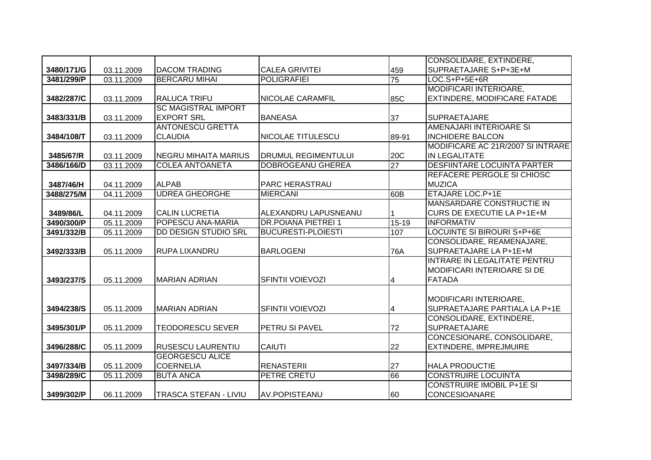|            |            |                             |                            |                 | CONSOLIDARE, EXTINDERE,            |
|------------|------------|-----------------------------|----------------------------|-----------------|------------------------------------|
| 3480/171/G | 03.11.2009 | <b>DACOM TRADING</b>        | <b>CALEA GRIVITEI</b>      | 459             | SUPRAETAJARE S+P+3E+M              |
| 3481/299/P | 03.11.2009 | <b>BERCARU MIHAI</b>        | <b>POLIGRAFIEI</b>         | $\overline{75}$ | LOC.S+P+5E+6R                      |
|            |            |                             |                            |                 | MODIFICARI INTERIOARE,             |
| 3482/287/C | 03.11.2009 | <b>RALUCA TRIFU</b>         | NICOLAE CARAMFIL           | 85C             | EXTINDERE, MODIFICARE FATADE       |
|            |            | <b>SC MAGISTRAL IMPORT</b>  |                            |                 |                                    |
| 3483/331/B | 03.11.2009 | <b>EXPORT SRL</b>           | <b>BANEASA</b>             | 37              | <b>SUPRAETAJARE</b>                |
|            |            | <b>ANTONESCU GRETTA</b>     |                            |                 | AMENAJARI INTERIOARE SI            |
| 3484/108/T | 03.11.2009 | <b>CLAUDIA</b>              | NICOLAE TITULESCU          | 89-91           | <b>INCHIDERE BALCON</b>            |
|            |            |                             |                            |                 | MODIFICARE AC 21R/2007 SI INTRARE  |
| 3485/67/R  | 03.11.2009 | <b>NEGRU MIHAITA MARIUS</b> | <b>DRUMUL REGIMENTULUI</b> | 20C             | <b>IN LEGALITATE</b>               |
| 3486/166/D | 03.11.2009 | <b>COLEA ANTOANETA</b>      | <b>DOBROGEANU GHEREA</b>   | $\overline{27}$ | <b>DESFIINTARE LOCUINTA PARTER</b> |
|            |            |                             |                            |                 | REFACERE PERGOLE SI CHIOSC         |
| 3487/46/H  | 04.11.2009 | <b>ALPAB</b>                | PARC HERASTRAU             |                 | <b>MUZICA</b>                      |
| 3488/275/M | 04.11.2009 | <b>UDREA GHEORGHE</b>       | <b>MIERCANI</b>            | 60B             | ETAJARE LOC.P+1E                   |
|            |            |                             |                            |                 | <b>MANSARDARE CONSTRUCTIE IN</b>   |
| 3489/86/L  | 04.11.2009 | <b>CALIN LUCRETIA</b>       | ALEXANDRU LAPUSNEANU       |                 | CURS DE EXECUTIE LA P+1E+M         |
| 3490/300/P | 05.11.2009 | POPESCU ANA-MARIA           | <b>DR.POIANA PIETREI 1</b> | $15-19$         | <b>INFORMATIV</b>                  |
| 3491/332/B | 05.11.2009 | DD DESIGN STUDIO SRL        | <b>BUCURESTI-PLOIESTI</b>  | 107             | LOCUINTE SI BIROURI S+P+6E         |
|            |            |                             |                            |                 | CONSOLIDARE, REAMENAJARE,          |
| 3492/333/B | 05.11.2009 | <b>RUPA LIXANDRU</b>        | <b>BARLOGENI</b>           | 76A             | SUPRAETAJARE LA P+1E+M             |
|            |            |                             |                            |                 | INTRARE IN LEGALITATE PENTRU       |
|            |            |                             |                            |                 | <b>MODIFICARI INTERIOARE SI DE</b> |
| 3493/237/S | 05.11.2009 | <b>MARIAN ADRIAN</b>        | <b>SFINTII VOIEVOZI</b>    | $\overline{4}$  | <b>FATADA</b>                      |
|            |            |                             |                            |                 |                                    |
|            |            |                             |                            |                 | <b>MODIFICARI INTERIOARE,</b>      |
| 3494/238/S | 05.11.2009 | <b>MARIAN ADRIAN</b>        | <b>SFINTII VOIEVOZI</b>    | 4               | SUPRAETAJARE PARTIALA LA P+1E      |
|            |            |                             |                            |                 | CONSOLIDARE, EXTINDERE,            |
| 3495/301/P | 05.11.2009 | <b>TEODORESCU SEVER</b>     | PETRU SI PAVEL             | 72              | <b>SUPRAETAJARE</b>                |
|            |            |                             |                            |                 | CONCESIONARE, CONSOLIDARE,         |
| 3496/288/C | 05.11.2009 | <b>RUSESCU LAURENTIU</b>    | <b>CAIUTI</b>              | 22              | EXTINDERE, IMPREJMUIRE             |
|            |            | <b>GEORGESCU ALICE</b>      |                            |                 |                                    |
| 3497/334/B | 05.11.2009 | <b>COERNELIA</b>            | <b>RENASTERII</b>          | 27              | <b>HALA PRODUCTIE</b>              |
| 3498/289/C | 05.11.2009 | <b>BUTA ANCA</b>            | PETRE CRETU                | 66              | <b>CONSTRUIRE LOCUINTA</b>         |
|            |            |                             |                            |                 | <b>CONSTRUIRE IMOBIL P+1E SI</b>   |
| 3499/302/P | 06.11.2009 | TRASCA STEFAN - LIVIU       | <b>AV.POPISTEANU</b>       | 60              | <b>CONCESIOANARE</b>               |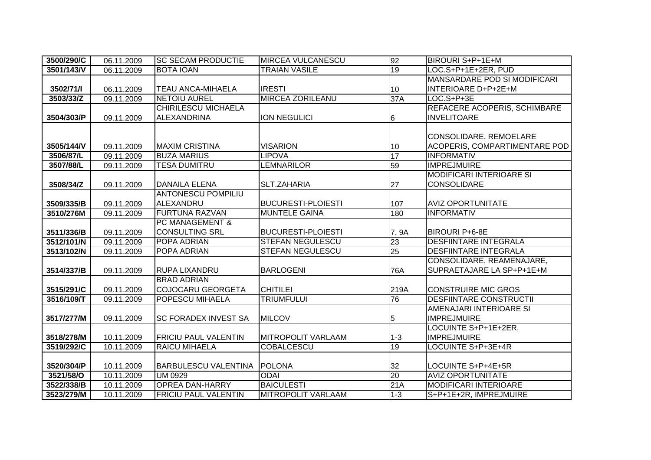| 3500/290/C | 06.11.2009 | <b>SC SECAM PRODUCTIE</b>   | <b>MIRCEA VULCANESCU</b>  | 92              | BIROURI S+P+1E+M                    |
|------------|------------|-----------------------------|---------------------------|-----------------|-------------------------------------|
| 3501/143/V | 06.11.2009 | <b>BOTA IOAN</b>            | <b>TRAIAN VASILE</b>      | 19              | LOC.S+P+1E+2ER, PUD                 |
|            |            |                             |                           |                 | MANSARDARE POD SI MODIFICARI        |
| 3502/71/1  | 06.11.2009 | <b>TEAU ANCA-MIHAELA</b>    | <b>IRESTI</b>             | 10              | <b>INTERIOARE D+P+2E+M</b>          |
| 3503/33/Z  | 09.11.2009 | <b>NETOIU AUREL</b>         | <b>MIRCEA ZORILEANU</b>   | 37A             | $LOC.S+P+3E$                        |
|            |            | <b>CHIRILESCU MICHAELA</b>  |                           |                 | <b>REFACERE ACOPERIS, SCHIMBARE</b> |
| 3504/303/P | 09.11.2009 | <b>ALEXANDRINA</b>          | <b>ION NEGULICI</b>       | 6               | <b>INVELITOARE</b>                  |
|            |            |                             |                           |                 |                                     |
|            |            |                             |                           |                 | CONSOLIDARE, REMOELARE              |
| 3505/144/V | 09.11.2009 | <b>MAXIM CRISTINA</b>       | <b>VISARION</b>           | 10              | ACOPERIS, COMPARTIMENTARE POD       |
| 3506/87/L  | 09.11.2009 | <b>BUZA MARIUS</b>          | <b>LIPOVA</b>             | 17              | <b>INFORMATIV</b>                   |
| 3507/88/L  | 09.11.2009 | <b>TESA DUMITRU</b>         | <b>LEMNARILOR</b>         | 59              | <b>IMPREJMUIRE</b>                  |
|            |            |                             |                           |                 | <b>MODIFICARI INTERIOARE SI</b>     |
| 3508/34/Z  | 09.11.2009 | <b>DANAILA ELENA</b>        | SLT.ZAHARIA               | 27              | <b>CONSOLIDARE</b>                  |
|            |            | ANTONESCU POMPILIU          |                           |                 |                                     |
| 3509/335/B | 09.11.2009 | ALEXANDRU                   | <b>BUCURESTI-PLOIESTI</b> | 107             | <b>AVIZ OPORTUNITATE</b>            |
| 3510/276M  | 09.11.2009 | <b>FURTUNA RAZVAN</b>       | <b>MUNTELE GAINA</b>      | 180             | <b>INFORMATIV</b>                   |
|            |            | <b>PC MANAGEMENT &amp;</b>  |                           |                 |                                     |
| 3511/336/B | 09.11.2009 | <b>CONSULTING SRL</b>       | <b>BUCURESTI-PLOIESTI</b> | 7, 9A           | <b>BIROURI P+6-8E</b>               |
| 3512/101/N | 09.11.2009 | POPA ADRIAN                 | STEFAN NEGULESCU          | $\overline{23}$ | <b>DESFIINTARE INTEGRALA</b>        |
| 3513/102/N | 09.11.2009 | POPA ADRIAN                 | <b>STEFAN NEGULESCU</b>   | $\overline{25}$ | <b>DESFIINTARE INTEGRALA</b>        |
|            |            |                             |                           |                 | CONSOLIDARE, REAMENAJARE,           |
| 3514/337/B | 09.11.2009 | <b>RUPA LIXANDRU</b>        | <b>BARLOGENI</b>          | <b>76A</b>      | SUPRAETAJARE LA SP+P+1E+M           |
|            |            | <b>BRAD ADRIAN</b>          |                           |                 |                                     |
| 3515/291/C | 09.11.2009 | <b>COJOCARU GEORGETA</b>    | <b>CHITILEI</b>           | 219A            | <b>CONSTRUIRE MIC GROS</b>          |
| 3516/109/T | 09.11.2009 | <b>POPESCU MIHAELA</b>      | <b>TRIUMFULUI</b>         | 76              | <b>DESFIINTARE CONSTRUCTII</b>      |
|            |            |                             |                           |                 | AMENAJARI INTERIOARE SI             |
| 3517/277/M | 09.11.2009 | <b>SC FORADEX INVEST SA</b> | <b>MILCOV</b>             | 5               | <b>IMPREJMUIRE</b>                  |
|            |            |                             |                           |                 | LOCUINTE S+P+1E+2ER,                |
| 3518/278/M | 10.11.2009 | <b>FRICIU PAUL VALENTIN</b> | MITROPOLIT VARLAAM        | $1 - 3$         | <b>IMPREJMUIRE</b>                  |
| 3519/292/C | 10.11.2009 | RAICU MIHAELA               | COBALCESCU                | 19              | LOCUINTE S+P+3E+4R                  |
|            |            |                             |                           |                 |                                     |
| 3520/304/P | 10.11.2009 | <b>BARBULESCU VALENTINA</b> | <b>POLONA</b>             | 32              | LOCUINTE S+P+4E+5R                  |
| 3521/58/O  | 10.11.2009 | <b>UM 0929</b>              | <b>ODAI</b>               | 20              | <b>AVIZ OPORTUNITATE</b>            |
| 3522/338/B | 10.11.2009 | <b>OPREA DAN-HARRY</b>      | <b>BAICULESTI</b>         | 21A             | <b>MODIFICARI INTERIOARE</b>        |
| 3523/279/M | 10.11.2009 | <b>FRICIU PAUL VALENTIN</b> | <b>MITROPOLIT VARLAAM</b> | $1 - 3$         | S+P+1E+2R, IMPREJMUIRE              |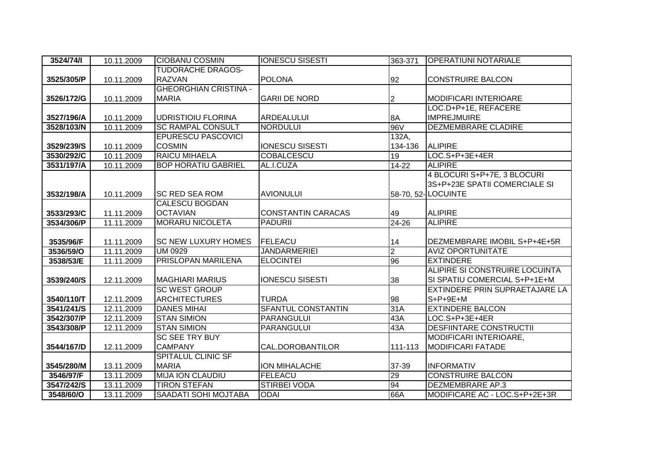| 3524/74/1  | 10.11.2009 | <b>CIOBANU COSMIN</b>        | <b>IONESCU SISESTI</b>    | 363-371        | <b>OPERATIUNI NOTARIALE</b>    |
|------------|------------|------------------------------|---------------------------|----------------|--------------------------------|
|            |            | <b>TUDORACHE DRAGOS-</b>     |                           |                |                                |
| 3525/305/P | 10.11.2009 | <b>RAZVAN</b>                | <b>POLONA</b>             | 92             | <b>CONSTRUIRE BALCON</b>       |
|            |            | <b>GHEORGHIAN CRISTINA -</b> |                           |                |                                |
| 3526/172/G | 10.11.2009 | <b>MARIA</b>                 | <b>GARII DE NORD</b>      | 2              | <b>MODIFICARI INTERIOARE</b>   |
|            |            |                              |                           |                | LOC.D+P+1E, REFACERE           |
| 3527/196/A | 10.11.2009 | <b>UDRISTIOIU FLORINA</b>    | <b>ARDEALULUI</b>         | 8A             | <b>IMPREJMUIRE</b>             |
| 3528/103/N | 10.11.2009 | <b>SC RAMPAL CONSULT</b>     | <b>NORDULUI</b>           | <b>96V</b>     | <b>DEZMEMBRARE CLADIRE</b>     |
|            |            | <b>EPURESCU PASCOVICI</b>    |                           | 132A,          |                                |
| 3529/239/S | 10.11.2009 | <b>COSMIN</b>                | <b>IONESCU SISESTI</b>    | 134-136        | <b>ALIPIRE</b>                 |
| 3530/292/C | 10.11.2009 | <b>RAICU MIHAELA</b>         | <b>COBALCESCU</b>         | 19             | $LOG. S + P + 3E + 4ER$        |
| 3531/197/A | 10.11.2009 | <b>BOP HORATIU GABRIEL</b>   | AL.I.CUZA                 | $14 - 22$      | <b>ALIPIRE</b>                 |
|            |            |                              |                           |                | 4 BLOCURI S+P+7E, 3 BLOCURI    |
|            |            |                              |                           |                | 3S+P+23E SPATII COMERCIALE SI  |
| 3532/198/A | 10.11.2009 | <b>SC RED SEA ROM</b>        | <b>AVIONULUI</b>          |                | 58-70, 52- LOCUINTE            |
|            |            | <b>CALESCU BOGDAN</b>        |                           |                |                                |
| 3533/293/C | 11.11.2009 | <b>OCTAVIAN</b>              | <b>CONSTANTIN CARACAS</b> | 49             | <b>ALIPIRE</b>                 |
| 3534/306/P | 11.11.2009 | <b>MORARU NICOLETA</b>       | <b>PADURII</b>            | 24-26          | <b>ALIPIRE</b>                 |
|            |            |                              |                           |                |                                |
| 3535/96/F  | 11.11.2009 | <b>SC NEW LUXURY HOMES</b>   | FELEACU                   | 14             | DEZMEMBRARE IMOBIL S+P+4E+5R   |
| 3536/59/O  | 11.11.2009 | <b>UM 0929</b>               | <b>JANDARMERIEI</b>       | $\overline{2}$ | <b>AVIZ OPORTUNITATE</b>       |
| 3538/53/E  | 11.11.2009 | PRISLOPAN MARILENA           | <b>ELOCINTEI</b>          | 96             | <b>EXTINDERE</b>               |
|            |            |                              |                           |                | ALIPIRE SI CONSTRUIRE LOCUINTA |
| 3539/240/S | 12.11.2009 | <b>MAGHIARI MARIUS</b>       | <b>IONESCU SISESTI</b>    | 38             | SI SPATIU COMERCIAL S+P+1E+M   |
|            |            | <b>SC WEST GROUP</b>         |                           |                | EXTINDERE PRIN SUPRAETAJARE LA |
| 3540/110/T | 12.11.2009 | <b>ARCHITECTURES</b>         | <b>TURDA</b>              | 98             | $S+P+9E+M$                     |
| 3541/241/S | 12.11.2009 | <b>DANES MIHAI</b>           | <b>SFANTUL CONSTANTIN</b> | 31A            | <b>EXTINDERE BALCON</b>        |
| 3542/307/P | 12.11.2009 | <b>STAN SIMION</b>           | <b>PARANGULUI</b>         | 43A            | $LOC.S+P+3E+4ER$               |
| 3543/308/P | 12.11.2009 | <b>STAN SIMION</b>           | PARANGULUI                | 43A            | <b>DESFIINTARE CONSTRUCTII</b> |
|            |            | <b>SC SEE TRY BUY</b>        |                           |                | MODIFICARI INTERIOARE,         |
| 3544/167/D | 12.11.2009 | <b>CAMPANY</b>               | CAL.DOROBANTILOR          | 111-113        | <b>MODIFICARI FATADE</b>       |
|            |            | <b>SPITALUL CLINIC SF</b>    |                           |                |                                |
| 3545/280/M | 13.11.2009 | <b>MARIA</b>                 | <b>ION MIHALACHE</b>      | 37-39          | <b>INFORMATIV</b>              |
| 3546/97/F  | 13.11.2009 | <b>MIJA ION CLAUDIU</b>      | <b>FELEACU</b>            | 29             | <b>CONSTRUIRE BALCON</b>       |
| 3547/242/S | 13.11.2009 | <b>TIRON STEFAN</b>          | <b>STIRBEI VODA</b>       | 94             | <b>DEZMEMBRARE AP.3</b>        |
| 3548/60/O  | 13.11.2009 | <b>SAADATI SOHI MOJTABA</b>  | <b>ODAI</b>               | 66A            | MODIFICARE AC - LOC.S+P+2E+3R  |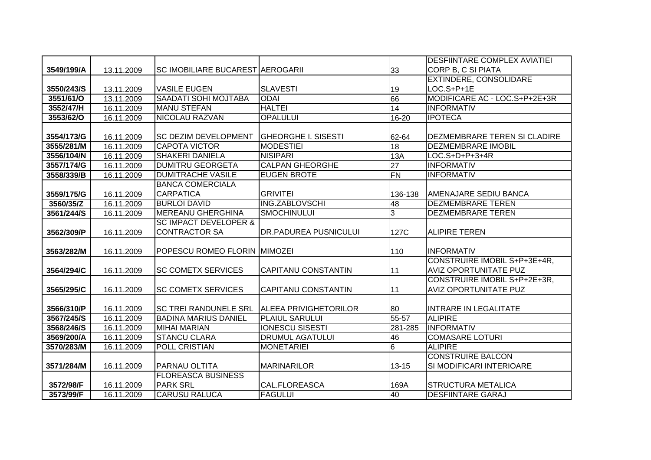|            |            |                                  |                              |                 | <b>DESFIINTARE COMPLEX AVIATIEI</b> |
|------------|------------|----------------------------------|------------------------------|-----------------|-------------------------------------|
| 3549/199/A | 13.11.2009 | SC IMOBILIARE BUCAREST AEROGARII |                              | 33              | CORP B, C SI PIATA                  |
|            |            |                                  |                              |                 | EXTINDERE, CONSOLIDARE              |
| 3550/243/S | 13.11.2009 | <b>VASILE EUGEN</b>              | <b>SLAVESTI</b>              | 19              | LOC.S+P+1E                          |
| 3551/61/O  | 13.11.2009 | <b>SAADATI SOHI MOJTABA</b>      | <b>ODAI</b>                  | 66              | MODIFICARE AC - LOC.S+P+2E+3R       |
| 3552/47/H  | 16.11.2009 | <b>MANU STEFAN</b>               | <b>HALTEI</b>                | 14              | <b>INFORMATIV</b>                   |
| 3553/62/0  | 16.11.2009 | <b>NICOLAU RAZVAN</b>            | <b>OPALULUI</b>              | 16-20           | <b>IPOTECA</b>                      |
|            |            |                                  |                              |                 |                                     |
| 3554/173/G | 16.11.2009 | SC DEZIM DEVELOPMENT             | <b>GHEORGHE I. SISESTI</b>   | 62-64           | DEZMEMBRARE TEREN SI CLADIRE        |
| 3555/281/M | 16.11.2009 | <b>CAPOTA VICTOR</b>             | <b>MODESTIEI</b>             | 18              | <b>DEZMEMBRARE IMOBIL</b>           |
| 3556/104/N | 16.11.2009 | <b>SHAKERI DANIELA</b>           | <b>NISIPARI</b>              | 13A             | $LOC.S+D+P+3+4R$                    |
| 3557/174/G | 16.11.2009 | <b>DUMITRU GEORGETA</b>          | <b>CALPAN GHEORGHE</b>       | 27              | <b>INFORMATIV</b>                   |
| 3558/339/B | 16.11.2009 | <b>DUMITRACHE VASILE</b>         | <b>EUGEN BROTE</b>           | <b>FN</b>       | <b>INFORMATIV</b>                   |
|            |            | <b>BANCA COMERCIALA</b>          |                              |                 |                                     |
| 3559/175/G | 16.11.2009 | <b>CARPATICA</b>                 | <b>GRIVITEI</b>              | 136-138         | AMENAJARE SEDIU BANCA               |
| 3560/35/Z  | 16.11.2009 | <b>BURLOI DAVID</b>              | ING.ZABLOVSCHI               | 48              | <b>DEZMEMBRARE TEREN</b>            |
| 3561/244/S | 16.11.2009 | <b>MEREANU GHERGHINA</b>         | <b>SMOCHINULUI</b>           | 3               | <b>DEZMEMBRARE TEREN</b>            |
|            |            | <b>SC IMPACT DEVELOPER &amp;</b> |                              |                 |                                     |
| 3562/309/P | 16.11.2009 | <b>CONTRACTOR SA</b>             | <b>DR.PADUREA PUSNICULUI</b> | 127C            | <b>ALIPIRE TEREN</b>                |
|            |            |                                  |                              |                 |                                     |
| 3563/282/M | 16.11.2009 | POPESCU ROMEO FLORIN MIMOZEI     |                              | 110             | <b>INFORMATIV</b>                   |
|            |            |                                  |                              |                 | CONSTRUIRE IMOBIL S+P+3E+4R,        |
| 3564/294/C | 16.11.2009 | <b>SC COMETX SERVICES</b>        | <b>CAPITANU CONSTANTIN</b>   | 11              | <b>AVIZ OPORTUNITATE PUZ</b>        |
|            |            |                                  |                              |                 | CONSTRUIRE IMOBIL S+P+2E+3R,        |
| 3565/295/C | 16.11.2009 | <b>SC COMETX SERVICES</b>        | CAPITANU CONSTANTIN          | 11              | <b>AVIZ OPORTUNITATE PUZ</b>        |
|            |            |                                  |                              |                 |                                     |
| 3566/310/P | 16.11.2009 | SC TREI RANDUNELE SRL            | <b>ALEEA PRIVIGHETORILOR</b> | 80              | <b>INTRARE IN LEGALITATE</b>        |
| 3567/245/S | 16.11.2009 | <b>BADINA MARIUS DANIEL</b>      | <b>PLAIUL SARULUI</b>        | 55-57           | <b>ALIPIRE</b>                      |
| 3568/246/S | 16.11.2009 | <b>MIHAI MARIAN</b>              | <b>IONESCU SISESTI</b>       | 281-285         | <b>INFORMATIV</b>                   |
| 3569/200/A | 16.11.2009 | <b>STANCU CLARA</b>              | <b>DRUMUL AGATULUI</b>       | 46              | <b>COMASARE LOTURI</b>              |
| 3570/283/M | 16.11.2009 | <b>POLL CRISTIAN</b>             | <b>MONETARIEI</b>            | $6\overline{6}$ | <b>ALIPIRE</b>                      |
|            |            |                                  |                              |                 | <b>CONSTRUIRE BALCON</b>            |
| 3571/284/M | 16.11.2009 | PARNAU OLTITA                    | <b>MARINARILOR</b>           | $13 - 15$       | SI MODIFICARI INTERIOARE            |
|            |            | <b>FLOREASCA BUSINESS</b>        |                              |                 |                                     |
| 3572/98/F  | 16.11.2009 | <b>PARK SRL</b>                  | CAL.FLOREASCA                | 169A            | <b>STRUCTURA METALICA</b>           |
| 3573/99/F  | 16.11.2009 | <b>CARUSU RALUCA</b>             | <b>FAGULUI</b>               | 40              | <b>DESFIINTARE GARAJ</b>            |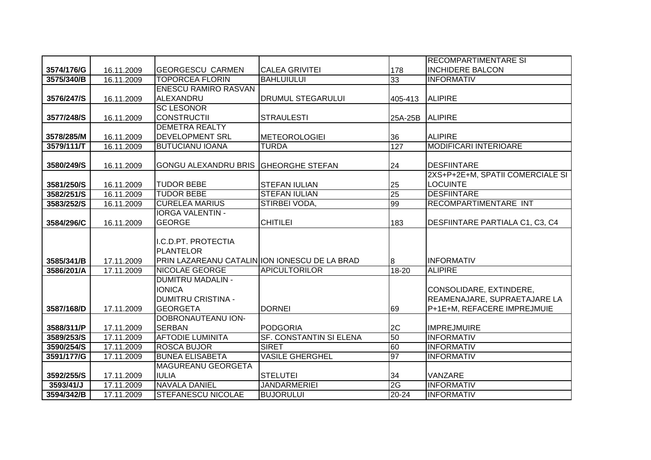|                         |                          |                                               |                                         |          | <b>RECOMPARTIMENTARE SI</b>            |
|-------------------------|--------------------------|-----------------------------------------------|-----------------------------------------|----------|----------------------------------------|
| 3574/176/G              | 16.11.2009               | <b>GEORGESCU CARMEN</b>                       | <b>CALEA GRIVITEI</b>                   | 178      | <b>INCHIDERE BALCON</b>                |
| 3575/340/B              | 16.11.2009               | <b>TOPORCEA FLORIN</b>                        | <b>BAHLUIULUI</b>                       | 33       | <b>INFORMATIV</b>                      |
|                         |                          | <b>ENESCU RAMIRO RASVAN</b>                   |                                         |          |                                        |
| 3576/247/S              | 16.11.2009               | ALEXANDRU                                     | DRUMUL STEGARULUI                       | 405-413  | <b>ALIPIRE</b>                         |
|                         |                          | <b>SC LESONOR</b>                             |                                         |          |                                        |
| 3577/248/S              | 16.11.2009               | <b>CONSTRUCTII</b>                            | <b>STRAULESTI</b>                       | 25A-25B  | <b>ALIPIRE</b>                         |
|                         |                          | <b>DEMETRA REALTY</b>                         |                                         |          |                                        |
| 3578/285/M              | 16.11.2009               | <b>DEVELOPMENT SRL</b>                        | <b>METEOROLOGIEI</b>                    | 36       | <b>ALIPIRE</b>                         |
| 3579/111/T              | 16.11.2009               | <b>BUTUCIANU IOANA</b>                        | <b>TURDA</b>                            | 127      | <b>MODIFICARI INTERIOARE</b>           |
|                         |                          |                                               |                                         |          |                                        |
| 3580/249/S              | 16.11.2009               | <b>GONGU ALEXANDRU BRIS</b>                   | <b>GHEORGHE STEFAN</b>                  | 24       | <b>DESFIINTARE</b>                     |
|                         |                          |                                               |                                         |          | 2XS+P+2E+M, SPATII COMERCIALE SI       |
| 3581/250/S              | 16.11.2009               | <b>TUDOR BEBE</b>                             | <b>STEFAN IULIAN</b>                    | 25       | <b>LOCUINTE</b>                        |
| 3582/251/S              | 16.11.2009               | <b>TUDOR BEBE</b>                             | <b>STEFAN IULIAN</b>                    | 25       | <b>DESFIINTARE</b>                     |
| 3583/252/S              | 16.11.2009               | <b>CURELEA MARIUS</b>                         | STIRBEI VODA,                           | 99       | RECOMPARTIMENTARE INT                  |
|                         |                          | <b>IORGA VALENTIN -</b>                       |                                         |          |                                        |
| 3584/296/C              | 16.11.2009               | <b>GEORGE</b>                                 | <b>CHITILEI</b>                         | 183      | DESFIINTARE PARTIALA C1, C3, C4        |
|                         |                          |                                               |                                         |          |                                        |
|                         |                          | I.C.D.PT. PROTECTIA                           |                                         |          |                                        |
|                         |                          | PLANTELOR                                     |                                         |          |                                        |
| 3585/341/B              | 17.11.2009               | PRIN LAZAREANU CATALIN ION IONESCU DE LA BRAD |                                         | 8        | <b>INFORMATIV</b>                      |
| 3586/201/A              | 17.11.2009               | NICOLAE GEORGE                                | <b>APICULTORILOR</b>                    | 18-20    | <b>ALIPIRE</b>                         |
|                         |                          | <b>DUMITRU MADALIN -</b>                      |                                         |          |                                        |
|                         |                          | <b>IONICA</b>                                 |                                         |          | CONSOLIDARE, EXTINDERE,                |
|                         |                          | <b>DUMITRU CRISTINA -</b>                     |                                         |          | REAMENAJARE, SUPRAETAJARE LA           |
| 3587/168/D              | 17.11.2009               | <b>GEORGETA</b>                               | <b>DORNEI</b>                           | 69       | P+1E+M, REFACERE IMPREJMUIE            |
|                         |                          | DOBRONAUTEANU ION-                            |                                         |          |                                        |
| 3588/311/P              | 17.11.2009               | <b>SERBAN</b>                                 | <b>PODGORIA</b>                         | 2C       | <b>IMPREJMUIRE</b>                     |
| 3589/253/S              | 17.11.2009               | <b>AFTODIE LUMINITA</b>                       | SF. CONSTANTIN SI ELENA<br><b>SIRET</b> | 50       | <b>INFORMATIV</b>                      |
| 3590/254/S              | 17.11.2009               | <b>ROSCA BUJOR</b><br><b>BUNEA ELISABETA</b>  | <b>VASILE GHERGHEL</b>                  | 60<br>97 | <b>INFORMATIV</b><br><b>INFORMATIV</b> |
| 3591/177/G              | 17.11.2009               | <b>MAGUREANU GEORGETA</b>                     |                                         |          |                                        |
|                         |                          | <b>IULIA</b>                                  | <b>STELUTEI</b>                         |          | VANZARE                                |
| 3592/255/S<br>3593/41/J | 17.11.2009<br>17.11.2009 | <b>NAVALA DANIEL</b>                          | <b>JANDARMERIEI</b>                     | 34<br>2G | <b>INFORMATIV</b>                      |
| 3594/342/B              | 17.11.2009               | <b>STEFANESCU NICOLAE</b>                     | <b>BUJORULUI</b>                        | 20-24    | <b>INFORMATIV</b>                      |
|                         |                          |                                               |                                         |          |                                        |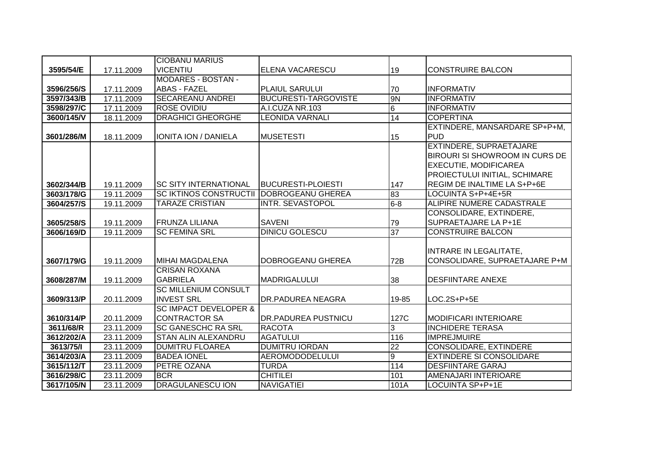|            |            | <b>CIOBANU MARIUS</b>                                    |                             |                 |                                                                                                                                                                  |
|------------|------------|----------------------------------------------------------|-----------------------------|-----------------|------------------------------------------------------------------------------------------------------------------------------------------------------------------|
| 3595/54/E  | 17.11.2009 | <b>VICENTIU</b>                                          | ELENA VACARESCU             | 19              | <b>CONSTRUIRE BALCON</b>                                                                                                                                         |
|            |            | <b>MODARES - BOSTAN -</b>                                |                             |                 |                                                                                                                                                                  |
| 3596/256/S | 17.11.2009 | <b>ABAS - FAZEL</b>                                      | <b>PLAIUL SARULUI</b>       | 70              | <b>INFORMATIV</b>                                                                                                                                                |
| 3597/343/B | 17.11.2009 | <b>SECAREANU ANDREI</b>                                  | <b>BUCURESTI-TARGOVISTE</b> | <b>9N</b>       | <b>INFORMATIV</b>                                                                                                                                                |
| 3598/297/C | 17.11.2009 | <b>ROSE OVIDIU</b>                                       | A.I.CUZA NR.103             | $6\overline{6}$ | <b>INFORMATIV</b>                                                                                                                                                |
| 3600/145/V | 18.11.2009 | <b>DRAGHICI GHEORGHE</b>                                 | <b>LEONIDA VARNALI</b>      | 14              | <b>COPERTINA</b>                                                                                                                                                 |
| 3601/286/M | 18.11.2009 | <b>IONITA ION / DANIELA</b>                              | <b>MUSETESTI</b>            | 15              | EXTINDERE, MANSARDARE SP+P+M,<br><b>PUD</b>                                                                                                                      |
| 3602/344/B | 19.11.2009 | <b>SC SITY INTERNATIONAL</b>                             | <b>BUCURESTI-PLOIESTI</b>   | 147             | EXTINDERE, SUPRAETAJARE<br><b>BIROURI SI SHOWROOM IN CURS DE</b><br><b>EXECUTIE, MODIFICAREA</b><br>PROIECTULUI INITIAL, SCHIMARE<br>REGIM DE INALTIME LA S+P+6E |
| 3603/178/G | 19.11.2009 | <b>SC IKTINOS CONSTRUCTII</b>                            | DOBROGEANU GHEREA           | 83              | LOCUINTA S+P+4E+5R                                                                                                                                               |
| 3604/257/S | 19.11.2009 | <b>TARAZE CRISTIAN</b>                                   | INTR. SEVASTOPOL            | $6 - 8$         | ALIPIRE NUMERE CADASTRALE                                                                                                                                        |
| 3605/258/S | 19.11.2009 | <b>FRUNZA LILIANA</b>                                    | <b>SAVENI</b>               | 79              | CONSOLIDARE, EXTINDERE,<br><b>SUPRAETAJARE LA P+1E</b>                                                                                                           |
| 3606/169/D | 19.11.2009 | <b>SC FEMINA SRL</b>                                     | <b>DINICU GOLESCU</b>       | 37              | <b>CONSTRUIRE BALCON</b>                                                                                                                                         |
| 3607/179/G | 19.11.2009 | <b>MIHAI MAGDALENA</b>                                   | DOBROGEANU GHEREA           | 72B             | INTRARE IN LEGALITATE,<br>CONSOLIDARE, SUPRAETAJARE P+M                                                                                                          |
| 3608/287/M | 19.11.2009 | <b>CRISAN ROXANA</b><br><b>GABRIELA</b>                  | <b>MADRIGALULUI</b>         | 38              | <b>DESFIINTARE ANEXE</b>                                                                                                                                         |
| 3609/313/P | 20.11.2009 | <b>SC MILLENIUM CONSULT</b><br><b>INVEST SRL</b>         | DR.PADUREA NEAGRA           | 19-85           | LOC.2S+P+5E                                                                                                                                                      |
| 3610/314/P | 20.11.2009 | <b>SC IMPACT DEVELOPER &amp;</b><br><b>CONTRACTOR SA</b> | DR.PADUREA PUSTNICU         | 127C            | <b>MODIFICARI INTERIOARE</b>                                                                                                                                     |
| 3611/68/R  | 23.11.2009 | <b>SC GANESCHC RA SRL</b>                                | <b>RACOTA</b>               | 3               | <b>INCHIDERE TERASA</b>                                                                                                                                          |
| 3612/202/A | 23.11.2009 | <b>STAN ALIN ALEXANDRU</b>                               | <b>AGATULUI</b>             | 116             | <b>IMPREJMUIRE</b>                                                                                                                                               |
| 3613/75/1  | 23.11.2009 | <b>DUMITRU FLOAREA</b>                                   | <b>DUMITRU IORDAN</b>       | $\overline{22}$ | <b>CONSOLIDARE, EXTINDERE</b>                                                                                                                                    |
| 3614/203/A | 23.11.2009 | <b>BADEA IONEL</b>                                       | <b>AEROMODODELULUI</b>      | $\overline{9}$  | <b>EXTINDERE SI CONSOLIDARE</b>                                                                                                                                  |
| 3615/112/T | 23.11.2009 | PETRE OZANA                                              | <b>TURDA</b>                | 114             | <b>DESFIINTARE GARAJ</b>                                                                                                                                         |
| 3616/298/C | 23.11.2009 | <b>BCR</b>                                               | <b>CHITILEI</b>             | 101             | AMENAJARI INTERIOARE                                                                                                                                             |
| 3617/105/N | 23.11.2009 | <b>DRAGULANESCU ION</b>                                  | <b>NAVIGATIEI</b>           | 101A            | <b>LOCUINTA SP+P+1E</b>                                                                                                                                          |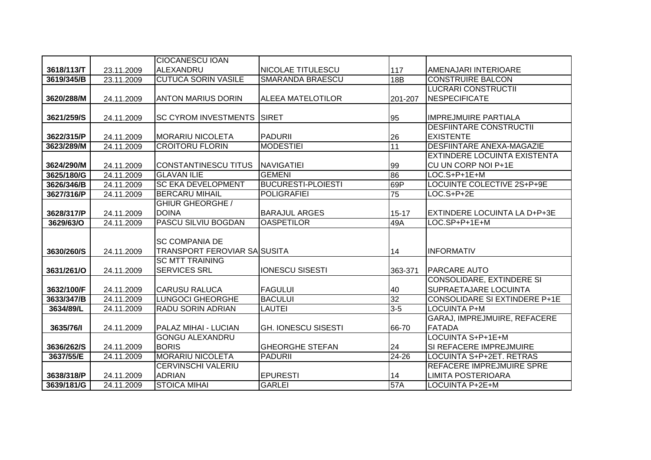|            |            | <b>CIOCANESCU IOAN</b>              |                            |                 |                                      |
|------------|------------|-------------------------------------|----------------------------|-----------------|--------------------------------------|
| 3618/113/T | 23.11.2009 | <b>ALEXANDRU</b>                    | NICOLAE TITULESCU          | 117             | AMENAJARI INTERIOARE                 |
| 3619/345/B | 23.11.2009 | <b>CUTUCA SORIN VASILE</b>          | <b>SMARANDA BRAESCU</b>    | 18B             | <b>CONSTRUIRE BALCON</b>             |
|            |            |                                     |                            |                 | <b>LUCRARI CONSTRUCTII</b>           |
| 3620/288/M | 24.11.2009 | <b>ANTON MARIUS DORIN</b>           | <b>ALEEA MATELOTILOR</b>   | 201-207         | <b>NESPECIFICATE</b>                 |
|            |            |                                     |                            |                 |                                      |
| 3621/259/S | 24.11.2009 | <b>SC CYROM INVESTMENTS</b>         | <b>SIRET</b>               | 95              | <b>IMPREJMUIRE PARTIALA</b>          |
|            |            |                                     |                            |                 | <b>DESFIINTARE CONSTRUCTII</b>       |
| 3622/315/P | 24.11.2009 | <b>MORARIU NICOLETA</b>             | <b>PADURII</b>             | 26              | <b>EXISTENTE</b>                     |
| 3623/289/M | 24.11.2009 | <b>CROITORU FLORIN</b>              | <b>MODESTIEI</b>           | 11              | <b>DESFIINTARE ANEXA-MAGAZIE</b>     |
|            |            |                                     |                            |                 | <b>EXTINDERE LOCUINTA EXISTENTA</b>  |
| 3624/290/M | 24.11.2009 | <b>CONSTANTINESCU TITUS</b>         | <b>NAVIGATIEI</b>          | 99              | CU UN CORP NOI P+1E                  |
| 3625/180/G | 24.11.2009 | <b>GLAVAN ILIE</b>                  | <b>GEMENI</b>              | 86              | LOC.S+P+1E+M                         |
| 3626/346/B | 24.11.2009 | <b>SC EKA DEVELOPMENT</b>           | <b>BUCURESTI-PLOIESTI</b>  | 69P             | LOCUINTE COLECTIVE 2S+P+9E           |
| 3627/316/P | 24.11.2009 | <b>BERCARU MIHAIL</b>               | <b>POLIGRAFIEI</b>         | $\overline{75}$ | $LOC.S+P+2E$                         |
|            |            | <b>GHIUR GHEORGHE /</b>             |                            |                 |                                      |
| 3628/317/P | 24.11.2009 | <b>DOINA</b>                        | <b>BARAJUL ARGES</b>       | $15 - 17$       | EXTINDERE LOCUINTA LA D+P+3E         |
| 3629/63/O  | 24.11.2009 | PASCU SILVIU BOGDAN                 | <b>OASPETILOR</b>          | 49A             | LOC.SP+P+1E+M                        |
|            |            |                                     |                            |                 |                                      |
|            |            | <b>SC COMPANIA DE</b>               |                            |                 |                                      |
| 3630/260/S | 24.11.2009 | <b>TRANSPORT FEROVIAR SAISUSITA</b> |                            | 14              | <b>INFORMATIV</b>                    |
|            |            | <b>SC MTT TRAINING</b>              |                            |                 |                                      |
| 3631/261/O | 24.11.2009 | <b>SERVICES SRL</b>                 | <b>IONESCU SISESTI</b>     | 363-371         | <b>PARCARE AUTO</b>                  |
|            |            |                                     |                            |                 | <b>CONSOLIDARE, EXTINDERE SI</b>     |
| 3632/100/F | 24.11.2009 | <b>CARUSU RALUCA</b>                | <b>FAGULUI</b>             | 40              | SUPRAETAJARE LOCUINTA                |
| 3633/347/B | 24.11.2009 | <b>LUNGOCI GHEORGHE</b>             | <b>BACULUI</b>             | $\overline{32}$ | <b>CONSOLIDARE SI EXTINDERE P+1E</b> |
| 3634/89/L  | 24.11.2009 | <b>RADU SORIN ADRIAN</b>            | <b>LAUTEI</b>              | $3 - 5$         | <b>LOCUINTA P+M</b>                  |
|            |            |                                     |                            |                 | GARAJ, IMPREJMUIRE, REFACERE         |
| 3635/76/1  | 24.11.2009 | <b>PALAZ MIHAI - LUCIAN</b>         | <b>GH. IONESCU SISESTI</b> | 66-70           | <b>FATADA</b>                        |
|            |            | <b>GONGU ALEXANDRU</b>              |                            |                 | LOCUINTA S+P+1E+M                    |
| 3636/262/S | 24.11.2009 | <b>BORIS</b>                        | <b>GHEORGHE STEFAN</b>     | 24              | SI REFACERE IMPREJMUIRE              |
| 3637/55/E  | 24.11.2009 | <b>MORARIU NICOLETA</b>             | <b>PADURII</b>             | 24-26           | LOCUINTA S+P+2ET. RETRAS             |
|            |            | <b>CERVINSCHI VALERIU</b>           |                            |                 | <b>REFACERE IMPREJMUIRE SPRE</b>     |
| 3638/318/P | 24.11.2009 | <b>ADRIAN</b>                       | <b>EPURESTI</b>            | 14              | LIMITA POSTERIOARA                   |
| 3639/181/G | 24.11.2009 | <b>STOICA MIHAI</b>                 | <b>GARLEI</b>              | 57A             | <b>LOCUINTA P+2E+M</b>               |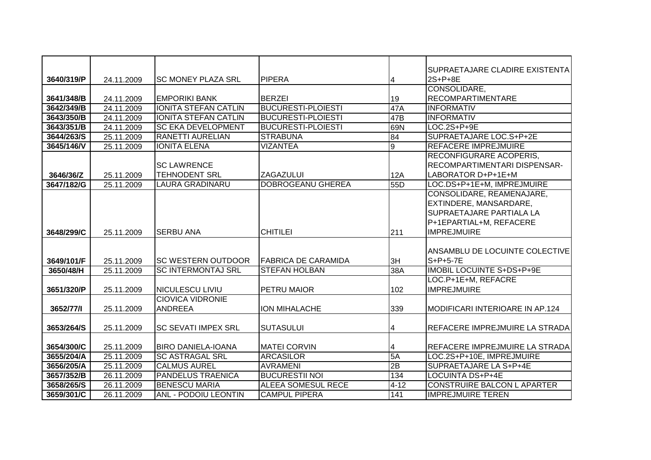|            |            |                             |                            |                | SUPRAETAJARE CLADIRE EXISTENTA   |
|------------|------------|-----------------------------|----------------------------|----------------|----------------------------------|
| 3640/319/P | 24.11.2009 | <b>SC MONEY PLAZA SRL</b>   | <b>PIPERA</b>              | 4              | 2S+P+8E                          |
|            |            |                             |                            |                | CONSOLIDARE,                     |
| 3641/348/B | 24.11.2009 | <b>EMPORIKI BANK</b>        | <b>BERZEI</b>              | 19             | <b>RECOMPARTIMENTARE</b>         |
| 3642/349/B | 24.11.2009 | <b>IONITA STEFAN CATLIN</b> | <b>BUCURESTI-PLOIESTI</b>  | 47A            | <b>INFORMATIV</b>                |
| 3643/350/B | 24.11.2009 | <b>IONITA STEFAN CATLIN</b> | <b>BUCURESTI-PLOIESTI</b>  | 47B            | <b>INFORMATIV</b>                |
| 3643/351/B | 24.11.2009 | <b>SC EKA DEVELOPMENT</b>   | <b>BUCURESTI-PLOIESTI</b>  | 69N            | $LOG.2S+P+9E$                    |
| 3644/263/S | 25.11.2009 | <b>RANETTI AURELIAN</b>     | <b>STRABUNA</b>            | 84             | SUPRAETAJARE LOC.S+P+2E          |
| 3645/146/V | 25.11.2009 | <b>IONITA ELENA</b>         | <b>VIZANTEA</b>            | $\overline{9}$ | <b>REFACERE IMPREJMUIRE</b>      |
|            |            |                             |                            |                | <b>RECONFIGURARE ACOPERIS,</b>   |
|            |            | <b>SC LAWRENCE</b>          |                            |                | RECOMPARTIMENTARI DISPENSAR-     |
| 3646/36/Z  | 25.11.2009 | <b>TEHNODENT SRL</b>        | <b>ZAGAZULUI</b>           | 12A            | LABORATOR D+P+1E+M               |
| 3647/182/G | 25.11.2009 | <b>LAURA GRADINARU</b>      | DOBROGEANU GHEREA          | 55D            | LOC.DS+P+1E+M, IMPREJMUIRE       |
|            |            |                             |                            |                | CONSOLIDARE, REAMENAJARE,        |
|            |            |                             |                            |                | EXTINDERE, MANSARDARE,           |
|            |            |                             |                            |                | <b>SUPRAETAJARE PARTIALA LA</b>  |
|            |            |                             |                            |                | P+1EPARTIAL+M, REFACERE          |
| 3648/299/C | 25.11.2009 | <b>SERBU ANA</b>            | <b>CHITILEI</b>            | 211            | <b>IMPREJMUIRE</b>               |
|            |            |                             |                            |                |                                  |
|            |            |                             |                            |                | ANSAMBLU DE LOCUINTE COLECTIVE   |
| 3649/101/F | 25.11.2009 | <b>SC WESTERN OUTDOOR</b>   | <b>FABRICA DE CARAMIDA</b> | 3H             | $S+P+5-7E$                       |
| 3650/48/H  | 25.11.2009 | <b>SC INTERMONTAJ SRL</b>   | <b>STEFAN HOLBAN</b>       | 38A            | IMOBIL LOCUINTE S+DS+P+9E        |
|            |            |                             |                            |                | LOC.P+1E+M, REFACRE              |
| 3651/320/P | 25.11.2009 | <b>NICULESCU LIVIU</b>      | PETRU MAIOR                | 102            | <b>IMPREJMUIRE</b>               |
|            |            | <b>CIOVICA VIDRONIE</b>     |                            |                |                                  |
| 3652/77/1  | 25.11.2009 | <b>ANDREEA</b>              | ION MIHALACHE              | 339            | IMODIFICARI INTERIOARE IN AP.124 |
|            |            |                             |                            |                |                                  |
| 3653/264/S | 25.11.2009 | SC SEVATI IMPEX SRL         | <b>SUTASULUI</b>           | 4              | REFACERE IMPREJMUIRE LA STRADA   |
|            |            |                             |                            |                |                                  |
| 3654/300/C | 25.11.2009 | <b>BIRO DANIELA-IOANA</b>   | <b>MATEI CORVIN</b>        | 4              | REFACERE IMPREJMUIRE LA STRADA   |
| 3655/204/A | 25.11.2009 | <b>SC ASTRAGAL SRL</b>      | <b>ARCASILOR</b>           | 5A             | LOC.2S+P+10E, IMPREJMUIRE        |
| 3656/205/A | 25.11.2009 | <b>CALMUS AUREL</b>         | <b>AVRAMENI</b>            | 2B             | SUPRAETAJARE LA S+P+4E           |
| 3657/352/B | 26.11.2009 | <b>PANDELUS TRAENICA</b>    | <b>BUCURESTII NOI</b>      | 134            | <b>LOCUINTA DS+P+4E</b>          |
| 3658/265/S | 26.11.2009 | <b>BENESCU MARIA</b>        | <b>ALEEA SOMESUL RECE</b>  | $4 - 12$       | CONSTRUIRE BALCON L APARTER      |
| 3659/301/C | 26.11.2009 | <b>ANL - PODOIU LEONTIN</b> | <b>CAMPUL PIPERA</b>       | 141            | <b>IMPREJMUIRE TEREN</b>         |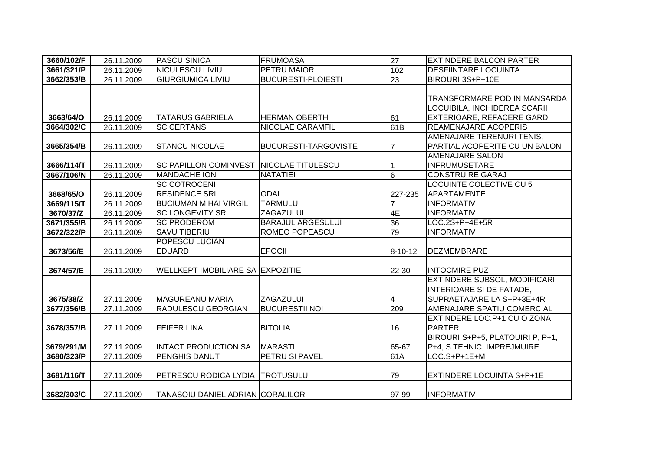| 3660/102/F | 26.11.2009 | <b>PASCU SINICA</b>                      | <b>FRUMOASA</b>             | 27              | <b>EXTINDERE BALCON PARTER</b>      |
|------------|------------|------------------------------------------|-----------------------------|-----------------|-------------------------------------|
| 3661/321/P | 26.11.2009 | <b>NICULESCU LIVIU</b>                   | <b>PETRU MAIOR</b>          | 102             | <b>DESFIINTARE LOCUINTA</b>         |
| 3662/353/B | 26.11.2009 | <b>GIURGIUMICA LIVIU</b>                 | <b>BUCURESTI-PLOIESTI</b>   | 23              | BIROURI 3S+P+10E                    |
|            |            |                                          |                             |                 |                                     |
|            |            |                                          |                             |                 | TRANSFORMARE POD IN MANSARDA        |
|            |            |                                          |                             |                 | LOCUIBILA, INCHIDEREA SCARII        |
| 3663/64/O  | 26.11.2009 | <b>TATARUS GABRIELA</b>                  | <b>HERMAN OBERTH</b>        | 61              | <b>EXTERIOARE, REFACERE GARD</b>    |
| 3664/302/C | 26.11.2009 | <b>SC CERTANS</b>                        | <b>NICOLAE CARAMFIL</b>     | 61B             | <b>REAMENAJARE ACOPERIS</b>         |
|            |            |                                          |                             |                 | AMENAJARE TERENURI TENIS,           |
| 3665/354/B | 26.11.2009 | <b>STANCU NICOLAE</b>                    | <b>BUCURESTI-TARGOVISTE</b> |                 | PARTIAL ACOPERITE CU UN BALON       |
|            |            |                                          |                             |                 | <b>AMENAJARE SALON</b>              |
| 3666/114/T | 26.11.2009 | <b>SC PAPILLON COMINVEST</b>             | <b>INICOLAE TITULESCU</b>   |                 | <b>INFRUMUSETARE</b>                |
| 3667/106/N | 26.11.2009 | <b>MANDACHE ION</b>                      | <b>NATATIEI</b>             | $6\overline{6}$ | <b>CONSTRUIRE GARAJ</b>             |
|            |            | <b>SC COTROCENI</b>                      |                             |                 | <b>LOCUINTE COLECTIVE CU 5</b>      |
| 3668/65/O  | 26.11.2009 | <b>RESIDENCE SRL</b>                     | <b>ODAI</b>                 | 227-235         | APARTAMENTE                         |
| 3669/115/T | 26.11.2009 | <b>BUCIUMAN MIHAI VIRGIL</b>             | <b>TARMULUI</b>             |                 | <b>INFORMATIV</b>                   |
| 3670/37/Z  | 26.11.2009 | <b>SC LONGEVITY SRL</b>                  | <b>ZAGAZULUI</b>            | 4E              | <b>INFORMATIV</b>                   |
| 3671/355/B | 26.11.2009 | <b>SC PRODEROM</b>                       | <b>BARAJUL ARGESULUI</b>    | $\overline{36}$ | LOC.2S+P+4E+5R                      |
| 3672/322/P | 26.11.2009 | <b>SAVU TIBERIU</b>                      | ROMEO POPEASCU              | 79              | <b>INFORMATIV</b>                   |
|            |            | POPESCU LUCIAN                           |                             |                 |                                     |
| 3673/56/E  | 26.11.2009 | <b>EDUARD</b>                            | <b>EPOCII</b>               | 8-10-12         | <b>DEZMEMBRARE</b>                  |
|            |            |                                          |                             |                 |                                     |
| 3674/57/E  | 26.11.2009 | <b>WELLKEPT IMOBILIARE SA EXPOZITIEI</b> |                             | 22-30           | <b>INTOCMIRE PUZ</b>                |
|            |            |                                          |                             |                 | <b>EXTINDERE SUBSOL, MODIFICARI</b> |
|            |            |                                          |                             |                 | INTERIOARE SI DE FATADE,            |
| 3675/38/Z  | 27.11.2009 | <b>MAGUREANU MARIA</b>                   | <b>ZAGAZULUI</b>            | 4               | SUPRAETAJARE LA S+P+3E+4R           |
| 3677/356/B | 27.11.2009 | RADULESCU GEORGIAN                       | <b>BUCURESTII NOI</b>       | 209             | <b>AMENAJARE SPATIU COMERCIAL</b>   |
|            |            |                                          |                             |                 | EXTINDERE LOC.P+1 CU O ZONA         |
| 3678/357/B | 27.11.2009 | <b>FEIFER LINA</b>                       | <b>BITOLIA</b>              | 16              | <b>PARTER</b>                       |
|            |            |                                          |                             |                 | BIROURI S+P+5, PLATOUIRI P, P+1,    |
| 3679/291/M | 27.11.2009 | <b>INTACT PRODUCTION SA</b>              | <b>MARASTI</b>              | 65-67           | P+4, S TEHNIC, IMPREJMUIRE          |
| 3680/323/P | 27.11.2009 | <b>PENGHIS DANUT</b>                     | <b>PETRU SI PAVEL</b>       | 61A             | LOC.S+P+1E+M                        |
|            |            |                                          |                             |                 |                                     |
| 3681/116/T | 27.11.2009 | PETRESCU RODICA LYDIA TROTUSULUI         |                             | 79              | <b>EXTINDERE LOCUINTA S+P+1E</b>    |
|            |            |                                          |                             |                 |                                     |
| 3682/303/C | 27.11.2009 | <b>TANASOIU DANIEL ADRIAN CORALILOR</b>  |                             | 97-99           | <b>INFORMATIV</b>                   |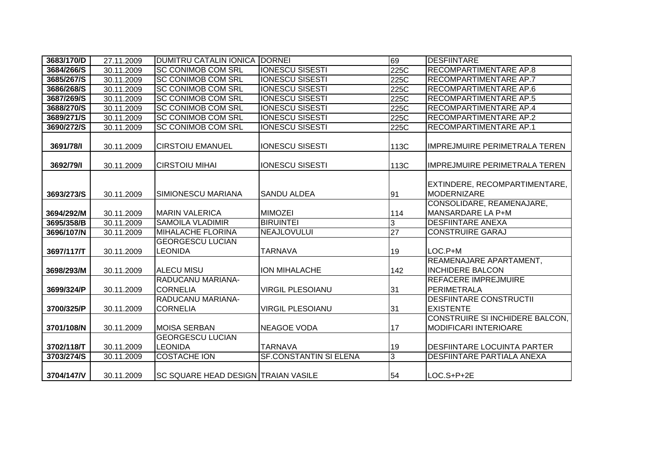| 3683/170/D | 27.11.2009 | <b>DUMITRU CATALIN IONICA</b>               | <b>DORNEI</b>                 | 69              | <b>DESFIINTARE</b>                                              |
|------------|------------|---------------------------------------------|-------------------------------|-----------------|-----------------------------------------------------------------|
| 3684/266/S | 30.11.2009 | <b>SC CONIMOB COM SRL</b>                   | <b>IONESCU SISESTI</b>        | 225C            | <b>RECOMPARTIMENTARE AP.8</b>                                   |
| 3685/267/S | 30.11.2009 | <b>SC CONIMOB COM SRL</b>                   | <b>IONESCU SISESTI</b>        | 225C            | <b>RECOMPARTIMENTARE AP.7</b>                                   |
| 3686/268/S | 30.11.2009 | <b>SC CONIMOB COM SRL</b>                   | <b>IONESCU SISESTI</b>        | 225C            | <b>RECOMPARTIMENTARE AP.6</b>                                   |
| 3687/269/S | 30.11.2009 | <b>SC CONIMOB COM SRL</b>                   | <b>IONESCU SISESTI</b>        | 225C            | <b>RECOMPARTIMENTARE AP.5</b>                                   |
| 3688/270/S | 30.11.2009 | <b>SC CONIMOB COM SRL</b>                   | <b>IONESCU SISESTI</b>        | 225C            | RECOMPARTIMENTARE AP.4                                          |
| 3689/271/S | 30.11.2009 | <b>SC CONIMOB COM SRL</b>                   | <b>IONESCU SISESTI</b>        | 225C            | RECOMPARTIMENTARE AP.2                                          |
| 3690/272/S | 30.11.2009 | <b>SC CONIMOB COM SRL</b>                   | <b>IONESCU SISESTI</b>        | 225C            | <b>RECOMPARTIMENTARE AP.1</b>                                   |
| 3691/78/1  | 30.11.2009 | <b>CIRSTOIU EMANUEL</b>                     | <b>IONESCU SISESTI</b>        | 113C            | <b>IMPREJMUIRE PERIMETRALA TEREN</b>                            |
| 3692/79/1  | 30.11.2009 | <b>CIRSTOIU MIHAI</b>                       | <b>IONESCU SISESTI</b>        | 113C            | <b>IMPREJMUIRE PERIMETRALA TEREN</b>                            |
| 3693/273/S | 30.11.2009 | <b>ISIMIONESCU MARIANA</b>                  | <b>SANDU ALDEA</b>            | 91              | EXTINDERE, RECOMPARTIMENTARE,<br>MODERNIZARE                    |
| 3694/292/M | 30.11.2009 | <b>MARIN VALERICA</b>                       | <b>MIMOZEI</b>                | 114             | CONSOLIDARE, REAMENAJARE,<br>MANSARDARE LA P+M                  |
| 3695/358/B | 30.11.2009 | <b>SAMOILA VLADIMIR</b>                     | <b>BIRUINTEI</b>              | 3               | <b>DESFIINTARE ANEXA</b>                                        |
| 3696/107/N | 30.11.2009 | <b>MIHALACHE FLORINA</b>                    | NEAJLOVULUI                   | $\overline{27}$ | <b>CONSTRUIRE GARAJ</b>                                         |
| 3697/117/T | 30.11.2009 | <b>GEORGESCU LUCIAN</b><br><b>LEONIDA</b>   | <b>TARNAVA</b>                | 19              | LOC.P+M                                                         |
| 3698/293/M | 30.11.2009 | <b>ALECU MISU</b>                           | ION MIHALACHE                 | 142             | REAMENAJARE APARTAMENT,<br><b>INCHIDERE BALCON</b>              |
| 3699/324/P | 30.11.2009 | <b>RADUCANU MARIANA-</b><br><b>CORNELIA</b> | <b>VIRGIL PLESOIANU</b>       | 31              | <b>REFACERE IMPREJMUIRE</b><br><b>PERIMETRALA</b>               |
| 3700/325/P | 30.11.2009 | RADUCANU MARIANA-<br><b>CORNELIA</b>        | <b>VIRGIL PLESOIANU</b>       | 31              | <b>DESFIINTARE CONSTRUCTII</b><br><b>EXISTENTE</b>              |
| 3701/108/N | 30.11.2009 | <b>MOISA SERBAN</b>                         | <b>NEAGOE VODA</b>            | 17              | CONSTRUIRE SI INCHIDERE BALCON,<br><b>MODIFICARI INTERIOARE</b> |
| 3702/118/T | 30.11.2009 | <b>GEORGESCU LUCIAN</b><br><b>LEONIDA</b>   | <b>TARNAVA</b>                | 19              | <b>DESFIINTARE LOCUINTA PARTER</b>                              |
| 3703/274/S | 30.11.2009 | <b>COSTACHE ION</b>                         | <b>SF.CONSTANTIN SI ELENA</b> | 3               | <b>DESFIINTARE PARTIALA ANEXA</b>                               |
| 3704/147/V | 30.11.2009 | <b>SC SQUARE HEAD DESIGN TRAIAN VASILE</b>  |                               | 54              | $LOC.S+P+2E$                                                    |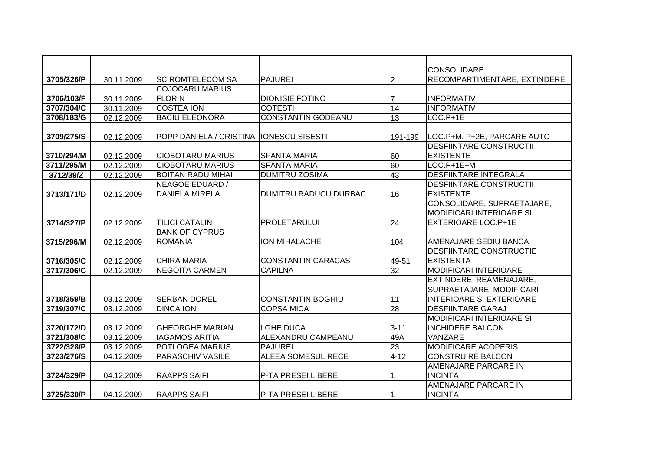|            |                          | <b>SC ROMTELECOM SA</b>        | <b>PAJUREI</b>            |                 | CONSOLIDARE,                                                  |
|------------|--------------------------|--------------------------------|---------------------------|-----------------|---------------------------------------------------------------|
| 3705/326/P | 30.11.2009               | <b>COJOCARU MARIUS</b>         |                           | $\overline{2}$  | RECOMPARTIMENTARE, EXTINDERE                                  |
| 3706/103/F |                          | <b>FLORIN</b>                  | <b>DIONISIE FOTINO</b>    |                 | <b>INFORMATIV</b>                                             |
| 3707/304/C | 30.11.2009<br>30.11.2009 | <b>COSTEA ION</b>              | <b>COTESTI</b>            | 14              | <b>INFORMATIV</b>                                             |
| 3708/183/G |                          | <b>BACIU ELEONORA</b>          | <b>CONSTANTIN GODEANU</b> | 13              | LOC.P+1E                                                      |
|            | 02.12.2009               |                                |                           |                 |                                                               |
| 3709/275/S | 02.12.2009               | <b>POPP DANIELA / CRISTINA</b> | <b>IONESCU SISESTI</b>    | 191-199         | LOC.P+M, P+2E, PARCARE AUTO                                   |
|            |                          |                                |                           |                 | <b>DESFIINTARE CONSTRUCTII</b>                                |
| 3710/294/M | 02.12.2009               | <b>CIOBOTARU MARIUS</b>        | <b>SFANTA MARIA</b>       | 60              | <b>EXISTENTE</b>                                              |
| 3711/295/M | 02.12.2009               | <b>CIOBOTARU MARIUS</b>        | <b>SFANTA MARIA</b>       | 60              | LOC.P+1E+M                                                    |
| 3712/39/Z  | 02.12.2009               | <b>BOITAN RADU MIHAI</b>       | <b>DUMITRU ZOSIMA</b>     | 43              | <b>DESFIINTARE INTEGRALA</b>                                  |
|            |                          | NEAGOE EDUARD /                |                           |                 | <b>DESFIINTARE CONSTRUCTII</b>                                |
| 3713/171/D | 02.12.2009               | <b>DANIELA MIRELA</b>          | DUMITRU RADUCU DURBAC     | 16              | <b>EXISTENTE</b>                                              |
|            |                          |                                |                           |                 | CONSOLIDARE, SUPRAETAJARE,<br><b>MODIFICARI INTERIOARE SI</b> |
| 3714/327/P | 02.12.2009               | <b>TILICI CATALIN</b>          | <b>PROLETARULUI</b>       | 24              | <b>EXTERIOARE LOC.P+1E</b>                                    |
|            |                          | <b>BANK OF CYPRUS</b>          |                           |                 |                                                               |
| 3715/296/M | 02.12.2009               | <b>ROMANIA</b>                 | ION MIHALACHE             | 104             | AMENAJARE SEDIU BANCA                                         |
|            |                          |                                |                           |                 | <b>DESFIINTARE CONSTRUCTIE</b>                                |
| 3716/305/C | 02.12.2009               | <b>CHIRA MARIA</b>             | <b>CONSTANTIN CARACAS</b> | 49-51           | <b>EXISTENTA</b>                                              |
| 3717/306/C | 02.12.2009               | <b>NEGOITA CARMEN</b>          | <b>CAPILNA</b>            | 32              | <b>MODIFICARI INTERIOARE</b>                                  |
|            |                          |                                |                           |                 | EXTINDERE, REAMENAJARE,                                       |
|            |                          |                                |                           |                 | SUPRAETAJARE, MODIFICARI                                      |
| 3718/359/B | 03.12.2009               | <b>SERBAN DOREL</b>            | <b>CONSTANTIN BOGHIU</b>  | 11              | <b>INTERIOARE SI EXTERIOARE</b>                               |
| 3719/307/C | 03.12.2009               | <b>DINCA ION</b>               | <b>COPSA MICA</b>         | $\overline{28}$ | <b>DESFIINTARE GARAJ</b>                                      |
|            |                          |                                |                           |                 | <b>MODIFICARI INTERIOARE SI</b>                               |
| 3720/172/D | 03.12.2009               | <b>GHEORGHE MARIAN</b>         | I.GHE.DUCA                | $3 - 11$        | <b>INCHIDERE BALCON</b>                                       |
| 3721/308/C | 03.12.2009               | <b>IAGAMOS ARITIA</b>          | <b>ALEXANDRU CAMPEANU</b> | 49A             | <b>VANZARE</b>                                                |
| 3722/328/P | 03.12.2009               | POTLOGEA MARIUS                | <b>PAJUREI</b>            | 23              | <b>MODIFICARE ACOPERIS</b>                                    |
| 3723/276/S | 04.12.2009               | <b>PARASCHIV VASILE</b>        | <b>ALEEA SOMESUL RECE</b> | $4 - 12$        | <b>CONSTRUIRE BALCON</b>                                      |
|            |                          |                                |                           |                 | AMENAJARE PARCARE IN                                          |
| 3724/329/P | 04.12.2009               | <b>RAAPPS SAIFI</b>            | P-TA PRESEI LIBERE        |                 | <b>INCINTA</b>                                                |
|            |                          |                                |                           |                 | <b>AMENAJARE PARCARE IN</b>                                   |
| 3725/330/P | 04.12.2009               | <b>RAAPPS SAIFI</b>            | P-TA PRESEI LIBERE        |                 | <b>INCINTA</b>                                                |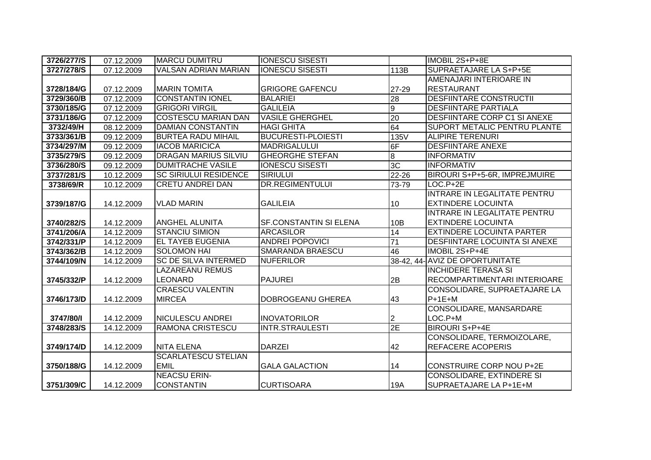| 3726/277/S | 07.12.2009 | <b>MARCU DUMITRU</b>         | <b>IONESCU SISESTI</b>    |                  | IMOBIL 2S+P+8E                       |
|------------|------------|------------------------------|---------------------------|------------------|--------------------------------------|
| 3727/278/S | 07.12.2009 | <b>VALSAN ADRIAN MARIAN</b>  | <b>IONESCU SISESTI</b>    | 113B             | SUPRAETAJARE LA S+P+5E               |
|            |            |                              |                           |                  | AMENAJARI INTERIOARE IN              |
| 3728/184/G | 07.12.2009 | <b>MARIN TOMITA</b>          | <b>GRIGORE GAFENCU</b>    | 27-29            | <b>RESTAURANT</b>                    |
| 3729/360/B | 07.12.2009 | <b>CONSTANTIN IONEL</b>      | <b>BALARIEI</b>           | 28               | <b>DESFIINTARE CONSTRUCTII</b>       |
| 3730/185/G | 07.12.2009 | <b>GRIGORI VIRGIL</b>        | <b>GALILEIA</b>           | $\boldsymbol{9}$ | <b>DESFIINTARE PARTIALA</b>          |
| 3731/186/G | 07.12.2009 | <b>COSTESCU MARIAN DAN</b>   | <b>VASILE GHERGHEL</b>    | 20               | <b>DESFIINTARE CORP C1 SI ANEXE</b>  |
| 3732/49/H  | 08.12.2009 | <b>DAMIAN CONSTANTIN</b>     | <b>HAGI GHITA</b>         | 64               | <b>SUPORT METALIC PENTRU PLANTE</b>  |
| 3733/361/B | 09.12.2009 | <b>BURTEA RADU MIHAIL</b>    | <b>BUCURESTI-PLOIESTI</b> | 135V             | <b>ALIPIRE TERENURI</b>              |
| 3734/297/M | 09.12.2009 | <b>IACOB MARICICA</b>        | <b>MADRIGALULUI</b>       | 6F               | <b>DESFIINTARE ANEXE</b>             |
| 3735/279/S | 09.12.2009 | <b>DRAGAN MARIUS SILVIU</b>  | <b>GHEORGHE STEFAN</b>    | $\bf{8}$         | <b>INFORMATIV</b>                    |
| 3736/280/S | 09.12.2009 | <b>DUMITRACHE VASILE</b>     | <b>IONESCU SISESTI</b>    | 3 <sub>C</sub>   | <b>INFORMATIV</b>                    |
| 3737/281/S | 10.12.2009 | <b>SC SIRIULUI RESIDENCE</b> | <b>SIRIULUI</b>           | 22-26            | BIROURI S+P+5-6R, IMPREJMUIRE        |
| 3738/69/R  | 10.12.2009 | <b>CRETU ANDREI DAN</b>      | <b>DR.REGIMENTULUI</b>    | 73-79            | LOC.P+2E                             |
|            |            |                              |                           |                  | INTRARE IN LEGALITATE PENTRU         |
| 3739/187/G | 14.12.2009 | <b>VLAD MARIN</b>            | <b>GALILEIA</b>           | 10               | <b>EXTINDERE LOCUINTA</b>            |
|            |            |                              |                           |                  | INTRARE IN LEGALITATE PENTRU         |
| 3740/282/S | 14.12.2009 | <b>ANGHEL ALUNITA</b>        | SF.CONSTANTIN SI ELENA    | 10B              | <b>EXTINDERE LOCUINTA</b>            |
| 3741/206/A | 14.12.2009 | <b>STANCIU SIMION</b>        | <b>ARCASILOR</b>          | 14               | <b>EXTINDERE LOCUINTA PARTER</b>     |
| 3742/331/P | 14.12.2009 | <b>EL TAYEB EUGENIA</b>      | <b>ANDREI POPOVICI</b>    | $\overline{71}$  | <b>DESFIINTARE LOCUINTA SI ANEXE</b> |
| 3743/362/B | 14.12.2009 | <b>SOLOMON HAI</b>           | SMARANDA BRAESCU          | 46               | IMOBIL 2S+P+4E                       |
| 3744/109/N | 14.12.2009 | <b>SC DE SILVA INTERMED</b>  | <b>NUFERILOR</b>          |                  | 38-42, 44- AVIZ DE OPORTUNITATE      |
|            |            | <b>LAZAREANU REMUS</b>       |                           |                  | <b>INCHIDERE TERASA SI</b>           |
| 3745/332/P | 14.12.2009 | <b>LEONARD</b>               | <b>PAJUREI</b>            | 2B               | RECOMPARTIMENTARI INTERIOARE         |
|            |            | <b>CRAESCU VALENTIN</b>      |                           |                  | CONSOLIDARE, SUPRAETAJARE LA         |
| 3746/173/D | 14.12.2009 | <b>MIRCEA</b>                | DOBROGEANU GHEREA         | 43               | $P+1E+M$                             |
|            |            |                              |                           |                  | CONSOLIDARE, MANSARDARE              |
| 3747/80/1  | 14.12.2009 | NICULESCU ANDREI             | <b>INOVATORILOR</b>       | 2                | LOC.P+M                              |
| 3748/283/S | 14.12.2009 | <b>RAMONA CRISTESCU</b>      | <b>INTR.STRAULESTI</b>    | 2E               | <b>BIROURI S+P+4E</b>                |
|            |            |                              |                           |                  | CONSOLIDARE, TERMOIZOLARE,           |
| 3749/174/D | 14.12.2009 | <b>NITA ELENA</b>            | <b>DARZEI</b>             | 42               | <b>REFACERE ACOPERIS</b>             |
|            |            | <b>SCARLATESCU STELIAN</b>   |                           |                  |                                      |
| 3750/188/G | 14.12.2009 | <b>EMIL</b>                  | <b>GALA GALACTION</b>     | 14               | <b>CONSTRUIRE CORP NOU P+2E</b>      |
|            |            | <b>NEACSU ERIN-</b>          |                           |                  | <b>CONSOLIDARE, EXTINDERE SI</b>     |
| 3751/309/C | 14.12.2009 | <b>CONSTANTIN</b>            | <b>CURTISOARA</b>         | 19A              | SUPRAETAJARE LA P+1E+M               |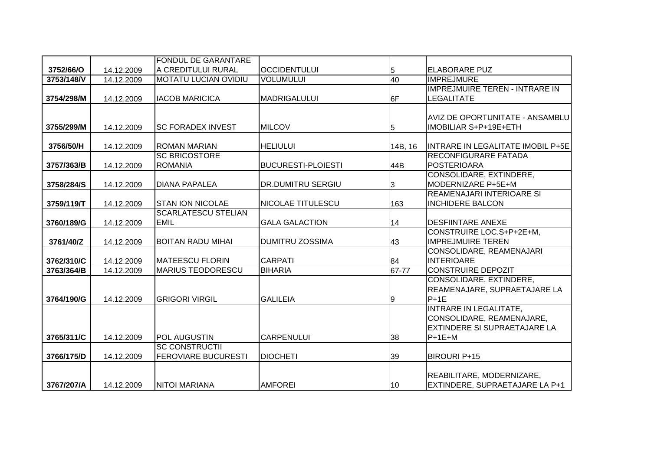|            |            | <b>FONDUL DE GARANTARE</b>  |                           |         |                                       |
|------------|------------|-----------------------------|---------------------------|---------|---------------------------------------|
| 3752/66/O  | 14.12.2009 | IA CREDITULUI RURAL         | <b>OCCIDENTULUI</b>       | 5       | ELABORARE PUZ                         |
| 3753/148/V | 14.12.2009 | <b>MOTATU LUCIAN OVIDIU</b> | <b>VOLUMULUI</b>          | 40      | <b>IMPREJMURE</b>                     |
|            |            |                             |                           |         | <b>IMPREJMUIRE TEREN - INTRARE IN</b> |
| 3754/298/M | 14.12.2009 | <b>IACOB MARICICA</b>       | <b>MADRIGALULUI</b>       | 6F      | <b>LEGALITATE</b>                     |
|            |            |                             |                           |         |                                       |
|            |            |                             |                           |         | AVIZ DE OPORTUNITATE - ANSAMBLU       |
| 3755/299/M | 14.12.2009 | <b>ISC FORADEX INVEST</b>   | <b>MILCOV</b>             | 5       | <b>IMOBILIAR S+P+19E+ETH</b>          |
|            |            |                             |                           |         |                                       |
| 3756/50/H  | 14.12.2009 | <b>ROMAN MARIAN</b>         | <b>HELIULUI</b>           | 14B, 16 | INTRARE IN LEGALITATE IMOBIL P+5E     |
|            |            | <b>SC BRICOSTORE</b>        |                           |         | <b>RECONFIGURARE FATADA</b>           |
| 3757/363/B | 14.12.2009 | <b>ROMANIA</b>              | <b>BUCURESTI-PLOIESTI</b> | 44B     | <b>POSTERIOARA</b>                    |
|            |            |                             |                           |         | CONSOLIDARE, EXTINDERE,               |
| 3758/284/S | 14.12.2009 | DIANA PAPALEA               | <b>DR.DUMITRU SERGIU</b>  | 3       | MODERNIZARE P+5E+M                    |
|            |            |                             |                           |         | REAMENAJARI INTERIOARE SI             |
| 3759/119/T | 14.12.2009 | <b>STAN ION NICOLAE</b>     | <b>NICOLAE TITULESCU</b>  | 163     | <b>INCHIDERE BALCON</b>               |
|            |            | <b>SCARLATESCU STELIAN</b>  |                           |         |                                       |
| 3760/189/G | 14.12.2009 | <b>EMIL</b>                 | <b>GALA GALACTION</b>     | 14      | <b>DESFIINTARE ANEXE</b>              |
|            |            |                             |                           |         | CONSTRUIRE LOC.S+P+2E+M,              |
| 3761/40/Z  | 14.12.2009 | <b>BOITAN RADU MIHAI</b>    | <b>DUMITRU ZOSSIMA</b>    | 43      | <b>IMPREJMUIRE TEREN</b>              |
|            |            |                             |                           |         | CONSOLIDARE, REAMENAJARI              |
| 3762/310/C | 14.12.2009 | <b>MATEESCU FLORIN</b>      | <b>CARPATI</b>            | 84      | <b>INTERIOARE</b>                     |
| 3763/364/B | 14.12.2009 | <b>MARIUS TEODORESCU</b>    | <b>BIHARIA</b>            | 67-77   | <b>CONSTRUIRE DEPOZIT</b>             |
|            |            |                             |                           |         | CONSOLIDARE, EXTINDERE,               |
|            |            |                             |                           |         | REAMENAJARE, SUPRAETAJARE LA          |
| 3764/190/G | 14.12.2009 | <b>GRIGORI VIRGIL</b>       | <b>GALILEIA</b>           | 9       | $P+1E$                                |
|            |            |                             |                           |         | <b>INTRARE IN LEGALITATE,</b>         |
|            |            |                             |                           |         | CONSOLIDARE, REAMENAJARE,             |
|            |            |                             |                           |         | <b>EXTINDERE SI SUPRAETAJARE LA</b>   |
| 3765/311/C | 14.12.2009 | IPOL AUGUSTIN               | <b>CARPENULUI</b>         | 38      | $P+1E+M$                              |
|            |            | <b>SC CONSTRUCTII</b>       |                           |         |                                       |
| 3766/175/D | 14.12.2009 | <b>FEROVIARE BUCURESTI</b>  | <b>DIOCHETI</b>           | 39      | <b>BIROURI P+15</b>                   |
|            |            |                             |                           |         |                                       |
|            |            |                             |                           |         | REABILITARE, MODERNIZARE,             |
| 3767/207/A | 14.12.2009 | <b>NITOI MARIANA</b>        | <b>AMFOREI</b>            | 10      | EXTINDERE, SUPRAETAJARE LA P+1        |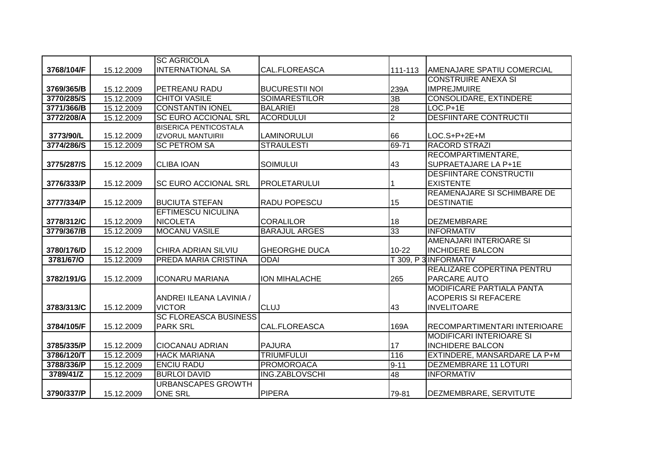|            |            | <b>SC AGRICOLA</b>           |                       |                |                                    |
|------------|------------|------------------------------|-----------------------|----------------|------------------------------------|
| 3768/104/F | 15.12.2009 | <b>INTERNATIONAL SA</b>      | CAL.FLOREASCA         | 111-113        | AMENAJARE SPATIU COMERCIAL         |
|            |            |                              |                       |                | <b>CONSTRUIRE ANEXA SI</b>         |
| 3769/365/B | 15.12.2009 | PETREANU RADU                | <b>BUCURESTII NOI</b> | 239A           | <b>IMPREJMUIRE</b>                 |
| 3770/285/S | 15.12.2009 | <b>CHITOI VASILE</b>         | <b>SOIMARESTILOR</b>  | 3B             | <b>CONSOLIDARE, EXTINDERE</b>      |
| 3771/366/B | 15.12.2009 | <b>CONSTANTIN IONEL</b>      | <b>BALARIEI</b>       | 28             | $LOC.P+1E$                         |
| 3772/208/A | 15.12.2009 | <b>SC EURO ACCIONAL SRL</b>  | <b>ACORDULUI</b>      | $\overline{2}$ | <b>DESFIINTARE CONTRUCTII</b>      |
|            |            | <b>BISERICA PENTICOSTALA</b> |                       |                |                                    |
| 3773/90/L  | 15.12.2009 | <b>IZVORUL MANTUIRII</b>     | <b>LAMINORULUI</b>    | 66             | LOC.S+P+2E+M                       |
| 3774/286/S | 15.12.2009 | <b>SC PETROM SA</b>          | <b>STRAULESTI</b>     | 69-71          | <b>RACORD STRAZI</b>               |
|            |            |                              |                       |                | RECOMPARTIMENTARE,                 |
| 3775/287/S | 15.12.2009 | <b>CLIBA IOAN</b>            | <b>SOIMULUI</b>       | 43             | SUPRAETAJARE LA P+1E               |
|            |            |                              |                       |                | <b>DESFIINTARE CONSTRUCTII</b>     |
| 3776/333/P | 15.12.2009 | <b>SC EURO ACCIONAL SRL</b>  | <b>PROLETARULUI</b>   |                | <b>EXISTENTE</b>                   |
|            |            |                              |                       |                | <b>REAMENAJARE SI SCHIMBARE DE</b> |
| 3777/334/P | 15.12.2009 | <b>BUCIUTA STEFAN</b>        | <b>RADU POPESCU</b>   | 15             | <b>DESTINATIE</b>                  |
|            |            | <b>EFTIMESCU NICULINA</b>    |                       |                |                                    |
| 3778/312/C | 15.12.2009 | <b>NICOLETA</b>              | <b>CORALILOR</b>      | 18             | <b>DEZMEMBRARE</b>                 |
| 3779/367/B | 15.12.2009 | <b>MOCANU VASILE</b>         | <b>BARAJUL ARGES</b>  | 33             | <b>INFORMATIV</b>                  |
|            |            |                              |                       |                | AMENAJARI INTERIOARE SI            |
| 3780/176/D | 15.12.2009 | CHIRA ADRIAN SILVIU          | <b>GHEORGHE DUCA</b>  | 10-22          | <b>INCHIDERE BALCON</b>            |
| 3781/67/0  | 15.12.2009 | PREDA MARIA CRISTINA         | <b>ODAI</b>           |                | T 309, P 3 INFORMATIV              |
|            |            |                              |                       |                | REALIZARE COPERTINA PENTRU         |
| 3782/191/G | 15.12.2009 | <b>ICONARU MARIANA</b>       | ION MIHALACHE         | 265            | <b>PARCARE AUTO</b>                |
|            |            |                              |                       |                | <b>MODIFICARE PARTIALA PANTA</b>   |
|            |            | ANDREI ILEANA LAVINIA /      |                       |                | <b>ACOPERIS SI REFACERE</b>        |
| 3783/313/C | 15.12.2009 | <b>VICTOR</b>                | <b>CLUJ</b>           | 43             | <b>INVELITOARE</b>                 |
|            |            | <b>SC FLOREASCA BUSINESS</b> |                       |                |                                    |
| 3784/105/F | 15.12.2009 | <b>PARK SRL</b>              | CAL.FLOREASCA         | 169A           | RECOMPARTIMENTARI INTERIOARE       |
|            |            |                              |                       |                | <b>MODIFICARI INTERIOARE SI</b>    |
| 3785/335/P | 15.12.2009 | <b>CIOCANAU ADRIAN</b>       | <b>PAJURA</b>         | 17             | <b>INCHIDERE BALCON</b>            |
| 3786/120/T | 15.12.2009 | <b>HACK MARIANA</b>          | <b>TRIUMFULUI</b>     | 116            | EXTINDERE, MANSARDARE LA P+M       |
| 3788/336/P | 15.12.2009 | <b>ENCIU RADU</b>            | <b>PROMOROACA</b>     | $9 - 11$       | <b>DEZMEMBRARE 11 LOTURI</b>       |
| 3789/41/Z  | 15.12.2009 | <b>BURLOI DAVID</b>          | <b>ING.ZABLOVSCHI</b> | 48             | <b>INFORMATIV</b>                  |
|            |            | <b>URBANSCAPES GROWTH</b>    |                       |                |                                    |
| 3790/337/P | 15.12.2009 | <b>ONE SRL</b>               | <b>PIPERA</b>         | 79-81          | DEZMEMBRARE, SERVITUTE             |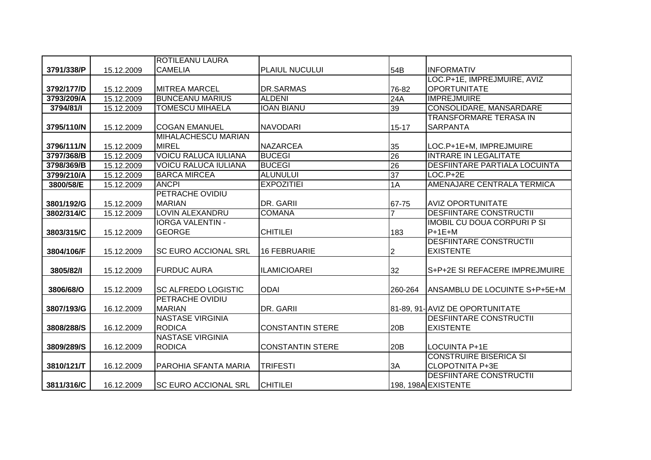|            |            | <b>ROTILEANU LAURA</b>      |                         |                 |                                 |
|------------|------------|-----------------------------|-------------------------|-----------------|---------------------------------|
| 3791/338/P | 15.12.2009 | <b>CAMELIA</b>              | PLAIUL NUCULUI          | 54B             | <b>INFORMATIV</b>               |
|            |            |                             |                         |                 | LOC.P+1E, IMPREJMUIRE, AVIZ     |
| 3792/177/D | 15.12.2009 | <b>MITREA MARCEL</b>        | DR.SARMAS               | 76-82           | <b>OPORTUNITATE</b>             |
| 3793/209/A | 15.12.2009 | <b>BUNCEANU MARIUS</b>      | <b>ALDENI</b>           | 24A             | <b>IMPREJMUIRE</b>              |
| 3794/81/1  | 15.12.2009 | <b>TOMESCU MIHAELA</b>      | <b>IOAN BIANU</b>       | 39              | CONSOLIDARE, MANSARDARE         |
|            |            |                             |                         |                 | TRANSFORMARE TERASA IN          |
| 3795/110/N | 15.12.2009 | <b>COGAN EMANUEL</b>        | <b>NAVODARI</b>         | $15 - 17$       | <b>SARPANTA</b>                 |
|            |            | MIHALACHESCU MARIAN         |                         |                 |                                 |
| 3796/111/N | 15.12.2009 | <b>MIREL</b>                | <b>NAZARCEA</b>         | 35              | LOC.P+1E+M, IMPREJMUIRE         |
| 3797/368/B | 15.12.2009 | <b>VOICU RALUCA IULIANA</b> | <b>BUCEGI</b>           | 26              | <b>INTRARE IN LEGALITATE</b>    |
| 3798/369/B | 15.12.2009 | <b>VOICU RALUCA IULIANA</b> | <b>BUCEGI</b>           | 26              | DESFIINTARE PARTIALA LOCUINTA   |
| 3799/210/A | 15.12.2009 | <b>BARCA MIRCEA</b>         | <b>ALUNULUI</b>         | $\overline{37}$ | $LOC.P+2E$                      |
| 3800/58/E  | 15.12.2009 | <b>ANCPI</b>                | <b>EXPOZITIEI</b>       | 1A              | AMENAJARE CENTRALA TERMICA      |
|            |            | PETRACHE OVIDIU             |                         |                 |                                 |
| 3801/192/G | 15.12.2009 | <b>MARIAN</b>               | DR. GARII               | 67-75           | <b>AVIZ OPORTUNITATE</b>        |
| 3802/314/C | 15.12.2009 | <b>LOVIN ALEXANDRU</b>      | <b>COMANA</b>           |                 | <b>DESFIINTARE CONSTRUCTII</b>  |
|            |            | <b>IORGA VALENTIN -</b>     |                         |                 | IMOBIL CU DOUA CORPURI P SI     |
| 3803/315/C | 15.12.2009 | <b>GEORGE</b>               | <b>CHITILEI</b>         | 183             | $P+1E+M$                        |
|            |            |                             |                         |                 | <b>DESFIINTARE CONSTRUCTII</b>  |
| 3804/106/F | 15.12.2009 | <b>SC EURO ACCIONAL SRL</b> | <b>16 FEBRUARIE</b>     | 2               | <b>EXISTENTE</b>                |
|            |            |                             |                         |                 |                                 |
| 3805/82/1  | 15.12.2009 | <b>FURDUC AURA</b>          | <b>ILAMICIOAREI</b>     | 32              | S+P+2E SI REFACERE IMPREJMUIRE  |
|            |            |                             |                         |                 |                                 |
| 3806/68/O  | 15.12.2009 | <b>SC ALFREDO LOGISTIC</b>  | <b>ODAI</b>             | 260-264         | ANSAMBLU DE LOCUINTE S+P+5E+M   |
|            |            | PETRACHE OVIDIU             |                         |                 |                                 |
| 3807/193/G | 16.12.2009 | <b>MARIAN</b>               | DR. GARII               |                 | 81-89, 91- AVIZ DE OPORTUNITATE |
|            |            | <b>NASTASE VIRGINIA</b>     |                         |                 | <b>DESFIINTARE CONSTRUCTII</b>  |
| 3808/288/S | 16.12.2009 | <b>RODICA</b>               | <b>CONSTANTIN STERE</b> | 20B             | <b>EXISTENTE</b>                |
|            |            | <b>NASTASE VIRGINIA</b>     |                         |                 |                                 |
| 3809/289/S | 16.12.2009 | <b>RODICA</b>               | <b>CONSTANTIN STERE</b> | 20B             | <b>LOCUINTA P+1E</b>            |
|            |            |                             |                         |                 | <b>CONSTRUIRE BISERICA SI</b>   |
| 3810/121/T | 16.12.2009 | PAROHIA SFANTA MARIA        | <b>TRIFESTI</b>         | 3A              | <b>CLOPOTNITA P+3E</b>          |
|            |            |                             |                         |                 | <b>DESFIINTARE CONSTRUCTII</b>  |
| 3811/316/C | 16.12.2009 | <b>SC EURO ACCIONAL SRL</b> | <b>CHITILEI</b>         |                 | 198, 198A EXISTENTE             |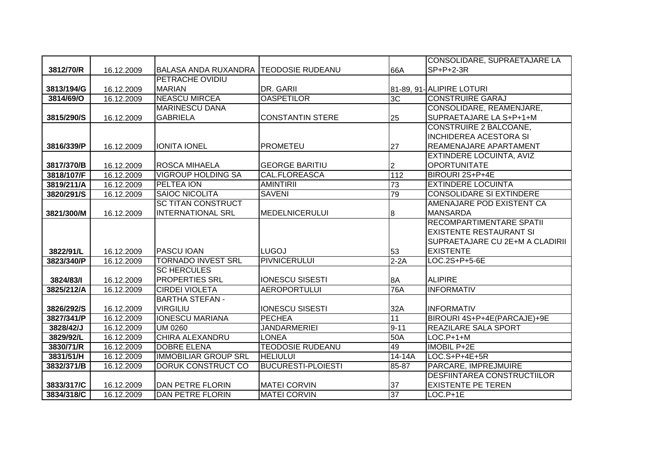|            |            |                                       |                               |            | CONSOLIDARE, SUPRAETAJARE LA       |
|------------|------------|---------------------------------------|-------------------------------|------------|------------------------------------|
| 3812/70/R  | 16.12.2009 | BALASA ANDA RUXANDRA TEODOSIE RUDEANU |                               | 66A        | $SP+P+2-3R$                        |
|            |            | PETRACHE OVIDIU                       |                               |            |                                    |
| 3813/194/G | 16.12.2009 | <b>MARIAN</b>                         | DR. GARII                     |            | 81-89, 91- ALIPIRE LOTURI          |
| 3814/69/O  | 16.12.2009 | <b>NEASCU MIRCEA</b>                  | <b>OASPETILOR</b>             | 3C         | <b>CONSTRUIRE GARAJ</b>            |
|            |            | <b>MARINESCU DANA</b>                 |                               |            | CONSOLIDARE, REAMENJARE,           |
| 3815/290/S | 16.12.2009 | <b>GABRIELA</b>                       | <b>CONSTANTIN STERE</b><br>25 |            | SUPRAETAJARE LA S+P+1+M            |
|            |            |                                       |                               |            | <b>CONSTRUIRE 2 BALCOANE,</b>      |
|            |            |                                       |                               |            | <b>INCHIDEREA ACESTORA SI</b>      |
| 3816/339/P | 16.12.2009 | <b>IONITA IONEL</b>                   | <b>PROMETEU</b><br>27         |            | REAMENAJARE APARTAMENT             |
|            |            |                                       |                               |            | <b>EXTINDERE LOCUINTA, AVIZ</b>    |
| 3817/370/B | 16.12.2009 | <b>ROSCA MIHAELA</b>                  | <b>GEORGE BARITIU</b><br>2    |            | <b>OPORTUNITATE</b>                |
| 3818/107/F | 16.12.2009 | <b>VIGROUP HOLDING SA</b>             | <b>CAL.FLOREASCA</b>          | 112        | BIROURI 2S+P+4E                    |
| 3819/211/A | 16.12.2009 | PELTEA ION                            | 73<br><b>AMINTIRII</b>        |            | <b>EXTINDERE LOCUINTA</b>          |
| 3820/291/S | 16.12.2009 | <b>SAIOC NICOLITA</b>                 | 79<br><b>SAVENI</b>           |            | <b>CONSOLIDARE SI EXTINDERE</b>    |
|            |            | <b>SC TITAN CONSTRUCT</b>             |                               |            | AMENAJARE POD EXISTENT CA          |
| 3821/300/M | 16.12.2009 | <b>INTERNATIONAL SRL</b>              | <b>MEDELNICERULUI</b><br>8    |            | <b>MANSARDA</b>                    |
|            |            |                                       |                               |            | <b>RECOMPARTIMENTARE SPATII</b>    |
|            |            |                                       |                               |            | <b>EXISTENTE RESTAURANT SI</b>     |
|            |            |                                       |                               |            | SUPRAETAJARE CU 2E+M A CLADIRII    |
| 3822/91/L  | 16.12.2009 | <b>PASCU IOAN</b>                     | <b>LUGOJ</b><br>53            |            | <b>EXISTENTE</b>                   |
| 3823/340/P | 16.12.2009 | <b>TORNADO INVEST SRL</b>             | <b>PIVNICERULUI</b>           | $2-2A$     | LOC.2S+P+5-6E                      |
|            |            | <b>SC HERCULES</b>                    |                               |            |                                    |
| 3824/83/1  | 16.12.2009 | <b>PROPERTIES SRL</b>                 | <b>IONESCU SISESTI</b><br>8A  |            | <b>ALIPIRE</b>                     |
| 3825/212/A | 16.12.2009 | <b>CIRDEI VIOLETA</b>                 | <b>AEROPORTULUI</b>           | <b>76A</b> | <b>INFORMATIV</b>                  |
|            |            | <b>BARTHA STEFAN -</b>                |                               |            |                                    |
| 3826/292/S | 16.12.2009 | <b>VIRGILIU</b>                       | <b>IONESCU SISESTI</b>        | 32A        | <b>INFORMATIV</b>                  |
| 3827/341/P | 16.12.2009 | <b>IONESCU MARIANA</b>                | 11<br><b>PECHEA</b>           |            | BIROURI 4S+P+4E(PARCAJE)+9E        |
| 3828/42/J  | 16.12.2009 | UM 0260                               | <b>JANDARMERIEI</b>           | $9 - 11$   | REAZILARE SALA SPORT               |
| 3829/92/L  | 16.12.2009 | <b>CHIRA ALEXANDRU</b>                | <b>LONEA</b>                  | 50A        | $LOC.P+1+M$                        |
| 3830/71/R  | 16.12.2009 | <b>DOBRE ELENA</b>                    | <b>TEODOSIE RUDEANU</b><br>49 |            | <b>IMOBIL P+2E</b>                 |
| 3831/51/H  | 16.12.2009 | <b>IMMOBILIAR GROUP SRL</b>           | <b>HELIULUI</b>               | 14-14A     | LOC.S+P+4E+5R                      |
| 3832/371/B | 16.12.2009 | <b>DORUK CONSTRUCT CO</b>             | <b>BUCURESTI-PLOIESTI</b>     | 85-87      | PARCARE, IMPREJMUIRE               |
|            |            |                                       |                               |            | <b>DESFIINTAREA CONSTRUCTIILOR</b> |
| 3833/317/C | 16.12.2009 | DAN PETRE FLORIN                      | <b>MATEI CORVIN</b><br>37     |            | <b>EXISTENTE PE TEREN</b>          |
| 3834/318/C | 16.12.2009 | DAN PETRE FLORIN                      | 37<br><b>MATEI CORVIN</b>     |            | $LOC.P+1E$                         |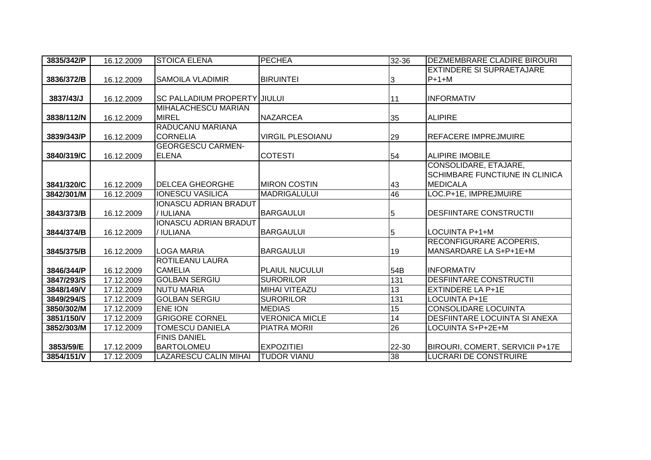| 3835/342/P | 16.12.2009 | <b>STOICA ELENA</b>                 | <b>PECHEA</b>           | 32-36           | <b>DEZMEMBRARE CLADIRE BIROURI</b>   |
|------------|------------|-------------------------------------|-------------------------|-----------------|--------------------------------------|
|            |            |                                     |                         |                 | <b>EXTINDERE SI SUPRAETAJARE</b>     |
| 3836/372/B | 16.12.2009 | <b>SAMOILA VLADIMIR</b>             | <b>BIRUINTEI</b>        | 3               | $P+1+M$                              |
|            |            |                                     |                         |                 |                                      |
| 3837/43/J  | 16.12.2009 | <b>SC PALLADIUM PROPERTY JIULUI</b> |                         | 11              | <b>INFORMATIV</b>                    |
|            |            | MIHALACHESCU MARIAN                 |                         |                 |                                      |
| 3838/112/N | 16.12.2009 | <b>MIREL</b>                        | <b>NAZARCEA</b>         | 35              | <b>ALIPIRE</b>                       |
|            |            | RADUCANU MARIANA                    |                         |                 |                                      |
| 3839/343/P | 16.12.2009 | <b>CORNELIA</b>                     | <b>VIRGIL PLESOIANU</b> | 29              | <b>REFACERE IMPREJMUIRE</b>          |
|            |            | <b>GEORGESCU CARMEN-</b>            |                         |                 |                                      |
| 3840/319/C | 16.12.2009 | <b>ELENA</b>                        | <b>COTESTI</b>          | 54              | <b>ALIPIRE IMOBILE</b>               |
|            |            |                                     |                         |                 | CONSOLIDARE, ETAJARE,                |
|            |            |                                     |                         |                 | SCHIMBARE FUNCTIUNE IN CLINICA       |
| 3841/320/C | 16.12.2009 | <b>DELCEA GHEORGHE</b>              | <b>MIRON COSTIN</b>     | 43              | MEDICALA                             |
| 3842/301/M | 16.12.2009 | <b>IONESCU VASILICA</b>             | <b>MADRIGALULUI</b>     | 46              | LOC.P+1E, IMPREJMUIRE                |
|            |            | <b>IONASCU ADRIAN BRADUT</b>        |                         |                 |                                      |
| 3843/373/B | 16.12.2009 | / IULIANA                           | <b>BARGAULUI</b>        | 5               | <b>DESFIINTARE CONSTRUCTII</b>       |
|            |            | <b>IONASCU ADRIAN BRADUT</b>        |                         |                 |                                      |
| 3844/374/B | 16.12.2009 | / IULIANA                           | <b>BARGAULUI</b>        | 5               | LOCUINTA P+1+M                       |
|            |            |                                     |                         |                 | <b>RECONFIGURARE ACOPERIS,</b>       |
| 3845/375/B | 16.12.2009 | <b>LOGA MARIA</b>                   | <b>BARGAULUI</b>        | 19              | MANSARDARE LA S+P+1E+M               |
|            |            | <b>ROTILEANU LAURA</b>              |                         |                 |                                      |
| 3846/344/P | 16.12.2009 | <b>CAMELIA</b>                      | PLAIUL NUCULUI          | 54B             | <b>INFORMATIV</b>                    |
| 3847/293/S | 17.12.2009 | <b>GOLBAN SERGIU</b>                | <b>SURORILOR</b>        | 131             | <b>DESFIINTARE CONSTRUCTII</b>       |
| 3848/149/V | 17.12.2009 | <b>NUTU MARIA</b>                   | <b>MIHAI VITEAZU</b>    | 13              | <b>EXTINDERE LA P+1E</b>             |
| 3849/294/S | 17.12.2009 | <b>GOLBAN SERGIU</b>                | <b>SURORILOR</b>        | 131             | <b>LOCUINTA P+1E</b>                 |
| 3850/302/M | 17.12.2009 | ENE ION                             | <b>MEDIAS</b>           | 15              | <b>CONSOLIDARE LOCUINTA</b>          |
| 3851/150/V | 17.12.2009 | <b>GRIGORE CORNEL</b>               | <b>VERONICA MICLE</b>   | 14              | <b>DESFIINTARE LOCUINTA SI ANEXA</b> |
| 3852/303/M | 17.12.2009 | <b>TOMESCU DANIELA</b>              | PIATRA MORII            | 26              | LOCUINTA S+P+2E+M                    |
|            |            | <b>FINIS DANIEL</b>                 |                         |                 |                                      |
| 3853/59/E  | 17.12.2009 | <b>BARTOLOMEU</b>                   | <b>EXPOZITIEI</b>       | 22-30           | BIROURI, COMERT, SERVICII P+17E      |
| 3854/151/V | 17.12.2009 | <b>LAZARESCU CALIN MIHAI</b>        | <b>TUDOR VIANU</b>      | $\overline{38}$ | <b>LUCRARI DE CONSTRUIRE</b>         |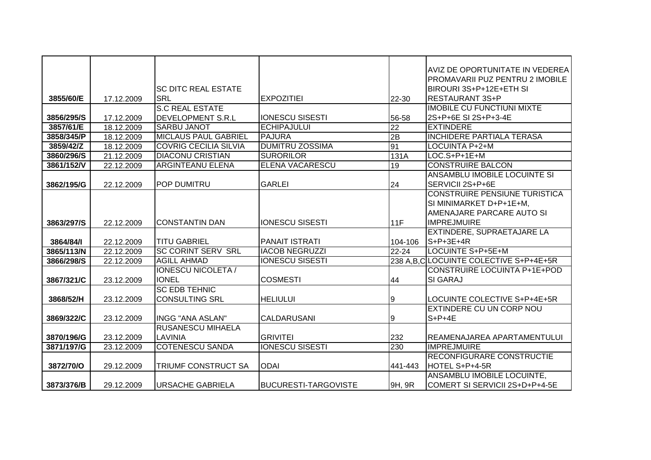|            |            |                              |                             |                 | AVIZ DE OPORTUNITATE IN VEDEREA       |
|------------|------------|------------------------------|-----------------------------|-----------------|---------------------------------------|
|            |            |                              |                             |                 | PROMAVARII PUZ PENTRU 2 IMOBILE       |
|            |            | ISC DITC REAL ESTATE         |                             |                 | BIROURI 3S+P+12E+ETH SI               |
| 3855/60/E  | 17.12.2009 | <b>SRL</b>                   | <b>EXPOZITIEI</b>           | 22-30           | <b>RESTAURANT 3S+P</b>                |
|            |            | <b>S.C REAL ESTATE</b>       |                             |                 | <b>IMOBILE CU FUNCTIUNI MIXTE</b>     |
| 3856/295/S | 17.12.2009 | <b>DEVELOPMENT S.R.L</b>     | <b>IONESCU SISESTI</b>      | 56-58           | 2S+P+6E SI 2S+P+3-4E                  |
| 3857/61/E  | 18.12.2009 | <b>SARBU JANOT</b>           | <b>ECHIPAJULUI</b>          | $\overline{22}$ | <b>EXTINDERE</b>                      |
| 3858/345/P | 18.12.2009 | <b>MICLAUS PAUL GABRIEL</b>  | <b>PAJURA</b>               | 2B              | <b>INCHIDERE PARTIALA TERASA</b>      |
| 3859/42/Z  | 18.12.2009 | <b>COVRIG CECILIA SILVIA</b> | <b>DUMITRU ZOSSIMA</b>      | 91              | LOCUINTA P+2+M                        |
| 3860/296/S | 21.12.2009 | <b>DIACONU CRISTIAN</b>      | <b>SURORILOR</b>            | 131A            | LOC.S+P+1E+M                          |
| 3861/152/V | 22.12.2009 | <b>ARGINTEANU ELENA</b>      | <b>ELENA VACARESCU</b>      | 19              | <b>CONSTRUIRE BALCON</b>              |
|            |            |                              |                             |                 | ANSAMBLU IMOBILE LOCUINTE SI          |
| 3862/195/G | 22.12.2009 | <b>POP DUMITRU</b>           | <b>GARLEI</b>               | 24              | SERVICII 2S+P+6E                      |
|            |            |                              |                             |                 | <b>CONSTRUIRE PENSIUNE TURISTICA</b>  |
|            |            |                              |                             |                 | SI MINIMARKET D+P+1E+M,               |
|            |            |                              |                             |                 | AMENAJARE PARCARE AUTO SI             |
| 3863/297/S | 22.12.2009 | <b>CONSTANTIN DAN</b>        | <b>IONESCU SISESTI</b>      | 11F             | <b>IMPREJMUIRE</b>                    |
|            |            |                              |                             |                 | EXTINDERE, SUPRAETAJARE LA            |
| 3864/84/1  | 22.12.2009 | <b>TITU GABRIEL</b>          | <b>PANAIT ISTRATI</b>       | 104-106         | $S+P+3E+4R$                           |
| 3865/113/N | 22.12.2009 | <b>SC CORINT SERV SRL</b>    | <b>IACOB NEGRUZZI</b>       | 22-24           | LOCUINTE S+P+5E+M                     |
| 3866/298/S | 22.12.2009 | <b>AGILL AHMAD</b>           | <b>IONESCU SISESTI</b>      |                 | 238 A.B.CLOCUINTE COLECTIVE S+P+4E+5R |
|            |            | <b>IONESCU NICOLETA /</b>    |                             |                 | CONSTRUIRE LOCUINTA P+1E+POD          |
| 3867/321/C | 23.12.2009 | <b>IONEL</b>                 | <b>COSMESTI</b>             | 44              | SI GARAJ                              |
|            |            | <b>SC EDB TEHNIC</b>         |                             |                 |                                       |
| 3868/52/H  | 23.12.2009 | <b>CONSULTING SRL</b>        | <b>HELIULUI</b>             | Ι9              | LOCUINTE COLECTIVE S+P+4E+5R          |
|            |            |                              |                             |                 | <b>EXTINDERE CU UN CORP NOU</b>       |
| 3869/322/C | 23.12.2009 | <b>INGG "ANA ASLAN"</b>      | <b>CALDARUSANI</b>          | 9               | $S+P+4E$                              |
|            |            | <b>RUSANESCU MIHAELA</b>     |                             |                 |                                       |
| 3870/196/G | 23.12.2009 | LAVINIA                      | <b>GRIVITEI</b>             | 232             | REAMENAJAREA APARTAMENTULUI           |
| 3871/197/G | 23.12.2009 | <b>COTENESCU SANDA</b>       | <b>IONESCU SISESTI</b>      | 230             | <b>IMPREJMUIRE</b>                    |
|            |            |                              |                             |                 | RECONFIGURARE CONSTRUCTIE             |
| 3872/70/O  | 29.12.2009 | <b>TRIUMF CONSTRUCT SA</b>   | <b>ODAI</b>                 | 441-443         | HOTEL S+P+4-5R                        |
|            |            |                              |                             |                 | ANSAMBLU IMOBILE LOCUINTE,            |
| 3873/376/B | 29.12.2009 | <b> URSACHE GABRIELA</b>     | <b>BUCURESTI-TARGOVISTE</b> | 9H, 9R          | COMERT SI SERVICII 2S+D+P+4-5E        |